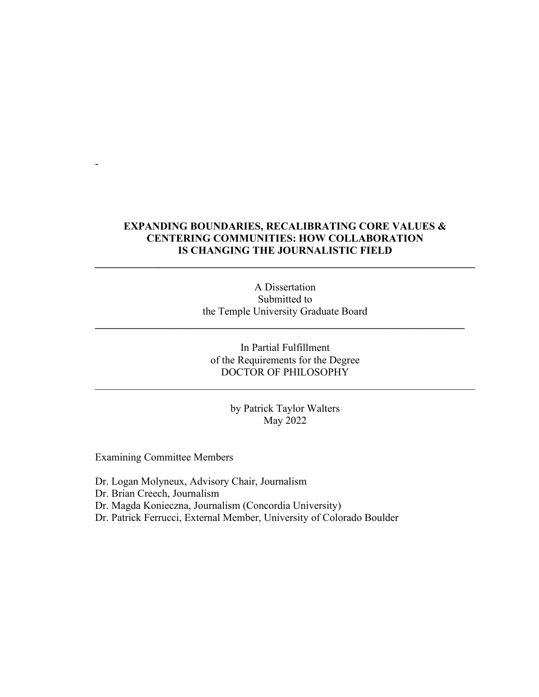# **EXPANDING BOUNDARIES, RECALIBRATING CORE VALUES & CENTERING COMMUNITIES: HOW COLLABORATION IS CHANGING THE JOURNALISTIC FIELD**

**\_\_\_\_\_\_\_\_\_\_\_\_\_\_\_\_\_\_\_\_\_\_\_\_\_\_\_\_\_\_\_\_\_\_\_\_\_\_\_\_\_\_\_\_\_\_\_\_\_\_\_\_\_\_\_\_\_\_\_\_\_\_\_\_\_\_\_\_\_\_\_\_**

A Dissertation Submitted to the Temple University Graduate Board

**\_\_\_\_\_\_\_\_\_\_\_\_\_\_\_\_\_\_\_\_\_\_\_\_\_\_\_\_\_\_\_\_\_\_\_\_\_\_\_\_\_\_\_\_\_\_\_\_\_\_\_\_\_\_\_\_\_\_\_\_\_\_\_\_\_\_\_\_\_\_**

# In Partial Fulfillment of the Requirements for the Degree DOCTOR OF PHILOSOPHY

 $\mathcal{L}_\text{G}$  , and the contribution of the contribution of the contribution of the contribution of the contribution of the contribution of the contribution of the contribution of the contribution of the contribution of t

by Patrick Taylor Walters May 2022

Examining Committee Members

-

Dr. Logan Molyneux, Advisory Chair, Journalism

Dr. Brian Creech, Journalism

Dr. Magda Konieczna, Journalism (Concordia University)

Dr. Patrick Ferrucci, External Member, University of Colorado Boulder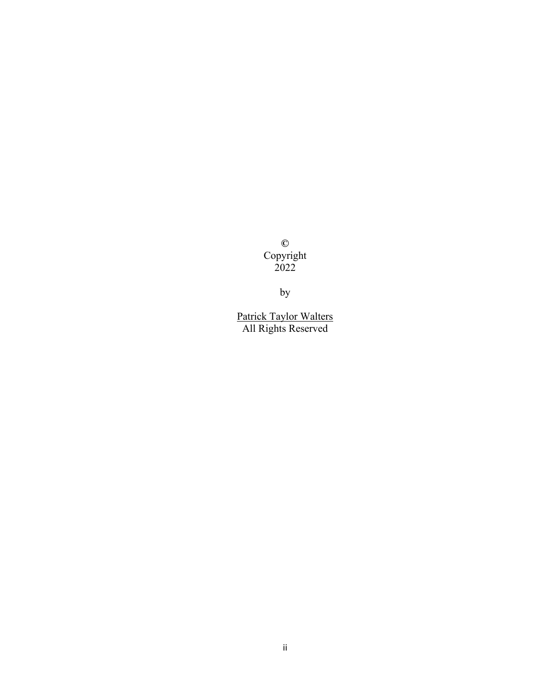**©**  Copyright 2022

by

Patrick Taylor Walters All Rights Reserved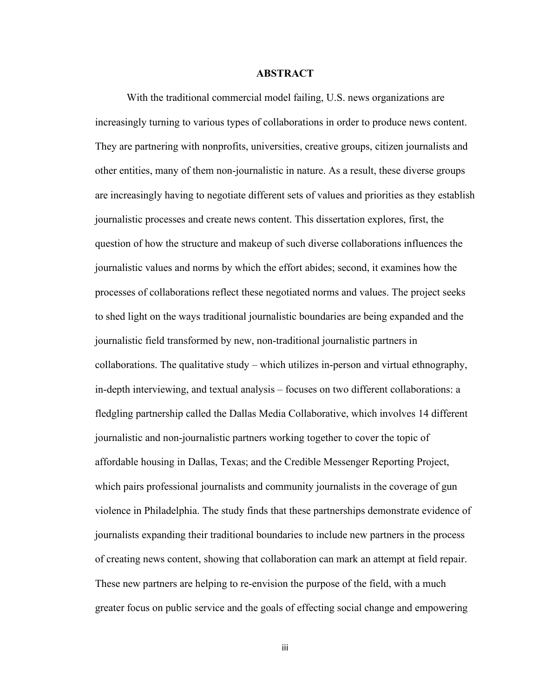### **ABSTRACT**

With the traditional commercial model failing, U.S. news organizations are increasingly turning to various types of collaborations in order to produce news content. They are partnering with nonprofits, universities, creative groups, citizen journalists and other entities, many of them non-journalistic in nature. As a result, these diverse groups are increasingly having to negotiate different sets of values and priorities as they establish journalistic processes and create news content. This dissertation explores, first, the question of how the structure and makeup of such diverse collaborations influences the journalistic values and norms by which the effort abides; second, it examines how the processes of collaborations reflect these negotiated norms and values. The project seeks to shed light on the ways traditional journalistic boundaries are being expanded and the journalistic field transformed by new, non-traditional journalistic partners in collaborations. The qualitative study – which utilizes in-person and virtual ethnography, in-depth interviewing, and textual analysis – focuses on two different collaborations: a fledgling partnership called the Dallas Media Collaborative, which involves 14 different journalistic and non-journalistic partners working together to cover the topic of affordable housing in Dallas, Texas; and the Credible Messenger Reporting Project, which pairs professional journalists and community journalists in the coverage of gun violence in Philadelphia. The study finds that these partnerships demonstrate evidence of journalists expanding their traditional boundaries to include new partners in the process of creating news content, showing that collaboration can mark an attempt at field repair. These new partners are helping to re-envision the purpose of the field, with a much greater focus on public service and the goals of effecting social change and empowering

iii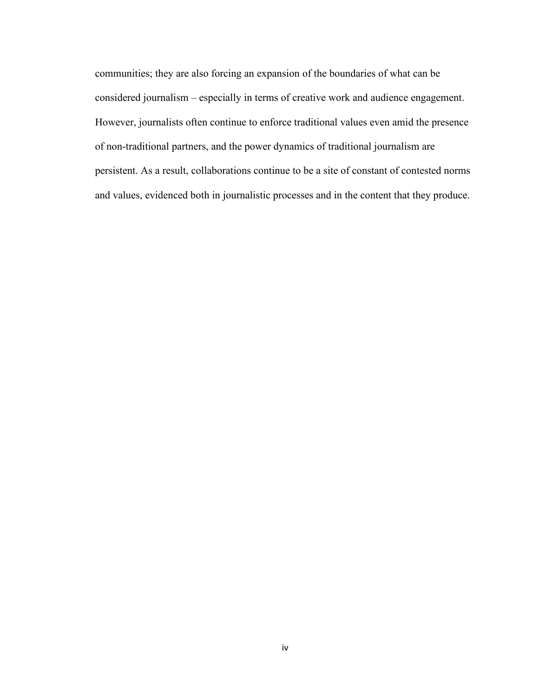communities; they are also forcing an expansion of the boundaries of what can be considered journalism – especially in terms of creative work and audience engagement. However, journalists often continue to enforce traditional values even amid the presence of non-traditional partners, and the power dynamics of traditional journalism are persistent. As a result, collaborations continue to be a site of constant of contested norms and values, evidenced both in journalistic processes and in the content that they produce.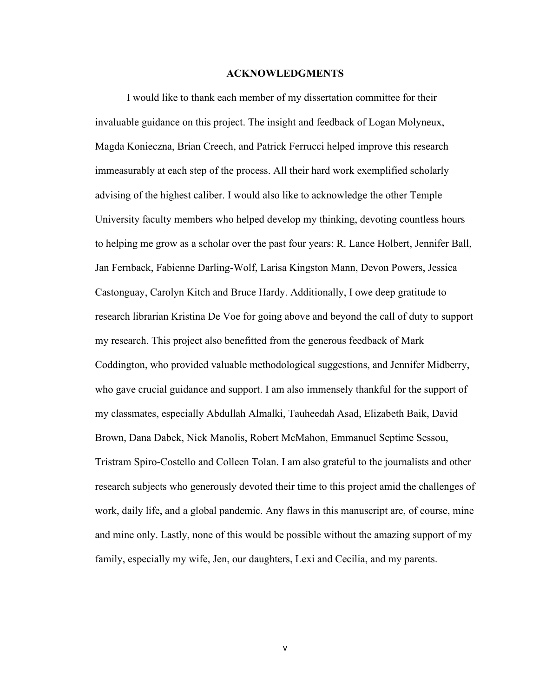#### **ACKNOWLEDGMENTS**

I would like to thank each member of my dissertation committee for their invaluable guidance on this project. The insight and feedback of Logan Molyneux, Magda Konieczna, Brian Creech, and Patrick Ferrucci helped improve this research immeasurably at each step of the process. All their hard work exemplified scholarly advising of the highest caliber. I would also like to acknowledge the other Temple University faculty members who helped develop my thinking, devoting countless hours to helping me grow as a scholar over the past four years: R. Lance Holbert, Jennifer Ball, Jan Fernback, Fabienne Darling-Wolf, Larisa Kingston Mann, Devon Powers, Jessica Castonguay, Carolyn Kitch and Bruce Hardy. Additionally, I owe deep gratitude to research librarian Kristina De Voe for going above and beyond the call of duty to support my research. This project also benefitted from the generous feedback of Mark Coddington, who provided valuable methodological suggestions, and Jennifer Midberry, who gave crucial guidance and support. I am also immensely thankful for the support of my classmates, especially Abdullah Almalki, Tauheedah Asad, Elizabeth Baik, David Brown, Dana Dabek, Nick Manolis, Robert McMahon, Emmanuel Septime Sessou, Tristram Spiro-Costello and Colleen Tolan. I am also grateful to the journalists and other research subjects who generously devoted their time to this project amid the challenges of work, daily life, and a global pandemic. Any flaws in this manuscript are, of course, mine and mine only. Lastly, none of this would be possible without the amazing support of my family, especially my wife, Jen, our daughters, Lexi and Cecilia, and my parents.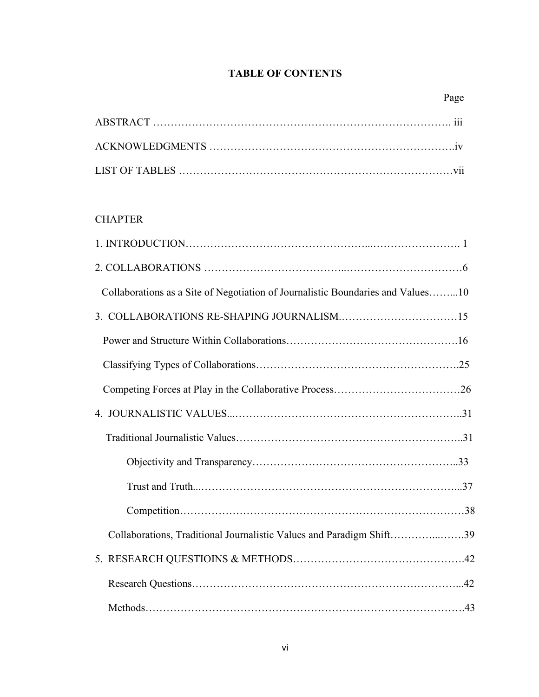# **TABLE OF CONTENTS**

# **CHAPTER**

| Collaborations as a Site of Negotiation of Journalistic Boundaries and Values10 |
|---------------------------------------------------------------------------------|
|                                                                                 |
|                                                                                 |
|                                                                                 |
|                                                                                 |
|                                                                                 |
|                                                                                 |
|                                                                                 |
|                                                                                 |
|                                                                                 |
| Collaborations, Traditional Journalistic Values and Paradigm Shift39            |
|                                                                                 |
|                                                                                 |
|                                                                                 |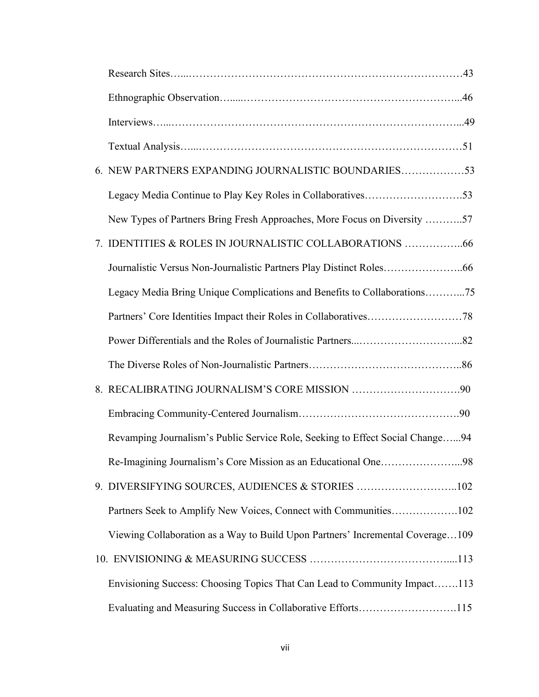| 6. NEW PARTNERS EXPANDING JOURNALISTIC BOUNDARIES53                            |
|--------------------------------------------------------------------------------|
|                                                                                |
| New Types of Partners Bring Fresh Approaches, More Focus on Diversity 57       |
| 7. IDENTITIES & ROLES IN JOURNALISTIC COLLABORATIONS 66                        |
|                                                                                |
| Legacy Media Bring Unique Complications and Benefits to Collaborations75       |
|                                                                                |
|                                                                                |
|                                                                                |
|                                                                                |
|                                                                                |
| Revamping Journalism's Public Service Role, Seeking to Effect Social Change94  |
| Re-Imagining Journalism's Core Mission as an Educational One98                 |
| 9. DIVERSIFYING SOURCES, AUDIENCES & STORIES 102                               |
| Partners Seek to Amplify New Voices, Connect with Communities102               |
| Viewing Collaboration as a Way to Build Upon Partners' Incremental Coverage109 |
|                                                                                |
| Envisioning Success: Choosing Topics That Can Lead to Community Impact113      |
| Evaluating and Measuring Success in Collaborative Efforts115                   |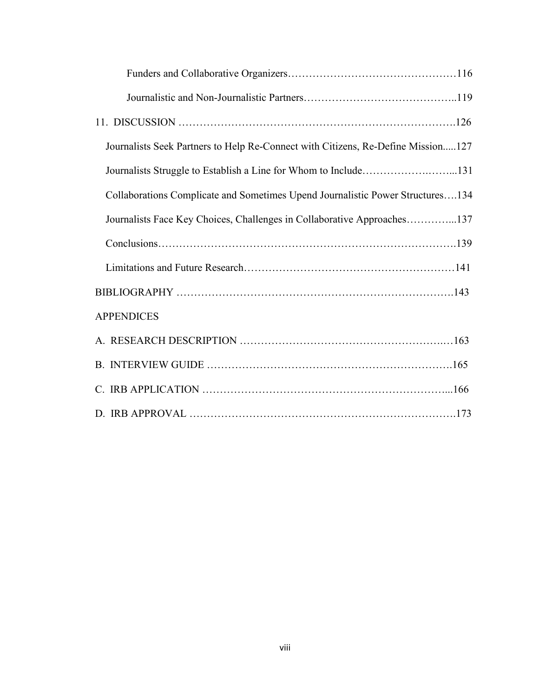| Journalists Seek Partners to Help Re-Connect with Citizens, Re-Define Mission127 |
|----------------------------------------------------------------------------------|
| Journalists Struggle to Establish a Line for Whom to Include131                  |
| Collaborations Complicate and Sometimes Upend Journalistic Power Structures134   |
| Journalists Face Key Choices, Challenges in Collaborative Approaches137          |
|                                                                                  |
|                                                                                  |
|                                                                                  |
| <b>APPENDICES</b>                                                                |
|                                                                                  |
|                                                                                  |
|                                                                                  |
|                                                                                  |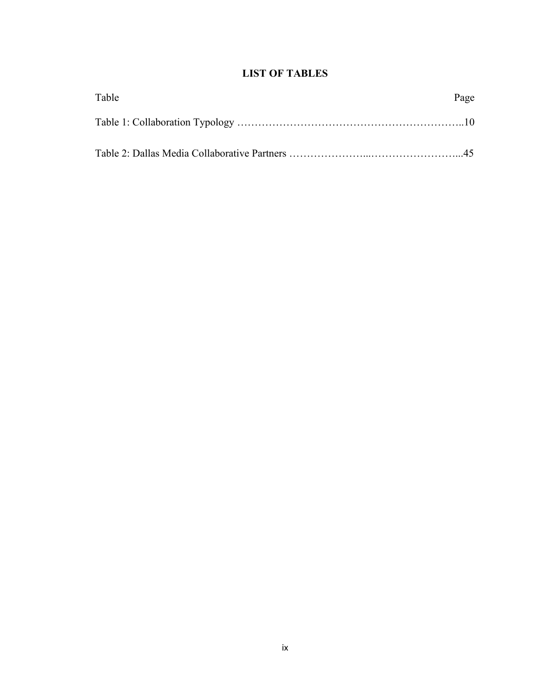# **LIST OF TABLES**

| Table | Page |
|-------|------|
|       |      |
|       |      |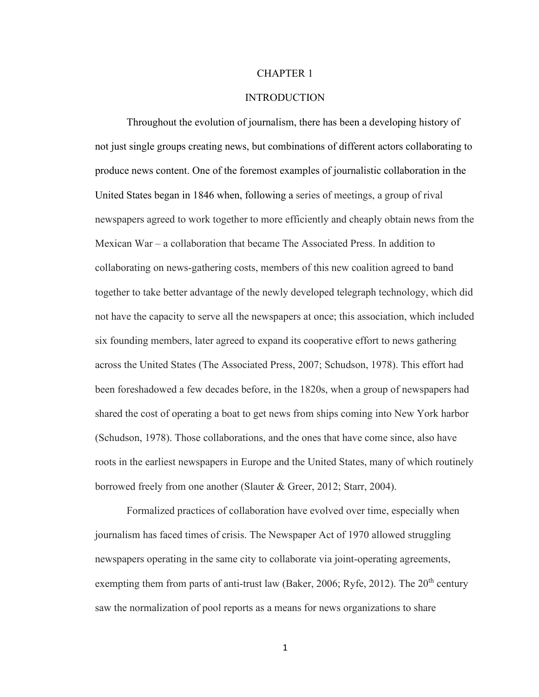## CHAPTER 1

## INTRODUCTION

Throughout the evolution of journalism, there has been a developing history of not just single groups creating news, but combinations of different actors collaborating to produce news content. One of the foremost examples of journalistic collaboration in the United States began in 1846 when, following a series of meetings, a group of rival newspapers agreed to work together to more efficiently and cheaply obtain news from the Mexican War – a collaboration that became The Associated Press. In addition to collaborating on news-gathering costs, members of this new coalition agreed to band together to take better advantage of the newly developed telegraph technology, which did not have the capacity to serve all the newspapers at once; this association, which included six founding members, later agreed to expand its cooperative effort to news gathering across the United States (The Associated Press, 2007; Schudson, 1978). This effort had been foreshadowed a few decades before, in the 1820s, when a group of newspapers had shared the cost of operating a boat to get news from ships coming into New York harbor (Schudson, 1978). Those collaborations, and the ones that have come since, also have roots in the earliest newspapers in Europe and the United States, many of which routinely borrowed freely from one another (Slauter & Greer, 2012; Starr, 2004).

Formalized practices of collaboration have evolved over time, especially when journalism has faced times of crisis. The Newspaper Act of 1970 allowed struggling newspapers operating in the same city to collaborate via joint-operating agreements, exempting them from parts of anti-trust law (Baker, 2006; Ryfe, 2012). The  $20<sup>th</sup>$  century saw the normalization of pool reports as a means for news organizations to share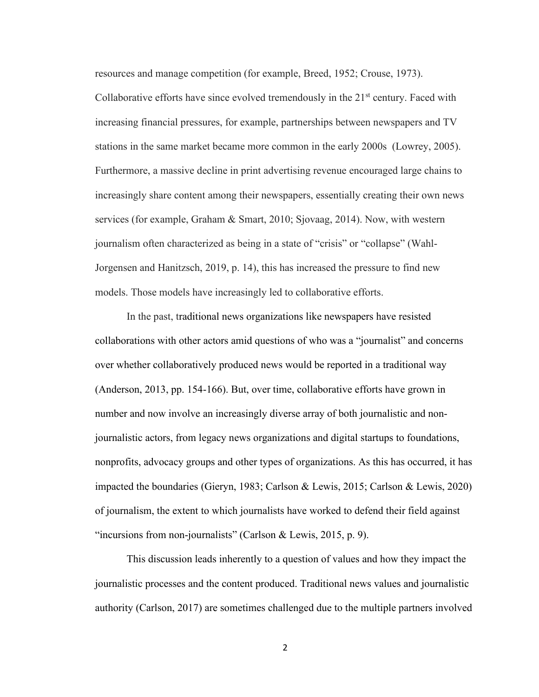resources and manage competition (for example, Breed, 1952; Crouse, 1973).

Collaborative efforts have since evolved tremendously in the  $21<sup>st</sup>$  century. Faced with increasing financial pressures, for example, partnerships between newspapers and TV stations in the same market became more common in the early 2000s (Lowrey, 2005). Furthermore, a massive decline in print advertising revenue encouraged large chains to increasingly share content among their newspapers, essentially creating their own news services (for example, Graham & Smart, 2010; Sjovaag, 2014). Now, with western journalism often characterized as being in a state of "crisis" or "collapse" (Wahl-Jorgensen and Hanitzsch, 2019, p. 14), this has increased the pressure to find new models. Those models have increasingly led to collaborative efforts.

In the past, traditional news organizations like newspapers have resisted collaborations with other actors amid questions of who was a "journalist" and concerns over whether collaboratively produced news would be reported in a traditional way (Anderson, 2013, pp. 154-166). But, over time, collaborative efforts have grown in number and now involve an increasingly diverse array of both journalistic and nonjournalistic actors, from legacy news organizations and digital startups to foundations, nonprofits, advocacy groups and other types of organizations. As this has occurred, it has impacted the boundaries (Gieryn, 1983; Carlson & Lewis, 2015; Carlson & Lewis, 2020) of journalism, the extent to which journalists have worked to defend their field against "incursions from non-journalists" (Carlson & Lewis, 2015, p. 9).

This discussion leads inherently to a question of values and how they impact the journalistic processes and the content produced. Traditional news values and journalistic authority (Carlson, 2017) are sometimes challenged due to the multiple partners involved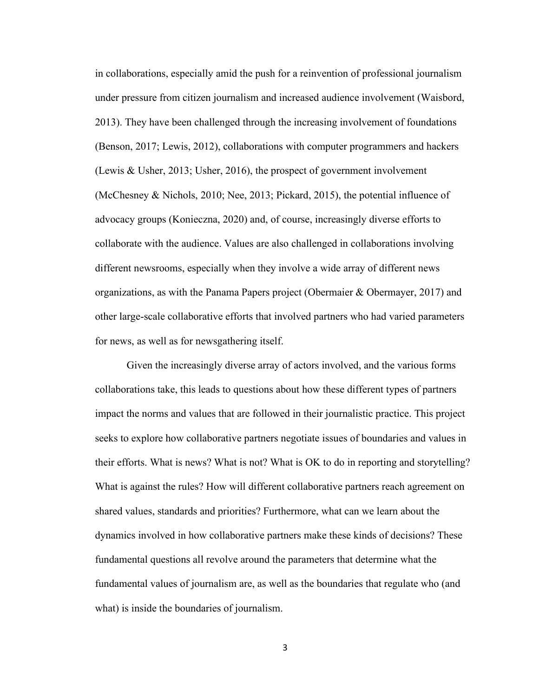in collaborations, especially amid the push for a reinvention of professional journalism under pressure from citizen journalism and increased audience involvement (Waisbord, 2013). They have been challenged through the increasing involvement of foundations (Benson, 2017; Lewis, 2012), collaborations with computer programmers and hackers (Lewis & Usher, 2013; Usher, 2016), the prospect of government involvement (McChesney & Nichols, 2010; Nee, 2013; Pickard, 2015), the potential influence of advocacy groups (Konieczna, 2020) and, of course, increasingly diverse efforts to collaborate with the audience. Values are also challenged in collaborations involving different newsrooms, especially when they involve a wide array of different news organizations, as with the Panama Papers project (Obermaier & Obermayer, 2017) and other large-scale collaborative efforts that involved partners who had varied parameters for news, as well as for newsgathering itself.

Given the increasingly diverse array of actors involved, and the various forms collaborations take, this leads to questions about how these different types of partners impact the norms and values that are followed in their journalistic practice. This project seeks to explore how collaborative partners negotiate issues of boundaries and values in their efforts. What is news? What is not? What is OK to do in reporting and storytelling? What is against the rules? How will different collaborative partners reach agreement on shared values, standards and priorities? Furthermore, what can we learn about the dynamics involved in how collaborative partners make these kinds of decisions? These fundamental questions all revolve around the parameters that determine what the fundamental values of journalism are, as well as the boundaries that regulate who (and what) is inside the boundaries of journalism.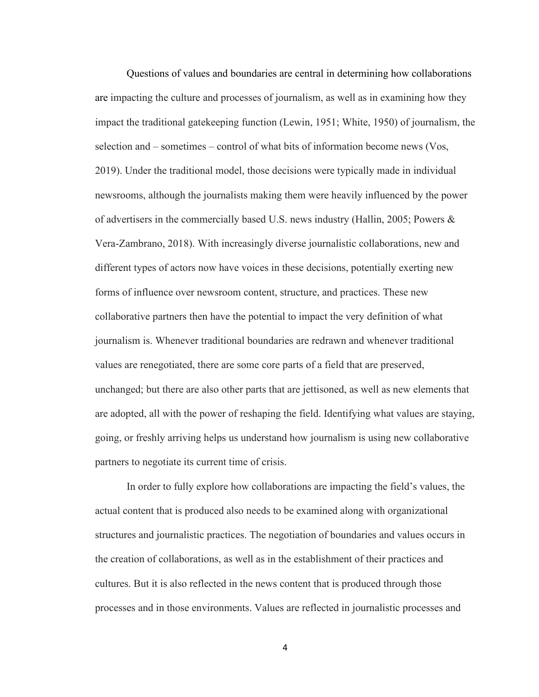Questions of values and boundaries are central in determining how collaborations are impacting the culture and processes of journalism, as well as in examining how they impact the traditional gatekeeping function (Lewin, 1951; White, 1950) of journalism, the selection and – sometimes – control of what bits of information become news (Vos, 2019). Under the traditional model, those decisions were typically made in individual newsrooms, although the journalists making them were heavily influenced by the power of advertisers in the commercially based U.S. news industry (Hallin, 2005; Powers & Vera-Zambrano, 2018). With increasingly diverse journalistic collaborations, new and different types of actors now have voices in these decisions, potentially exerting new forms of influence over newsroom content, structure, and practices. These new collaborative partners then have the potential to impact the very definition of what journalism is. Whenever traditional boundaries are redrawn and whenever traditional values are renegotiated, there are some core parts of a field that are preserved, unchanged; but there are also other parts that are jettisoned, as well as new elements that are adopted, all with the power of reshaping the field. Identifying what values are staying, going, or freshly arriving helps us understand how journalism is using new collaborative partners to negotiate its current time of crisis.

In order to fully explore how collaborations are impacting the field's values, the actual content that is produced also needs to be examined along with organizational structures and journalistic practices. The negotiation of boundaries and values occurs in the creation of collaborations, as well as in the establishment of their practices and cultures. But it is also reflected in the news content that is produced through those processes and in those environments. Values are reflected in journalistic processes and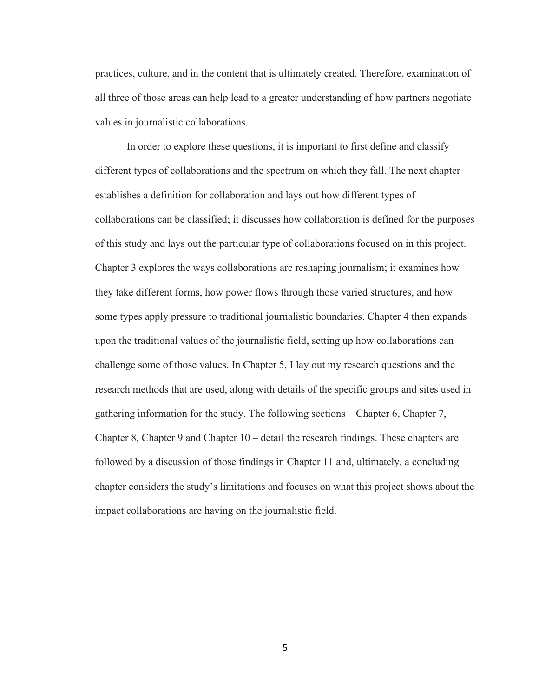practices, culture, and in the content that is ultimately created. Therefore, examination of all three of those areas can help lead to a greater understanding of how partners negotiate values in journalistic collaborations.

In order to explore these questions, it is important to first define and classify different types of collaborations and the spectrum on which they fall. The next chapter establishes a definition for collaboration and lays out how different types of collaborations can be classified; it discusses how collaboration is defined for the purposes of this study and lays out the particular type of collaborations focused on in this project. Chapter 3 explores the ways collaborations are reshaping journalism; it examines how they take different forms, how power flows through those varied structures, and how some types apply pressure to traditional journalistic boundaries. Chapter 4 then expands upon the traditional values of the journalistic field, setting up how collaborations can challenge some of those values. In Chapter 5, I lay out my research questions and the research methods that are used, along with details of the specific groups and sites used in gathering information for the study. The following sections – Chapter 6, Chapter 7, Chapter 8, Chapter 9 and Chapter 10 – detail the research findings. These chapters are followed by a discussion of those findings in Chapter 11 and, ultimately, a concluding chapter considers the study's limitations and focuses on what this project shows about the impact collaborations are having on the journalistic field.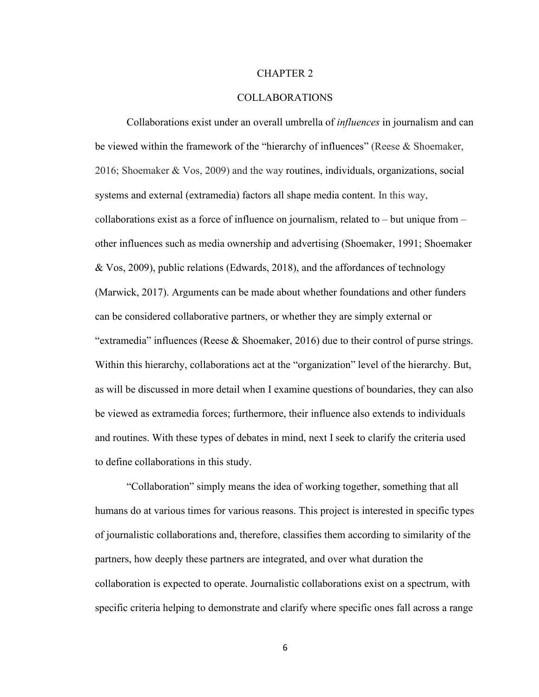## CHAPTER 2

## COLLABORATIONS

Collaborations exist under an overall umbrella of *influences* in journalism and can be viewed within the framework of the "hierarchy of influences" (Reese & Shoemaker, 2016; Shoemaker & Vos, 2009) and the way routines, individuals, organizations, social systems and external (extramedia) factors all shape media content. In this way, collaborations exist as a force of influence on journalism, related to – but unique from – other influences such as media ownership and advertising (Shoemaker, 1991; Shoemaker & Vos, 2009), public relations (Edwards, 2018), and the affordances of technology (Marwick, 2017). Arguments can be made about whether foundations and other funders can be considered collaborative partners, or whether they are simply external or "extramedia" influences (Reese & Shoemaker, 2016) due to their control of purse strings. Within this hierarchy, collaborations act at the "organization" level of the hierarchy. But, as will be discussed in more detail when I examine questions of boundaries, they can also be viewed as extramedia forces; furthermore, their influence also extends to individuals and routines. With these types of debates in mind, next I seek to clarify the criteria used to define collaborations in this study.

"Collaboration" simply means the idea of working together, something that all humans do at various times for various reasons. This project is interested in specific types of journalistic collaborations and, therefore, classifies them according to similarity of the partners, how deeply these partners are integrated, and over what duration the collaboration is expected to operate. Journalistic collaborations exist on a spectrum, with specific criteria helping to demonstrate and clarify where specific ones fall across a range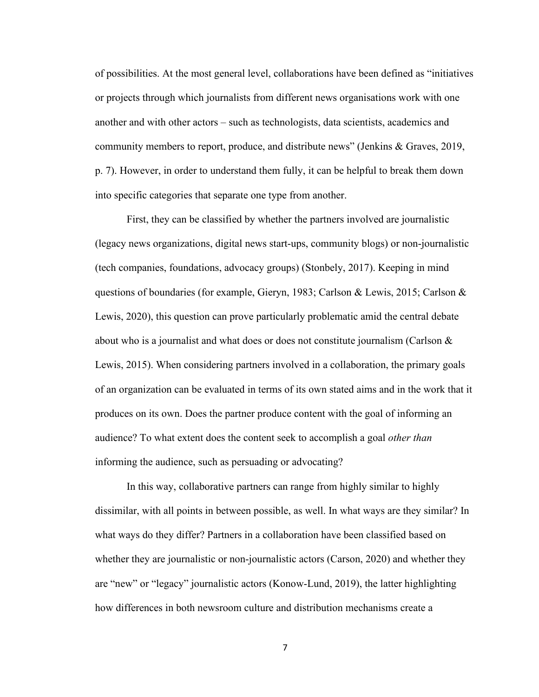of possibilities. At the most general level, collaborations have been defined as "initiatives or projects through which journalists from different news organisations work with one another and with other actors – such as technologists, data scientists, academics and community members to report, produce, and distribute news" (Jenkins & Graves, 2019, p. 7). However, in order to understand them fully, it can be helpful to break them down into specific categories that separate one type from another.

First, they can be classified by whether the partners involved are journalistic (legacy news organizations, digital news start-ups, community blogs) or non-journalistic (tech companies, foundations, advocacy groups) (Stonbely, 2017). Keeping in mind questions of boundaries (for example, Gieryn, 1983; Carlson & Lewis, 2015; Carlson & Lewis, 2020), this question can prove particularly problematic amid the central debate about who is a journalist and what does or does not constitute journalism (Carlson & Lewis, 2015). When considering partners involved in a collaboration, the primary goals of an organization can be evaluated in terms of its own stated aims and in the work that it produces on its own. Does the partner produce content with the goal of informing an audience? To what extent does the content seek to accomplish a goal *other than*  informing the audience, such as persuading or advocating?

In this way, collaborative partners can range from highly similar to highly dissimilar, with all points in between possible, as well. In what ways are they similar? In what ways do they differ? Partners in a collaboration have been classified based on whether they are journalistic or non-journalistic actors (Carson, 2020) and whether they are "new" or "legacy" journalistic actors (Konow-Lund, 2019), the latter highlighting how differences in both newsroom culture and distribution mechanisms create a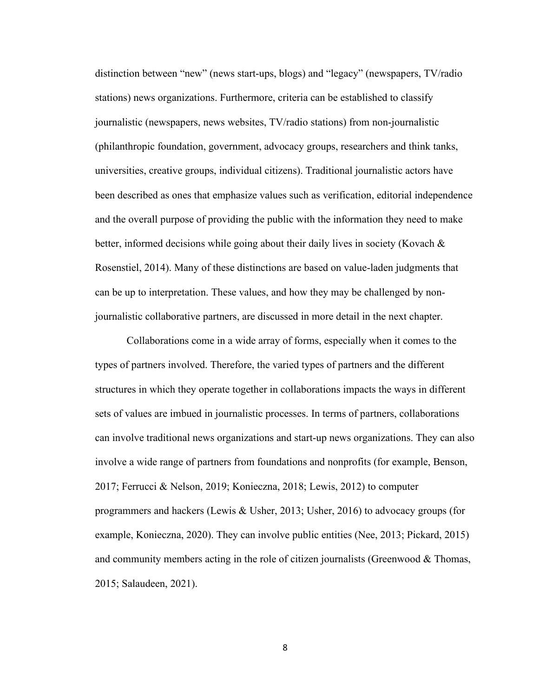distinction between "new" (news start-ups, blogs) and "legacy" (newspapers, TV/radio stations) news organizations. Furthermore, criteria can be established to classify journalistic (newspapers, news websites, TV/radio stations) from non-journalistic (philanthropic foundation, government, advocacy groups, researchers and think tanks, universities, creative groups, individual citizens). Traditional journalistic actors have been described as ones that emphasize values such as verification, editorial independence and the overall purpose of providing the public with the information they need to make better, informed decisions while going about their daily lives in society (Kovach  $\&$ Rosenstiel, 2014). Many of these distinctions are based on value-laden judgments that can be up to interpretation. These values, and how they may be challenged by nonjournalistic collaborative partners, are discussed in more detail in the next chapter.

Collaborations come in a wide array of forms, especially when it comes to the types of partners involved. Therefore, the varied types of partners and the different structures in which they operate together in collaborations impacts the ways in different sets of values are imbued in journalistic processes. In terms of partners, collaborations can involve traditional news organizations and start-up news organizations. They can also involve a wide range of partners from foundations and nonprofits (for example, Benson, 2017; Ferrucci & Nelson, 2019; Konieczna, 2018; Lewis, 2012) to computer programmers and hackers (Lewis & Usher, 2013; Usher, 2016) to advocacy groups (for example, Konieczna, 2020). They can involve public entities (Nee, 2013; Pickard, 2015) and community members acting in the role of citizen journalists (Greenwood  $&$  Thomas, 2015; Salaudeen, 2021).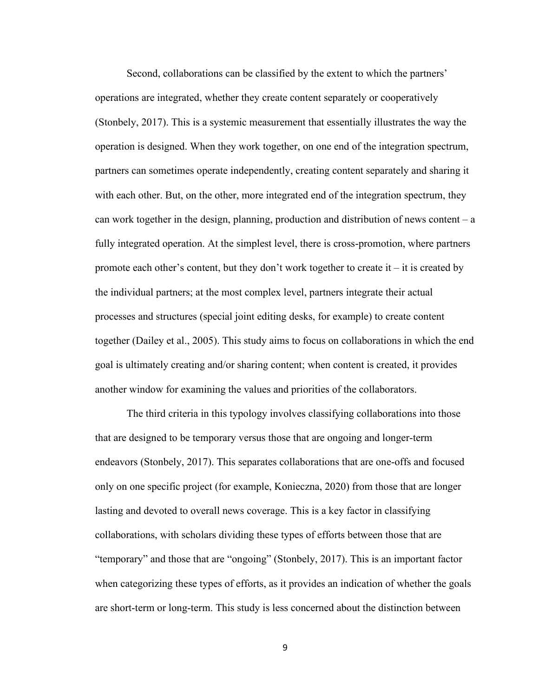Second, collaborations can be classified by the extent to which the partners' operations are integrated, whether they create content separately or cooperatively (Stonbely, 2017). This is a systemic measurement that essentially illustrates the way the operation is designed. When they work together, on one end of the integration spectrum, partners can sometimes operate independently, creating content separately and sharing it with each other. But, on the other, more integrated end of the integration spectrum, they can work together in the design, planning, production and distribution of news content  $- a$ fully integrated operation. At the simplest level, there is cross-promotion, where partners promote each other's content, but they don't work together to create it – it is created by the individual partners; at the most complex level, partners integrate their actual processes and structures (special joint editing desks, for example) to create content together (Dailey et al., 2005). This study aims to focus on collaborations in which the end goal is ultimately creating and/or sharing content; when content is created, it provides another window for examining the values and priorities of the collaborators.

The third criteria in this typology involves classifying collaborations into those that are designed to be temporary versus those that are ongoing and longer-term endeavors (Stonbely, 2017). This separates collaborations that are one-offs and focused only on one specific project (for example, Konieczna, 2020) from those that are longer lasting and devoted to overall news coverage. This is a key factor in classifying collaborations, with scholars dividing these types of efforts between those that are "temporary" and those that are "ongoing" (Stonbely, 2017). This is an important factor when categorizing these types of efforts, as it provides an indication of whether the goals are short-term or long-term. This study is less concerned about the distinction between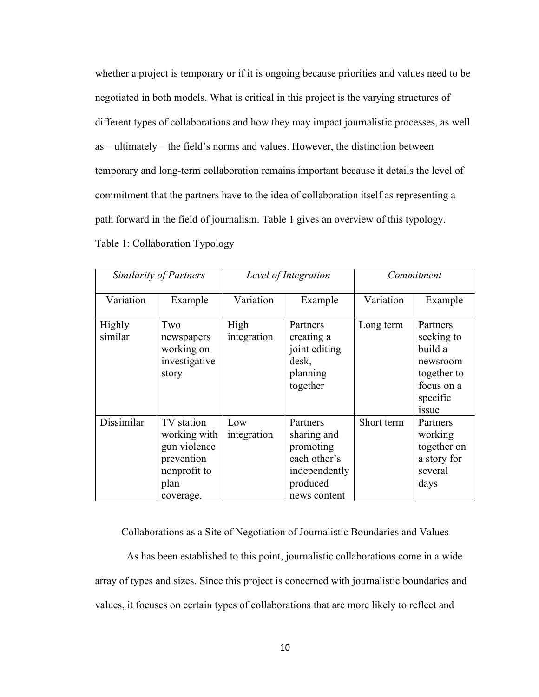whether a project is temporary or if it is ongoing because priorities and values need to be negotiated in both models. What is critical in this project is the varying structures of different types of collaborations and how they may impact journalistic processes, as well as – ultimately – the field's norms and values. However, the distinction between temporary and long-term collaboration remains important because it details the level of commitment that the partners have to the idea of collaboration itself as representing a path forward in the field of journalism. Table 1 gives an overview of this typology. Table 1: Collaboration Typology

| Similarity of Partners |                                                                                               | Level of Integration |                                                                                                   | Commitment |                                                                                                        |
|------------------------|-----------------------------------------------------------------------------------------------|----------------------|---------------------------------------------------------------------------------------------------|------------|--------------------------------------------------------------------------------------------------------|
| Variation              | Example                                                                                       | Variation            | Example                                                                                           | Variation  | Example                                                                                                |
| Highly<br>similar      | Two<br>newspapers<br>working on<br>investigative<br>story                                     | High<br>integration  | Partners<br>creating a<br>joint editing<br>desk,<br>planning<br>together                          | Long term  | Partners<br>seeking to<br>build a<br>newsroom<br>together to<br>focus on a<br>specific<br><i>issue</i> |
| Dissimilar             | TV station<br>working with<br>gun violence<br>prevention<br>nonprofit to<br>plan<br>coverage. | Low<br>integration   | Partners<br>sharing and<br>promoting<br>each other's<br>independently<br>produced<br>news content | Short term | Partners<br>working<br>together on<br>a story for<br>several<br>days                                   |

Collaborations as a Site of Negotiation of Journalistic Boundaries and Values

As has been established to this point, journalistic collaborations come in a wide array of types and sizes. Since this project is concerned with journalistic boundaries and values, it focuses on certain types of collaborations that are more likely to reflect and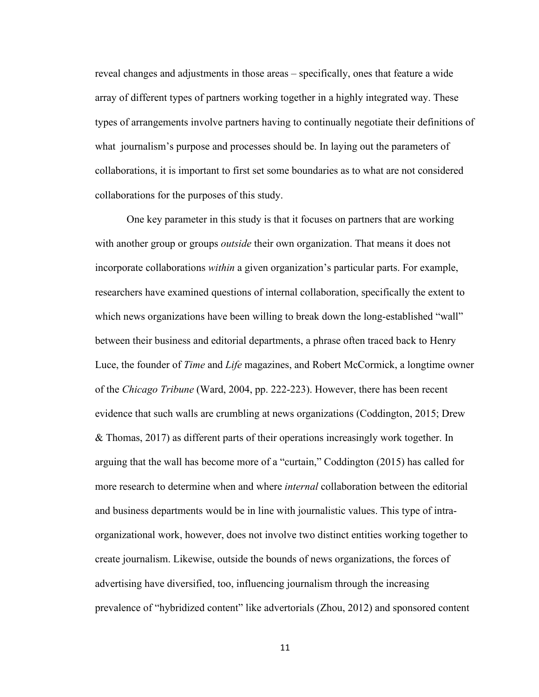reveal changes and adjustments in those areas – specifically, ones that feature a wide array of different types of partners working together in a highly integrated way. These types of arrangements involve partners having to continually negotiate their definitions of what journalism's purpose and processes should be. In laying out the parameters of collaborations, it is important to first set some boundaries as to what are not considered collaborations for the purposes of this study.

One key parameter in this study is that it focuses on partners that are working with another group or groups *outside* their own organization. That means it does not incorporate collaborations *within* a given organization's particular parts. For example, researchers have examined questions of internal collaboration, specifically the extent to which news organizations have been willing to break down the long-established "wall" between their business and editorial departments, a phrase often traced back to Henry Luce, the founder of *Time* and *Life* magazines, and Robert McCormick, a longtime owner of the *Chicago Tribune* (Ward, 2004, pp. 222-223). However, there has been recent evidence that such walls are crumbling at news organizations (Coddington, 2015; Drew & Thomas, 2017) as different parts of their operations increasingly work together. In arguing that the wall has become more of a "curtain," Coddington (2015) has called for more research to determine when and where *internal* collaboration between the editorial and business departments would be in line with journalistic values. This type of intraorganizational work, however, does not involve two distinct entities working together to create journalism. Likewise, outside the bounds of news organizations, the forces of advertising have diversified, too, influencing journalism through the increasing prevalence of "hybridized content" like advertorials (Zhou, 2012) and sponsored content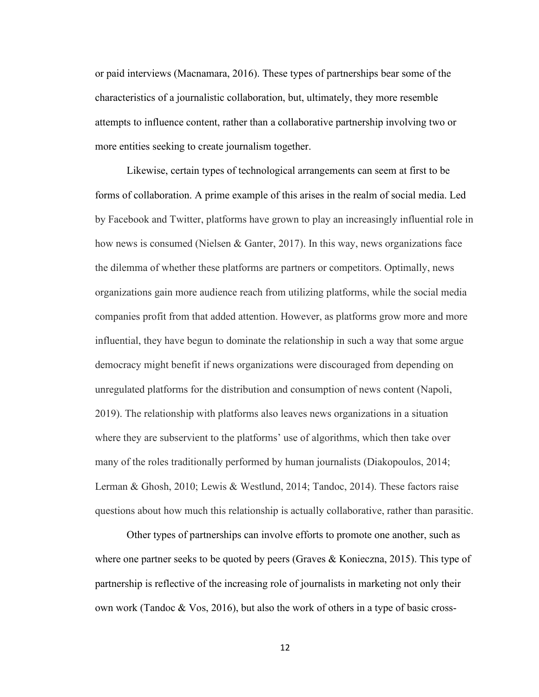or paid interviews (Macnamara, 2016). These types of partnerships bear some of the characteristics of a journalistic collaboration, but, ultimately, they more resemble attempts to influence content, rather than a collaborative partnership involving two or more entities seeking to create journalism together.

Likewise, certain types of technological arrangements can seem at first to be forms of collaboration. A prime example of this arises in the realm of social media. Led by Facebook and Twitter, platforms have grown to play an increasingly influential role in how news is consumed (Nielsen & Ganter, 2017). In this way, news organizations face the dilemma of whether these platforms are partners or competitors. Optimally, news organizations gain more audience reach from utilizing platforms, while the social media companies profit from that added attention. However, as platforms grow more and more influential, they have begun to dominate the relationship in such a way that some argue democracy might benefit if news organizations were discouraged from depending on unregulated platforms for the distribution and consumption of news content (Napoli, 2019). The relationship with platforms also leaves news organizations in a situation where they are subservient to the platforms' use of algorithms, which then take over many of the roles traditionally performed by human journalists (Diakopoulos, 2014; Lerman & Ghosh, 2010; Lewis & Westlund, 2014; Tandoc, 2014). These factors raise questions about how much this relationship is actually collaborative, rather than parasitic.

Other types of partnerships can involve efforts to promote one another, such as where one partner seeks to be quoted by peers (Graves & Konieczna, 2015). This type of partnership is reflective of the increasing role of journalists in marketing not only their own work (Tandoc & Vos, 2016), but also the work of others in a type of basic cross-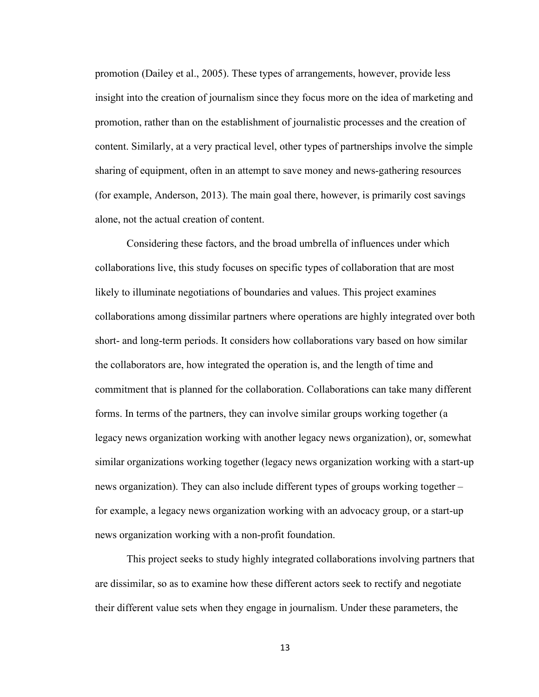promotion (Dailey et al., 2005). These types of arrangements, however, provide less insight into the creation of journalism since they focus more on the idea of marketing and promotion, rather than on the establishment of journalistic processes and the creation of content. Similarly, at a very practical level, other types of partnerships involve the simple sharing of equipment, often in an attempt to save money and news-gathering resources (for example, Anderson, 2013). The main goal there, however, is primarily cost savings alone, not the actual creation of content.

Considering these factors, and the broad umbrella of influences under which collaborations live, this study focuses on specific types of collaboration that are most likely to illuminate negotiations of boundaries and values. This project examines collaborations among dissimilar partners where operations are highly integrated over both short- and long-term periods. It considers how collaborations vary based on how similar the collaborators are, how integrated the operation is, and the length of time and commitment that is planned for the collaboration. Collaborations can take many different forms. In terms of the partners, they can involve similar groups working together (a legacy news organization working with another legacy news organization), or, somewhat similar organizations working together (legacy news organization working with a start-up news organization). They can also include different types of groups working together – for example, a legacy news organization working with an advocacy group, or a start-up news organization working with a non-profit foundation.

This project seeks to study highly integrated collaborations involving partners that are dissimilar, so as to examine how these different actors seek to rectify and negotiate their different value sets when they engage in journalism. Under these parameters, the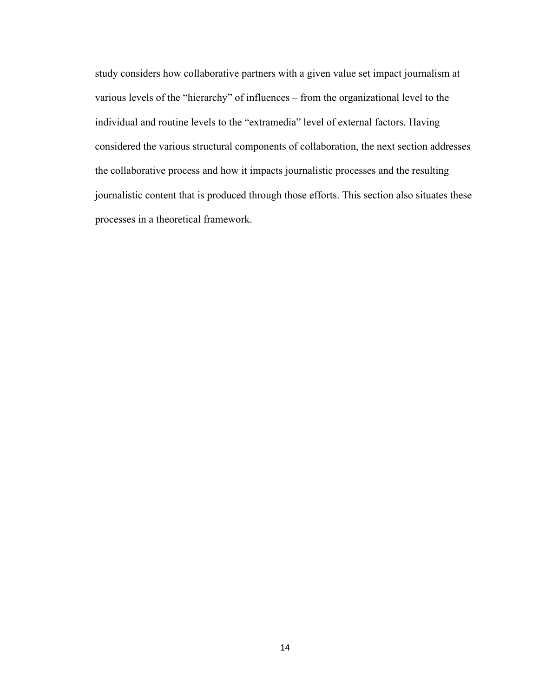study considers how collaborative partners with a given value set impact journalism at various levels of the "hierarchy" of influences – from the organizational level to the individual and routine levels to the "extramedia" level of external factors. Having considered the various structural components of collaboration, the next section addresses the collaborative process and how it impacts journalistic processes and the resulting journalistic content that is produced through those efforts. This section also situates these processes in a theoretical framework.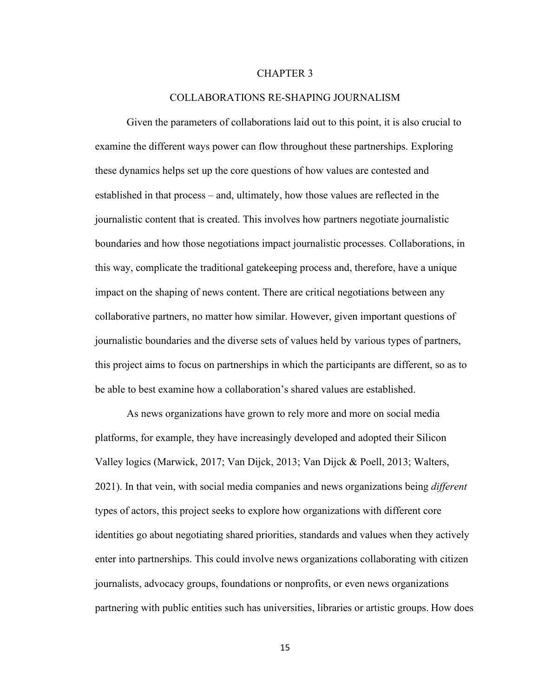#### CHAPTER 3

#### COLLABORATIONS RE-SHAPING JOURNALISM

Given the parameters of collaborations laid out to this point, it is also crucial to examine the different ways power can flow throughout these partnerships. Exploring these dynamics helps set up the core questions of how values are contested and established in that process – and, ultimately, how those values are reflected in the journalistic content that is created. This involves how partners negotiate journalistic boundaries and how those negotiations impact journalistic processes. Collaborations, in this way, complicate the traditional gatekeeping process and, therefore, have a unique impact on the shaping of news content. There are critical negotiations between any collaborative partners, no matter how similar. However, given important questions of journalistic boundaries and the diverse sets of values held by various types of partners, this project aims to focus on partnerships in which the participants are different, so as to be able to best examine how a collaboration's shared values are established.

As news organizations have grown to rely more and more on social media platforms, for example, they have increasingly developed and adopted their Silicon Valley logics (Marwick, 2017; Van Dijck, 2013; Van Dijck & Poell, 2013; Walters, 2021). In that vein, with social media companies and news organizations being *different*  types of actors, this project seeks to explore how organizations with different core identities go about negotiating shared priorities, standards and values when they actively enter into partnerships. This could involve news organizations collaborating with citizen journalists, advocacy groups, foundations or nonprofits, or even news organizations partnering with public entities such has universities, libraries or artistic groups. How does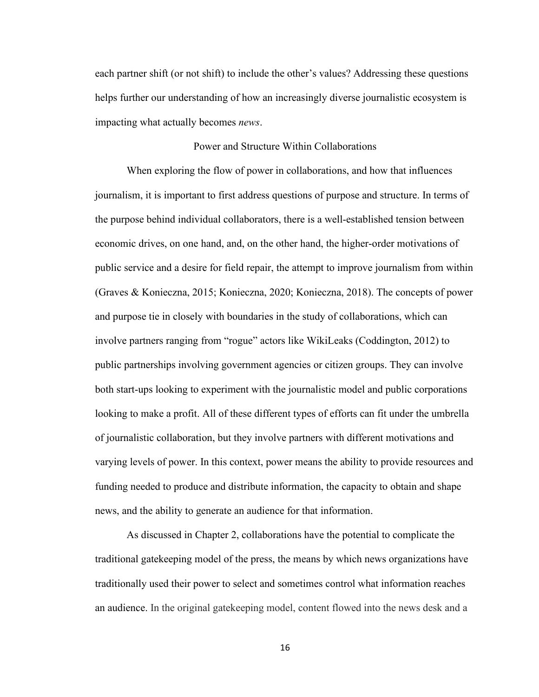each partner shift (or not shift) to include the other's values? Addressing these questions helps further our understanding of how an increasingly diverse journalistic ecosystem is impacting what actually becomes *news*.

#### Power and Structure Within Collaborations

When exploring the flow of power in collaborations, and how that influences journalism, it is important to first address questions of purpose and structure. In terms of the purpose behind individual collaborators, there is a well-established tension between economic drives, on one hand, and, on the other hand, the higher-order motivations of public service and a desire for field repair, the attempt to improve journalism from within (Graves & Konieczna, 2015; Konieczna, 2020; Konieczna, 2018). The concepts of power and purpose tie in closely with boundaries in the study of collaborations, which can involve partners ranging from "rogue" actors like WikiLeaks (Coddington, 2012) to public partnerships involving government agencies or citizen groups. They can involve both start-ups looking to experiment with the journalistic model and public corporations looking to make a profit. All of these different types of efforts can fit under the umbrella of journalistic collaboration, but they involve partners with different motivations and varying levels of power. In this context, power means the ability to provide resources and funding needed to produce and distribute information, the capacity to obtain and shape news, and the ability to generate an audience for that information.

As discussed in Chapter 2, collaborations have the potential to complicate the traditional gatekeeping model of the press, the means by which news organizations have traditionally used their power to select and sometimes control what information reaches an audience. In the original gatekeeping model, content flowed into the news desk and a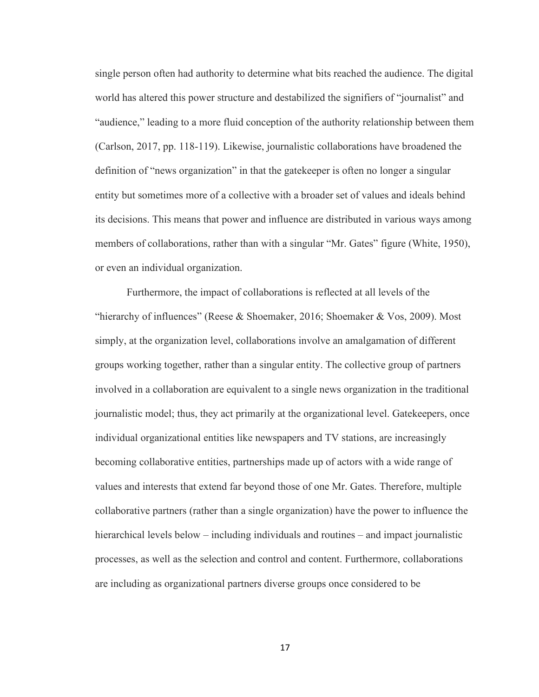single person often had authority to determine what bits reached the audience. The digital world has altered this power structure and destabilized the signifiers of "journalist" and "audience," leading to a more fluid conception of the authority relationship between them (Carlson, 2017, pp. 118-119). Likewise, journalistic collaborations have broadened the definition of "news organization" in that the gatekeeper is often no longer a singular entity but sometimes more of a collective with a broader set of values and ideals behind its decisions. This means that power and influence are distributed in various ways among members of collaborations, rather than with a singular "Mr. Gates" figure (White, 1950), or even an individual organization.

Furthermore, the impact of collaborations is reflected at all levels of the "hierarchy of influences" (Reese & Shoemaker, 2016; Shoemaker & Vos, 2009). Most simply, at the organization level, collaborations involve an amalgamation of different groups working together, rather than a singular entity. The collective group of partners involved in a collaboration are equivalent to a single news organization in the traditional journalistic model; thus, they act primarily at the organizational level. Gatekeepers, once individual organizational entities like newspapers and TV stations, are increasingly becoming collaborative entities, partnerships made up of actors with a wide range of values and interests that extend far beyond those of one Mr. Gates. Therefore, multiple collaborative partners (rather than a single organization) have the power to influence the hierarchical levels below – including individuals and routines – and impact journalistic processes, as well as the selection and control and content. Furthermore, collaborations are including as organizational partners diverse groups once considered to be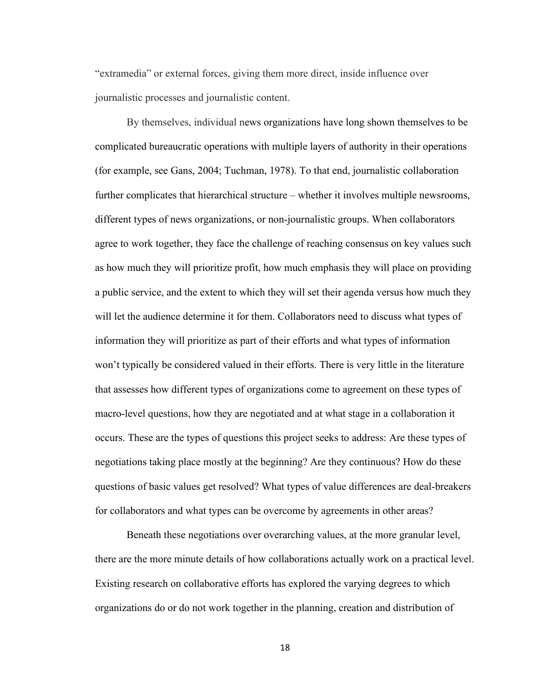"extramedia" or external forces, giving them more direct, inside influence over journalistic processes and journalistic content.

By themselves, individual news organizations have long shown themselves to be complicated bureaucratic operations with multiple layers of authority in their operations (for example, see Gans, 2004; Tuchman, 1978). To that end, journalistic collaboration further complicates that hierarchical structure – whether it involves multiple newsrooms, different types of news organizations, or non-journalistic groups. When collaborators agree to work together, they face the challenge of reaching consensus on key values such as how much they will prioritize profit, how much emphasis they will place on providing a public service, and the extent to which they will set their agenda versus how much they will let the audience determine it for them. Collaborators need to discuss what types of information they will prioritize as part of their efforts and what types of information won't typically be considered valued in their efforts. There is very little in the literature that assesses how different types of organizations come to agreement on these types of macro-level questions, how they are negotiated and at what stage in a collaboration it occurs. These are the types of questions this project seeks to address: Are these types of negotiations taking place mostly at the beginning? Are they continuous? How do these questions of basic values get resolved? What types of value differences are deal-breakers for collaborators and what types can be overcome by agreements in other areas?

Beneath these negotiations over overarching values, at the more granular level, there are the more minute details of how collaborations actually work on a practical level. Existing research on collaborative efforts has explored the varying degrees to which organizations do or do not work together in the planning, creation and distribution of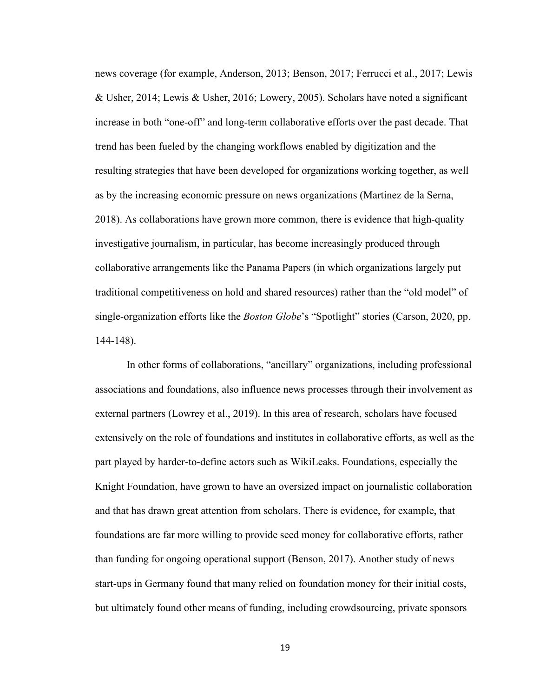news coverage (for example, Anderson, 2013; Benson, 2017; Ferrucci et al., 2017; Lewis & Usher, 2014; Lewis & Usher, 2016; Lowery, 2005). Scholars have noted a significant increase in both "one-off" and long-term collaborative efforts over the past decade. That trend has been fueled by the changing workflows enabled by digitization and the resulting strategies that have been developed for organizations working together, as well as by the increasing economic pressure on news organizations (Martinez de la Serna, 2018). As collaborations have grown more common, there is evidence that high-quality investigative journalism, in particular, has become increasingly produced through collaborative arrangements like the Panama Papers (in which organizations largely put traditional competitiveness on hold and shared resources) rather than the "old model" of single-organization efforts like the *Boston Globe*'s "Spotlight" stories (Carson, 2020, pp. 144-148).

In other forms of collaborations, "ancillary" organizations, including professional associations and foundations, also influence news processes through their involvement as external partners (Lowrey et al., 2019). In this area of research, scholars have focused extensively on the role of foundations and institutes in collaborative efforts, as well as the part played by harder-to-define actors such as WikiLeaks. Foundations, especially the Knight Foundation, have grown to have an oversized impact on journalistic collaboration and that has drawn great attention from scholars. There is evidence, for example, that foundations are far more willing to provide seed money for collaborative efforts, rather than funding for ongoing operational support (Benson, 2017). Another study of news start-ups in Germany found that many relied on foundation money for their initial costs, but ultimately found other means of funding, including crowdsourcing, private sponsors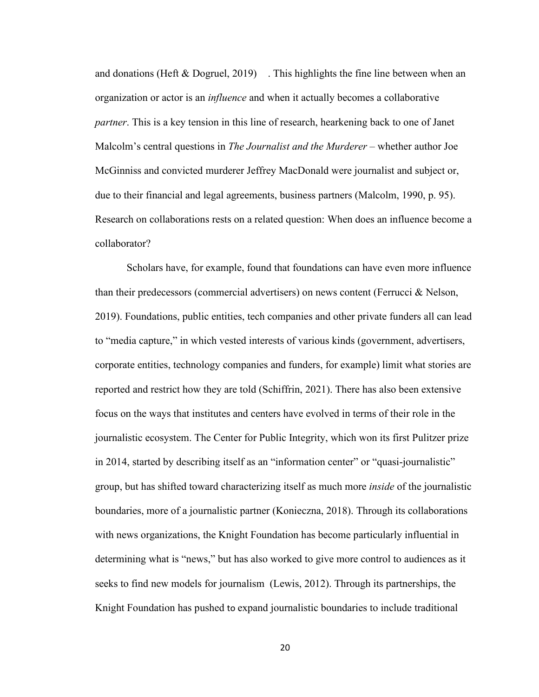and donations (Heft  $\&$  Dogruel, 2019) . This highlights the fine line between when an organization or actor is an *influence* and when it actually becomes a collaborative *partner*. This is a key tension in this line of research, hearkening back to one of Janet Malcolm's central questions in *The Journalist and the Murderer* – whether author Joe McGinniss and convicted murderer Jeffrey MacDonald were journalist and subject or, due to their financial and legal agreements, business partners (Malcolm, 1990, p. 95). Research on collaborations rests on a related question: When does an influence become a collaborator?

Scholars have, for example, found that foundations can have even more influence than their predecessors (commercial advertisers) on news content (Ferrucci & Nelson, 2019). Foundations, public entities, tech companies and other private funders all can lead to "media capture," in which vested interests of various kinds (government, advertisers, corporate entities, technology companies and funders, for example) limit what stories are reported and restrict how they are told (Schiffrin, 2021). There has also been extensive focus on the ways that institutes and centers have evolved in terms of their role in the journalistic ecosystem. The Center for Public Integrity, which won its first Pulitzer prize in 2014, started by describing itself as an "information center" or "quasi-journalistic" group, but has shifted toward characterizing itself as much more *inside* of the journalistic boundaries, more of a journalistic partner (Konieczna, 2018). Through its collaborations with news organizations, the Knight Foundation has become particularly influential in determining what is "news," but has also worked to give more control to audiences as it seeks to find new models for journalism (Lewis, 2012). Through its partnerships, the Knight Foundation has pushed to expand journalistic boundaries to include traditional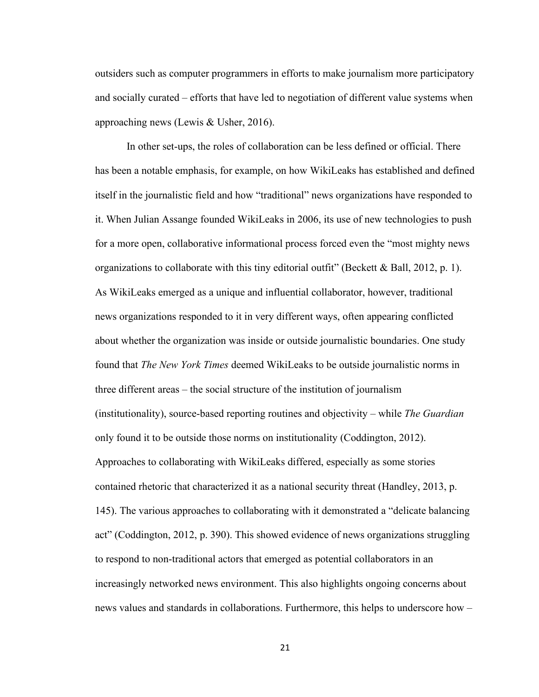outsiders such as computer programmers in efforts to make journalism more participatory and socially curated – efforts that have led to negotiation of different value systems when approaching news (Lewis & Usher, 2016).

In other set-ups, the roles of collaboration can be less defined or official. There has been a notable emphasis, for example, on how WikiLeaks has established and defined itself in the journalistic field and how "traditional" news organizations have responded to it. When Julian Assange founded WikiLeaks in 2006, its use of new technologies to push for a more open, collaborative informational process forced even the "most mighty news organizations to collaborate with this tiny editorial outfit" (Beckett & Ball, 2012, p. 1). As WikiLeaks emerged as a unique and influential collaborator, however, traditional news organizations responded to it in very different ways, often appearing conflicted about whether the organization was inside or outside journalistic boundaries. One study found that *The New York Times* deemed WikiLeaks to be outside journalistic norms in three different areas – the social structure of the institution of journalism (institutionality), source-based reporting routines and objectivity – while *The Guardian*  only found it to be outside those norms on institutionality (Coddington, 2012). Approaches to collaborating with WikiLeaks differed, especially as some stories contained rhetoric that characterized it as a national security threat (Handley, 2013, p. 145). The various approaches to collaborating with it demonstrated a "delicate balancing act" (Coddington, 2012, p. 390). This showed evidence of news organizations struggling to respond to non-traditional actors that emerged as potential collaborators in an increasingly networked news environment. This also highlights ongoing concerns about news values and standards in collaborations. Furthermore, this helps to underscore how –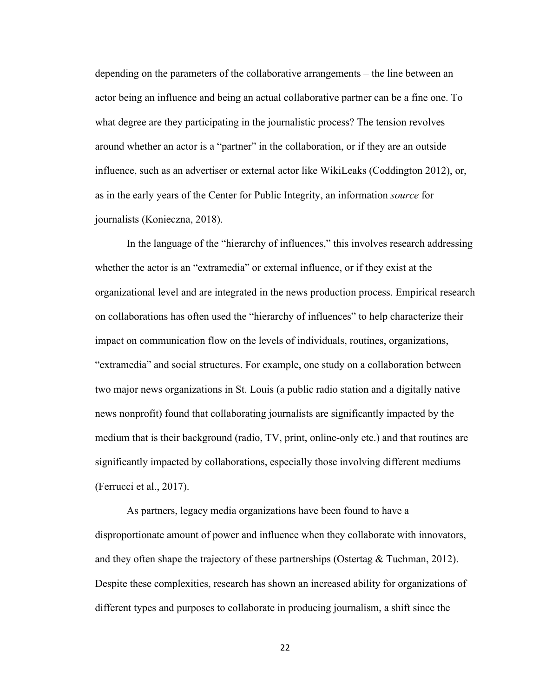depending on the parameters of the collaborative arrangements – the line between an actor being an influence and being an actual collaborative partner can be a fine one. To what degree are they participating in the journalistic process? The tension revolves around whether an actor is a "partner" in the collaboration, or if they are an outside influence, such as an advertiser or external actor like WikiLeaks (Coddington 2012), or, as in the early years of the Center for Public Integrity, an information *source* for journalists (Konieczna, 2018).

In the language of the "hierarchy of influences," this involves research addressing whether the actor is an "extramedia" or external influence, or if they exist at the organizational level and are integrated in the news production process. Empirical research on collaborations has often used the "hierarchy of influences" to help characterize their impact on communication flow on the levels of individuals, routines, organizations, "extramedia" and social structures. For example, one study on a collaboration between two major news organizations in St. Louis (a public radio station and a digitally native news nonprofit) found that collaborating journalists are significantly impacted by the medium that is their background (radio, TV, print, online-only etc.) and that routines are significantly impacted by collaborations, especially those involving different mediums (Ferrucci et al., 2017).

As partners, legacy media organizations have been found to have a disproportionate amount of power and influence when they collaborate with innovators, and they often shape the trajectory of these partnerships (Ostertag & Tuchman, 2012). Despite these complexities, research has shown an increased ability for organizations of different types and purposes to collaborate in producing journalism, a shift since the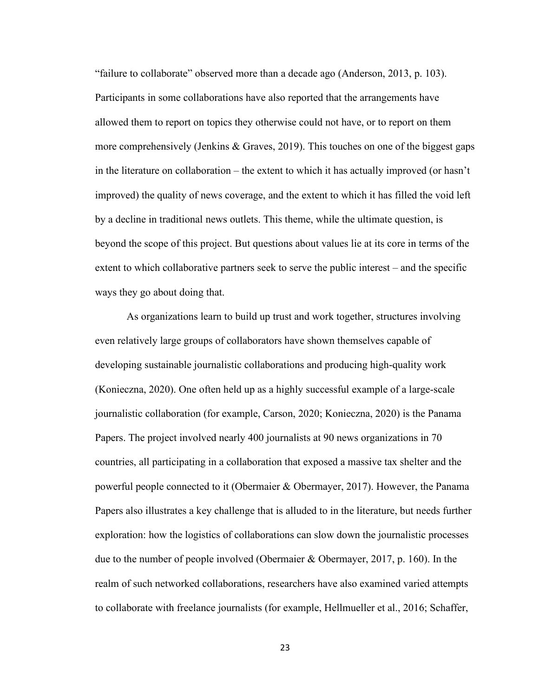"failure to collaborate" observed more than a decade ago (Anderson, 2013, p. 103). Participants in some collaborations have also reported that the arrangements have allowed them to report on topics they otherwise could not have, or to report on them more comprehensively (Jenkins & Graves, 2019). This touches on one of the biggest gaps in the literature on collaboration – the extent to which it has actually improved (or hasn't improved) the quality of news coverage, and the extent to which it has filled the void left by a decline in traditional news outlets. This theme, while the ultimate question, is beyond the scope of this project. But questions about values lie at its core in terms of the extent to which collaborative partners seek to serve the public interest – and the specific ways they go about doing that.

As organizations learn to build up trust and work together, structures involving even relatively large groups of collaborators have shown themselves capable of developing sustainable journalistic collaborations and producing high-quality work (Konieczna, 2020). One often held up as a highly successful example of a large-scale journalistic collaboration (for example, Carson, 2020; Konieczna, 2020) is the Panama Papers. The project involved nearly 400 journalists at 90 news organizations in 70 countries, all participating in a collaboration that exposed a massive tax shelter and the powerful people connected to it (Obermaier & Obermayer, 2017). However, the Panama Papers also illustrates a key challenge that is alluded to in the literature, but needs further exploration: how the logistics of collaborations can slow down the journalistic processes due to the number of people involved (Obermaier & Obermayer, 2017, p. 160). In the realm of such networked collaborations, researchers have also examined varied attempts to collaborate with freelance journalists (for example, Hellmueller et al., 2016; Schaffer,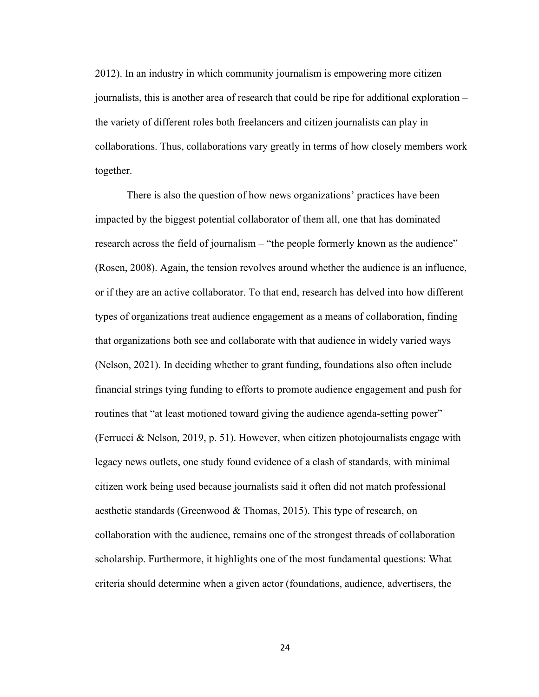2012). In an industry in which community journalism is empowering more citizen journalists, this is another area of research that could be ripe for additional exploration – the variety of different roles both freelancers and citizen journalists can play in collaborations. Thus, collaborations vary greatly in terms of how closely members work together.

There is also the question of how news organizations' practices have been impacted by the biggest potential collaborator of them all, one that has dominated research across the field of journalism – "the people formerly known as the audience" (Rosen, 2008). Again, the tension revolves around whether the audience is an influence, or if they are an active collaborator. To that end, research has delved into how different types of organizations treat audience engagement as a means of collaboration, finding that organizations both see and collaborate with that audience in widely varied ways (Nelson, 2021). In deciding whether to grant funding, foundations also often include financial strings tying funding to efforts to promote audience engagement and push for routines that "at least motioned toward giving the audience agenda-setting power" (Ferrucci & Nelson, 2019, p. 51). However, when citizen photojournalists engage with legacy news outlets, one study found evidence of a clash of standards, with minimal citizen work being used because journalists said it often did not match professional aesthetic standards (Greenwood & Thomas, 2015). This type of research, on collaboration with the audience, remains one of the strongest threads of collaboration scholarship. Furthermore, it highlights one of the most fundamental questions: What criteria should determine when a given actor (foundations, audience, advertisers, the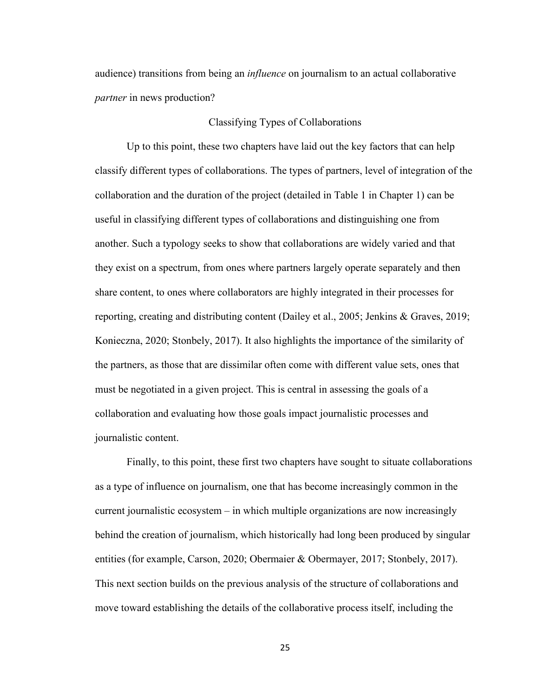audience) transitions from being an *influence* on journalism to an actual collaborative *partner* in news production?

#### Classifying Types of Collaborations

Up to this point, these two chapters have laid out the key factors that can help classify different types of collaborations. The types of partners, level of integration of the collaboration and the duration of the project (detailed in Table 1 in Chapter 1) can be useful in classifying different types of collaborations and distinguishing one from another. Such a typology seeks to show that collaborations are widely varied and that they exist on a spectrum, from ones where partners largely operate separately and then share content, to ones where collaborators are highly integrated in their processes for reporting, creating and distributing content (Dailey et al., 2005; Jenkins & Graves, 2019; Konieczna, 2020; Stonbely, 2017). It also highlights the importance of the similarity of the partners, as those that are dissimilar often come with different value sets, ones that must be negotiated in a given project. This is central in assessing the goals of a collaboration and evaluating how those goals impact journalistic processes and journalistic content.

Finally, to this point, these first two chapters have sought to situate collaborations as a type of influence on journalism, one that has become increasingly common in the current journalistic ecosystem – in which multiple organizations are now increasingly behind the creation of journalism, which historically had long been produced by singular entities (for example, Carson, 2020; Obermaier & Obermayer, 2017; Stonbely, 2017). This next section builds on the previous analysis of the structure of collaborations and move toward establishing the details of the collaborative process itself, including the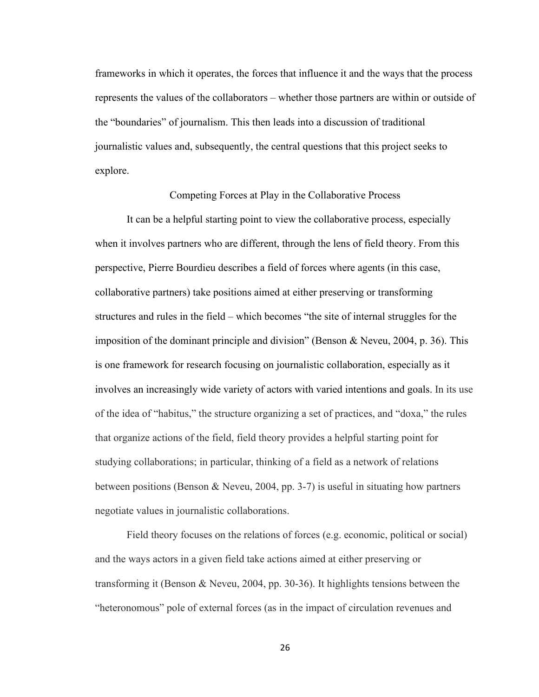frameworks in which it operates, the forces that influence it and the ways that the process represents the values of the collaborators – whether those partners are within or outside of the "boundaries" of journalism. This then leads into a discussion of traditional journalistic values and, subsequently, the central questions that this project seeks to explore.

#### Competing Forces at Play in the Collaborative Process

It can be a helpful starting point to view the collaborative process, especially when it involves partners who are different, through the lens of field theory. From this perspective, Pierre Bourdieu describes a field of forces where agents (in this case, collaborative partners) take positions aimed at either preserving or transforming structures and rules in the field – which becomes "the site of internal struggles for the imposition of the dominant principle and division" (Benson & Neveu, 2004, p. 36). This is one framework for research focusing on journalistic collaboration, especially as it involves an increasingly wide variety of actors with varied intentions and goals. In its use of the idea of "habitus," the structure organizing a set of practices, and "doxa," the rules that organize actions of the field, field theory provides a helpful starting point for studying collaborations; in particular, thinking of a field as a network of relations between positions (Benson & Neveu, 2004, pp. 3-7) is useful in situating how partners negotiate values in journalistic collaborations.

Field theory focuses on the relations of forces (e.g. economic, political or social) and the ways actors in a given field take actions aimed at either preserving or transforming it (Benson & Neveu, 2004, pp. 30-36). It highlights tensions between the "heteronomous" pole of external forces (as in the impact of circulation revenues and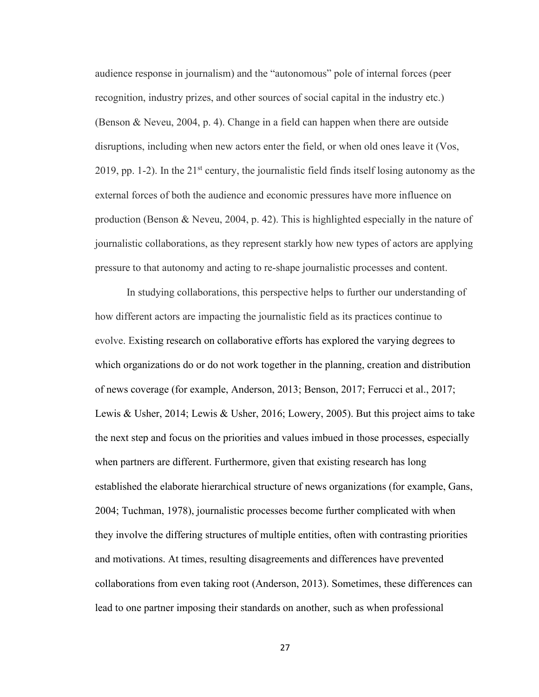audience response in journalism) and the "autonomous" pole of internal forces (peer recognition, industry prizes, and other sources of social capital in the industry etc.) (Benson & Neveu, 2004, p. 4). Change in a field can happen when there are outside disruptions, including when new actors enter the field, or when old ones leave it (Vos, 2019, pp. 1-2). In the  $21<sup>st</sup>$  century, the journalistic field finds itself losing autonomy as the external forces of both the audience and economic pressures have more influence on production (Benson & Neveu, 2004, p. 42). This is highlighted especially in the nature of journalistic collaborations, as they represent starkly how new types of actors are applying pressure to that autonomy and acting to re-shape journalistic processes and content.

In studying collaborations, this perspective helps to further our understanding of how different actors are impacting the journalistic field as its practices continue to evolve. Existing research on collaborative efforts has explored the varying degrees to which organizations do or do not work together in the planning, creation and distribution of news coverage (for example, Anderson, 2013; Benson, 2017; Ferrucci et al., 2017; Lewis & Usher, 2014; Lewis & Usher, 2016; Lowery, 2005). But this project aims to take the next step and focus on the priorities and values imbued in those processes, especially when partners are different. Furthermore, given that existing research has long established the elaborate hierarchical structure of news organizations (for example, Gans, 2004; Tuchman, 1978), journalistic processes become further complicated with when they involve the differing structures of multiple entities, often with contrasting priorities and motivations. At times, resulting disagreements and differences have prevented collaborations from even taking root (Anderson, 2013). Sometimes, these differences can lead to one partner imposing their standards on another, such as when professional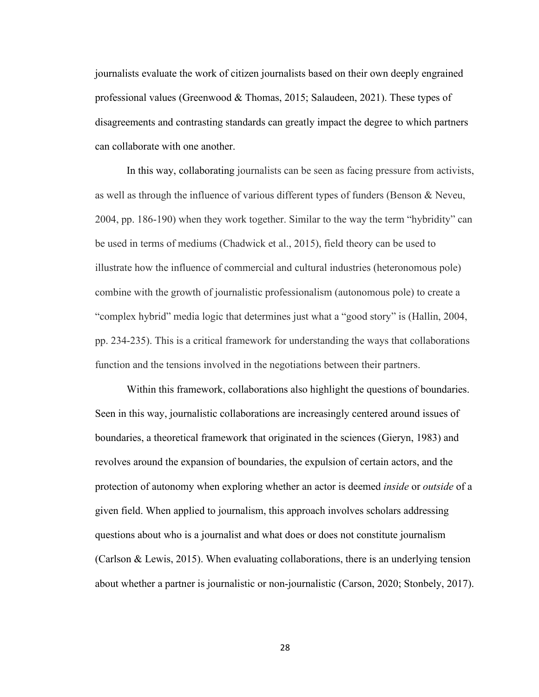journalists evaluate the work of citizen journalists based on their own deeply engrained professional values (Greenwood & Thomas, 2015; Salaudeen, 2021). These types of disagreements and contrasting standards can greatly impact the degree to which partners can collaborate with one another.

In this way, collaborating journalists can be seen as facing pressure from activists, as well as through the influence of various different types of funders (Benson & Neveu, 2004, pp. 186-190) when they work together. Similar to the way the term "hybridity" can be used in terms of mediums (Chadwick et al., 2015), field theory can be used to illustrate how the influence of commercial and cultural industries (heteronomous pole) combine with the growth of journalistic professionalism (autonomous pole) to create a "complex hybrid" media logic that determines just what a "good story" is (Hallin, 2004, pp. 234-235). This is a critical framework for understanding the ways that collaborations function and the tensions involved in the negotiations between their partners.

Within this framework, collaborations also highlight the questions of boundaries. Seen in this way, journalistic collaborations are increasingly centered around issues of boundaries, a theoretical framework that originated in the sciences (Gieryn, 1983) and revolves around the expansion of boundaries, the expulsion of certain actors, and the protection of autonomy when exploring whether an actor is deemed *inside* or *outside* of a given field. When applied to journalism, this approach involves scholars addressing questions about who is a journalist and what does or does not constitute journalism (Carlson & Lewis, 2015). When evaluating collaborations, there is an underlying tension about whether a partner is journalistic or non-journalistic (Carson, 2020; Stonbely, 2017).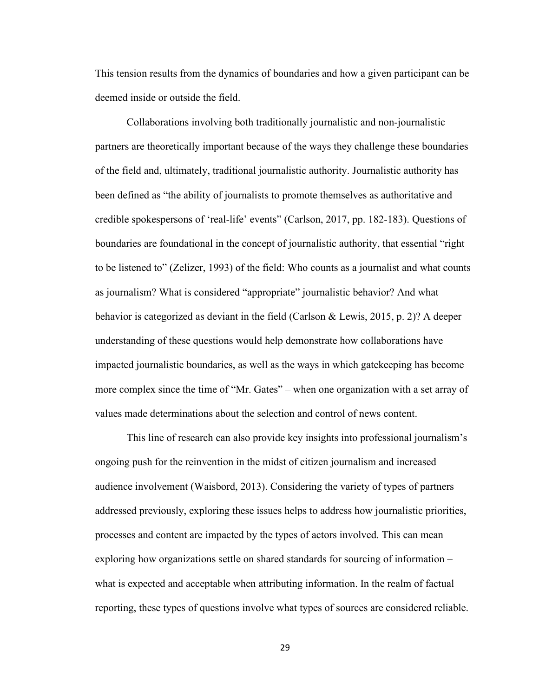This tension results from the dynamics of boundaries and how a given participant can be deemed inside or outside the field.

Collaborations involving both traditionally journalistic and non-journalistic partners are theoretically important because of the ways they challenge these boundaries of the field and, ultimately, traditional journalistic authority. Journalistic authority has been defined as "the ability of journalists to promote themselves as authoritative and credible spokespersons of 'real-life' events" (Carlson, 2017, pp. 182-183). Questions of boundaries are foundational in the concept of journalistic authority, that essential "right to be listened to" (Zelizer, 1993) of the field: Who counts as a journalist and what counts as journalism? What is considered "appropriate" journalistic behavior? And what behavior is categorized as deviant in the field (Carlson & Lewis, 2015, p. 2)? A deeper understanding of these questions would help demonstrate how collaborations have impacted journalistic boundaries, as well as the ways in which gatekeeping has become more complex since the time of "Mr. Gates" – when one organization with a set array of values made determinations about the selection and control of news content.

This line of research can also provide key insights into professional journalism's ongoing push for the reinvention in the midst of citizen journalism and increased audience involvement (Waisbord, 2013). Considering the variety of types of partners addressed previously, exploring these issues helps to address how journalistic priorities, processes and content are impacted by the types of actors involved. This can mean exploring how organizations settle on shared standards for sourcing of information – what is expected and acceptable when attributing information. In the realm of factual reporting, these types of questions involve what types of sources are considered reliable.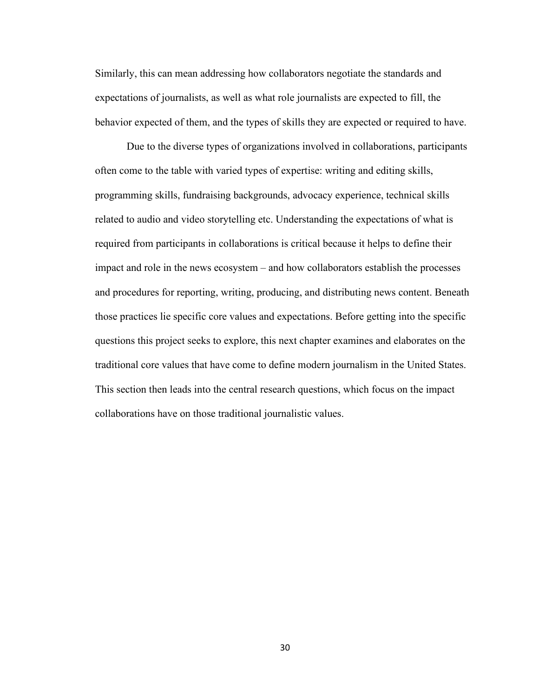Similarly, this can mean addressing how collaborators negotiate the standards and expectations of journalists, as well as what role journalists are expected to fill, the behavior expected of them, and the types of skills they are expected or required to have.

Due to the diverse types of organizations involved in collaborations, participants often come to the table with varied types of expertise: writing and editing skills, programming skills, fundraising backgrounds, advocacy experience, technical skills related to audio and video storytelling etc. Understanding the expectations of what is required from participants in collaborations is critical because it helps to define their impact and role in the news ecosystem – and how collaborators establish the processes and procedures for reporting, writing, producing, and distributing news content. Beneath those practices lie specific core values and expectations. Before getting into the specific questions this project seeks to explore, this next chapter examines and elaborates on the traditional core values that have come to define modern journalism in the United States. This section then leads into the central research questions, which focus on the impact collaborations have on those traditional journalistic values.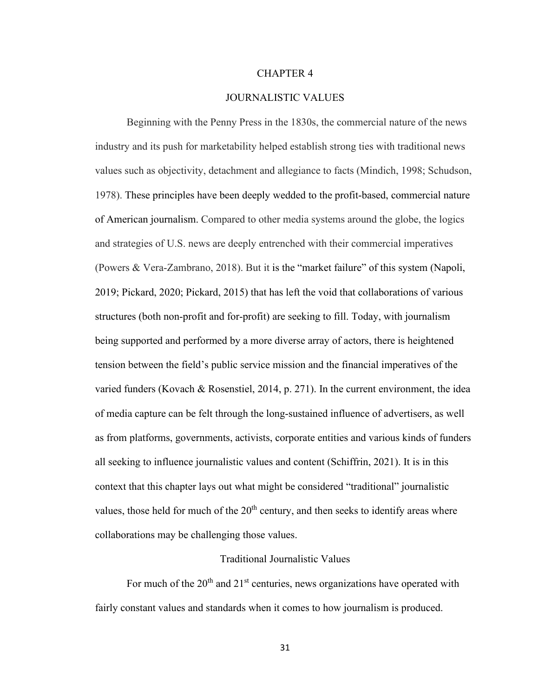## CHAPTER 4

## JOURNALISTIC VALUES

Beginning with the Penny Press in the 1830s, the commercial nature of the news industry and its push for marketability helped establish strong ties with traditional news values such as objectivity, detachment and allegiance to facts (Mindich, 1998; Schudson, 1978). These principles have been deeply wedded to the profit-based, commercial nature of American journalism. Compared to other media systems around the globe, the logics and strategies of U.S. news are deeply entrenched with their commercial imperatives (Powers & Vera-Zambrano, 2018). But it is the "market failure" of this system (Napoli, 2019; Pickard, 2020; Pickard, 2015) that has left the void that collaborations of various structures (both non-profit and for-profit) are seeking to fill. Today, with journalism being supported and performed by a more diverse array of actors, there is heightened tension between the field's public service mission and the financial imperatives of the varied funders (Kovach & Rosenstiel, 2014, p. 271). In the current environment, the idea of media capture can be felt through the long-sustained influence of advertisers, as well as from platforms, governments, activists, corporate entities and various kinds of funders all seeking to influence journalistic values and content (Schiffrin, 2021). It is in this context that this chapter lays out what might be considered "traditional" journalistic values, those held for much of the  $20<sup>th</sup>$  century, and then seeks to identify areas where collaborations may be challenging those values.

# Traditional Journalistic Values

For much of the  $20<sup>th</sup>$  and  $21<sup>st</sup>$  centuries, news organizations have operated with fairly constant values and standards when it comes to how journalism is produced.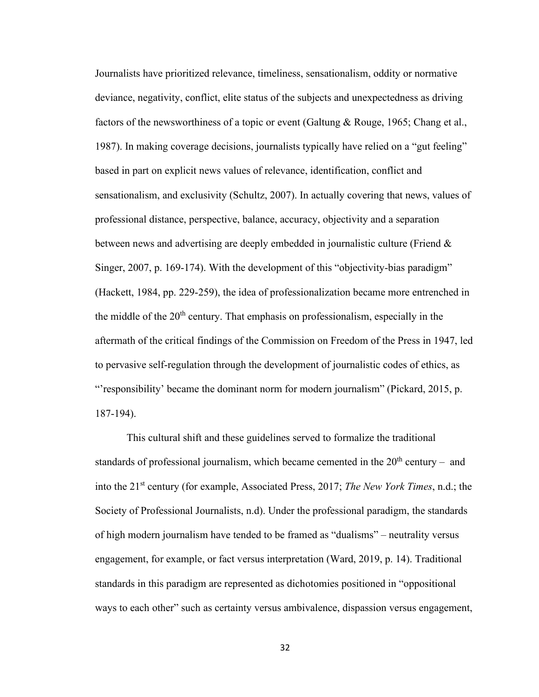Journalists have prioritized relevance, timeliness, sensationalism, oddity or normative deviance, negativity, conflict, elite status of the subjects and unexpectedness as driving factors of the newsworthiness of a topic or event (Galtung & Rouge, 1965; Chang et al., 1987). In making coverage decisions, journalists typically have relied on a "gut feeling" based in part on explicit news values of relevance, identification, conflict and sensationalism, and exclusivity (Schultz, 2007). In actually covering that news, values of professional distance, perspective, balance, accuracy, objectivity and a separation between news and advertising are deeply embedded in journalistic culture (Friend & Singer, 2007, p. 169-174). With the development of this "objectivity-bias paradigm" (Hackett, 1984, pp. 229-259), the idea of professionalization became more entrenched in the middle of the  $20<sup>th</sup>$  century. That emphasis on professionalism, especially in the aftermath of the critical findings of the Commission on Freedom of the Press in 1947, led to pervasive self-regulation through the development of journalistic codes of ethics, as "'responsibility' became the dominant norm for modern journalism" (Pickard, 2015, p. 187-194).

 This cultural shift and these guidelines served to formalize the traditional standards of professional journalism, which became cemented in the  $20<sup>th</sup>$  century – and into the 21st century (for example, Associated Press, 2017; *The New York Times*, n.d.; the Society of Professional Journalists, n.d). Under the professional paradigm, the standards of high modern journalism have tended to be framed as "dualisms" – neutrality versus engagement, for example, or fact versus interpretation (Ward, 2019, p. 14). Traditional standards in this paradigm are represented as dichotomies positioned in "oppositional ways to each other" such as certainty versus ambivalence, dispassion versus engagement,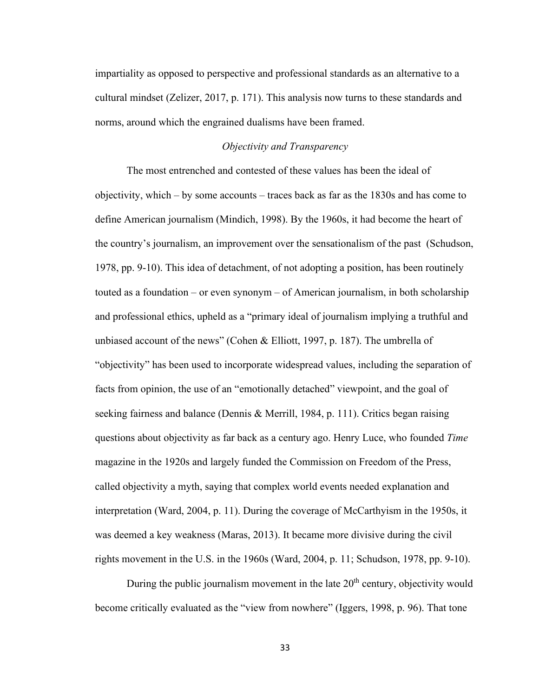impartiality as opposed to perspective and professional standards as an alternative to a cultural mindset (Zelizer, 2017, p. 171). This analysis now turns to these standards and norms, around which the engrained dualisms have been framed.

## *Objectivity and Transparency*

The most entrenched and contested of these values has been the ideal of objectivity, which – by some accounts – traces back as far as the 1830s and has come to define American journalism (Mindich, 1998). By the 1960s, it had become the heart of the country's journalism, an improvement over the sensationalism of the past (Schudson, 1978, pp. 9-10). This idea of detachment, of not adopting a position, has been routinely touted as a foundation – or even synonym – of American journalism, in both scholarship and professional ethics, upheld as a "primary ideal of journalism implying a truthful and unbiased account of the news" (Cohen & Elliott, 1997, p. 187). The umbrella of "objectivity" has been used to incorporate widespread values, including the separation of facts from opinion, the use of an "emotionally detached" viewpoint, and the goal of seeking fairness and balance (Dennis & Merrill, 1984, p. 111). Critics began raising questions about objectivity as far back as a century ago. Henry Luce, who founded *Time*  magazine in the 1920s and largely funded the Commission on Freedom of the Press, called objectivity a myth, saying that complex world events needed explanation and interpretation (Ward, 2004, p. 11). During the coverage of McCarthyism in the 1950s, it was deemed a key weakness (Maras, 2013). It became more divisive during the civil rights movement in the U.S. in the 1960s (Ward, 2004, p. 11; Schudson, 1978, pp. 9-10).

During the public journalism movement in the late  $20<sup>th</sup>$  century, objectivity would become critically evaluated as the "view from nowhere" (Iggers, 1998, p. 96). That tone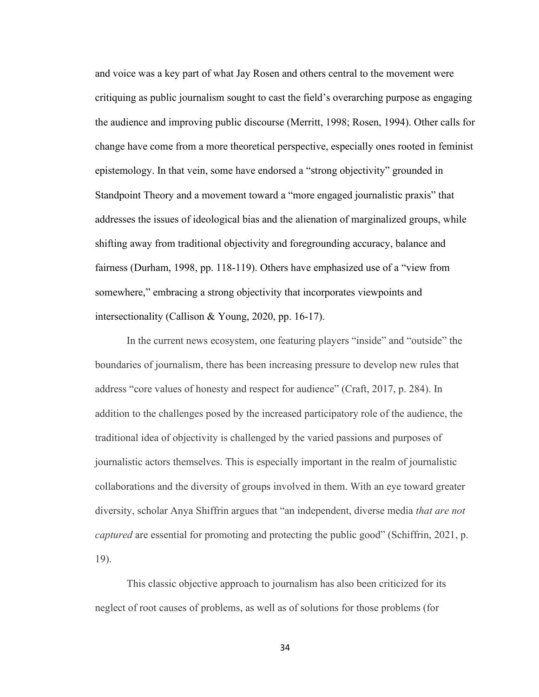and voice was a key part of what Jay Rosen and others central to the movement were critiquing as public journalism sought to cast the field's overarching purpose as engaging the audience and improving public discourse (Merritt, 1998; Rosen, 1994). Other calls for change have come from a more theoretical perspective, especially ones rooted in feminist epistemology. In that vein, some have endorsed a "strong objectivity" grounded in Standpoint Theory and a movement toward a "more engaged journalistic praxis" that addresses the issues of ideological bias and the alienation of marginalized groups, while shifting away from traditional objectivity and foregrounding accuracy, balance and fairness (Durham, 1998, pp. 118-119). Others have emphasized use of a "view from somewhere," embracing a strong objectivity that incorporates viewpoints and intersectionality (Callison & Young, 2020, pp. 16-17).

In the current news ecosystem, one featuring players "inside" and "outside" the boundaries of journalism, there has been increasing pressure to develop new rules that address "core values of honesty and respect for audience" (Craft, 2017, p. 284). In addition to the challenges posed by the increased participatory role of the audience, the traditional idea of objectivity is challenged by the varied passions and purposes of journalistic actors themselves. This is especially important in the realm of journalistic collaborations and the diversity of groups involved in them. With an eye toward greater diversity, scholar Anya Shiffrin argues that "an independent, diverse media *that are not captured* are essential for promoting and protecting the public good" (Schiffrin, 2021, p. 19).

This classic objective approach to journalism has also been criticized for its neglect of root causes of problems, as well as of solutions for those problems (for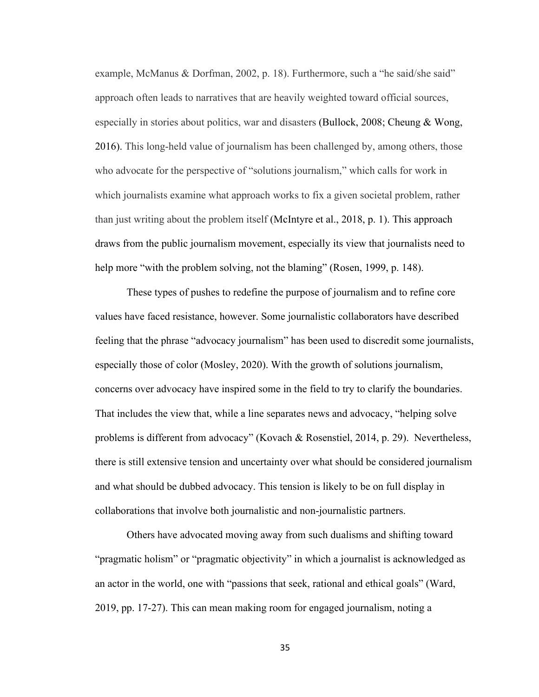example, McManus & Dorfman, 2002, p. 18). Furthermore, such a "he said/she said" approach often leads to narratives that are heavily weighted toward official sources, especially in stories about politics, war and disasters (Bullock, 2008; Cheung & Wong, 2016). This long-held value of journalism has been challenged by, among others, those who advocate for the perspective of "solutions journalism," which calls for work in which journalists examine what approach works to fix a given societal problem, rather than just writing about the problem itself (McIntyre et al., 2018, p. 1). This approach draws from the public journalism movement, especially its view that journalists need to help more "with the problem solving, not the blaming" (Rosen, 1999, p. 148).

These types of pushes to redefine the purpose of journalism and to refine core values have faced resistance, however. Some journalistic collaborators have described feeling that the phrase "advocacy journalism" has been used to discredit some journalists, especially those of color (Mosley, 2020). With the growth of solutions journalism, concerns over advocacy have inspired some in the field to try to clarify the boundaries. That includes the view that, while a line separates news and advocacy, "helping solve problems is different from advocacy" (Kovach & Rosenstiel, 2014, p. 29). Nevertheless, there is still extensive tension and uncertainty over what should be considered journalism and what should be dubbed advocacy. This tension is likely to be on full display in collaborations that involve both journalistic and non-journalistic partners.

Others have advocated moving away from such dualisms and shifting toward "pragmatic holism" or "pragmatic objectivity" in which a journalist is acknowledged as an actor in the world, one with "passions that seek, rational and ethical goals" (Ward, 2019, pp. 17-27). This can mean making room for engaged journalism, noting a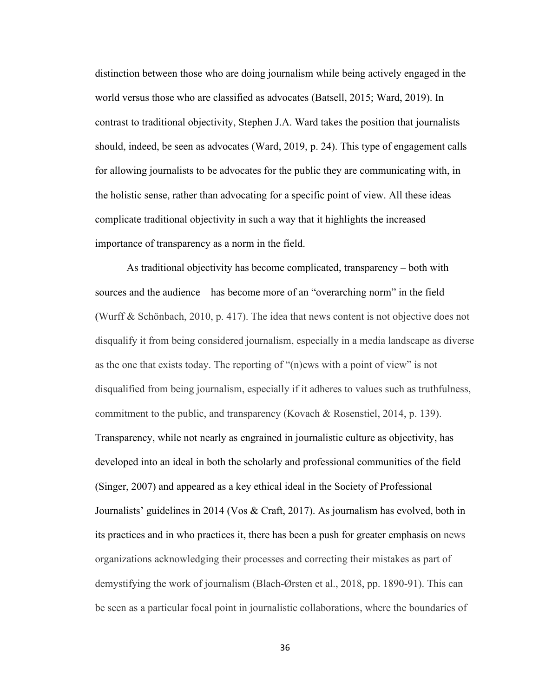distinction between those who are doing journalism while being actively engaged in the world versus those who are classified as advocates (Batsell, 2015; Ward, 2019). In contrast to traditional objectivity, Stephen J.A. Ward takes the position that journalists should, indeed, be seen as advocates (Ward, 2019, p. 24). This type of engagement calls for allowing journalists to be advocates for the public they are communicating with, in the holistic sense, rather than advocating for a specific point of view. All these ideas complicate traditional objectivity in such a way that it highlights the increased importance of transparency as a norm in the field.

As traditional objectivity has become complicated, transparency – both with sources and the audience – has become more of an "overarching norm" in the field (Wurff & Schönbach, 2010, p. 417). The idea that news content is not objective does not disqualify it from being considered journalism, especially in a media landscape as diverse as the one that exists today. The reporting of "(n)ews with a point of view" is not disqualified from being journalism, especially if it adheres to values such as truthfulness, commitment to the public, and transparency (Kovach & Rosenstiel, 2014, p. 139). Transparency, while not nearly as engrained in journalistic culture as objectivity, has developed into an ideal in both the scholarly and professional communities of the field (Singer, 2007) and appeared as a key ethical ideal in the Society of Professional Journalists' guidelines in 2014 (Vos & Craft, 2017). As journalism has evolved, both in its practices and in who practices it, there has been a push for greater emphasis on news organizations acknowledging their processes and correcting their mistakes as part of demystifying the work of journalism (Blach-Ørsten et al., 2018, pp. 1890-91). This can be seen as a particular focal point in journalistic collaborations, where the boundaries of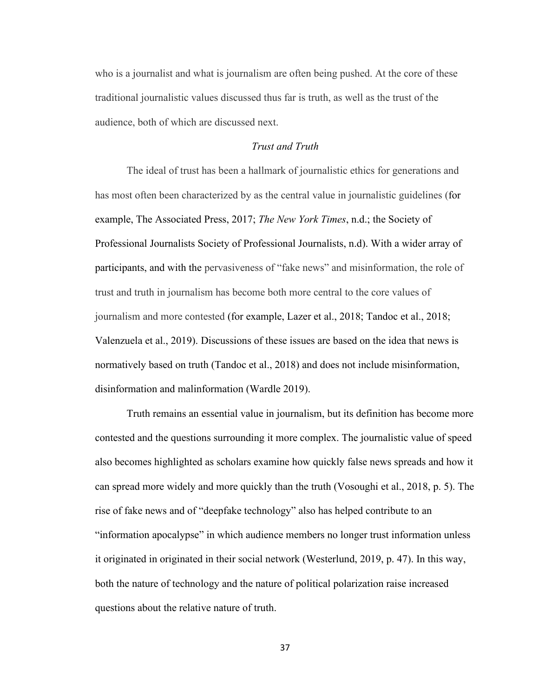who is a journalist and what is journalism are often being pushed. At the core of these traditional journalistic values discussed thus far is truth, as well as the trust of the audience, both of which are discussed next.

## *Trust and Truth*

 The ideal of trust has been a hallmark of journalistic ethics for generations and has most often been characterized by as the central value in journalistic guidelines (for example, The Associated Press, 2017; *The New York Times*, n.d.; the Society of Professional Journalists Society of Professional Journalists, n.d). With a wider array of participants, and with the pervasiveness of "fake news" and misinformation, the role of trust and truth in journalism has become both more central to the core values of journalism and more contested (for example, Lazer et al., 2018; Tandoc et al., 2018; Valenzuela et al., 2019). Discussions of these issues are based on the idea that news is normatively based on truth (Tandoc et al., 2018) and does not include misinformation, disinformation and malinformation (Wardle 2019).

Truth remains an essential value in journalism, but its definition has become more contested and the questions surrounding it more complex. The journalistic value of speed also becomes highlighted as scholars examine how quickly false news spreads and how it can spread more widely and more quickly than the truth (Vosoughi et al., 2018, p. 5). The rise of fake news and of "deepfake technology" also has helped contribute to an "information apocalypse" in which audience members no longer trust information unless it originated in originated in their social network (Westerlund, 2019, p. 47). In this way, both the nature of technology and the nature of political polarization raise increased questions about the relative nature of truth.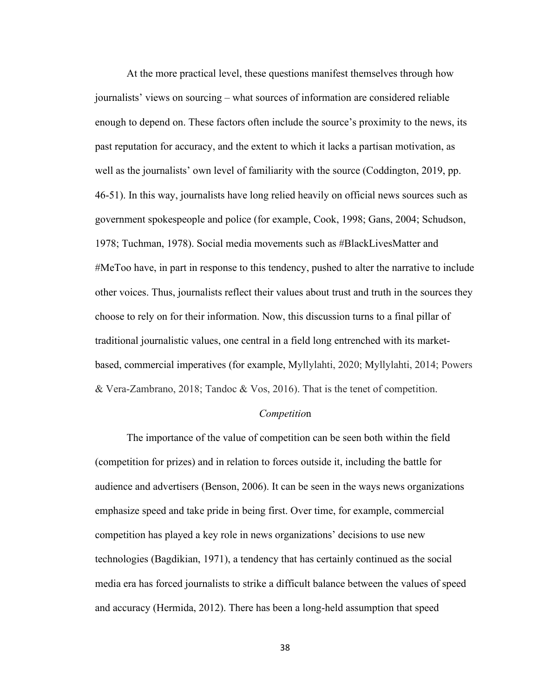At the more practical level, these questions manifest themselves through how journalists' views on sourcing – what sources of information are considered reliable enough to depend on. These factors often include the source's proximity to the news, its past reputation for accuracy, and the extent to which it lacks a partisan motivation, as well as the journalists' own level of familiarity with the source (Coddington, 2019, pp. 46-51). In this way, journalists have long relied heavily on official news sources such as government spokespeople and police (for example, Cook, 1998; Gans, 2004; Schudson, 1978; Tuchman, 1978). Social media movements such as #BlackLivesMatter and #MeToo have, in part in response to this tendency, pushed to alter the narrative to include other voices. Thus, journalists reflect their values about trust and truth in the sources they choose to rely on for their information. Now, this discussion turns to a final pillar of traditional journalistic values, one central in a field long entrenched with its marketbased, commercial imperatives (for example, Myllylahti, 2020; Myllylahti, 2014; Powers & Vera-Zambrano, 2018; Tandoc & Vos, 2016). That is the tenet of competition.

## *Competitio*n

The importance of the value of competition can be seen both within the field (competition for prizes) and in relation to forces outside it, including the battle for audience and advertisers (Benson, 2006). It can be seen in the ways news organizations emphasize speed and take pride in being first. Over time, for example, commercial competition has played a key role in news organizations' decisions to use new technologies (Bagdikian, 1971), a tendency that has certainly continued as the social media era has forced journalists to strike a difficult balance between the values of speed and accuracy (Hermida, 2012). There has been a long-held assumption that speed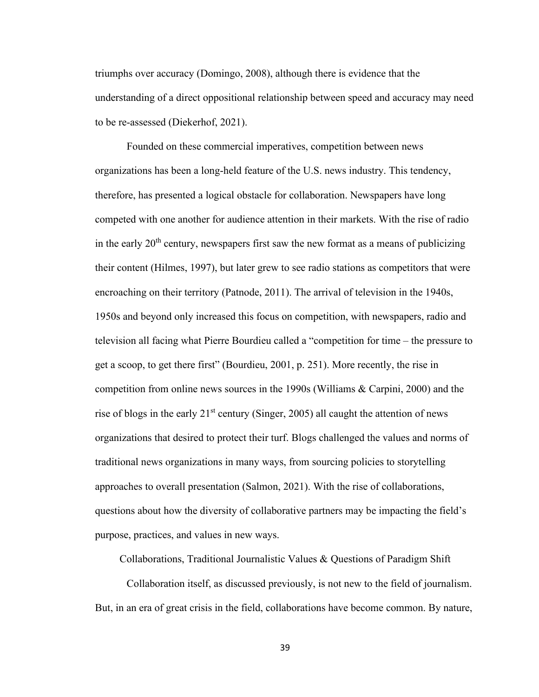triumphs over accuracy (Domingo, 2008), although there is evidence that the understanding of a direct oppositional relationship between speed and accuracy may need to be re-assessed (Diekerhof, 2021).

 Founded on these commercial imperatives, competition between news organizations has been a long-held feature of the U.S. news industry. This tendency, therefore, has presented a logical obstacle for collaboration. Newspapers have long competed with one another for audience attention in their markets. With the rise of radio in the early  $20<sup>th</sup>$  century, newspapers first saw the new format as a means of publicizing their content (Hilmes, 1997), but later grew to see radio stations as competitors that were encroaching on their territory (Patnode, 2011). The arrival of television in the 1940s, 1950s and beyond only increased this focus on competition, with newspapers, radio and television all facing what Pierre Bourdieu called a "competition for time – the pressure to get a scoop, to get there first" (Bourdieu, 2001, p. 251). More recently, the rise in competition from online news sources in the 1990s (Williams & Carpini, 2000) and the rise of blogs in the early  $21<sup>st</sup>$  century (Singer, 2005) all caught the attention of news organizations that desired to protect their turf. Blogs challenged the values and norms of traditional news organizations in many ways, from sourcing policies to storytelling approaches to overall presentation (Salmon, 2021). With the rise of collaborations, questions about how the diversity of collaborative partners may be impacting the field's purpose, practices, and values in new ways.

Collaborations, Traditional Journalistic Values & Questions of Paradigm Shift

 Collaboration itself, as discussed previously, is not new to the field of journalism. But, in an era of great crisis in the field, collaborations have become common. By nature,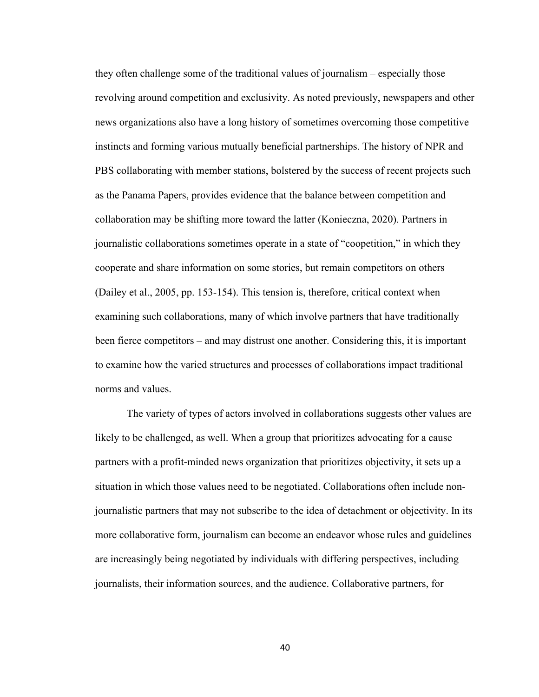they often challenge some of the traditional values of journalism – especially those revolving around competition and exclusivity. As noted previously, newspapers and other news organizations also have a long history of sometimes overcoming those competitive instincts and forming various mutually beneficial partnerships. The history of NPR and PBS collaborating with member stations, bolstered by the success of recent projects such as the Panama Papers, provides evidence that the balance between competition and collaboration may be shifting more toward the latter (Konieczna, 2020). Partners in journalistic collaborations sometimes operate in a state of "coopetition," in which they cooperate and share information on some stories, but remain competitors on others (Dailey et al., 2005, pp. 153-154). This tension is, therefore, critical context when examining such collaborations, many of which involve partners that have traditionally been fierce competitors – and may distrust one another. Considering this, it is important to examine how the varied structures and processes of collaborations impact traditional norms and values.

 The variety of types of actors involved in collaborations suggests other values are likely to be challenged, as well. When a group that prioritizes advocating for a cause partners with a profit-minded news organization that prioritizes objectivity, it sets up a situation in which those values need to be negotiated. Collaborations often include nonjournalistic partners that may not subscribe to the idea of detachment or objectivity. In its more collaborative form, journalism can become an endeavor whose rules and guidelines are increasingly being negotiated by individuals with differing perspectives, including journalists, their information sources, and the audience. Collaborative partners, for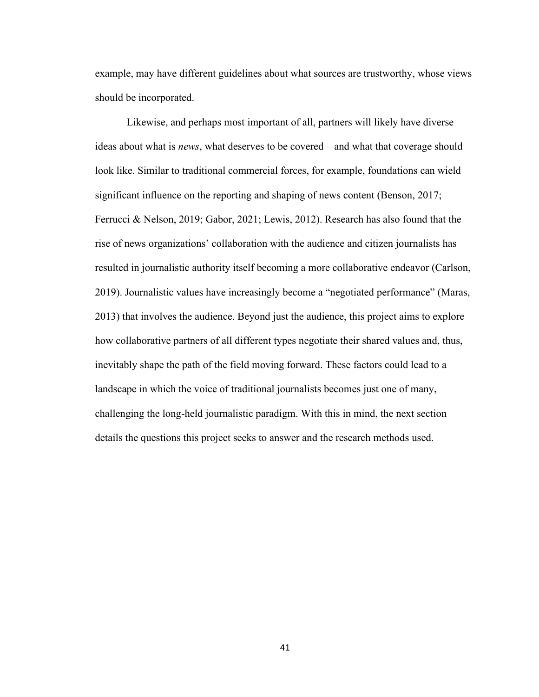example, may have different guidelines about what sources are trustworthy, whose views should be incorporated.

Likewise, and perhaps most important of all, partners will likely have diverse ideas about what is *news*, what deserves to be covered – and what that coverage should look like. Similar to traditional commercial forces, for example, foundations can wield significant influence on the reporting and shaping of news content (Benson, 2017; Ferrucci & Nelson, 2019; Gabor, 2021; Lewis, 2012). Research has also found that the rise of news organizations' collaboration with the audience and citizen journalists has resulted in journalistic authority itself becoming a more collaborative endeavor (Carlson, 2019). Journalistic values have increasingly become a "negotiated performance" (Maras, 2013) that involves the audience. Beyond just the audience, this project aims to explore how collaborative partners of all different types negotiate their shared values and, thus, inevitably shape the path of the field moving forward. These factors could lead to a landscape in which the voice of traditional journalists becomes just one of many, challenging the long-held journalistic paradigm. With this in mind, the next section details the questions this project seeks to answer and the research methods used.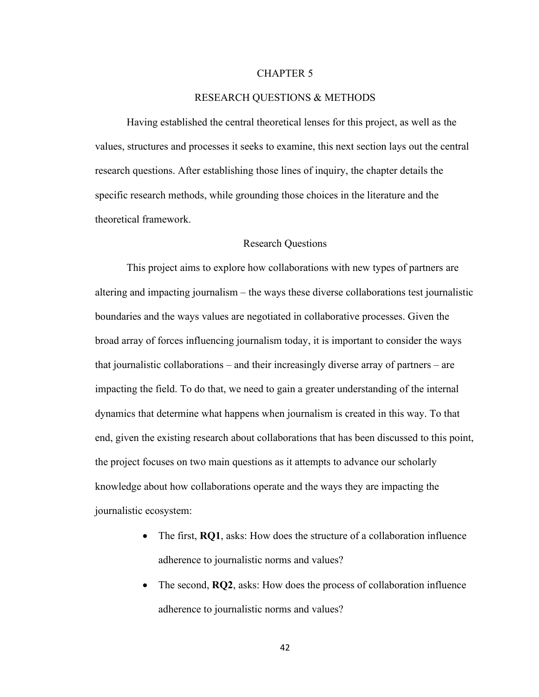## CHAPTER 5

## RESEARCH QUESTIONS & METHODS

Having established the central theoretical lenses for this project, as well as the values, structures and processes it seeks to examine, this next section lays out the central research questions. After establishing those lines of inquiry, the chapter details the specific research methods, while grounding those choices in the literature and the theoretical framework.

#### Research Questions

This project aims to explore how collaborations with new types of partners are altering and impacting journalism – the ways these diverse collaborations test journalistic boundaries and the ways values are negotiated in collaborative processes. Given the broad array of forces influencing journalism today, it is important to consider the ways that journalistic collaborations – and their increasingly diverse array of partners – are impacting the field. To do that, we need to gain a greater understanding of the internal dynamics that determine what happens when journalism is created in this way. To that end, given the existing research about collaborations that has been discussed to this point, the project focuses on two main questions as it attempts to advance our scholarly knowledge about how collaborations operate and the ways they are impacting the journalistic ecosystem:

- The first, **RQ1**, asks: How does the structure of a collaboration influence adherence to journalistic norms and values?
- The second, **RQ2**, asks: How does the process of collaboration influence adherence to journalistic norms and values?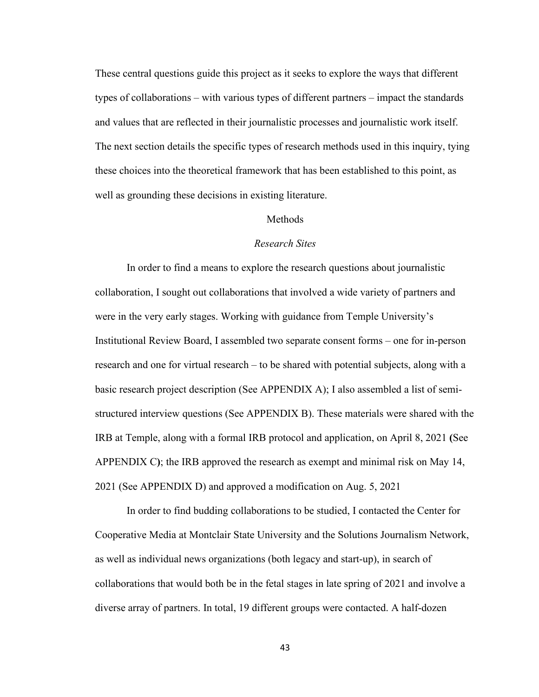These central questions guide this project as it seeks to explore the ways that different types of collaborations – with various types of different partners – impact the standards and values that are reflected in their journalistic processes and journalistic work itself. The next section details the specific types of research methods used in this inquiry, tying these choices into the theoretical framework that has been established to this point, as well as grounding these decisions in existing literature.

## Methods

## *Research Sites*

In order to find a means to explore the research questions about journalistic collaboration, I sought out collaborations that involved a wide variety of partners and were in the very early stages. Working with guidance from Temple University's Institutional Review Board, I assembled two separate consent forms – one for in-person research and one for virtual research – to be shared with potential subjects, along with a basic research project description (See APPENDIX A); I also assembled a list of semistructured interview questions (See APPENDIX B). These materials were shared with the IRB at Temple, along with a formal IRB protocol and application, on April 8, 2021 **(**See APPENDIX C**)**; the IRB approved the research as exempt and minimal risk on May 14, 2021 (See APPENDIX D) and approved a modification on Aug. 5, 2021

In order to find budding collaborations to be studied, I contacted the Center for Cooperative Media at Montclair State University and the Solutions Journalism Network, as well as individual news organizations (both legacy and start-up), in search of collaborations that would both be in the fetal stages in late spring of 2021 and involve a diverse array of partners. In total, 19 different groups were contacted. A half-dozen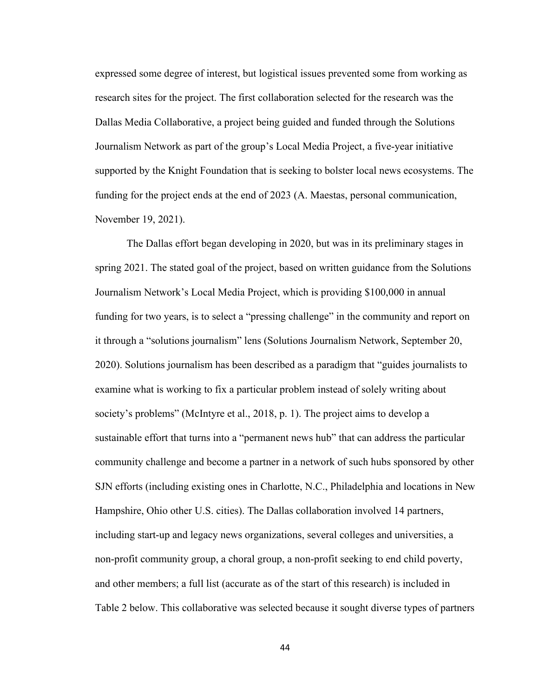expressed some degree of interest, but logistical issues prevented some from working as research sites for the project. The first collaboration selected for the research was the Dallas Media Collaborative, a project being guided and funded through the Solutions Journalism Network as part of the group's Local Media Project, a five-year initiative supported by the Knight Foundation that is seeking to bolster local news ecosystems. The funding for the project ends at the end of 2023 (A. Maestas, personal communication, November 19, 2021).

The Dallas effort began developing in 2020, but was in its preliminary stages in spring 2021. The stated goal of the project, based on written guidance from the Solutions Journalism Network's Local Media Project, which is providing \$100,000 in annual funding for two years, is to select a "pressing challenge" in the community and report on it through a "solutions journalism" lens (Solutions Journalism Network, September 20, 2020). Solutions journalism has been described as a paradigm that "guides journalists to examine what is working to fix a particular problem instead of solely writing about society's problems" (McIntyre et al., 2018, p. 1). The project aims to develop a sustainable effort that turns into a "permanent news hub" that can address the particular community challenge and become a partner in a network of such hubs sponsored by other SJN efforts (including existing ones in Charlotte, N.C., Philadelphia and locations in New Hampshire, Ohio other U.S. cities). The Dallas collaboration involved 14 partners, including start-up and legacy news organizations, several colleges and universities, a non-profit community group, a choral group, a non-profit seeking to end child poverty, and other members; a full list (accurate as of the start of this research) is included in Table 2 below. This collaborative was selected because it sought diverse types of partners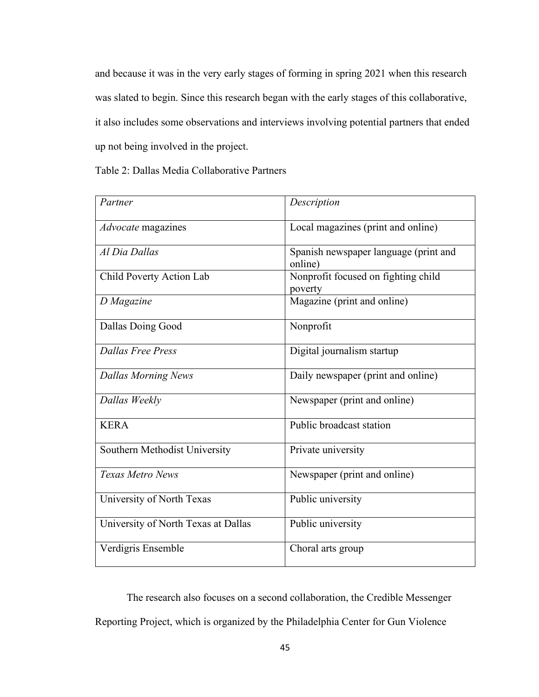and because it was in the very early stages of forming in spring 2021 when this research was slated to begin. Since this research began with the early stages of this collaborative, it also includes some observations and interviews involving potential partners that ended up not being involved in the project.

Table 2: Dallas Media Collaborative Partners

| Partner                             | Description                                      |
|-------------------------------------|--------------------------------------------------|
| Advocate magazines                  | Local magazines (print and online)               |
| Al Dia Dallas                       | Spanish newspaper language (print and<br>online) |
| Child Poverty Action Lab            | Nonprofit focused on fighting child<br>poverty   |
| D Magazine                          | Magazine (print and online)                      |
| Dallas Doing Good                   | Nonprofit                                        |
| <b>Dallas Free Press</b>            | Digital journalism startup                       |
| <b>Dallas Morning News</b>          | Daily newspaper (print and online)               |
| Dallas Weekly                       | Newspaper (print and online)                     |
| <b>KERA</b>                         | Public broadcast station                         |
| Southern Methodist University       | Private university                               |
| Texas Metro News                    | Newspaper (print and online)                     |
| University of North Texas           | Public university                                |
| University of North Texas at Dallas | Public university                                |
| Verdigris Ensemble                  | Choral arts group                                |

The research also focuses on a second collaboration, the Credible Messenger Reporting Project, which is organized by the Philadelphia Center for Gun Violence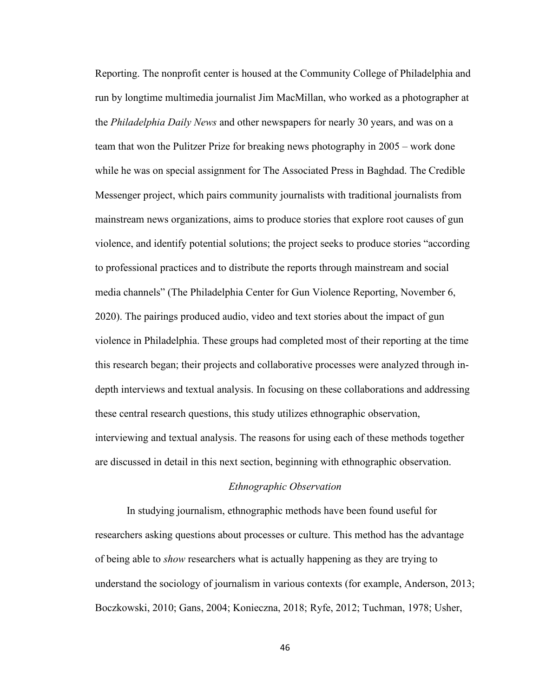Reporting. The nonprofit center is housed at the Community College of Philadelphia and run by longtime multimedia journalist Jim MacMillan, who worked as a photographer at the *Philadelphia Daily News* and other newspapers for nearly 30 years, and was on a team that won the Pulitzer Prize for breaking news photography in 2005 – work done while he was on special assignment for The Associated Press in Baghdad. The Credible Messenger project, which pairs community journalists with traditional journalists from mainstream news organizations, aims to produce stories that explore root causes of gun violence, and identify potential solutions; the project seeks to produce stories "according to professional practices and to distribute the reports through mainstream and social media channels" (The Philadelphia Center for Gun Violence Reporting, November 6, 2020). The pairings produced audio, video and text stories about the impact of gun violence in Philadelphia. These groups had completed most of their reporting at the time this research began; their projects and collaborative processes were analyzed through indepth interviews and textual analysis. In focusing on these collaborations and addressing these central research questions, this study utilizes ethnographic observation, interviewing and textual analysis. The reasons for using each of these methods together are discussed in detail in this next section, beginning with ethnographic observation.

#### *Ethnographic Observation*

In studying journalism, ethnographic methods have been found useful for researchers asking questions about processes or culture. This method has the advantage of being able to *show* researchers what is actually happening as they are trying to understand the sociology of journalism in various contexts (for example, Anderson, 2013; Boczkowski, 2010; Gans, 2004; Konieczna, 2018; Ryfe, 2012; Tuchman, 1978; Usher,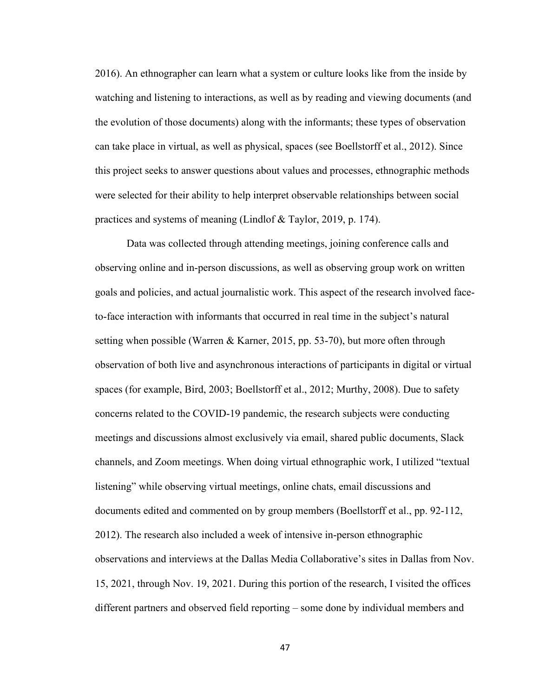2016). An ethnographer can learn what a system or culture looks like from the inside by watching and listening to interactions, as well as by reading and viewing documents (and the evolution of those documents) along with the informants; these types of observation can take place in virtual, as well as physical, spaces (see Boellstorff et al., 2012). Since this project seeks to answer questions about values and processes, ethnographic methods were selected for their ability to help interpret observable relationships between social practices and systems of meaning (Lindlof & Taylor, 2019, p. 174).

Data was collected through attending meetings, joining conference calls and observing online and in-person discussions, as well as observing group work on written goals and policies, and actual journalistic work. This aspect of the research involved faceto-face interaction with informants that occurred in real time in the subject's natural setting when possible (Warren & Karner, 2015, pp. 53-70), but more often through observation of both live and asynchronous interactions of participants in digital or virtual spaces (for example, Bird, 2003; Boellstorff et al., 2012; Murthy, 2008). Due to safety concerns related to the COVID-19 pandemic, the research subjects were conducting meetings and discussions almost exclusively via email, shared public documents, Slack channels, and Zoom meetings. When doing virtual ethnographic work, I utilized "textual listening" while observing virtual meetings, online chats, email discussions and documents edited and commented on by group members (Boellstorff et al., pp. 92-112, 2012). The research also included a week of intensive in-person ethnographic observations and interviews at the Dallas Media Collaborative's sites in Dallas from Nov. 15, 2021, through Nov. 19, 2021. During this portion of the research, I visited the offices different partners and observed field reporting – some done by individual members and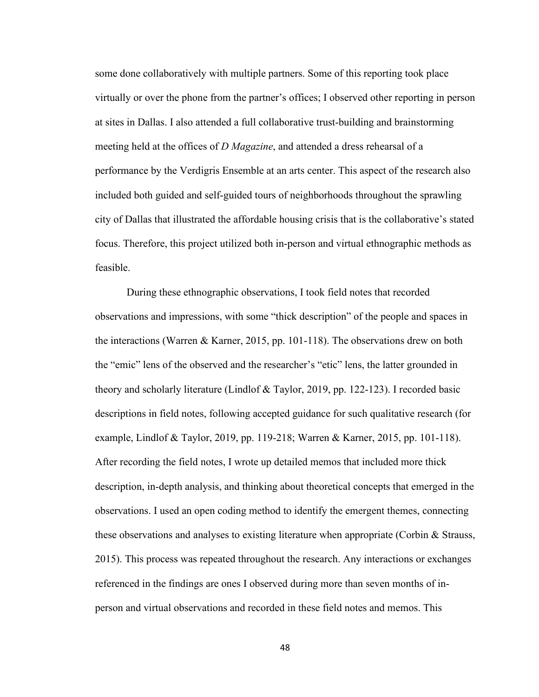some done collaboratively with multiple partners. Some of this reporting took place virtually or over the phone from the partner's offices; I observed other reporting in person at sites in Dallas. I also attended a full collaborative trust-building and brainstorming meeting held at the offices of *D Magazine*, and attended a dress rehearsal of a performance by the Verdigris Ensemble at an arts center. This aspect of the research also included both guided and self-guided tours of neighborhoods throughout the sprawling city of Dallas that illustrated the affordable housing crisis that is the collaborative's stated focus. Therefore, this project utilized both in-person and virtual ethnographic methods as feasible.

During these ethnographic observations, I took field notes that recorded observations and impressions, with some "thick description" of the people and spaces in the interactions (Warren & Karner, 2015, pp. 101-118). The observations drew on both the "emic" lens of the observed and the researcher's "etic" lens, the latter grounded in theory and scholarly literature (Lindlof & Taylor, 2019, pp. 122-123). I recorded basic descriptions in field notes, following accepted guidance for such qualitative research (for example, Lindlof & Taylor, 2019, pp. 119-218; Warren & Karner, 2015, pp. 101-118). After recording the field notes, I wrote up detailed memos that included more thick description, in-depth analysis, and thinking about theoretical concepts that emerged in the observations. I used an open coding method to identify the emergent themes, connecting these observations and analyses to existing literature when appropriate (Corbin & Strauss, 2015). This process was repeated throughout the research. Any interactions or exchanges referenced in the findings are ones I observed during more than seven months of inperson and virtual observations and recorded in these field notes and memos. This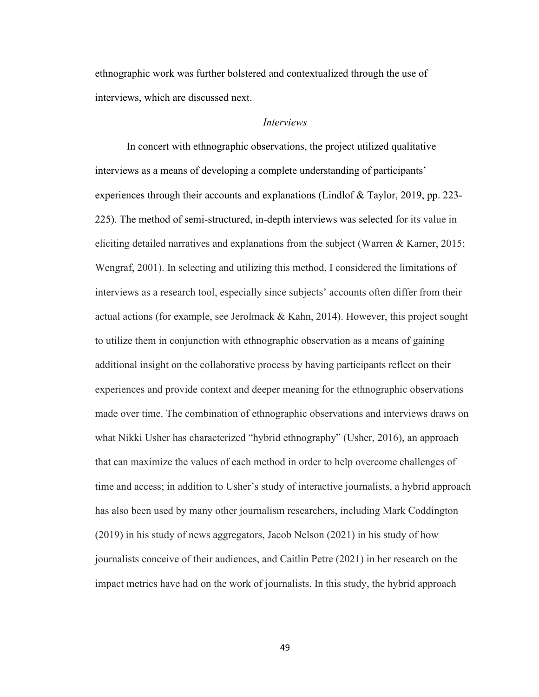ethnographic work was further bolstered and contextualized through the use of interviews, which are discussed next.

#### *Interviews*

In concert with ethnographic observations, the project utilized qualitative interviews as a means of developing a complete understanding of participants' experiences through their accounts and explanations (Lindlof & Taylor, 2019, pp. 223- 225). The method of semi-structured, in-depth interviews was selected for its value in eliciting detailed narratives and explanations from the subject (Warren & Karner, 2015; Wengraf, 2001). In selecting and utilizing this method, I considered the limitations of interviews as a research tool, especially since subjects' accounts often differ from their actual actions (for example, see Jerolmack & Kahn, 2014). However, this project sought to utilize them in conjunction with ethnographic observation as a means of gaining additional insight on the collaborative process by having participants reflect on their experiences and provide context and deeper meaning for the ethnographic observations made over time. The combination of ethnographic observations and interviews draws on what Nikki Usher has characterized "hybrid ethnography" (Usher, 2016), an approach that can maximize the values of each method in order to help overcome challenges of time and access; in addition to Usher's study of interactive journalists, a hybrid approach has also been used by many other journalism researchers, including Mark Coddington (2019) in his study of news aggregators, Jacob Nelson (2021) in his study of how journalists conceive of their audiences, and Caitlin Petre (2021) in her research on the impact metrics have had on the work of journalists. In this study, the hybrid approach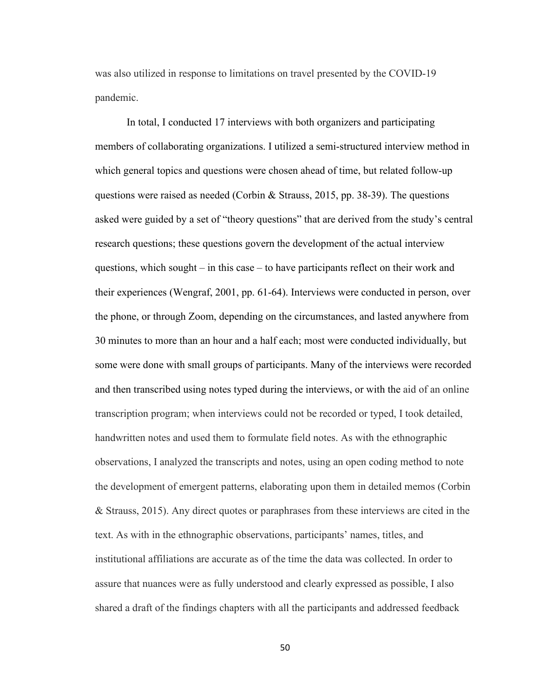was also utilized in response to limitations on travel presented by the COVID-19 pandemic.

In total, I conducted 17 interviews with both organizers and participating members of collaborating organizations. I utilized a semi-structured interview method in which general topics and questions were chosen ahead of time, but related follow-up questions were raised as needed (Corbin & Strauss, 2015, pp. 38-39). The questions asked were guided by a set of "theory questions" that are derived from the study's central research questions; these questions govern the development of the actual interview questions, which sought – in this case – to have participants reflect on their work and their experiences (Wengraf, 2001, pp. 61-64). Interviews were conducted in person, over the phone, or through Zoom, depending on the circumstances, and lasted anywhere from 30 minutes to more than an hour and a half each; most were conducted individually, but some were done with small groups of participants. Many of the interviews were recorded and then transcribed using notes typed during the interviews, or with the aid of an online transcription program; when interviews could not be recorded or typed, I took detailed, handwritten notes and used them to formulate field notes. As with the ethnographic observations, I analyzed the transcripts and notes, using an open coding method to note the development of emergent patterns, elaborating upon them in detailed memos (Corbin & Strauss, 2015). Any direct quotes or paraphrases from these interviews are cited in the text. As with in the ethnographic observations, participants' names, titles, and institutional affiliations are accurate as of the time the data was collected. In order to assure that nuances were as fully understood and clearly expressed as possible, I also shared a draft of the findings chapters with all the participants and addressed feedback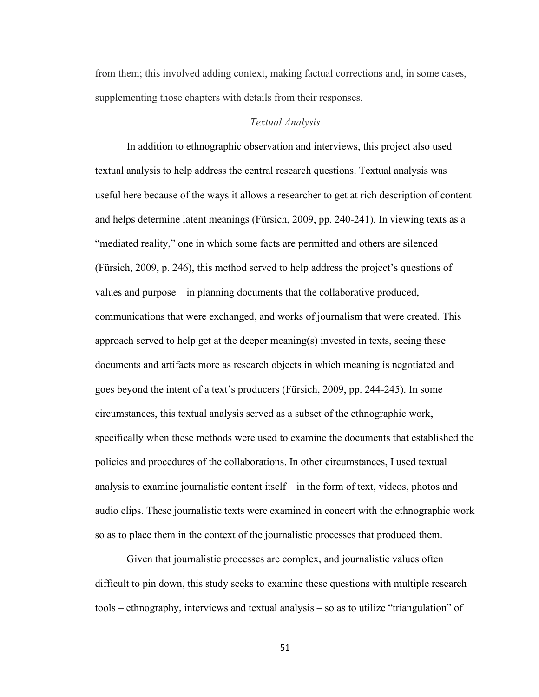from them; this involved adding context, making factual corrections and, in some cases, supplementing those chapters with details from their responses.

#### *Textual Analysis*

In addition to ethnographic observation and interviews, this project also used textual analysis to help address the central research questions. Textual analysis was useful here because of the ways it allows a researcher to get at rich description of content and helps determine latent meanings (Fürsich, 2009, pp. 240-241). In viewing texts as a "mediated reality," one in which some facts are permitted and others are silenced (Fürsich, 2009, p. 246), this method served to help address the project's questions of values and purpose – in planning documents that the collaborative produced, communications that were exchanged, and works of journalism that were created. This approach served to help get at the deeper meaning(s) invested in texts, seeing these documents and artifacts more as research objects in which meaning is negotiated and goes beyond the intent of a text's producers (Fürsich, 2009, pp. 244-245). In some circumstances, this textual analysis served as a subset of the ethnographic work, specifically when these methods were used to examine the documents that established the policies and procedures of the collaborations. In other circumstances, I used textual analysis to examine journalistic content itself – in the form of text, videos, photos and audio clips. These journalistic texts were examined in concert with the ethnographic work so as to place them in the context of the journalistic processes that produced them.

Given that journalistic processes are complex, and journalistic values often difficult to pin down, this study seeks to examine these questions with multiple research tools – ethnography, interviews and textual analysis – so as to utilize "triangulation" of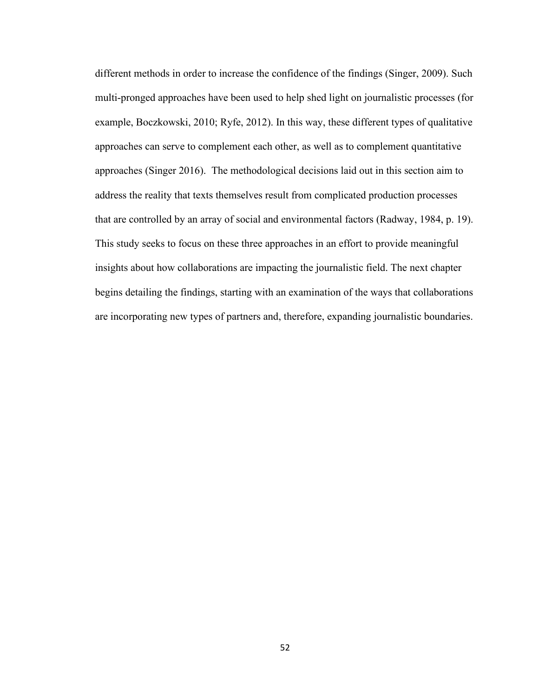different methods in order to increase the confidence of the findings (Singer, 2009). Such multi-pronged approaches have been used to help shed light on journalistic processes (for example, Boczkowski, 2010; Ryfe, 2012). In this way, these different types of qualitative approaches can serve to complement each other, as well as to complement quantitative approaches (Singer 2016). The methodological decisions laid out in this section aim to address the reality that texts themselves result from complicated production processes that are controlled by an array of social and environmental factors (Radway, 1984, p. 19). This study seeks to focus on these three approaches in an effort to provide meaningful insights about how collaborations are impacting the journalistic field. The next chapter begins detailing the findings, starting with an examination of the ways that collaborations are incorporating new types of partners and, therefore, expanding journalistic boundaries.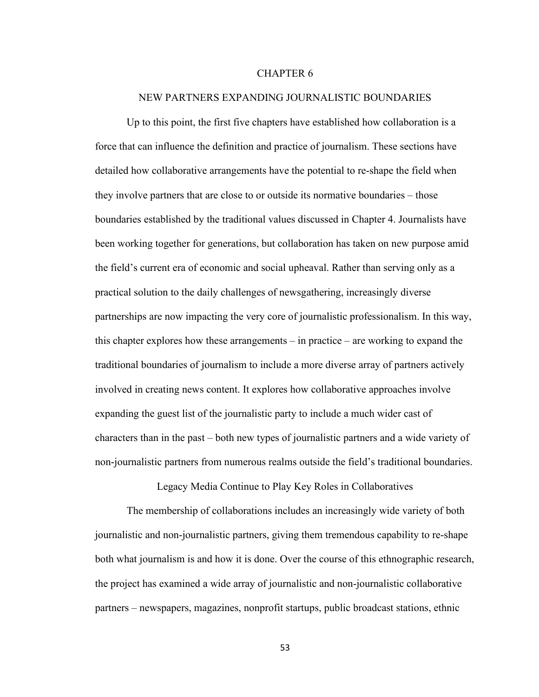## CHAPTER 6

#### NEW PARTNERS EXPANDING JOURNALISTIC BOUNDARIES

Up to this point, the first five chapters have established how collaboration is a force that can influence the definition and practice of journalism. These sections have detailed how collaborative arrangements have the potential to re-shape the field when they involve partners that are close to or outside its normative boundaries – those boundaries established by the traditional values discussed in Chapter 4. Journalists have been working together for generations, but collaboration has taken on new purpose amid the field's current era of economic and social upheaval. Rather than serving only as a practical solution to the daily challenges of newsgathering, increasingly diverse partnerships are now impacting the very core of journalistic professionalism. In this way, this chapter explores how these arrangements – in practice – are working to expand the traditional boundaries of journalism to include a more diverse array of partners actively involved in creating news content. It explores how collaborative approaches involve expanding the guest list of the journalistic party to include a much wider cast of characters than in the past – both new types of journalistic partners and a wide variety of non-journalistic partners from numerous realms outside the field's traditional boundaries.

Legacy Media Continue to Play Key Roles in Collaboratives

The membership of collaborations includes an increasingly wide variety of both journalistic and non-journalistic partners, giving them tremendous capability to re-shape both what journalism is and how it is done. Over the course of this ethnographic research, the project has examined a wide array of journalistic and non-journalistic collaborative partners – newspapers, magazines, nonprofit startups, public broadcast stations, ethnic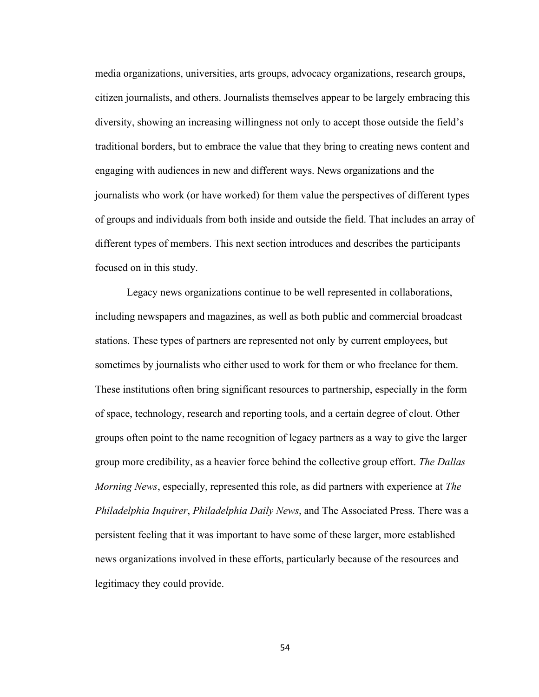media organizations, universities, arts groups, advocacy organizations, research groups, citizen journalists, and others. Journalists themselves appear to be largely embracing this diversity, showing an increasing willingness not only to accept those outside the field's traditional borders, but to embrace the value that they bring to creating news content and engaging with audiences in new and different ways. News organizations and the journalists who work (or have worked) for them value the perspectives of different types of groups and individuals from both inside and outside the field. That includes an array of different types of members. This next section introduces and describes the participants focused on in this study.

Legacy news organizations continue to be well represented in collaborations, including newspapers and magazines, as well as both public and commercial broadcast stations. These types of partners are represented not only by current employees, but sometimes by journalists who either used to work for them or who freelance for them. These institutions often bring significant resources to partnership, especially in the form of space, technology, research and reporting tools, and a certain degree of clout. Other groups often point to the name recognition of legacy partners as a way to give the larger group more credibility, as a heavier force behind the collective group effort. *The Dallas Morning News*, especially, represented this role, as did partners with experience at *The Philadelphia Inquirer*, *Philadelphia Daily News*, and The Associated Press. There was a persistent feeling that it was important to have some of these larger, more established news organizations involved in these efforts, particularly because of the resources and legitimacy they could provide.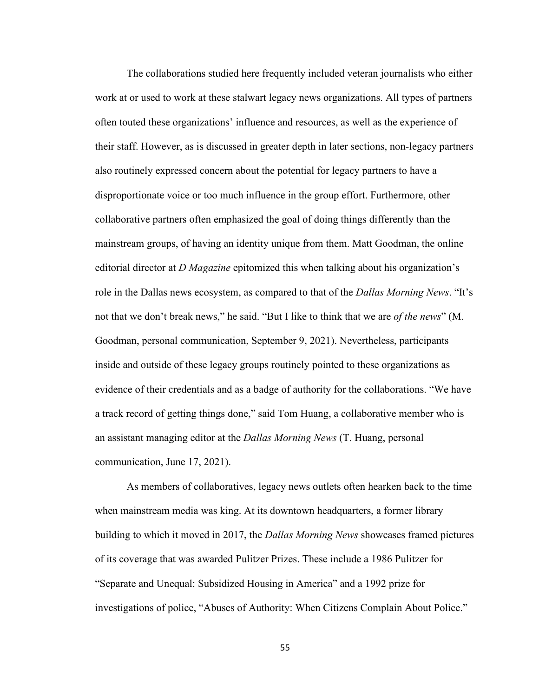The collaborations studied here frequently included veteran journalists who either work at or used to work at these stalwart legacy news organizations. All types of partners often touted these organizations' influence and resources, as well as the experience of their staff. However, as is discussed in greater depth in later sections, non-legacy partners also routinely expressed concern about the potential for legacy partners to have a disproportionate voice or too much influence in the group effort. Furthermore, other collaborative partners often emphasized the goal of doing things differently than the mainstream groups, of having an identity unique from them. Matt Goodman, the online editorial director at *D Magazine* epitomized this when talking about his organization's role in the Dallas news ecosystem, as compared to that of the *Dallas Morning News*. "It's not that we don't break news," he said. "But I like to think that we are *of the news*" (M. Goodman, personal communication, September 9, 2021). Nevertheless, participants inside and outside of these legacy groups routinely pointed to these organizations as evidence of their credentials and as a badge of authority for the collaborations. "We have a track record of getting things done," said Tom Huang, a collaborative member who is an assistant managing editor at the *Dallas Morning News* (T. Huang, personal communication, June 17, 2021).

As members of collaboratives, legacy news outlets often hearken back to the time when mainstream media was king. At its downtown headquarters, a former library building to which it moved in 2017, the *Dallas Morning News* showcases framed pictures of its coverage that was awarded Pulitzer Prizes. These include a 1986 Pulitzer for "Separate and Unequal: Subsidized Housing in America" and a 1992 prize for investigations of police, "Abuses of Authority: When Citizens Complain About Police."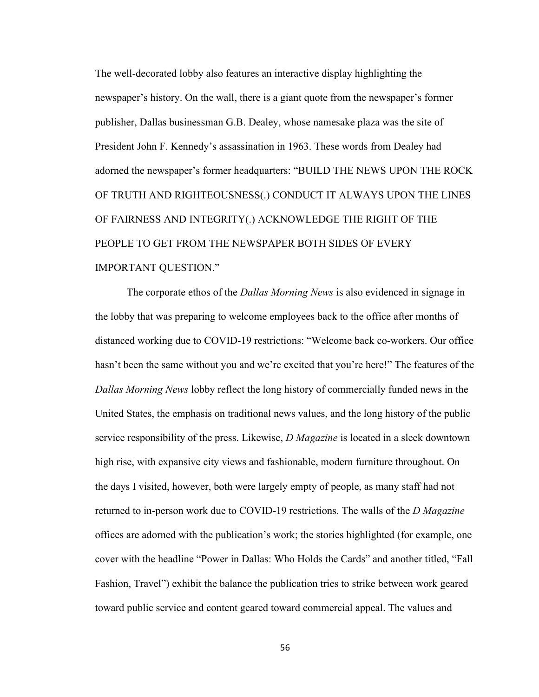The well-decorated lobby also features an interactive display highlighting the newspaper's history. On the wall, there is a giant quote from the newspaper's former publisher, Dallas businessman G.B. Dealey, whose namesake plaza was the site of President John F. Kennedy's assassination in 1963. These words from Dealey had adorned the newspaper's former headquarters: "BUILD THE NEWS UPON THE ROCK OF TRUTH AND RIGHTEOUSNESS(.) CONDUCT IT ALWAYS UPON THE LINES OF FAIRNESS AND INTEGRITY(.) ACKNOWLEDGE THE RIGHT OF THE PEOPLE TO GET FROM THE NEWSPAPER BOTH SIDES OF EVERY IMPORTANT QUESTION."

The corporate ethos of the *Dallas Morning News* is also evidenced in signage in the lobby that was preparing to welcome employees back to the office after months of distanced working due to COVID-19 restrictions: "Welcome back co-workers. Our office hasn't been the same without you and we're excited that you're here!" The features of the *Dallas Morning News* lobby reflect the long history of commercially funded news in the United States, the emphasis on traditional news values, and the long history of the public service responsibility of the press. Likewise, *D Magazine* is located in a sleek downtown high rise, with expansive city views and fashionable, modern furniture throughout. On the days I visited, however, both were largely empty of people, as many staff had not returned to in-person work due to COVID-19 restrictions. The walls of the *D Magazine*  offices are adorned with the publication's work; the stories highlighted (for example, one cover with the headline "Power in Dallas: Who Holds the Cards" and another titled, "Fall Fashion, Travel") exhibit the balance the publication tries to strike between work geared toward public service and content geared toward commercial appeal. The values and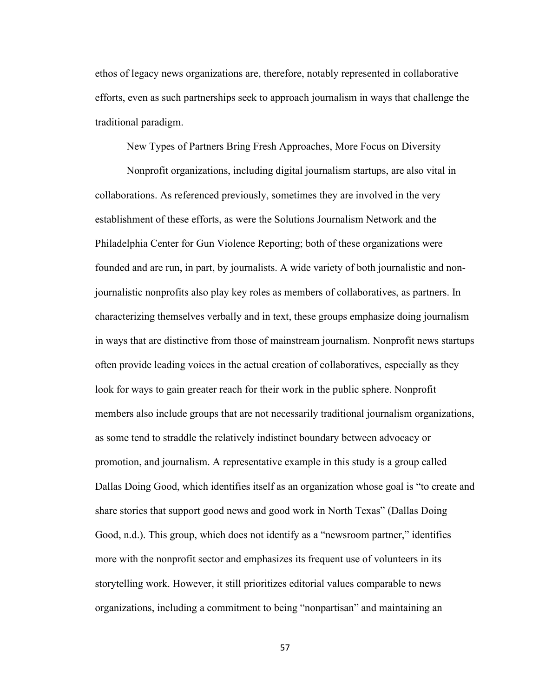ethos of legacy news organizations are, therefore, notably represented in collaborative efforts, even as such partnerships seek to approach journalism in ways that challenge the traditional paradigm.

New Types of Partners Bring Fresh Approaches, More Focus on Diversity

Nonprofit organizations, including digital journalism startups, are also vital in collaborations. As referenced previously, sometimes they are involved in the very establishment of these efforts, as were the Solutions Journalism Network and the Philadelphia Center for Gun Violence Reporting; both of these organizations were founded and are run, in part, by journalists. A wide variety of both journalistic and nonjournalistic nonprofits also play key roles as members of collaboratives, as partners. In characterizing themselves verbally and in text, these groups emphasize doing journalism in ways that are distinctive from those of mainstream journalism. Nonprofit news startups often provide leading voices in the actual creation of collaboratives, especially as they look for ways to gain greater reach for their work in the public sphere. Nonprofit members also include groups that are not necessarily traditional journalism organizations, as some tend to straddle the relatively indistinct boundary between advocacy or promotion, and journalism. A representative example in this study is a group called Dallas Doing Good, which identifies itself as an organization whose goal is "to create and share stories that support good news and good work in North Texas" (Dallas Doing Good, n.d.). This group, which does not identify as a "newsroom partner," identifies more with the nonprofit sector and emphasizes its frequent use of volunteers in its storytelling work. However, it still prioritizes editorial values comparable to news organizations, including a commitment to being "nonpartisan" and maintaining an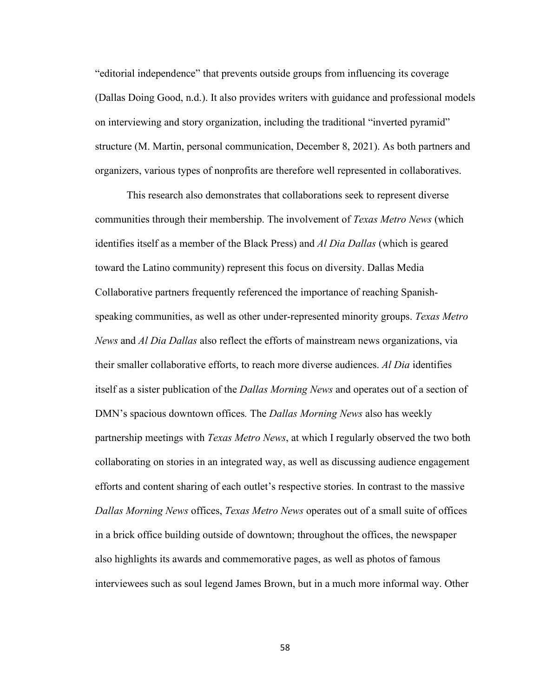"editorial independence" that prevents outside groups from influencing its coverage (Dallas Doing Good, n.d.). It also provides writers with guidance and professional models on interviewing and story organization, including the traditional "inverted pyramid" structure (M. Martin, personal communication, December 8, 2021). As both partners and organizers, various types of nonprofits are therefore well represented in collaboratives.

This research also demonstrates that collaborations seek to represent diverse communities through their membership. The involvement of *Texas Metro News* (which identifies itself as a member of the Black Press) and *Al Dia Dallas* (which is geared toward the Latino community) represent this focus on diversity. Dallas Media Collaborative partners frequently referenced the importance of reaching Spanishspeaking communities, as well as other under-represented minority groups. *Texas Metro News* and *Al Dia Dallas* also reflect the efforts of mainstream news organizations, via their smaller collaborative efforts, to reach more diverse audiences. *Al Dia* identifies itself as a sister publication of the *Dallas Morning News* and operates out of a section of DMN's spacious downtown offices*.* The *Dallas Morning News* also has weekly partnership meetings with *Texas Metro News*, at which I regularly observed the two both collaborating on stories in an integrated way, as well as discussing audience engagement efforts and content sharing of each outlet's respective stories. In contrast to the massive *Dallas Morning News* offices, *Texas Metro News* operates out of a small suite of offices in a brick office building outside of downtown; throughout the offices, the newspaper also highlights its awards and commemorative pages, as well as photos of famous interviewees such as soul legend James Brown, but in a much more informal way. Other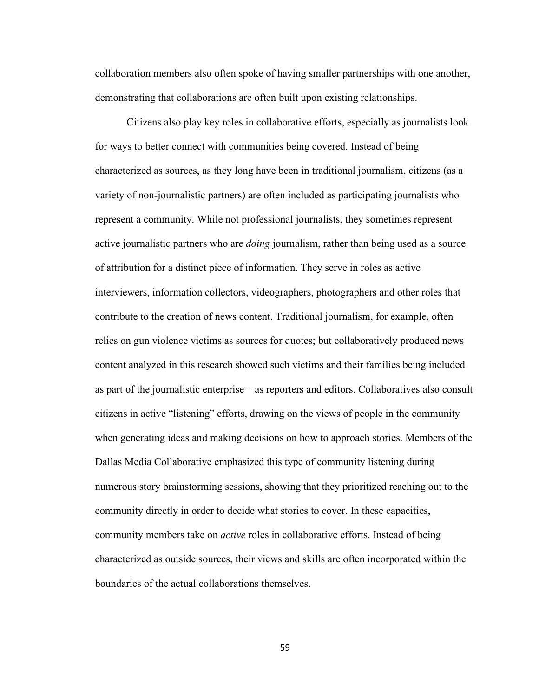collaboration members also often spoke of having smaller partnerships with one another, demonstrating that collaborations are often built upon existing relationships.

Citizens also play key roles in collaborative efforts, especially as journalists look for ways to better connect with communities being covered. Instead of being characterized as sources, as they long have been in traditional journalism, citizens (as a variety of non-journalistic partners) are often included as participating journalists who represent a community. While not professional journalists, they sometimes represent active journalistic partners who are *doing* journalism, rather than being used as a source of attribution for a distinct piece of information. They serve in roles as active interviewers, information collectors, videographers, photographers and other roles that contribute to the creation of news content. Traditional journalism, for example, often relies on gun violence victims as sources for quotes; but collaboratively produced news content analyzed in this research showed such victims and their families being included as part of the journalistic enterprise – as reporters and editors. Collaboratives also consult citizens in active "listening" efforts, drawing on the views of people in the community when generating ideas and making decisions on how to approach stories. Members of the Dallas Media Collaborative emphasized this type of community listening during numerous story brainstorming sessions, showing that they prioritized reaching out to the community directly in order to decide what stories to cover. In these capacities, community members take on *active* roles in collaborative efforts. Instead of being characterized as outside sources, their views and skills are often incorporated within the boundaries of the actual collaborations themselves.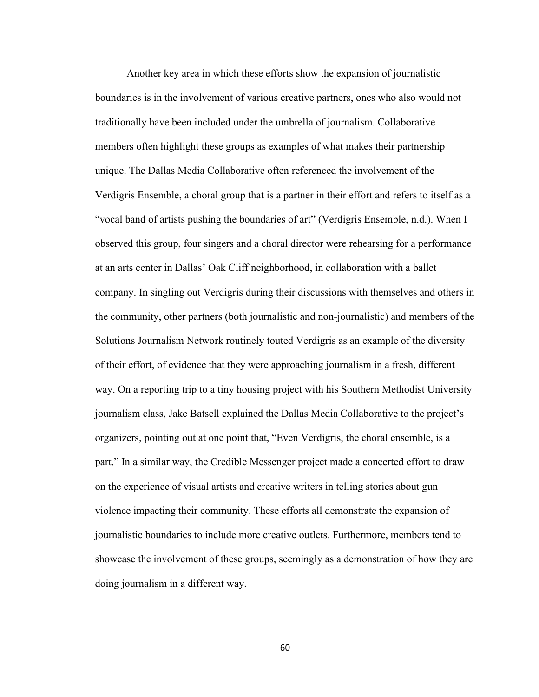Another key area in which these efforts show the expansion of journalistic boundaries is in the involvement of various creative partners, ones who also would not traditionally have been included under the umbrella of journalism. Collaborative members often highlight these groups as examples of what makes their partnership unique. The Dallas Media Collaborative often referenced the involvement of the Verdigris Ensemble, a choral group that is a partner in their effort and refers to itself as a "vocal band of artists pushing the boundaries of art" (Verdigris Ensemble, n.d.). When I observed this group, four singers and a choral director were rehearsing for a performance at an arts center in Dallas' Oak Cliff neighborhood, in collaboration with a ballet company. In singling out Verdigris during their discussions with themselves and others in the community, other partners (both journalistic and non-journalistic) and members of the Solutions Journalism Network routinely touted Verdigris as an example of the diversity of their effort, of evidence that they were approaching journalism in a fresh, different way. On a reporting trip to a tiny housing project with his Southern Methodist University journalism class, Jake Batsell explained the Dallas Media Collaborative to the project's organizers, pointing out at one point that, "Even Verdigris, the choral ensemble, is a part." In a similar way, the Credible Messenger project made a concerted effort to draw on the experience of visual artists and creative writers in telling stories about gun violence impacting their community. These efforts all demonstrate the expansion of journalistic boundaries to include more creative outlets. Furthermore, members tend to showcase the involvement of these groups, seemingly as a demonstration of how they are doing journalism in a different way.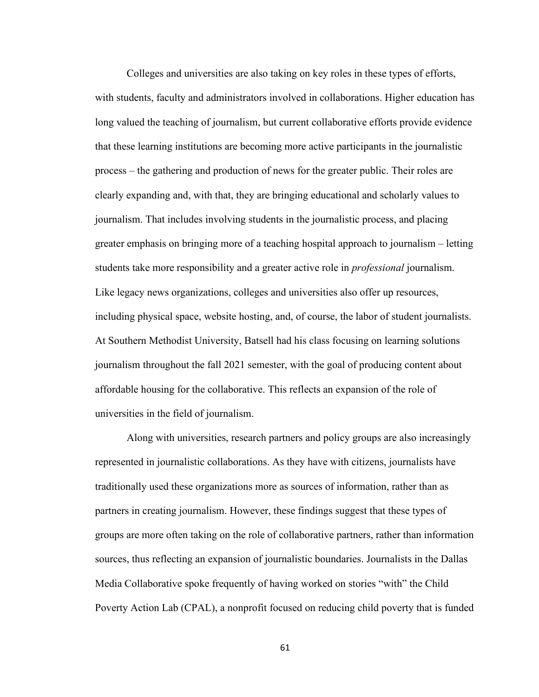Colleges and universities are also taking on key roles in these types of efforts, with students, faculty and administrators involved in collaborations. Higher education has long valued the teaching of journalism, but current collaborative efforts provide evidence that these learning institutions are becoming more active participants in the journalistic process – the gathering and production of news for the greater public. Their roles are clearly expanding and, with that, they are bringing educational and scholarly values to journalism. That includes involving students in the journalistic process, and placing greater emphasis on bringing more of a teaching hospital approach to journalism – letting students take more responsibility and a greater active role in *professional* journalism. Like legacy news organizations, colleges and universities also offer up resources, including physical space, website hosting, and, of course, the labor of student journalists. At Southern Methodist University, Batsell had his class focusing on learning solutions journalism throughout the fall 2021 semester, with the goal of producing content about affordable housing for the collaborative. This reflects an expansion of the role of universities in the field of journalism.

Along with universities, research partners and policy groups are also increasingly represented in journalistic collaborations. As they have with citizens, journalists have traditionally used these organizations more as sources of information, rather than as partners in creating journalism. However, these findings suggest that these types of groups are more often taking on the role of collaborative partners, rather than information sources, thus reflecting an expansion of journalistic boundaries. Journalists in the Dallas Media Collaborative spoke frequently of having worked on stories "with" the Child Poverty Action Lab (CPAL), a nonprofit focused on reducing child poverty that is funded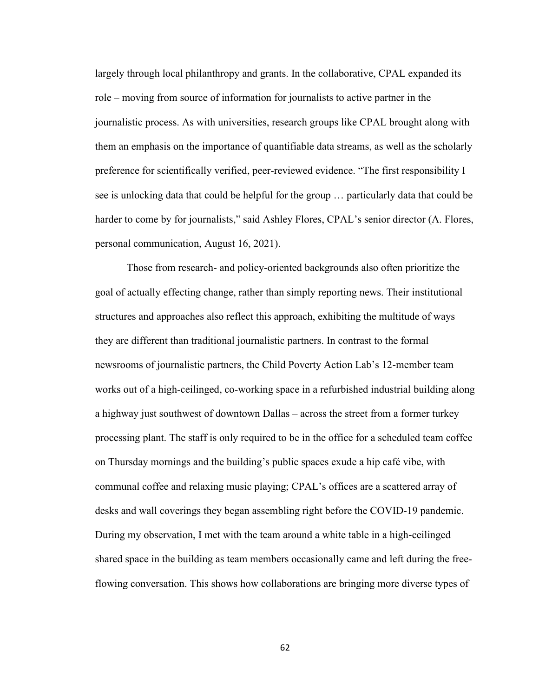largely through local philanthropy and grants. In the collaborative, CPAL expanded its role – moving from source of information for journalists to active partner in the journalistic process. As with universities, research groups like CPAL brought along with them an emphasis on the importance of quantifiable data streams, as well as the scholarly preference for scientifically verified, peer-reviewed evidence. "The first responsibility I see is unlocking data that could be helpful for the group … particularly data that could be harder to come by for journalists," said Ashley Flores, CPAL's senior director (A. Flores, personal communication, August 16, 2021).

Those from research- and policy-oriented backgrounds also often prioritize the goal of actually effecting change, rather than simply reporting news. Their institutional structures and approaches also reflect this approach, exhibiting the multitude of ways they are different than traditional journalistic partners. In contrast to the formal newsrooms of journalistic partners, the Child Poverty Action Lab's 12-member team works out of a high-ceilinged, co-working space in a refurbished industrial building along a highway just southwest of downtown Dallas – across the street from a former turkey processing plant. The staff is only required to be in the office for a scheduled team coffee on Thursday mornings and the building's public spaces exude a hip café vibe, with communal coffee and relaxing music playing; CPAL's offices are a scattered array of desks and wall coverings they began assembling right before the COVID-19 pandemic. During my observation, I met with the team around a white table in a high-ceilinged shared space in the building as team members occasionally came and left during the freeflowing conversation. This shows how collaborations are bringing more diverse types of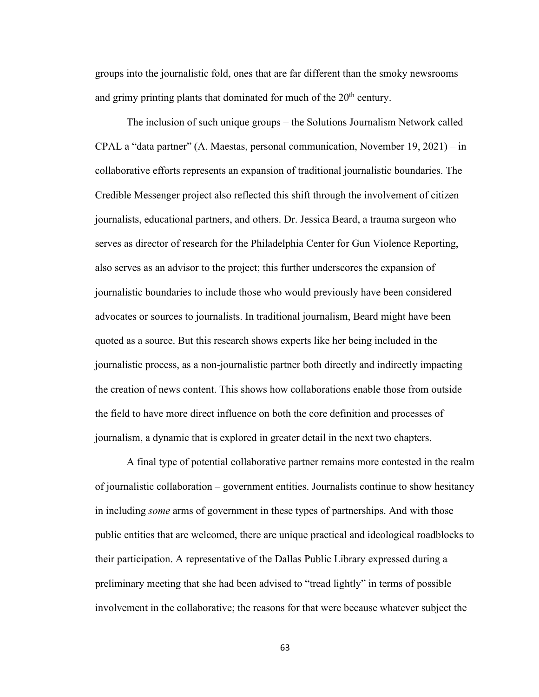groups into the journalistic fold, ones that are far different than the smoky newsrooms and grimy printing plants that dominated for much of the  $20<sup>th</sup>$  century.

The inclusion of such unique groups – the Solutions Journalism Network called CPAL a "data partner" (A. Maestas, personal communication, November 19, 2021) – in collaborative efforts represents an expansion of traditional journalistic boundaries. The Credible Messenger project also reflected this shift through the involvement of citizen journalists, educational partners, and others. Dr. Jessica Beard, a trauma surgeon who serves as director of research for the Philadelphia Center for Gun Violence Reporting, also serves as an advisor to the project; this further underscores the expansion of journalistic boundaries to include those who would previously have been considered advocates or sources to journalists. In traditional journalism, Beard might have been quoted as a source. But this research shows experts like her being included in the journalistic process, as a non-journalistic partner both directly and indirectly impacting the creation of news content. This shows how collaborations enable those from outside the field to have more direct influence on both the core definition and processes of journalism, a dynamic that is explored in greater detail in the next two chapters.

A final type of potential collaborative partner remains more contested in the realm of journalistic collaboration – government entities. Journalists continue to show hesitancy in including *some* arms of government in these types of partnerships. And with those public entities that are welcomed, there are unique practical and ideological roadblocks to their participation. A representative of the Dallas Public Library expressed during a preliminary meeting that she had been advised to "tread lightly" in terms of possible involvement in the collaborative; the reasons for that were because whatever subject the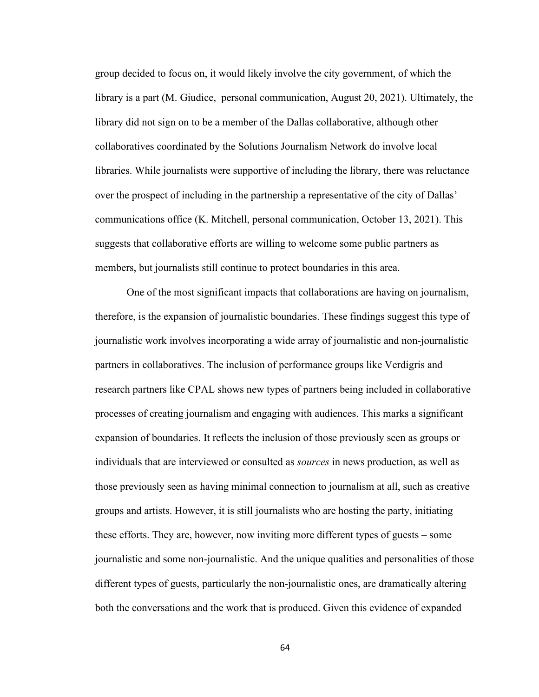group decided to focus on, it would likely involve the city government, of which the library is a part (M. Giudice, personal communication, August 20, 2021). Ultimately, the library did not sign on to be a member of the Dallas collaborative, although other collaboratives coordinated by the Solutions Journalism Network do involve local libraries. While journalists were supportive of including the library, there was reluctance over the prospect of including in the partnership a representative of the city of Dallas' communications office (K. Mitchell, personal communication, October 13, 2021). This suggests that collaborative efforts are willing to welcome some public partners as members, but journalists still continue to protect boundaries in this area.

One of the most significant impacts that collaborations are having on journalism, therefore, is the expansion of journalistic boundaries. These findings suggest this type of journalistic work involves incorporating a wide array of journalistic and non-journalistic partners in collaboratives. The inclusion of performance groups like Verdigris and research partners like CPAL shows new types of partners being included in collaborative processes of creating journalism and engaging with audiences. This marks a significant expansion of boundaries. It reflects the inclusion of those previously seen as groups or individuals that are interviewed or consulted as *sources* in news production, as well as those previously seen as having minimal connection to journalism at all, such as creative groups and artists. However, it is still journalists who are hosting the party, initiating these efforts. They are, however, now inviting more different types of guests – some journalistic and some non-journalistic. And the unique qualities and personalities of those different types of guests, particularly the non-journalistic ones, are dramatically altering both the conversations and the work that is produced. Given this evidence of expanded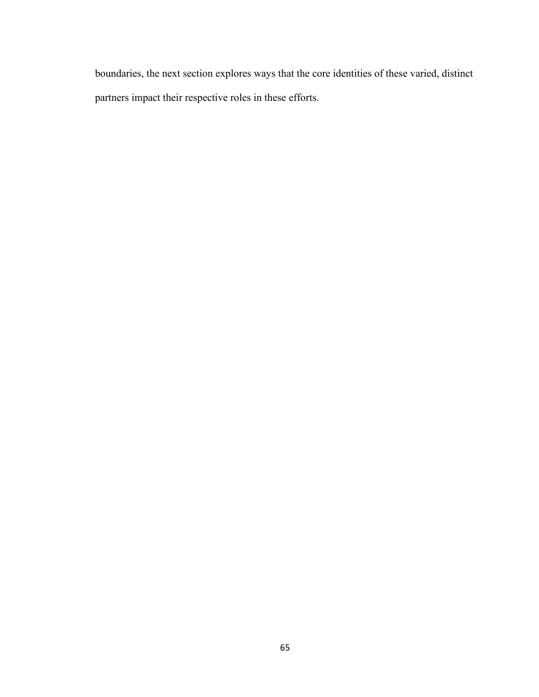boundaries, the next section explores ways that the core identities of these varied, distinct partners impact their respective roles in these efforts.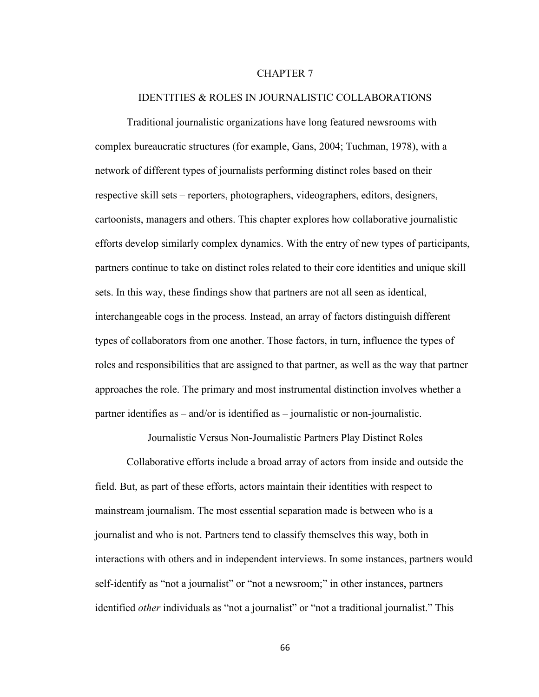# CHAPTER 7

### IDENTITIES & ROLES IN JOURNALISTIC COLLABORATIONS

Traditional journalistic organizations have long featured newsrooms with complex bureaucratic structures (for example, Gans, 2004; Tuchman, 1978), with a network of different types of journalists performing distinct roles based on their respective skill sets – reporters, photographers, videographers, editors, designers, cartoonists, managers and others. This chapter explores how collaborative journalistic efforts develop similarly complex dynamics. With the entry of new types of participants, partners continue to take on distinct roles related to their core identities and unique skill sets. In this way, these findings show that partners are not all seen as identical, interchangeable cogs in the process. Instead, an array of factors distinguish different types of collaborators from one another. Those factors, in turn, influence the types of roles and responsibilities that are assigned to that partner, as well as the way that partner approaches the role. The primary and most instrumental distinction involves whether a partner identifies as  $-$  and/or is identified as  $-$  journalistic or non-journalistic.

Journalistic Versus Non-Journalistic Partners Play Distinct Roles

Collaborative efforts include a broad array of actors from inside and outside the field. But, as part of these efforts, actors maintain their identities with respect to mainstream journalism. The most essential separation made is between who is a journalist and who is not. Partners tend to classify themselves this way, both in interactions with others and in independent interviews. In some instances, partners would self-identify as "not a journalist" or "not a newsroom;" in other instances, partners identified *other* individuals as "not a journalist" or "not a traditional journalist." This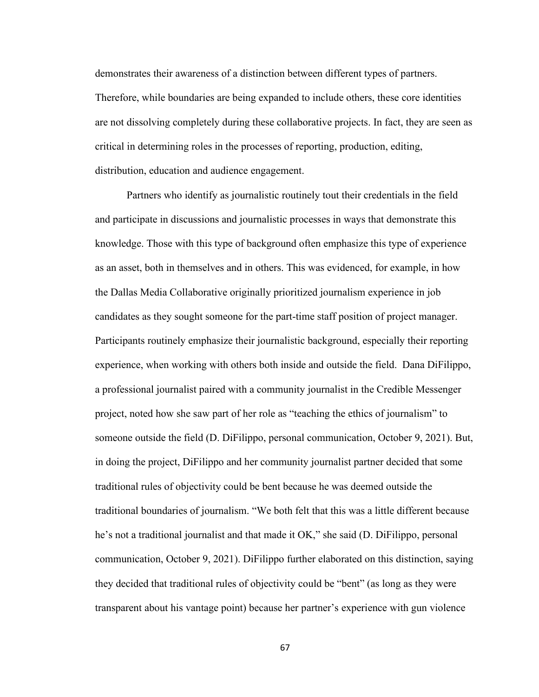demonstrates their awareness of a distinction between different types of partners. Therefore, while boundaries are being expanded to include others, these core identities are not dissolving completely during these collaborative projects. In fact, they are seen as critical in determining roles in the processes of reporting, production, editing, distribution, education and audience engagement.

Partners who identify as journalistic routinely tout their credentials in the field and participate in discussions and journalistic processes in ways that demonstrate this knowledge. Those with this type of background often emphasize this type of experience as an asset, both in themselves and in others. This was evidenced, for example, in how the Dallas Media Collaborative originally prioritized journalism experience in job candidates as they sought someone for the part-time staff position of project manager. Participants routinely emphasize their journalistic background, especially their reporting experience, when working with others both inside and outside the field. Dana DiFilippo, a professional journalist paired with a community journalist in the Credible Messenger project, noted how she saw part of her role as "teaching the ethics of journalism" to someone outside the field (D. DiFilippo, personal communication, October 9, 2021). But, in doing the project, DiFilippo and her community journalist partner decided that some traditional rules of objectivity could be bent because he was deemed outside the traditional boundaries of journalism. "We both felt that this was a little different because he's not a traditional journalist and that made it OK," she said (D. DiFilippo, personal communication, October 9, 2021). DiFilippo further elaborated on this distinction, saying they decided that traditional rules of objectivity could be "bent" (as long as they were transparent about his vantage point) because her partner's experience with gun violence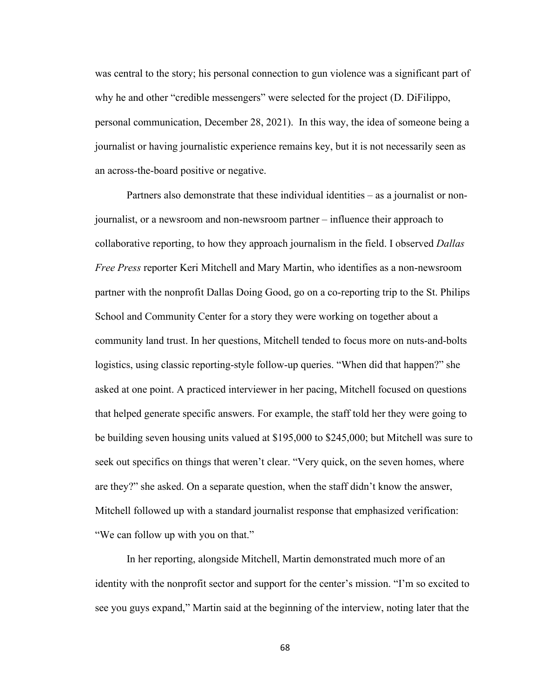was central to the story; his personal connection to gun violence was a significant part of why he and other "credible messengers" were selected for the project (D. DiFilippo, personal communication, December 28, 2021). In this way, the idea of someone being a journalist or having journalistic experience remains key, but it is not necessarily seen as an across-the-board positive or negative.

Partners also demonstrate that these individual identities – as a journalist or nonjournalist, or a newsroom and non-newsroom partner – influence their approach to collaborative reporting, to how they approach journalism in the field. I observed *Dallas Free Press* reporter Keri Mitchell and Mary Martin, who identifies as a non-newsroom partner with the nonprofit Dallas Doing Good, go on a co-reporting trip to the St. Philips School and Community Center for a story they were working on together about a community land trust. In her questions, Mitchell tended to focus more on nuts-and-bolts logistics, using classic reporting-style follow-up queries. "When did that happen?" she asked at one point. A practiced interviewer in her pacing, Mitchell focused on questions that helped generate specific answers. For example, the staff told her they were going to be building seven housing units valued at \$195,000 to \$245,000; but Mitchell was sure to seek out specifics on things that weren't clear. "Very quick, on the seven homes, where are they?" she asked. On a separate question, when the staff didn't know the answer, Mitchell followed up with a standard journalist response that emphasized verification: "We can follow up with you on that."

In her reporting, alongside Mitchell, Martin demonstrated much more of an identity with the nonprofit sector and support for the center's mission. "I'm so excited to see you guys expand," Martin said at the beginning of the interview, noting later that the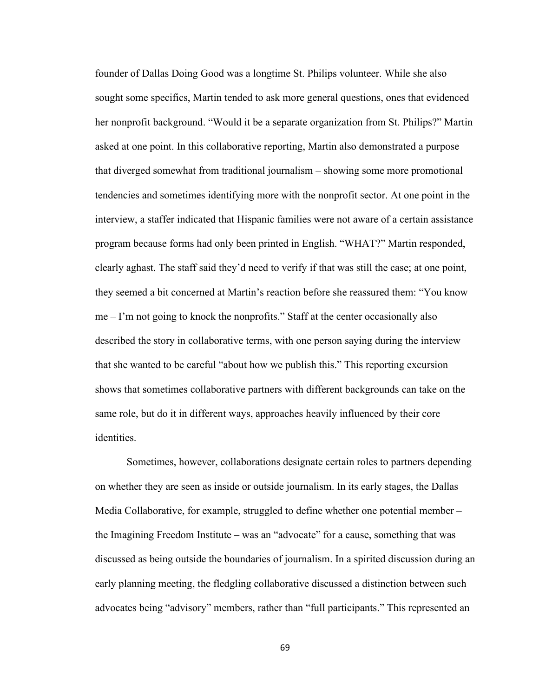founder of Dallas Doing Good was a longtime St. Philips volunteer. While she also sought some specifics, Martin tended to ask more general questions, ones that evidenced her nonprofit background. "Would it be a separate organization from St. Philips?" Martin asked at one point. In this collaborative reporting, Martin also demonstrated a purpose that diverged somewhat from traditional journalism – showing some more promotional tendencies and sometimes identifying more with the nonprofit sector. At one point in the interview, a staffer indicated that Hispanic families were not aware of a certain assistance program because forms had only been printed in English. "WHAT?" Martin responded, clearly aghast. The staff said they'd need to verify if that was still the case; at one point, they seemed a bit concerned at Martin's reaction before she reassured them: "You know me – I'm not going to knock the nonprofits." Staff at the center occasionally also described the story in collaborative terms, with one person saying during the interview that she wanted to be careful "about how we publish this." This reporting excursion shows that sometimes collaborative partners with different backgrounds can take on the same role, but do it in different ways, approaches heavily influenced by their core identities.

Sometimes, however, collaborations designate certain roles to partners depending on whether they are seen as inside or outside journalism. In its early stages, the Dallas Media Collaborative, for example, struggled to define whether one potential member – the Imagining Freedom Institute – was an "advocate" for a cause, something that was discussed as being outside the boundaries of journalism. In a spirited discussion during an early planning meeting, the fledgling collaborative discussed a distinction between such advocates being "advisory" members, rather than "full participants." This represented an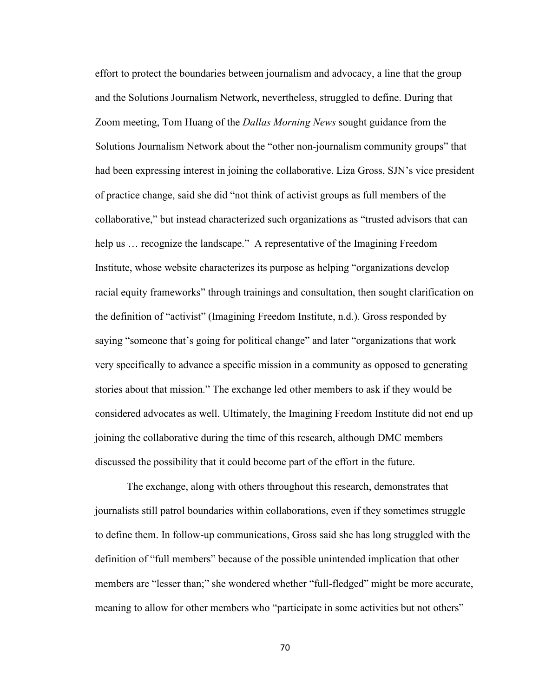effort to protect the boundaries between journalism and advocacy, a line that the group and the Solutions Journalism Network, nevertheless, struggled to define. During that Zoom meeting, Tom Huang of the *Dallas Morning News* sought guidance from the Solutions Journalism Network about the "other non-journalism community groups" that had been expressing interest in joining the collaborative. Liza Gross, SJN's vice president of practice change, said she did "not think of activist groups as full members of the collaborative," but instead characterized such organizations as "trusted advisors that can help us ... recognize the landscape." A representative of the Imagining Freedom Institute, whose website characterizes its purpose as helping "organizations develop racial equity frameworks" through trainings and consultation, then sought clarification on the definition of "activist" (Imagining Freedom Institute, n.d.). Gross responded by saying "someone that's going for political change" and later "organizations that work very specifically to advance a specific mission in a community as opposed to generating stories about that mission." The exchange led other members to ask if they would be considered advocates as well. Ultimately, the Imagining Freedom Institute did not end up joining the collaborative during the time of this research, although DMC members discussed the possibility that it could become part of the effort in the future.

The exchange, along with others throughout this research, demonstrates that journalists still patrol boundaries within collaborations, even if they sometimes struggle to define them. In follow-up communications, Gross said she has long struggled with the definition of "full members" because of the possible unintended implication that other members are "lesser than;" she wondered whether "full-fledged" might be more accurate, meaning to allow for other members who "participate in some activities but not others"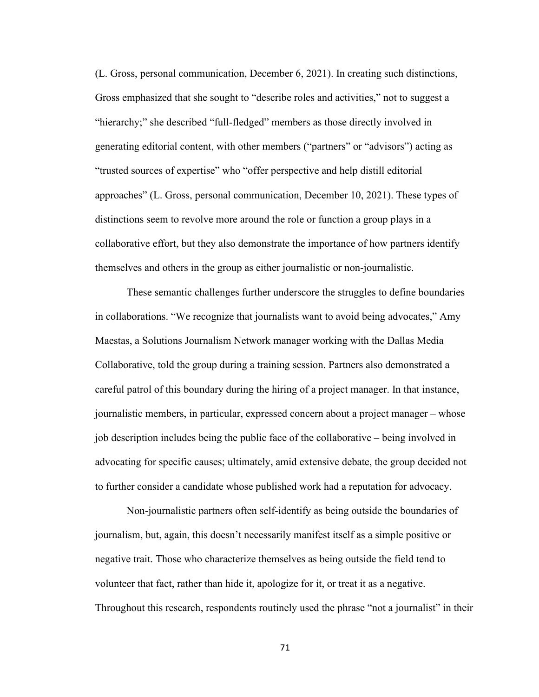(L. Gross, personal communication, December 6, 2021). In creating such distinctions, Gross emphasized that she sought to "describe roles and activities," not to suggest a "hierarchy;" she described "full-fledged" members as those directly involved in generating editorial content, with other members ("partners" or "advisors") acting as "trusted sources of expertise" who "offer perspective and help distill editorial approaches" (L. Gross, personal communication, December 10, 2021). These types of distinctions seem to revolve more around the role or function a group plays in a collaborative effort, but they also demonstrate the importance of how partners identify themselves and others in the group as either journalistic or non-journalistic.

These semantic challenges further underscore the struggles to define boundaries in collaborations. "We recognize that journalists want to avoid being advocates," Amy Maestas, a Solutions Journalism Network manager working with the Dallas Media Collaborative, told the group during a training session. Partners also demonstrated a careful patrol of this boundary during the hiring of a project manager. In that instance, journalistic members, in particular, expressed concern about a project manager – whose job description includes being the public face of the collaborative – being involved in advocating for specific causes; ultimately, amid extensive debate, the group decided not to further consider a candidate whose published work had a reputation for advocacy.

Non-journalistic partners often self-identify as being outside the boundaries of journalism, but, again, this doesn't necessarily manifest itself as a simple positive or negative trait. Those who characterize themselves as being outside the field tend to volunteer that fact, rather than hide it, apologize for it, or treat it as a negative. Throughout this research, respondents routinely used the phrase "not a journalist" in their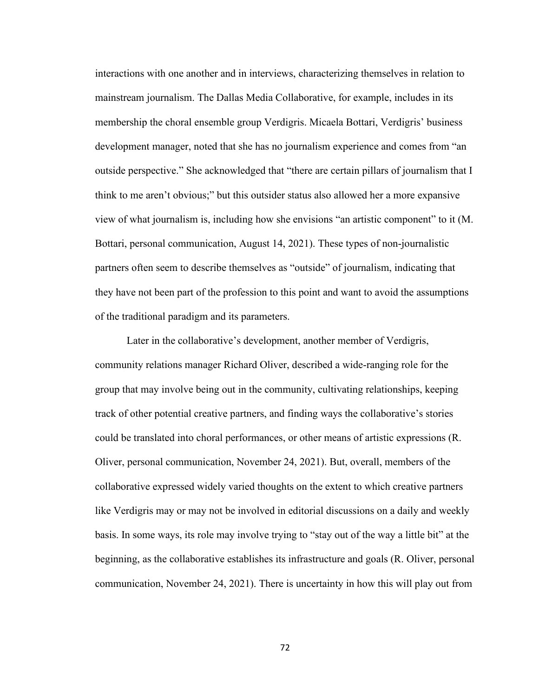interactions with one another and in interviews, characterizing themselves in relation to mainstream journalism. The Dallas Media Collaborative, for example, includes in its membership the choral ensemble group Verdigris. Micaela Bottari, Verdigris' business development manager, noted that she has no journalism experience and comes from "an outside perspective." She acknowledged that "there are certain pillars of journalism that I think to me aren't obvious;" but this outsider status also allowed her a more expansive view of what journalism is, including how she envisions "an artistic component" to it (M. Bottari, personal communication, August 14, 2021). These types of non-journalistic partners often seem to describe themselves as "outside" of journalism, indicating that they have not been part of the profession to this point and want to avoid the assumptions of the traditional paradigm and its parameters.

Later in the collaborative's development, another member of Verdigris, community relations manager Richard Oliver, described a wide-ranging role for the group that may involve being out in the community, cultivating relationships, keeping track of other potential creative partners, and finding ways the collaborative's stories could be translated into choral performances, or other means of artistic expressions (R. Oliver, personal communication, November 24, 2021). But, overall, members of the collaborative expressed widely varied thoughts on the extent to which creative partners like Verdigris may or may not be involved in editorial discussions on a daily and weekly basis. In some ways, its role may involve trying to "stay out of the way a little bit" at the beginning, as the collaborative establishes its infrastructure and goals (R. Oliver, personal communication, November 24, 2021). There is uncertainty in how this will play out from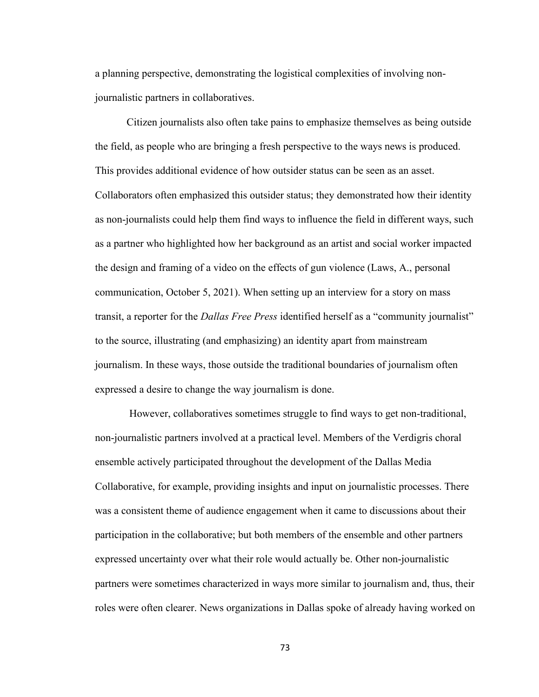a planning perspective, demonstrating the logistical complexities of involving nonjournalistic partners in collaboratives.

Citizen journalists also often take pains to emphasize themselves as being outside the field, as people who are bringing a fresh perspective to the ways news is produced. This provides additional evidence of how outsider status can be seen as an asset. Collaborators often emphasized this outsider status; they demonstrated how their identity as non-journalists could help them find ways to influence the field in different ways, such as a partner who highlighted how her background as an artist and social worker impacted the design and framing of a video on the effects of gun violence (Laws, A., personal communication, October 5, 2021). When setting up an interview for a story on mass transit, a reporter for the *Dallas Free Press* identified herself as a "community journalist" to the source, illustrating (and emphasizing) an identity apart from mainstream journalism. In these ways, those outside the traditional boundaries of journalism often expressed a desire to change the way journalism is done.

However, collaboratives sometimes struggle to find ways to get non-traditional, non-journalistic partners involved at a practical level. Members of the Verdigris choral ensemble actively participated throughout the development of the Dallas Media Collaborative, for example, providing insights and input on journalistic processes. There was a consistent theme of audience engagement when it came to discussions about their participation in the collaborative; but both members of the ensemble and other partners expressed uncertainty over what their role would actually be. Other non-journalistic partners were sometimes characterized in ways more similar to journalism and, thus, their roles were often clearer. News organizations in Dallas spoke of already having worked on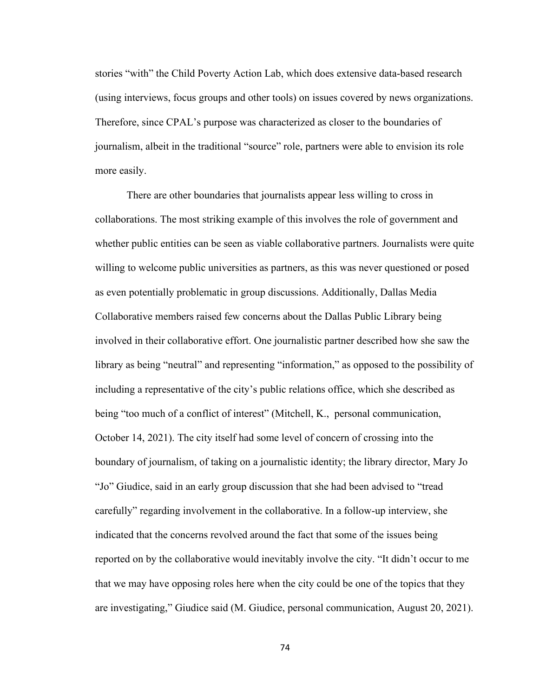stories "with" the Child Poverty Action Lab, which does extensive data-based research (using interviews, focus groups and other tools) on issues covered by news organizations. Therefore, since CPAL's purpose was characterized as closer to the boundaries of journalism, albeit in the traditional "source" role, partners were able to envision its role more easily.

There are other boundaries that journalists appear less willing to cross in collaborations. The most striking example of this involves the role of government and whether public entities can be seen as viable collaborative partners. Journalists were quite willing to welcome public universities as partners, as this was never questioned or posed as even potentially problematic in group discussions. Additionally, Dallas Media Collaborative members raised few concerns about the Dallas Public Library being involved in their collaborative effort. One journalistic partner described how she saw the library as being "neutral" and representing "information," as opposed to the possibility of including a representative of the city's public relations office, which she described as being "too much of a conflict of interest" (Mitchell, K., personal communication, October 14, 2021). The city itself had some level of concern of crossing into the boundary of journalism, of taking on a journalistic identity; the library director, Mary Jo "Jo" Giudice, said in an early group discussion that she had been advised to "tread carefully" regarding involvement in the collaborative. In a follow-up interview, she indicated that the concerns revolved around the fact that some of the issues being reported on by the collaborative would inevitably involve the city. "It didn't occur to me that we may have opposing roles here when the city could be one of the topics that they are investigating," Giudice said (M. Giudice, personal communication, August 20, 2021).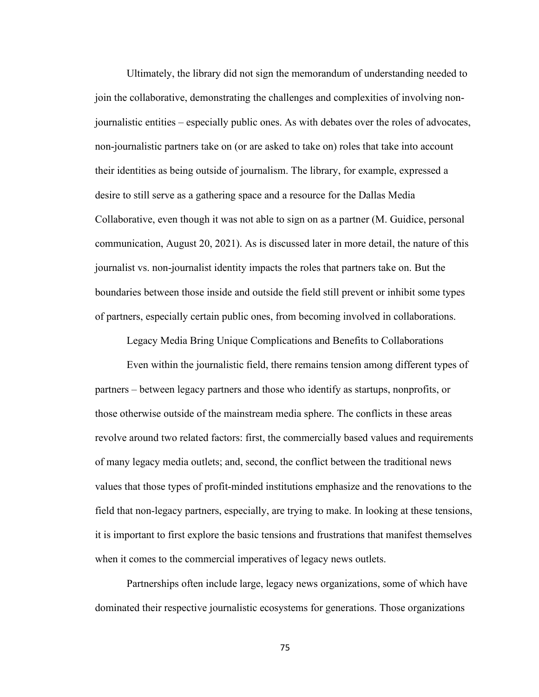Ultimately, the library did not sign the memorandum of understanding needed to join the collaborative, demonstrating the challenges and complexities of involving nonjournalistic entities – especially public ones. As with debates over the roles of advocates, non-journalistic partners take on (or are asked to take on) roles that take into account their identities as being outside of journalism. The library, for example, expressed a desire to still serve as a gathering space and a resource for the Dallas Media Collaborative, even though it was not able to sign on as a partner (M. Guidice, personal communication, August 20, 2021). As is discussed later in more detail, the nature of this journalist vs. non-journalist identity impacts the roles that partners take on. But the boundaries between those inside and outside the field still prevent or inhibit some types of partners, especially certain public ones, from becoming involved in collaborations.

Legacy Media Bring Unique Complications and Benefits to Collaborations

Even within the journalistic field, there remains tension among different types of partners – between legacy partners and those who identify as startups, nonprofits, or those otherwise outside of the mainstream media sphere. The conflicts in these areas revolve around two related factors: first, the commercially based values and requirements of many legacy media outlets; and, second, the conflict between the traditional news values that those types of profit-minded institutions emphasize and the renovations to the field that non-legacy partners, especially, are trying to make. In looking at these tensions, it is important to first explore the basic tensions and frustrations that manifest themselves when it comes to the commercial imperatives of legacy news outlets.

Partnerships often include large, legacy news organizations, some of which have dominated their respective journalistic ecosystems for generations. Those organizations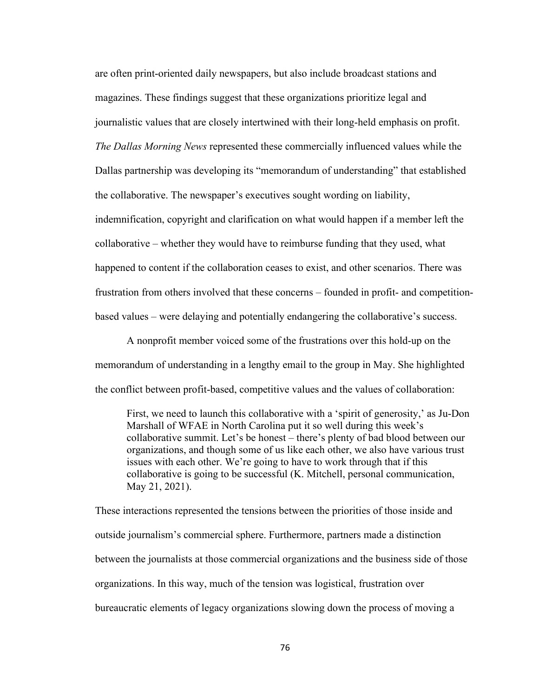are often print-oriented daily newspapers, but also include broadcast stations and magazines. These findings suggest that these organizations prioritize legal and journalistic values that are closely intertwined with their long-held emphasis on profit. *The Dallas Morning News* represented these commercially influenced values while the Dallas partnership was developing its "memorandum of understanding" that established the collaborative. The newspaper's executives sought wording on liability, indemnification, copyright and clarification on what would happen if a member left the

collaborative – whether they would have to reimburse funding that they used, what happened to content if the collaboration ceases to exist, and other scenarios. There was frustration from others involved that these concerns – founded in profit- and competitionbased values – were delaying and potentially endangering the collaborative's success.

A nonprofit member voiced some of the frustrations over this hold-up on the memorandum of understanding in a lengthy email to the group in May. She highlighted the conflict between profit-based, competitive values and the values of collaboration:

First, we need to launch this collaborative with a 'spirit of generosity,' as Ju-Don Marshall of WFAE in North Carolina put it so well during this week's collaborative summit. Let's be honest – there's plenty of bad blood between our organizations, and though some of us like each other, we also have various trust issues with each other. We're going to have to work through that if this collaborative is going to be successful (K. Mitchell, personal communication, May 21, 2021).

These interactions represented the tensions between the priorities of those inside and outside journalism's commercial sphere. Furthermore, partners made a distinction between the journalists at those commercial organizations and the business side of those organizations. In this way, much of the tension was logistical, frustration over bureaucratic elements of legacy organizations slowing down the process of moving a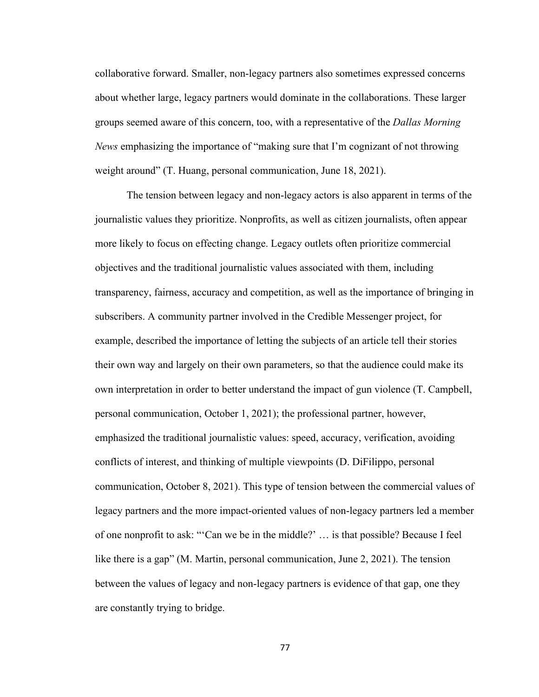collaborative forward. Smaller, non-legacy partners also sometimes expressed concerns about whether large, legacy partners would dominate in the collaborations. These larger groups seemed aware of this concern, too, with a representative of the *Dallas Morning News* emphasizing the importance of "making sure that I'm cognizant of not throwing weight around" (T. Huang, personal communication, June 18, 2021).

The tension between legacy and non-legacy actors is also apparent in terms of the journalistic values they prioritize. Nonprofits, as well as citizen journalists, often appear more likely to focus on effecting change. Legacy outlets often prioritize commercial objectives and the traditional journalistic values associated with them, including transparency, fairness, accuracy and competition, as well as the importance of bringing in subscribers. A community partner involved in the Credible Messenger project, for example, described the importance of letting the subjects of an article tell their stories their own way and largely on their own parameters, so that the audience could make its own interpretation in order to better understand the impact of gun violence (T. Campbell, personal communication, October 1, 2021); the professional partner, however, emphasized the traditional journalistic values: speed, accuracy, verification, avoiding conflicts of interest, and thinking of multiple viewpoints (D. DiFilippo, personal communication, October 8, 2021). This type of tension between the commercial values of legacy partners and the more impact-oriented values of non-legacy partners led a member of one nonprofit to ask: "'Can we be in the middle?' … is that possible? Because I feel like there is a gap" (M. Martin, personal communication, June 2, 2021). The tension between the values of legacy and non-legacy partners is evidence of that gap, one they are constantly trying to bridge.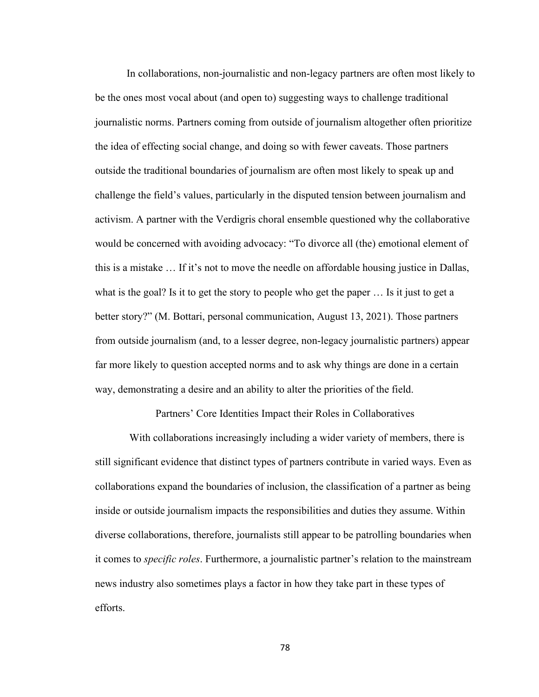In collaborations, non-journalistic and non-legacy partners are often most likely to be the ones most vocal about (and open to) suggesting ways to challenge traditional journalistic norms. Partners coming from outside of journalism altogether often prioritize the idea of effecting social change, and doing so with fewer caveats. Those partners outside the traditional boundaries of journalism are often most likely to speak up and challenge the field's values, particularly in the disputed tension between journalism and activism. A partner with the Verdigris choral ensemble questioned why the collaborative would be concerned with avoiding advocacy: "To divorce all (the) emotional element of this is a mistake … If it's not to move the needle on affordable housing justice in Dallas, what is the goal? Is it to get the story to people who get the paper … Is it just to get a better story?" (M. Bottari, personal communication, August 13, 2021). Those partners from outside journalism (and, to a lesser degree, non-legacy journalistic partners) appear far more likely to question accepted norms and to ask why things are done in a certain way, demonstrating a desire and an ability to alter the priorities of the field.

Partners' Core Identities Impact their Roles in Collaboratives

With collaborations increasingly including a wider variety of members, there is still significant evidence that distinct types of partners contribute in varied ways. Even as collaborations expand the boundaries of inclusion, the classification of a partner as being inside or outside journalism impacts the responsibilities and duties they assume. Within diverse collaborations, therefore, journalists still appear to be patrolling boundaries when it comes to *specific roles*. Furthermore, a journalistic partner's relation to the mainstream news industry also sometimes plays a factor in how they take part in these types of efforts.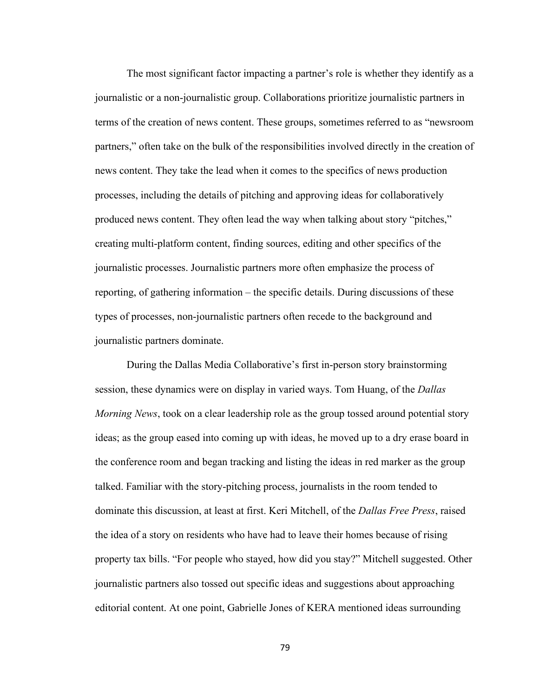The most significant factor impacting a partner's role is whether they identify as a journalistic or a non-journalistic group. Collaborations prioritize journalistic partners in terms of the creation of news content. These groups, sometimes referred to as "newsroom partners," often take on the bulk of the responsibilities involved directly in the creation of news content. They take the lead when it comes to the specifics of news production processes, including the details of pitching and approving ideas for collaboratively produced news content. They often lead the way when talking about story "pitches," creating multi-platform content, finding sources, editing and other specifics of the journalistic processes. Journalistic partners more often emphasize the process of reporting, of gathering information – the specific details. During discussions of these types of processes, non-journalistic partners often recede to the background and journalistic partners dominate.

During the Dallas Media Collaborative's first in-person story brainstorming session, these dynamics were on display in varied ways. Tom Huang, of the *Dallas Morning News*, took on a clear leadership role as the group tossed around potential story ideas; as the group eased into coming up with ideas, he moved up to a dry erase board in the conference room and began tracking and listing the ideas in red marker as the group talked. Familiar with the story-pitching process, journalists in the room tended to dominate this discussion, at least at first. Keri Mitchell, of the *Dallas Free Press*, raised the idea of a story on residents who have had to leave their homes because of rising property tax bills. "For people who stayed, how did you stay?" Mitchell suggested. Other journalistic partners also tossed out specific ideas and suggestions about approaching editorial content. At one point, Gabrielle Jones of KERA mentioned ideas surrounding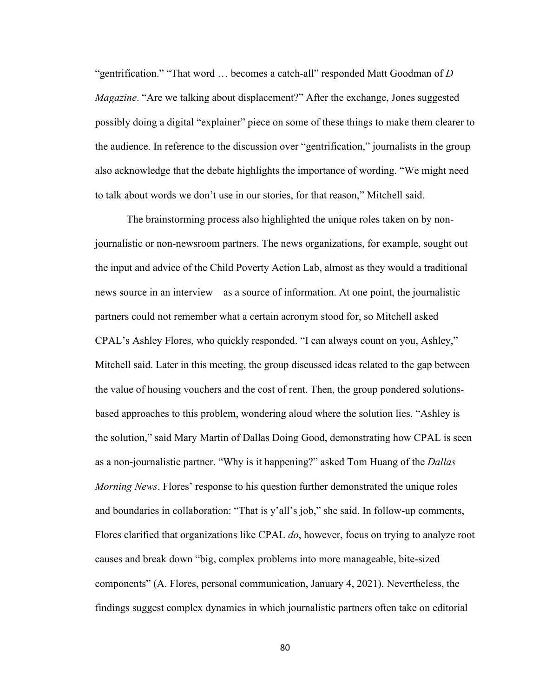"gentrification." "That word … becomes a catch-all" responded Matt Goodman of *D Magazine*. "Are we talking about displacement?" After the exchange, Jones suggested possibly doing a digital "explainer" piece on some of these things to make them clearer to the audience. In reference to the discussion over "gentrification," journalists in the group also acknowledge that the debate highlights the importance of wording. "We might need to talk about words we don't use in our stories, for that reason," Mitchell said.

The brainstorming process also highlighted the unique roles taken on by nonjournalistic or non-newsroom partners. The news organizations, for example, sought out the input and advice of the Child Poverty Action Lab, almost as they would a traditional news source in an interview – as a source of information. At one point, the journalistic partners could not remember what a certain acronym stood for, so Mitchell asked CPAL's Ashley Flores, who quickly responded. "I can always count on you, Ashley," Mitchell said. Later in this meeting, the group discussed ideas related to the gap between the value of housing vouchers and the cost of rent. Then, the group pondered solutionsbased approaches to this problem, wondering aloud where the solution lies. "Ashley is the solution," said Mary Martin of Dallas Doing Good, demonstrating how CPAL is seen as a non-journalistic partner. "Why is it happening?" asked Tom Huang of the *Dallas Morning News*. Flores' response to his question further demonstrated the unique roles and boundaries in collaboration: "That is y'all's job," she said. In follow-up comments, Flores clarified that organizations like CPAL *do*, however, focus on trying to analyze root causes and break down "big, complex problems into more manageable, bite-sized components" (A. Flores, personal communication, January 4, 2021). Nevertheless, the findings suggest complex dynamics in which journalistic partners often take on editorial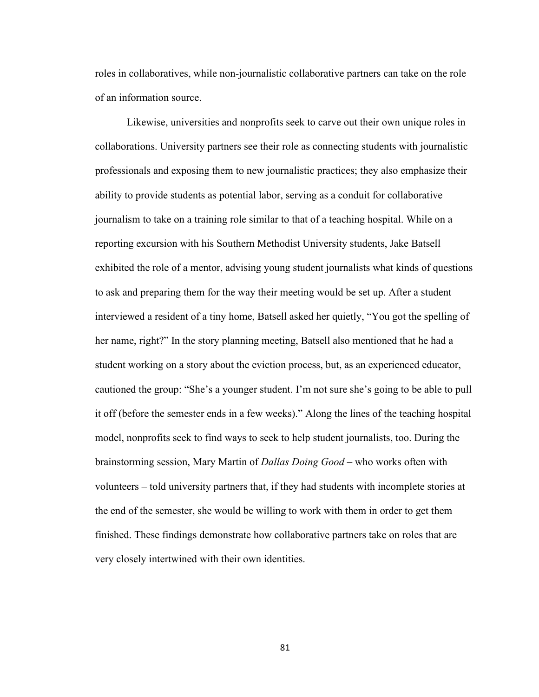roles in collaboratives, while non-journalistic collaborative partners can take on the role of an information source.

Likewise, universities and nonprofits seek to carve out their own unique roles in collaborations. University partners see their role as connecting students with journalistic professionals and exposing them to new journalistic practices; they also emphasize their ability to provide students as potential labor, serving as a conduit for collaborative journalism to take on a training role similar to that of a teaching hospital. While on a reporting excursion with his Southern Methodist University students, Jake Batsell exhibited the role of a mentor, advising young student journalists what kinds of questions to ask and preparing them for the way their meeting would be set up. After a student interviewed a resident of a tiny home, Batsell asked her quietly, "You got the spelling of her name, right?" In the story planning meeting, Batsell also mentioned that he had a student working on a story about the eviction process, but, as an experienced educator, cautioned the group: "She's a younger student. I'm not sure she's going to be able to pull it off (before the semester ends in a few weeks)." Along the lines of the teaching hospital model, nonprofits seek to find ways to seek to help student journalists, too. During the brainstorming session, Mary Martin of *Dallas Doing Good* – who works often with volunteers – told university partners that, if they had students with incomplete stories at the end of the semester, she would be willing to work with them in order to get them finished. These findings demonstrate how collaborative partners take on roles that are very closely intertwined with their own identities.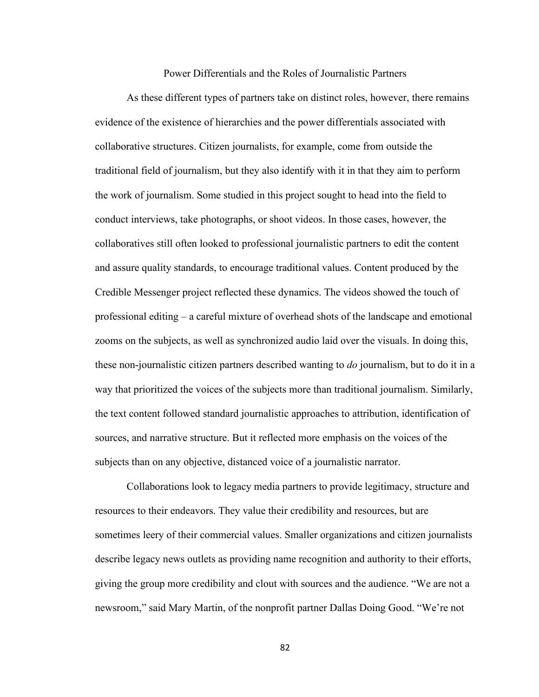# Power Differentials and the Roles of Journalistic Partners

As these different types of partners take on distinct roles, however, there remains evidence of the existence of hierarchies and the power differentials associated with collaborative structures. Citizen journalists, for example, come from outside the traditional field of journalism, but they also identify with it in that they aim to perform the work of journalism. Some studied in this project sought to head into the field to conduct interviews, take photographs, or shoot videos. In those cases, however, the collaboratives still often looked to professional journalistic partners to edit the content and assure quality standards, to encourage traditional values. Content produced by the Credible Messenger project reflected these dynamics. The videos showed the touch of professional editing – a careful mixture of overhead shots of the landscape and emotional zooms on the subjects, as well as synchronized audio laid over the visuals. In doing this, these non-journalistic citizen partners described wanting to *do* journalism, but to do it in a way that prioritized the voices of the subjects more than traditional journalism. Similarly, the text content followed standard journalistic approaches to attribution, identification of sources, and narrative structure. But it reflected more emphasis on the voices of the subjects than on any objective, distanced voice of a journalistic narrator.

Collaborations look to legacy media partners to provide legitimacy, structure and resources to their endeavors. They value their credibility and resources, but are sometimes leery of their commercial values. Smaller organizations and citizen journalists describe legacy news outlets as providing name recognition and authority to their efforts, giving the group more credibility and clout with sources and the audience. "We are not a newsroom," said Mary Martin, of the nonprofit partner Dallas Doing Good. "We're not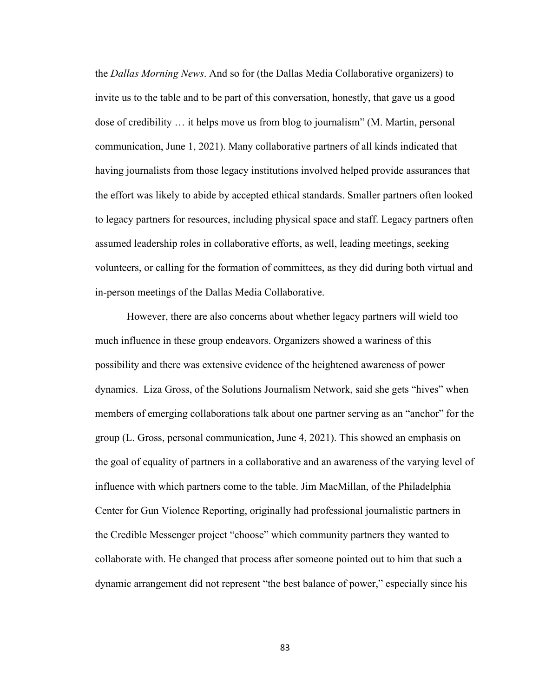the *Dallas Morning News*. And so for (the Dallas Media Collaborative organizers) to invite us to the table and to be part of this conversation, honestly, that gave us a good dose of credibility … it helps move us from blog to journalism" (M. Martin, personal communication, June 1, 2021). Many collaborative partners of all kinds indicated that having journalists from those legacy institutions involved helped provide assurances that the effort was likely to abide by accepted ethical standards. Smaller partners often looked to legacy partners for resources, including physical space and staff. Legacy partners often assumed leadership roles in collaborative efforts, as well, leading meetings, seeking volunteers, or calling for the formation of committees, as they did during both virtual and in-person meetings of the Dallas Media Collaborative.

However, there are also concerns about whether legacy partners will wield too much influence in these group endeavors. Organizers showed a wariness of this possibility and there was extensive evidence of the heightened awareness of power dynamics. Liza Gross, of the Solutions Journalism Network, said she gets "hives" when members of emerging collaborations talk about one partner serving as an "anchor" for the group (L. Gross, personal communication, June 4, 2021). This showed an emphasis on the goal of equality of partners in a collaborative and an awareness of the varying level of influence with which partners come to the table. Jim MacMillan, of the Philadelphia Center for Gun Violence Reporting, originally had professional journalistic partners in the Credible Messenger project "choose" which community partners they wanted to collaborate with. He changed that process after someone pointed out to him that such a dynamic arrangement did not represent "the best balance of power," especially since his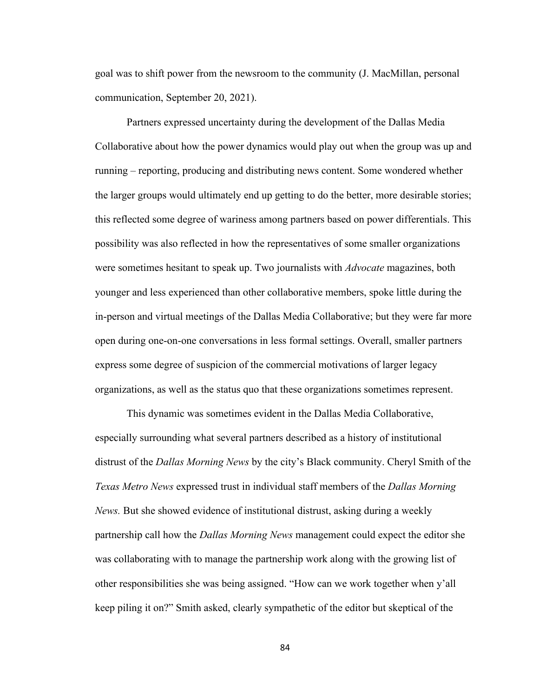goal was to shift power from the newsroom to the community (J. MacMillan, personal communication, September 20, 2021).

Partners expressed uncertainty during the development of the Dallas Media Collaborative about how the power dynamics would play out when the group was up and running – reporting, producing and distributing news content. Some wondered whether the larger groups would ultimately end up getting to do the better, more desirable stories; this reflected some degree of wariness among partners based on power differentials. This possibility was also reflected in how the representatives of some smaller organizations were sometimes hesitant to speak up. Two journalists with *Advocate* magazines, both younger and less experienced than other collaborative members, spoke little during the in-person and virtual meetings of the Dallas Media Collaborative; but they were far more open during one-on-one conversations in less formal settings. Overall, smaller partners express some degree of suspicion of the commercial motivations of larger legacy organizations, as well as the status quo that these organizations sometimes represent.

This dynamic was sometimes evident in the Dallas Media Collaborative, especially surrounding what several partners described as a history of institutional distrust of the *Dallas Morning News* by the city's Black community. Cheryl Smith of the *Texas Metro News* expressed trust in individual staff members of the *Dallas Morning News.* But she showed evidence of institutional distrust, asking during a weekly partnership call how the *Dallas Morning News* management could expect the editor she was collaborating with to manage the partnership work along with the growing list of other responsibilities she was being assigned. "How can we work together when y'all keep piling it on?" Smith asked, clearly sympathetic of the editor but skeptical of the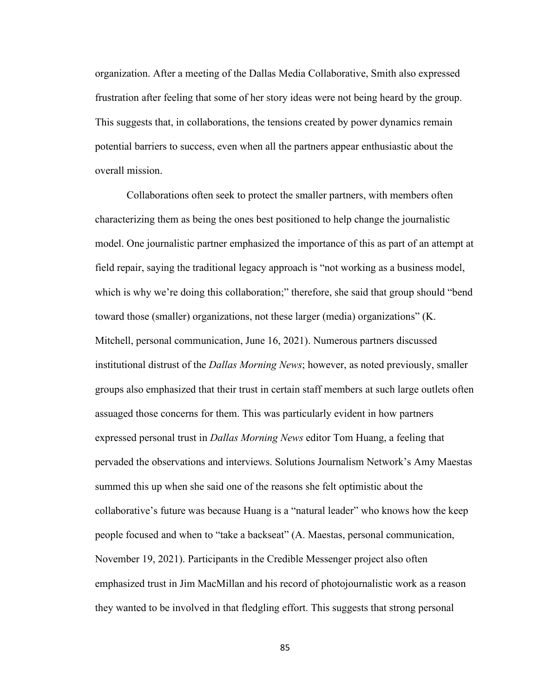organization. After a meeting of the Dallas Media Collaborative, Smith also expressed frustration after feeling that some of her story ideas were not being heard by the group. This suggests that, in collaborations, the tensions created by power dynamics remain potential barriers to success, even when all the partners appear enthusiastic about the overall mission.

Collaborations often seek to protect the smaller partners, with members often characterizing them as being the ones best positioned to help change the journalistic model. One journalistic partner emphasized the importance of this as part of an attempt at field repair, saying the traditional legacy approach is "not working as a business model, which is why we're doing this collaboration;" therefore, she said that group should "bend toward those (smaller) organizations, not these larger (media) organizations" (K. Mitchell, personal communication, June 16, 2021). Numerous partners discussed institutional distrust of the *Dallas Morning News*; however, as noted previously, smaller groups also emphasized that their trust in certain staff members at such large outlets often assuaged those concerns for them. This was particularly evident in how partners expressed personal trust in *Dallas Morning News* editor Tom Huang, a feeling that pervaded the observations and interviews. Solutions Journalism Network's Amy Maestas summed this up when she said one of the reasons she felt optimistic about the collaborative's future was because Huang is a "natural leader" who knows how the keep people focused and when to "take a backseat" (A. Maestas, personal communication, November 19, 2021). Participants in the Credible Messenger project also often emphasized trust in Jim MacMillan and his record of photojournalistic work as a reason they wanted to be involved in that fledgling effort. This suggests that strong personal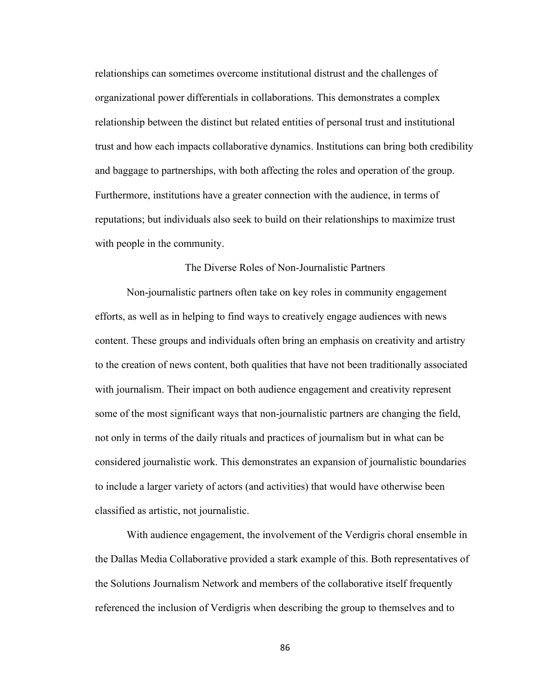relationships can sometimes overcome institutional distrust and the challenges of organizational power differentials in collaborations. This demonstrates a complex relationship between the distinct but related entities of personal trust and institutional trust and how each impacts collaborative dynamics. Institutions can bring both credibility and baggage to partnerships, with both affecting the roles and operation of the group. Furthermore, institutions have a greater connection with the audience, in terms of reputations; but individuals also seek to build on their relationships to maximize trust with people in the community.

### The Diverse Roles of Non-Journalistic Partners

Non-journalistic partners often take on key roles in community engagement efforts, as well as in helping to find ways to creatively engage audiences with news content. These groups and individuals often bring an emphasis on creativity and artistry to the creation of news content, both qualities that have not been traditionally associated with journalism. Their impact on both audience engagement and creativity represent some of the most significant ways that non-journalistic partners are changing the field, not only in terms of the daily rituals and practices of journalism but in what can be considered journalistic work. This demonstrates an expansion of journalistic boundaries to include a larger variety of actors (and activities) that would have otherwise been classified as artistic, not journalistic.

With audience engagement, the involvement of the Verdigris choral ensemble in the Dallas Media Collaborative provided a stark example of this. Both representatives of the Solutions Journalism Network and members of the collaborative itself frequently referenced the inclusion of Verdigris when describing the group to themselves and to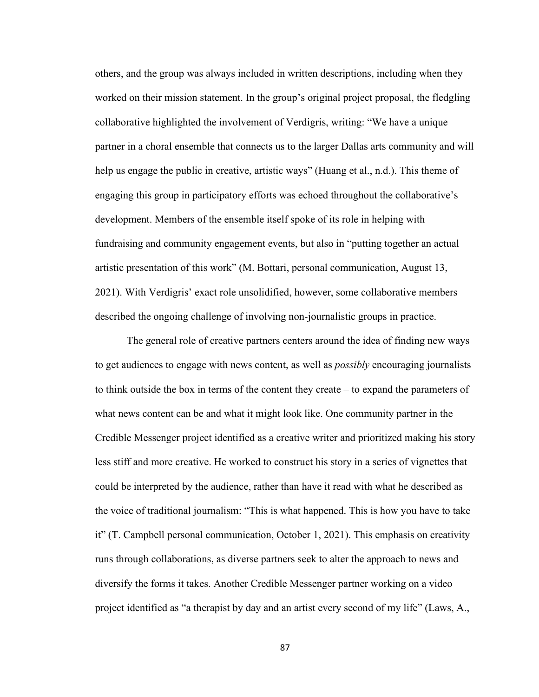others, and the group was always included in written descriptions, including when they worked on their mission statement. In the group's original project proposal, the fledgling collaborative highlighted the involvement of Verdigris, writing: "We have a unique partner in a choral ensemble that connects us to the larger Dallas arts community and will help us engage the public in creative, artistic ways" (Huang et al., n.d.). This theme of engaging this group in participatory efforts was echoed throughout the collaborative's development. Members of the ensemble itself spoke of its role in helping with fundraising and community engagement events, but also in "putting together an actual artistic presentation of this work" (M. Bottari, personal communication, August 13, 2021). With Verdigris' exact role unsolidified, however, some collaborative members described the ongoing challenge of involving non-journalistic groups in practice.

The general role of creative partners centers around the idea of finding new ways to get audiences to engage with news content, as well as *possibly* encouraging journalists to think outside the box in terms of the content they create – to expand the parameters of what news content can be and what it might look like. One community partner in the Credible Messenger project identified as a creative writer and prioritized making his story less stiff and more creative. He worked to construct his story in a series of vignettes that could be interpreted by the audience, rather than have it read with what he described as the voice of traditional journalism: "This is what happened. This is how you have to take it" (T. Campbell personal communication, October 1, 2021). This emphasis on creativity runs through collaborations, as diverse partners seek to alter the approach to news and diversify the forms it takes. Another Credible Messenger partner working on a video project identified as "a therapist by day and an artist every second of my life" (Laws, A.,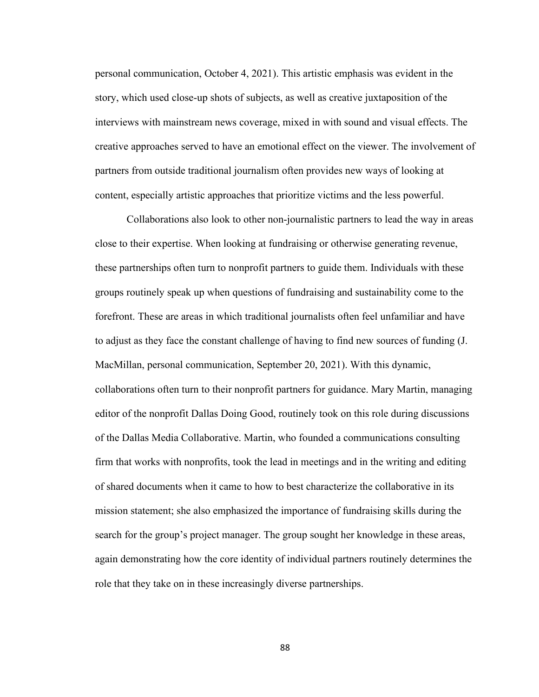personal communication, October 4, 2021). This artistic emphasis was evident in the story, which used close-up shots of subjects, as well as creative juxtaposition of the interviews with mainstream news coverage, mixed in with sound and visual effects. The creative approaches served to have an emotional effect on the viewer. The involvement of partners from outside traditional journalism often provides new ways of looking at content, especially artistic approaches that prioritize victims and the less powerful.

Collaborations also look to other non-journalistic partners to lead the way in areas close to their expertise. When looking at fundraising or otherwise generating revenue, these partnerships often turn to nonprofit partners to guide them. Individuals with these groups routinely speak up when questions of fundraising and sustainability come to the forefront. These are areas in which traditional journalists often feel unfamiliar and have to adjust as they face the constant challenge of having to find new sources of funding (J. MacMillan, personal communication, September 20, 2021). With this dynamic, collaborations often turn to their nonprofit partners for guidance. Mary Martin, managing editor of the nonprofit Dallas Doing Good, routinely took on this role during discussions of the Dallas Media Collaborative. Martin, who founded a communications consulting firm that works with nonprofits, took the lead in meetings and in the writing and editing of shared documents when it came to how to best characterize the collaborative in its mission statement; she also emphasized the importance of fundraising skills during the search for the group's project manager. The group sought her knowledge in these areas, again demonstrating how the core identity of individual partners routinely determines the role that they take on in these increasingly diverse partnerships.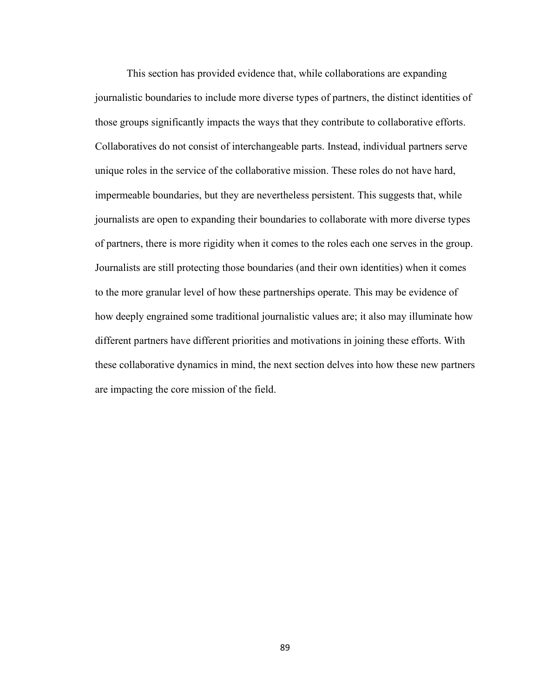This section has provided evidence that, while collaborations are expanding journalistic boundaries to include more diverse types of partners, the distinct identities of those groups significantly impacts the ways that they contribute to collaborative efforts. Collaboratives do not consist of interchangeable parts. Instead, individual partners serve unique roles in the service of the collaborative mission. These roles do not have hard, impermeable boundaries, but they are nevertheless persistent. This suggests that, while journalists are open to expanding their boundaries to collaborate with more diverse types of partners, there is more rigidity when it comes to the roles each one serves in the group. Journalists are still protecting those boundaries (and their own identities) when it comes to the more granular level of how these partnerships operate. This may be evidence of how deeply engrained some traditional journalistic values are; it also may illuminate how different partners have different priorities and motivations in joining these efforts. With these collaborative dynamics in mind, the next section delves into how these new partners are impacting the core mission of the field.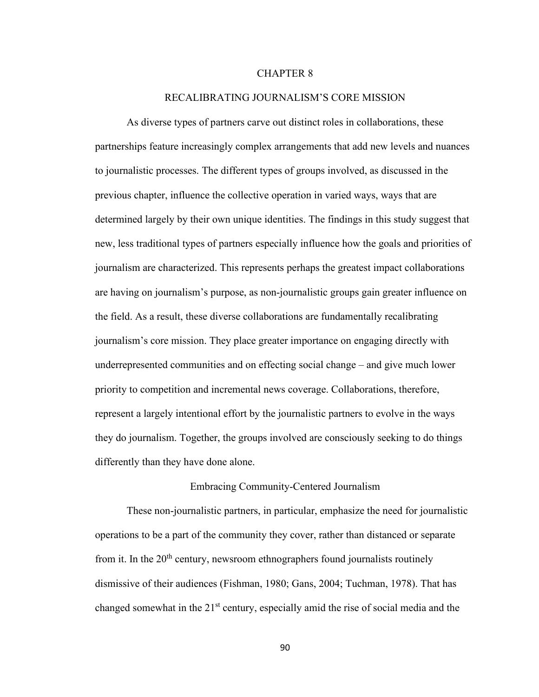# CHAPTER 8

### RECALIBRATING JOURNALISM'S CORE MISSION

As diverse types of partners carve out distinct roles in collaborations, these partnerships feature increasingly complex arrangements that add new levels and nuances to journalistic processes. The different types of groups involved, as discussed in the previous chapter, influence the collective operation in varied ways, ways that are determined largely by their own unique identities. The findings in this study suggest that new, less traditional types of partners especially influence how the goals and priorities of journalism are characterized. This represents perhaps the greatest impact collaborations are having on journalism's purpose, as non-journalistic groups gain greater influence on the field. As a result, these diverse collaborations are fundamentally recalibrating journalism's core mission. They place greater importance on engaging directly with underrepresented communities and on effecting social change – and give much lower priority to competition and incremental news coverage. Collaborations, therefore, represent a largely intentional effort by the journalistic partners to evolve in the ways they do journalism. Together, the groups involved are consciously seeking to do things differently than they have done alone.

# Embracing Community-Centered Journalism

These non-journalistic partners, in particular, emphasize the need for journalistic operations to be a part of the community they cover, rather than distanced or separate from it. In the  $20<sup>th</sup>$  century, newsroom ethnographers found journalists routinely dismissive of their audiences (Fishman, 1980; Gans, 2004; Tuchman, 1978). That has changed somewhat in the 21<sup>st</sup> century, especially amid the rise of social media and the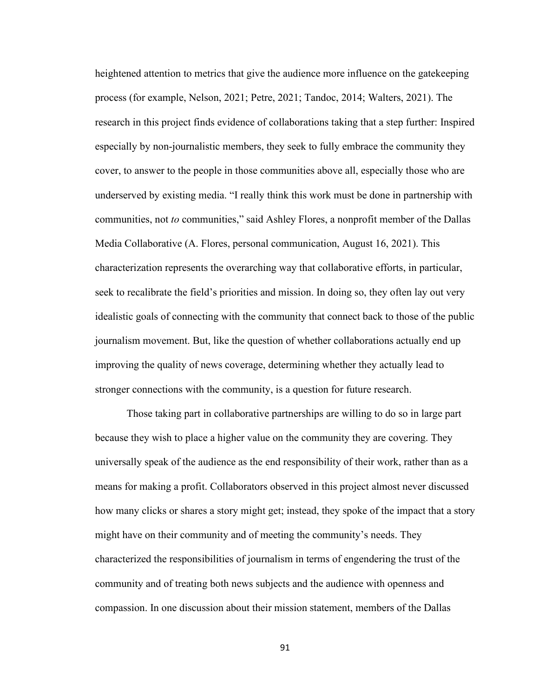heightened attention to metrics that give the audience more influence on the gatekeeping process (for example, Nelson, 2021; Petre, 2021; Tandoc, 2014; Walters, 2021). The research in this project finds evidence of collaborations taking that a step further: Inspired especially by non-journalistic members, they seek to fully embrace the community they cover, to answer to the people in those communities above all, especially those who are underserved by existing media. "I really think this work must be done in partnership with communities, not *to* communities," said Ashley Flores, a nonprofit member of the Dallas Media Collaborative (A. Flores, personal communication, August 16, 2021). This characterization represents the overarching way that collaborative efforts, in particular, seek to recalibrate the field's priorities and mission. In doing so, they often lay out very idealistic goals of connecting with the community that connect back to those of the public journalism movement. But, like the question of whether collaborations actually end up improving the quality of news coverage, determining whether they actually lead to stronger connections with the community, is a question for future research.

Those taking part in collaborative partnerships are willing to do so in large part because they wish to place a higher value on the community they are covering. They universally speak of the audience as the end responsibility of their work, rather than as a means for making a profit. Collaborators observed in this project almost never discussed how many clicks or shares a story might get; instead, they spoke of the impact that a story might have on their community and of meeting the community's needs. They characterized the responsibilities of journalism in terms of engendering the trust of the community and of treating both news subjects and the audience with openness and compassion. In one discussion about their mission statement, members of the Dallas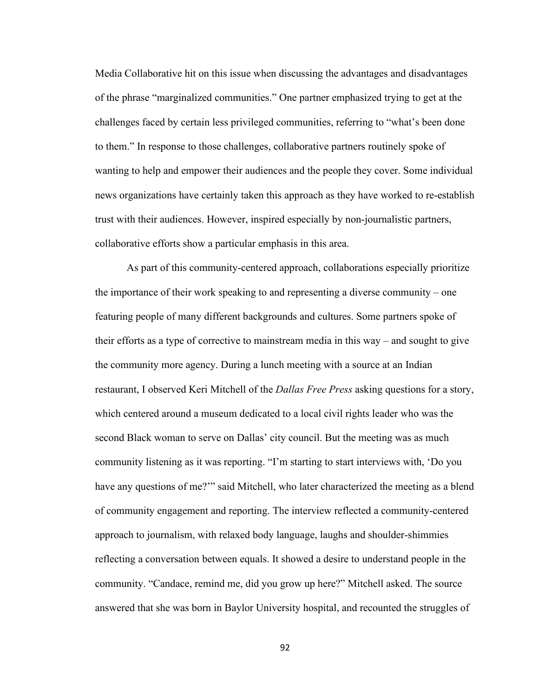Media Collaborative hit on this issue when discussing the advantages and disadvantages of the phrase "marginalized communities." One partner emphasized trying to get at the challenges faced by certain less privileged communities, referring to "what's been done to them." In response to those challenges, collaborative partners routinely spoke of wanting to help and empower their audiences and the people they cover. Some individual news organizations have certainly taken this approach as they have worked to re-establish trust with their audiences. However, inspired especially by non-journalistic partners, collaborative efforts show a particular emphasis in this area.

As part of this community-centered approach, collaborations especially prioritize the importance of their work speaking to and representing a diverse community – one featuring people of many different backgrounds and cultures. Some partners spoke of their efforts as a type of corrective to mainstream media in this way – and sought to give the community more agency. During a lunch meeting with a source at an Indian restaurant, I observed Keri Mitchell of the *Dallas Free Press* asking questions for a story, which centered around a museum dedicated to a local civil rights leader who was the second Black woman to serve on Dallas' city council. But the meeting was as much community listening as it was reporting. "I'm starting to start interviews with, 'Do you have any questions of me?"" said Mitchell, who later characterized the meeting as a blend of community engagement and reporting. The interview reflected a community-centered approach to journalism, with relaxed body language, laughs and shoulder-shimmies reflecting a conversation between equals. It showed a desire to understand people in the community. "Candace, remind me, did you grow up here?" Mitchell asked. The source answered that she was born in Baylor University hospital, and recounted the struggles of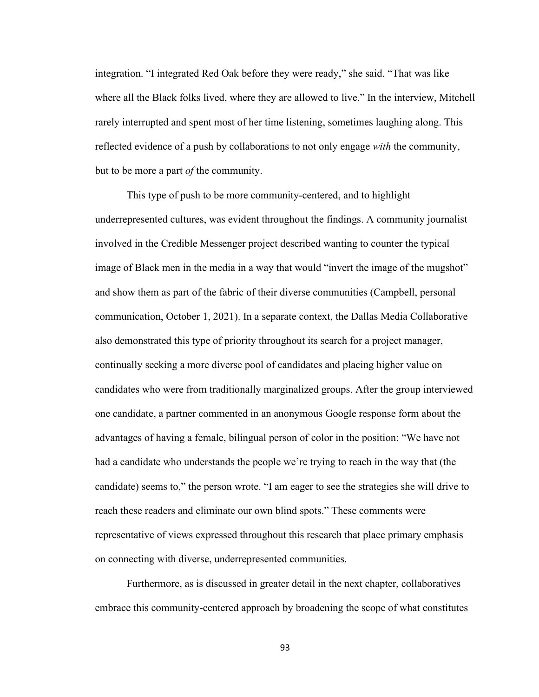integration. "I integrated Red Oak before they were ready," she said. "That was like where all the Black folks lived, where they are allowed to live." In the interview, Mitchell rarely interrupted and spent most of her time listening, sometimes laughing along. This reflected evidence of a push by collaborations to not only engage *with* the community, but to be more a part *of* the community.

This type of push to be more community-centered, and to highlight underrepresented cultures, was evident throughout the findings. A community journalist involved in the Credible Messenger project described wanting to counter the typical image of Black men in the media in a way that would "invert the image of the mugshot" and show them as part of the fabric of their diverse communities (Campbell, personal communication, October 1, 2021). In a separate context, the Dallas Media Collaborative also demonstrated this type of priority throughout its search for a project manager, continually seeking a more diverse pool of candidates and placing higher value on candidates who were from traditionally marginalized groups. After the group interviewed one candidate, a partner commented in an anonymous Google response form about the advantages of having a female, bilingual person of color in the position: "We have not had a candidate who understands the people we're trying to reach in the way that (the candidate) seems to," the person wrote. "I am eager to see the strategies she will drive to reach these readers and eliminate our own blind spots." These comments were representative of views expressed throughout this research that place primary emphasis on connecting with diverse, underrepresented communities.

Furthermore, as is discussed in greater detail in the next chapter, collaboratives embrace this community-centered approach by broadening the scope of what constitutes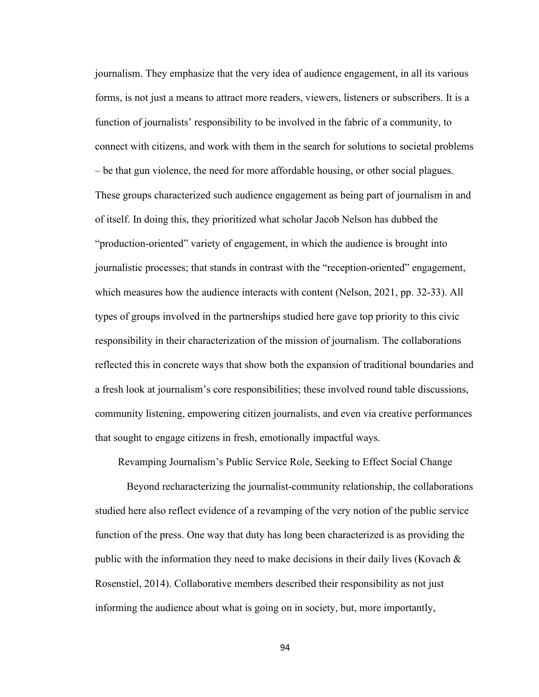journalism. They emphasize that the very idea of audience engagement, in all its various forms, is not just a means to attract more readers, viewers, listeners or subscribers. It is a function of journalists' responsibility to be involved in the fabric of a community, to connect with citizens, and work with them in the search for solutions to societal problems – be that gun violence, the need for more affordable housing, or other social plagues. These groups characterized such audience engagement as being part of journalism in and of itself. In doing this, they prioritized what scholar Jacob Nelson has dubbed the "production-oriented" variety of engagement, in which the audience is brought into journalistic processes; that stands in contrast with the "reception-oriented" engagement, which measures how the audience interacts with content (Nelson, 2021, pp. 32-33). All types of groups involved in the partnerships studied here gave top priority to this civic responsibility in their characterization of the mission of journalism. The collaborations reflected this in concrete ways that show both the expansion of traditional boundaries and a fresh look at journalism's core responsibilities; these involved round table discussions, community listening, empowering citizen journalists, and even via creative performances that sought to engage citizens in fresh, emotionally impactful ways.

Revamping Journalism's Public Service Role, Seeking to Effect Social Change

Beyond recharacterizing the journalist-community relationship, the collaborations studied here also reflect evidence of a revamping of the very notion of the public service function of the press. One way that duty has long been characterized is as providing the public with the information they need to make decisions in their daily lives (Kovach  $\&$ Rosenstiel, 2014). Collaborative members described their responsibility as not just informing the audience about what is going on in society, but, more importantly,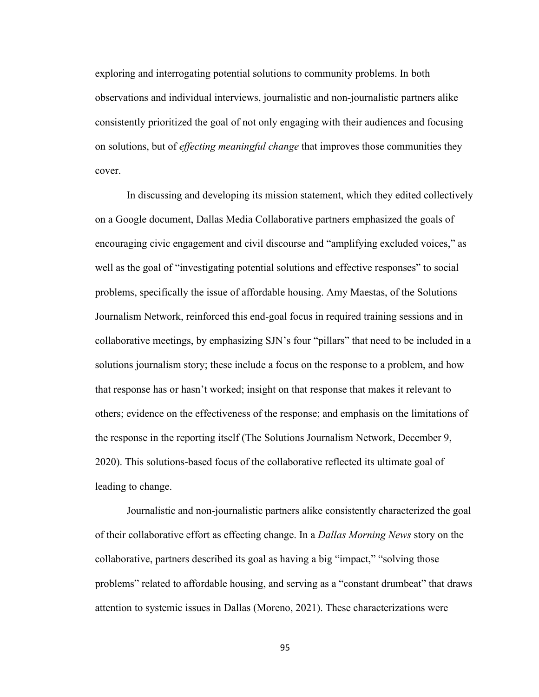exploring and interrogating potential solutions to community problems. In both observations and individual interviews, journalistic and non-journalistic partners alike consistently prioritized the goal of not only engaging with their audiences and focusing on solutions, but of *effecting meaningful change* that improves those communities they cover.

In discussing and developing its mission statement, which they edited collectively on a Google document, Dallas Media Collaborative partners emphasized the goals of encouraging civic engagement and civil discourse and "amplifying excluded voices," as well as the goal of "investigating potential solutions and effective responses" to social problems, specifically the issue of affordable housing. Amy Maestas, of the Solutions Journalism Network, reinforced this end-goal focus in required training sessions and in collaborative meetings, by emphasizing SJN's four "pillars" that need to be included in a solutions journalism story; these include a focus on the response to a problem, and how that response has or hasn't worked; insight on that response that makes it relevant to others; evidence on the effectiveness of the response; and emphasis on the limitations of the response in the reporting itself (The Solutions Journalism Network, December 9, 2020). This solutions-based focus of the collaborative reflected its ultimate goal of leading to change.

Journalistic and non-journalistic partners alike consistently characterized the goal of their collaborative effort as effecting change. In a *Dallas Morning News* story on the collaborative, partners described its goal as having a big "impact," "solving those problems" related to affordable housing, and serving as a "constant drumbeat" that draws attention to systemic issues in Dallas (Moreno, 2021). These characterizations were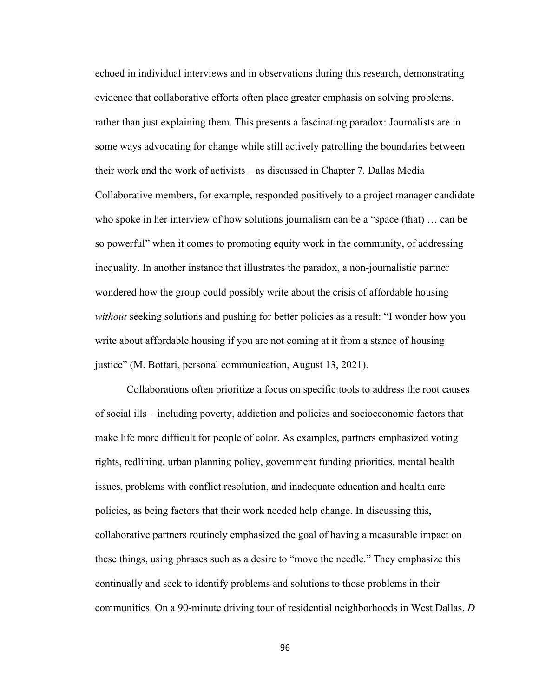echoed in individual interviews and in observations during this research, demonstrating evidence that collaborative efforts often place greater emphasis on solving problems, rather than just explaining them. This presents a fascinating paradox: Journalists are in some ways advocating for change while still actively patrolling the boundaries between their work and the work of activists – as discussed in Chapter 7. Dallas Media Collaborative members, for example, responded positively to a project manager candidate who spoke in her interview of how solutions journalism can be a "space (that) … can be so powerful" when it comes to promoting equity work in the community, of addressing inequality. In another instance that illustrates the paradox, a non-journalistic partner wondered how the group could possibly write about the crisis of affordable housing *without* seeking solutions and pushing for better policies as a result: "I wonder how you write about affordable housing if you are not coming at it from a stance of housing justice" (M. Bottari, personal communication, August 13, 2021).

Collaborations often prioritize a focus on specific tools to address the root causes of social ills – including poverty, addiction and policies and socioeconomic factors that make life more difficult for people of color. As examples, partners emphasized voting rights, redlining, urban planning policy, government funding priorities, mental health issues, problems with conflict resolution, and inadequate education and health care policies, as being factors that their work needed help change. In discussing this, collaborative partners routinely emphasized the goal of having a measurable impact on these things, using phrases such as a desire to "move the needle." They emphasize this continually and seek to identify problems and solutions to those problems in their communities. On a 90-minute driving tour of residential neighborhoods in West Dallas, *D*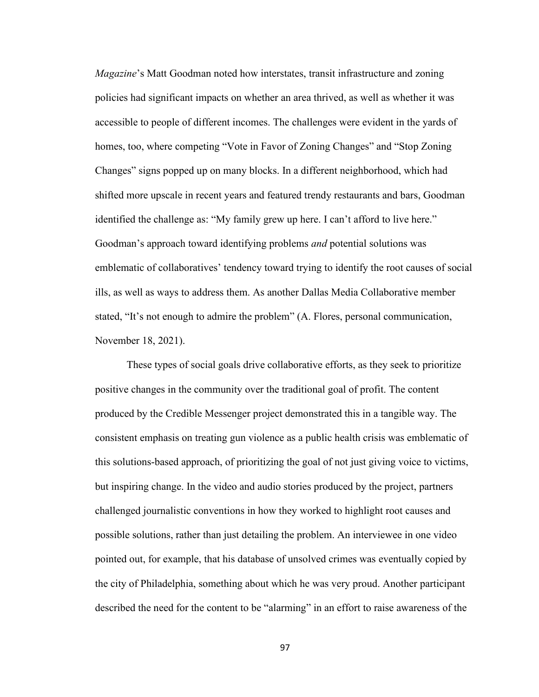*Magazine*'s Matt Goodman noted how interstates, transit infrastructure and zoning policies had significant impacts on whether an area thrived, as well as whether it was accessible to people of different incomes. The challenges were evident in the yards of homes, too, where competing "Vote in Favor of Zoning Changes" and "Stop Zoning Changes" signs popped up on many blocks. In a different neighborhood, which had shifted more upscale in recent years and featured trendy restaurants and bars, Goodman identified the challenge as: "My family grew up here. I can't afford to live here." Goodman's approach toward identifying problems *and* potential solutions was emblematic of collaboratives' tendency toward trying to identify the root causes of social ills, as well as ways to address them. As another Dallas Media Collaborative member stated, "It's not enough to admire the problem" (A. Flores, personal communication, November 18, 2021).

These types of social goals drive collaborative efforts, as they seek to prioritize positive changes in the community over the traditional goal of profit. The content produced by the Credible Messenger project demonstrated this in a tangible way. The consistent emphasis on treating gun violence as a public health crisis was emblematic of this solutions-based approach, of prioritizing the goal of not just giving voice to victims, but inspiring change. In the video and audio stories produced by the project, partners challenged journalistic conventions in how they worked to highlight root causes and possible solutions, rather than just detailing the problem. An interviewee in one video pointed out, for example, that his database of unsolved crimes was eventually copied by the city of Philadelphia, something about which he was very proud. Another participant described the need for the content to be "alarming" in an effort to raise awareness of the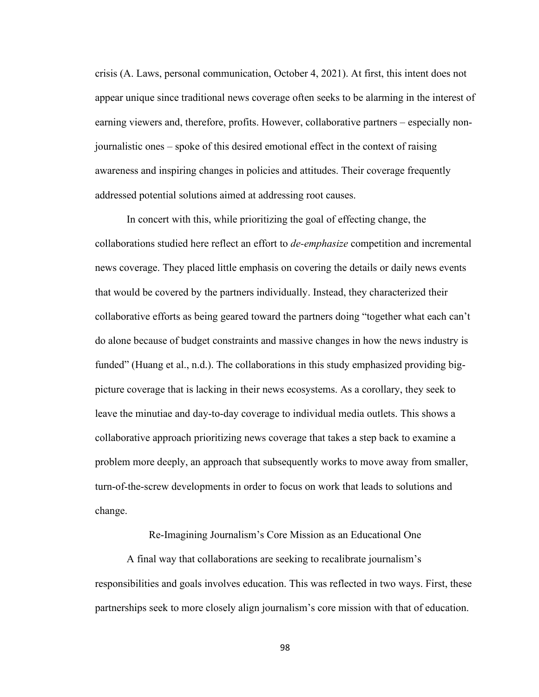crisis (A. Laws, personal communication, October 4, 2021). At first, this intent does not appear unique since traditional news coverage often seeks to be alarming in the interest of earning viewers and, therefore, profits. However, collaborative partners – especially nonjournalistic ones – spoke of this desired emotional effect in the context of raising awareness and inspiring changes in policies and attitudes. Their coverage frequently addressed potential solutions aimed at addressing root causes.

In concert with this, while prioritizing the goal of effecting change, the collaborations studied here reflect an effort to *de-emphasize* competition and incremental news coverage. They placed little emphasis on covering the details or daily news events that would be covered by the partners individually. Instead, they characterized their collaborative efforts as being geared toward the partners doing "together what each can't do alone because of budget constraints and massive changes in how the news industry is funded" (Huang et al., n.d.). The collaborations in this study emphasized providing bigpicture coverage that is lacking in their news ecosystems. As a corollary, they seek to leave the minutiae and day-to-day coverage to individual media outlets. This shows a collaborative approach prioritizing news coverage that takes a step back to examine a problem more deeply, an approach that subsequently works to move away from smaller, turn-of-the-screw developments in order to focus on work that leads to solutions and change.

Re-Imagining Journalism's Core Mission as an Educational One

A final way that collaborations are seeking to recalibrate journalism's responsibilities and goals involves education. This was reflected in two ways. First, these partnerships seek to more closely align journalism's core mission with that of education.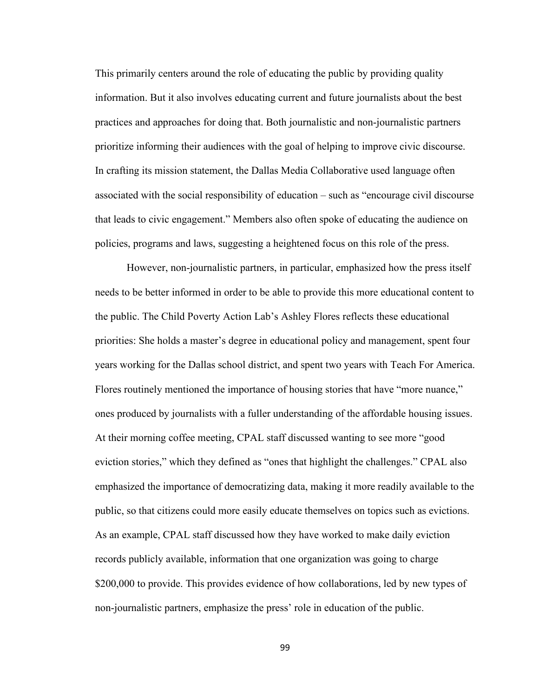This primarily centers around the role of educating the public by providing quality information. But it also involves educating current and future journalists about the best practices and approaches for doing that. Both journalistic and non-journalistic partners prioritize informing their audiences with the goal of helping to improve civic discourse. In crafting its mission statement, the Dallas Media Collaborative used language often associated with the social responsibility of education – such as "encourage civil discourse that leads to civic engagement." Members also often spoke of educating the audience on policies, programs and laws, suggesting a heightened focus on this role of the press.

However, non-journalistic partners, in particular, emphasized how the press itself needs to be better informed in order to be able to provide this more educational content to the public. The Child Poverty Action Lab's Ashley Flores reflects these educational priorities: She holds a master's degree in educational policy and management, spent four years working for the Dallas school district, and spent two years with Teach For America. Flores routinely mentioned the importance of housing stories that have "more nuance," ones produced by journalists with a fuller understanding of the affordable housing issues. At their morning coffee meeting, CPAL staff discussed wanting to see more "good eviction stories," which they defined as "ones that highlight the challenges." CPAL also emphasized the importance of democratizing data, making it more readily available to the public, so that citizens could more easily educate themselves on topics such as evictions. As an example, CPAL staff discussed how they have worked to make daily eviction records publicly available, information that one organization was going to charge \$200,000 to provide. This provides evidence of how collaborations, led by new types of non-journalistic partners, emphasize the press' role in education of the public.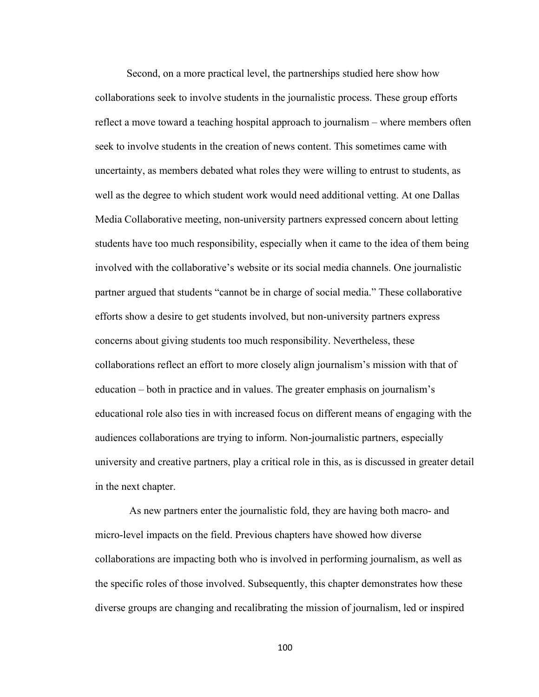Second, on a more practical level, the partnerships studied here show how collaborations seek to involve students in the journalistic process. These group efforts reflect a move toward a teaching hospital approach to journalism – where members often seek to involve students in the creation of news content. This sometimes came with uncertainty, as members debated what roles they were willing to entrust to students, as well as the degree to which student work would need additional vetting. At one Dallas Media Collaborative meeting, non-university partners expressed concern about letting students have too much responsibility, especially when it came to the idea of them being involved with the collaborative's website or its social media channels. One journalistic partner argued that students "cannot be in charge of social media." These collaborative efforts show a desire to get students involved, but non-university partners express concerns about giving students too much responsibility. Nevertheless, these collaborations reflect an effort to more closely align journalism's mission with that of education – both in practice and in values. The greater emphasis on journalism's educational role also ties in with increased focus on different means of engaging with the audiences collaborations are trying to inform. Non-journalistic partners, especially university and creative partners, play a critical role in this, as is discussed in greater detail in the next chapter.

As new partners enter the journalistic fold, they are having both macro- and micro-level impacts on the field. Previous chapters have showed how diverse collaborations are impacting both who is involved in performing journalism, as well as the specific roles of those involved. Subsequently, this chapter demonstrates how these diverse groups are changing and recalibrating the mission of journalism, led or inspired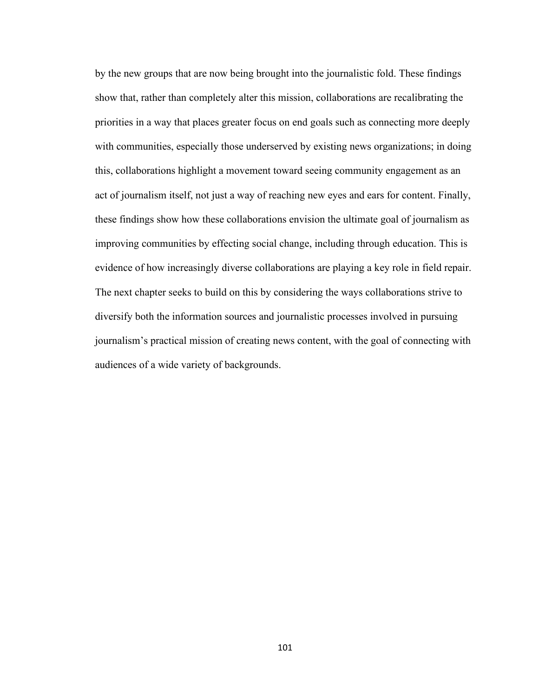by the new groups that are now being brought into the journalistic fold. These findings show that, rather than completely alter this mission, collaborations are recalibrating the priorities in a way that places greater focus on end goals such as connecting more deeply with communities, especially those underserved by existing news organizations; in doing this, collaborations highlight a movement toward seeing community engagement as an act of journalism itself, not just a way of reaching new eyes and ears for content. Finally, these findings show how these collaborations envision the ultimate goal of journalism as improving communities by effecting social change, including through education. This is evidence of how increasingly diverse collaborations are playing a key role in field repair. The next chapter seeks to build on this by considering the ways collaborations strive to diversify both the information sources and journalistic processes involved in pursuing journalism's practical mission of creating news content, with the goal of connecting with audiences of a wide variety of backgrounds.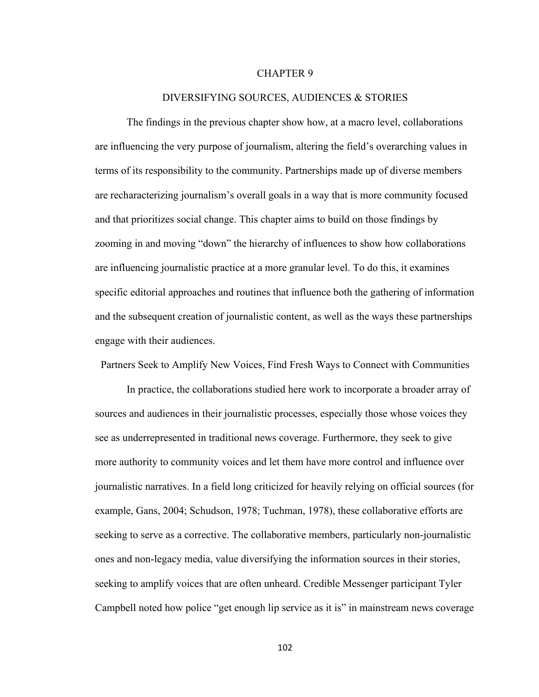## CHAPTER 9

### DIVERSIFYING SOURCES, AUDIENCES & STORIES

The findings in the previous chapter show how, at a macro level, collaborations are influencing the very purpose of journalism, altering the field's overarching values in terms of its responsibility to the community. Partnerships made up of diverse members are recharacterizing journalism's overall goals in a way that is more community focused and that prioritizes social change. This chapter aims to build on those findings by zooming in and moving "down" the hierarchy of influences to show how collaborations are influencing journalistic practice at a more granular level. To do this, it examines specific editorial approaches and routines that influence both the gathering of information and the subsequent creation of journalistic content, as well as the ways these partnerships engage with their audiences.

Partners Seek to Amplify New Voices, Find Fresh Ways to Connect with Communities

In practice, the collaborations studied here work to incorporate a broader array of sources and audiences in their journalistic processes, especially those whose voices they see as underrepresented in traditional news coverage. Furthermore, they seek to give more authority to community voices and let them have more control and influence over journalistic narratives. In a field long criticized for heavily relying on official sources (for example, Gans, 2004; Schudson, 1978; Tuchman, 1978), these collaborative efforts are seeking to serve as a corrective. The collaborative members, particularly non-journalistic ones and non-legacy media, value diversifying the information sources in their stories, seeking to amplify voices that are often unheard. Credible Messenger participant Tyler Campbell noted how police "get enough lip service as it is" in mainstream news coverage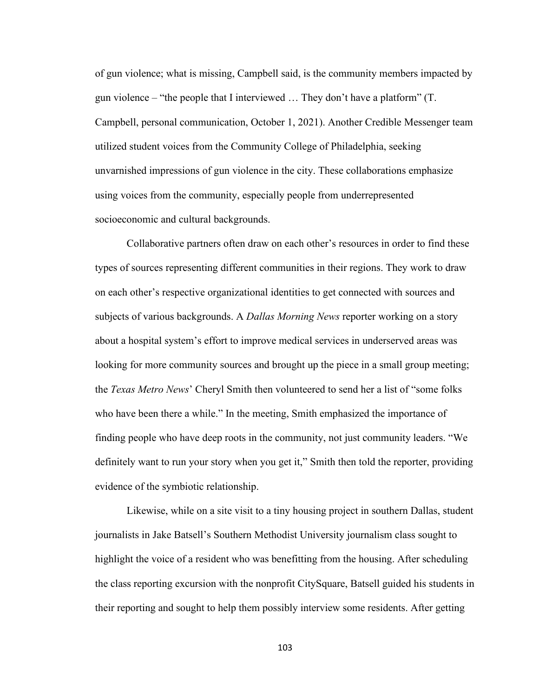of gun violence; what is missing, Campbell said, is the community members impacted by gun violence – "the people that I interviewed … They don't have a platform" (T. Campbell, personal communication, October 1, 2021). Another Credible Messenger team utilized student voices from the Community College of Philadelphia, seeking unvarnished impressions of gun violence in the city. These collaborations emphasize using voices from the community, especially people from underrepresented socioeconomic and cultural backgrounds.

Collaborative partners often draw on each other's resources in order to find these types of sources representing different communities in their regions. They work to draw on each other's respective organizational identities to get connected with sources and subjects of various backgrounds. A *Dallas Morning News* reporter working on a story about a hospital system's effort to improve medical services in underserved areas was looking for more community sources and brought up the piece in a small group meeting; the *Texas Metro News*' Cheryl Smith then volunteered to send her a list of "some folks who have been there a while." In the meeting, Smith emphasized the importance of finding people who have deep roots in the community, not just community leaders. "We definitely want to run your story when you get it," Smith then told the reporter, providing evidence of the symbiotic relationship.

Likewise, while on a site visit to a tiny housing project in southern Dallas, student journalists in Jake Batsell's Southern Methodist University journalism class sought to highlight the voice of a resident who was benefitting from the housing. After scheduling the class reporting excursion with the nonprofit CitySquare, Batsell guided his students in their reporting and sought to help them possibly interview some residents. After getting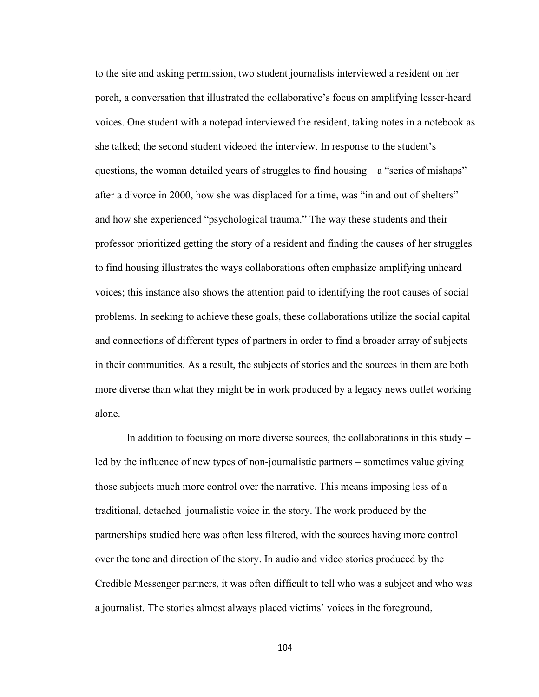to the site and asking permission, two student journalists interviewed a resident on her porch, a conversation that illustrated the collaborative's focus on amplifying lesser-heard voices. One student with a notepad interviewed the resident, taking notes in a notebook as she talked; the second student videoed the interview. In response to the student's questions, the woman detailed years of struggles to find housing  $-$  a "series of mishaps" after a divorce in 2000, how she was displaced for a time, was "in and out of shelters" and how she experienced "psychological trauma." The way these students and their professor prioritized getting the story of a resident and finding the causes of her struggles to find housing illustrates the ways collaborations often emphasize amplifying unheard voices; this instance also shows the attention paid to identifying the root causes of social problems. In seeking to achieve these goals, these collaborations utilize the social capital and connections of different types of partners in order to find a broader array of subjects in their communities. As a result, the subjects of stories and the sources in them are both more diverse than what they might be in work produced by a legacy news outlet working alone.

In addition to focusing on more diverse sources, the collaborations in this study – led by the influence of new types of non-journalistic partners – sometimes value giving those subjects much more control over the narrative. This means imposing less of a traditional, detached journalistic voice in the story. The work produced by the partnerships studied here was often less filtered, with the sources having more control over the tone and direction of the story. In audio and video stories produced by the Credible Messenger partners, it was often difficult to tell who was a subject and who was a journalist. The stories almost always placed victims' voices in the foreground,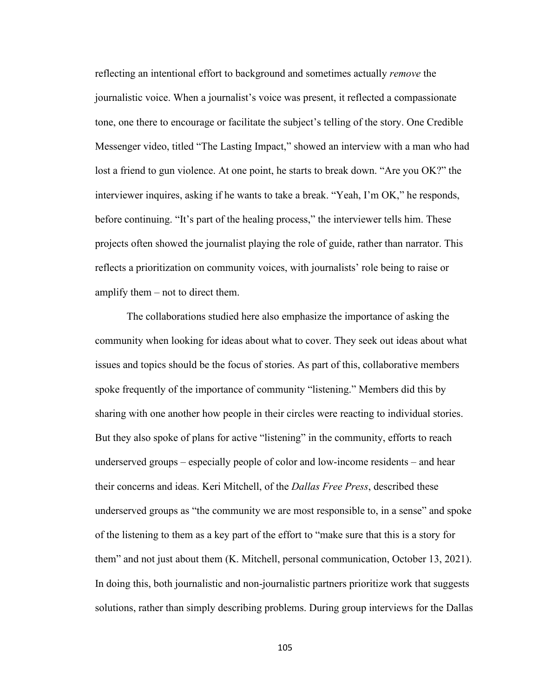reflecting an intentional effort to background and sometimes actually *remove* the journalistic voice. When a journalist's voice was present, it reflected a compassionate tone, one there to encourage or facilitate the subject's telling of the story. One Credible Messenger video, titled "The Lasting Impact," showed an interview with a man who had lost a friend to gun violence. At one point, he starts to break down. "Are you OK?" the interviewer inquires, asking if he wants to take a break. "Yeah, I'm OK," he responds, before continuing. "It's part of the healing process," the interviewer tells him. These projects often showed the journalist playing the role of guide, rather than narrator. This reflects a prioritization on community voices, with journalists' role being to raise or amplify them – not to direct them.

The collaborations studied here also emphasize the importance of asking the community when looking for ideas about what to cover. They seek out ideas about what issues and topics should be the focus of stories. As part of this, collaborative members spoke frequently of the importance of community "listening." Members did this by sharing with one another how people in their circles were reacting to individual stories. But they also spoke of plans for active "listening" in the community, efforts to reach underserved groups – especially people of color and low-income residents – and hear their concerns and ideas. Keri Mitchell, of the *Dallas Free Press*, described these underserved groups as "the community we are most responsible to, in a sense" and spoke of the listening to them as a key part of the effort to "make sure that this is a story for them" and not just about them (K. Mitchell, personal communication, October 13, 2021). In doing this, both journalistic and non-journalistic partners prioritize work that suggests solutions, rather than simply describing problems. During group interviews for the Dallas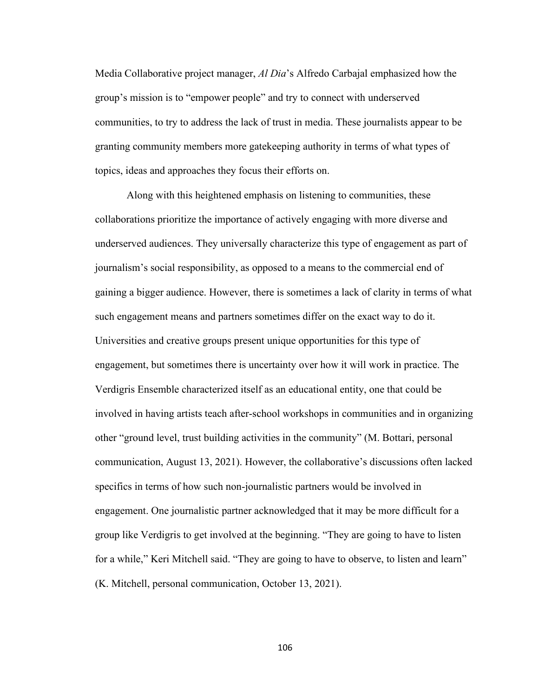Media Collaborative project manager, *Al Dia*'s Alfredo Carbajal emphasized how the group's mission is to "empower people" and try to connect with underserved communities, to try to address the lack of trust in media. These journalists appear to be granting community members more gatekeeping authority in terms of what types of topics, ideas and approaches they focus their efforts on.

Along with this heightened emphasis on listening to communities, these collaborations prioritize the importance of actively engaging with more diverse and underserved audiences. They universally characterize this type of engagement as part of journalism's social responsibility, as opposed to a means to the commercial end of gaining a bigger audience. However, there is sometimes a lack of clarity in terms of what such engagement means and partners sometimes differ on the exact way to do it. Universities and creative groups present unique opportunities for this type of engagement, but sometimes there is uncertainty over how it will work in practice. The Verdigris Ensemble characterized itself as an educational entity, one that could be involved in having artists teach after-school workshops in communities and in organizing other "ground level, trust building activities in the community" (M. Bottari, personal communication, August 13, 2021). However, the collaborative's discussions often lacked specifics in terms of how such non-journalistic partners would be involved in engagement. One journalistic partner acknowledged that it may be more difficult for a group like Verdigris to get involved at the beginning. "They are going to have to listen for a while," Keri Mitchell said. "They are going to have to observe, to listen and learn" (K. Mitchell, personal communication, October 13, 2021).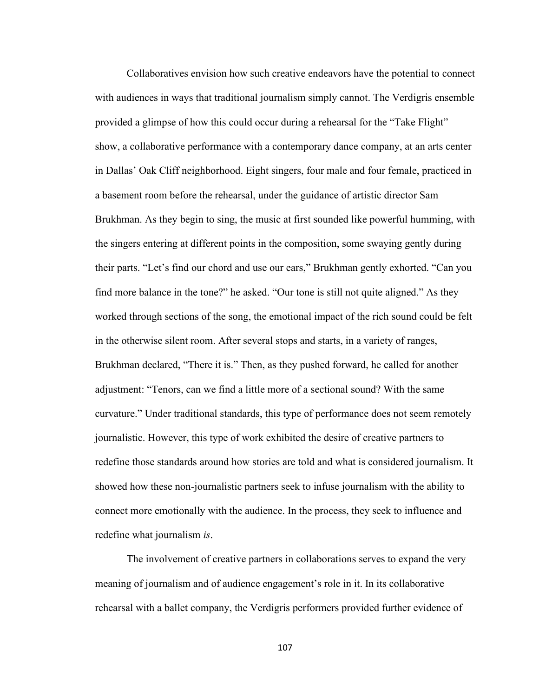Collaboratives envision how such creative endeavors have the potential to connect with audiences in ways that traditional journalism simply cannot. The Verdigris ensemble provided a glimpse of how this could occur during a rehearsal for the "Take Flight" show, a collaborative performance with a contemporary dance company, at an arts center in Dallas' Oak Cliff neighborhood. Eight singers, four male and four female, practiced in a basement room before the rehearsal, under the guidance of artistic director Sam Brukhman. As they begin to sing, the music at first sounded like powerful humming, with the singers entering at different points in the composition, some swaying gently during their parts. "Let's find our chord and use our ears," Brukhman gently exhorted. "Can you find more balance in the tone?" he asked. "Our tone is still not quite aligned." As they worked through sections of the song, the emotional impact of the rich sound could be felt in the otherwise silent room. After several stops and starts, in a variety of ranges, Brukhman declared, "There it is." Then, as they pushed forward, he called for another adjustment: "Tenors, can we find a little more of a sectional sound? With the same curvature." Under traditional standards, this type of performance does not seem remotely journalistic. However, this type of work exhibited the desire of creative partners to redefine those standards around how stories are told and what is considered journalism. It showed how these non-journalistic partners seek to infuse journalism with the ability to connect more emotionally with the audience. In the process, they seek to influence and redefine what journalism *is*.

The involvement of creative partners in collaborations serves to expand the very meaning of journalism and of audience engagement's role in it. In its collaborative rehearsal with a ballet company, the Verdigris performers provided further evidence of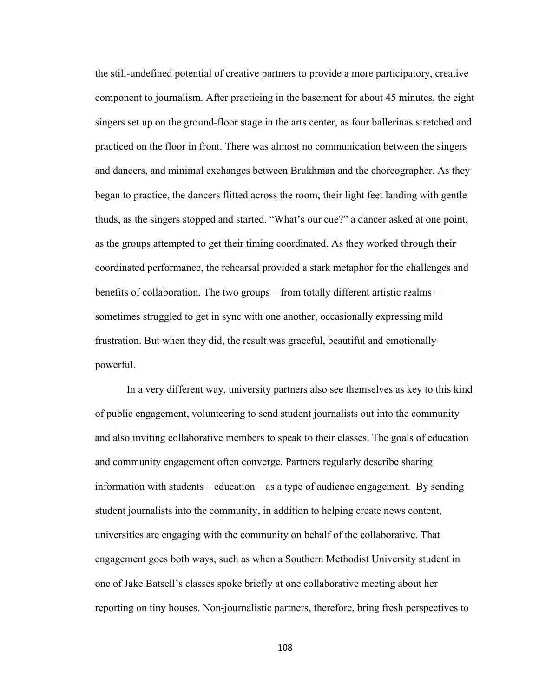the still-undefined potential of creative partners to provide a more participatory, creative component to journalism. After practicing in the basement for about 45 minutes, the eight singers set up on the ground-floor stage in the arts center, as four ballerinas stretched and practiced on the floor in front. There was almost no communication between the singers and dancers, and minimal exchanges between Brukhman and the choreographer. As they began to practice, the dancers flitted across the room, their light feet landing with gentle thuds, as the singers stopped and started. "What's our cue?" a dancer asked at one point, as the groups attempted to get their timing coordinated. As they worked through their coordinated performance, the rehearsal provided a stark metaphor for the challenges and benefits of collaboration. The two groups – from totally different artistic realms – sometimes struggled to get in sync with one another, occasionally expressing mild frustration. But when they did, the result was graceful, beautiful and emotionally powerful.

In a very different way, university partners also see themselves as key to this kind of public engagement, volunteering to send student journalists out into the community and also inviting collaborative members to speak to their classes. The goals of education and community engagement often converge. Partners regularly describe sharing information with students – education – as a type of audience engagement. By sending student journalists into the community, in addition to helping create news content, universities are engaging with the community on behalf of the collaborative. That engagement goes both ways, such as when a Southern Methodist University student in one of Jake Batsell's classes spoke briefly at one collaborative meeting about her reporting on tiny houses. Non-journalistic partners, therefore, bring fresh perspectives to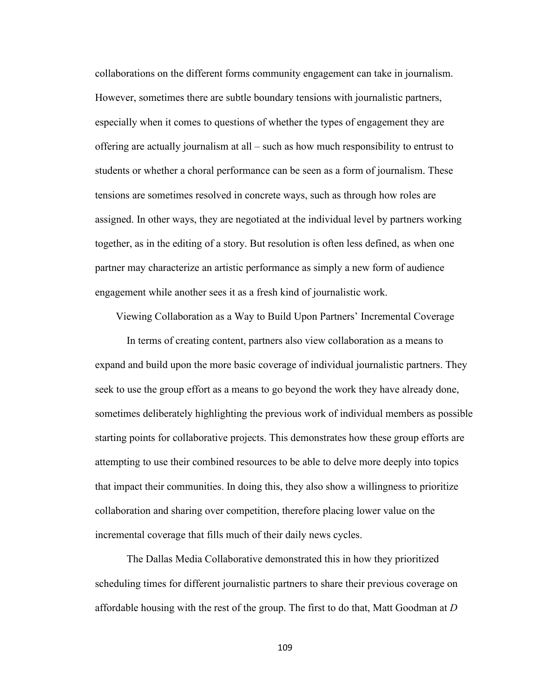collaborations on the different forms community engagement can take in journalism. However, sometimes there are subtle boundary tensions with journalistic partners, especially when it comes to questions of whether the types of engagement they are offering are actually journalism at all – such as how much responsibility to entrust to students or whether a choral performance can be seen as a form of journalism. These tensions are sometimes resolved in concrete ways, such as through how roles are assigned. In other ways, they are negotiated at the individual level by partners working together, as in the editing of a story. But resolution is often less defined, as when one partner may characterize an artistic performance as simply a new form of audience engagement while another sees it as a fresh kind of journalistic work.

Viewing Collaboration as a Way to Build Upon Partners' Incremental Coverage

In terms of creating content, partners also view collaboration as a means to expand and build upon the more basic coverage of individual journalistic partners. They seek to use the group effort as a means to go beyond the work they have already done, sometimes deliberately highlighting the previous work of individual members as possible starting points for collaborative projects. This demonstrates how these group efforts are attempting to use their combined resources to be able to delve more deeply into topics that impact their communities. In doing this, they also show a willingness to prioritize collaboration and sharing over competition, therefore placing lower value on the incremental coverage that fills much of their daily news cycles.

The Dallas Media Collaborative demonstrated this in how they prioritized scheduling times for different journalistic partners to share their previous coverage on affordable housing with the rest of the group. The first to do that, Matt Goodman at *D*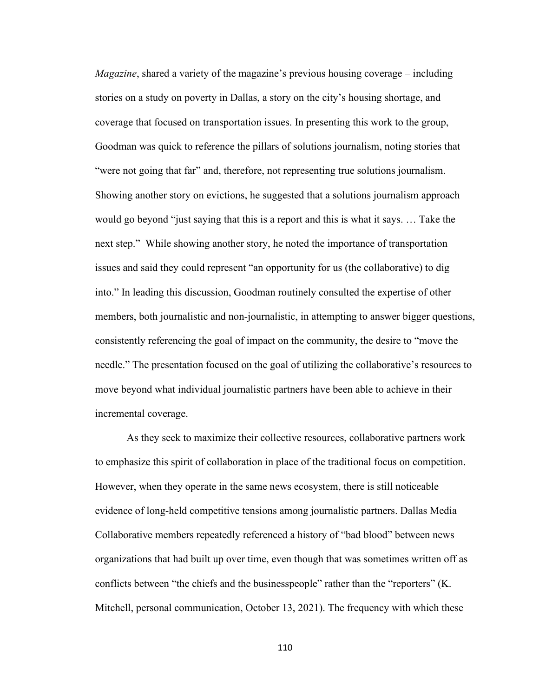*Magazine*, shared a variety of the magazine's previous housing coverage – including stories on a study on poverty in Dallas, a story on the city's housing shortage, and coverage that focused on transportation issues. In presenting this work to the group, Goodman was quick to reference the pillars of solutions journalism, noting stories that "were not going that far" and, therefore, not representing true solutions journalism. Showing another story on evictions, he suggested that a solutions journalism approach would go beyond "just saying that this is a report and this is what it says. … Take the next step." While showing another story, he noted the importance of transportation issues and said they could represent "an opportunity for us (the collaborative) to dig into." In leading this discussion, Goodman routinely consulted the expertise of other members, both journalistic and non-journalistic, in attempting to answer bigger questions, consistently referencing the goal of impact on the community, the desire to "move the needle." The presentation focused on the goal of utilizing the collaborative's resources to move beyond what individual journalistic partners have been able to achieve in their incremental coverage.

As they seek to maximize their collective resources, collaborative partners work to emphasize this spirit of collaboration in place of the traditional focus on competition. However, when they operate in the same news ecosystem, there is still noticeable evidence of long-held competitive tensions among journalistic partners. Dallas Media Collaborative members repeatedly referenced a history of "bad blood" between news organizations that had built up over time, even though that was sometimes written off as conflicts between "the chiefs and the businesspeople" rather than the "reporters" (K. Mitchell, personal communication, October 13, 2021). The frequency with which these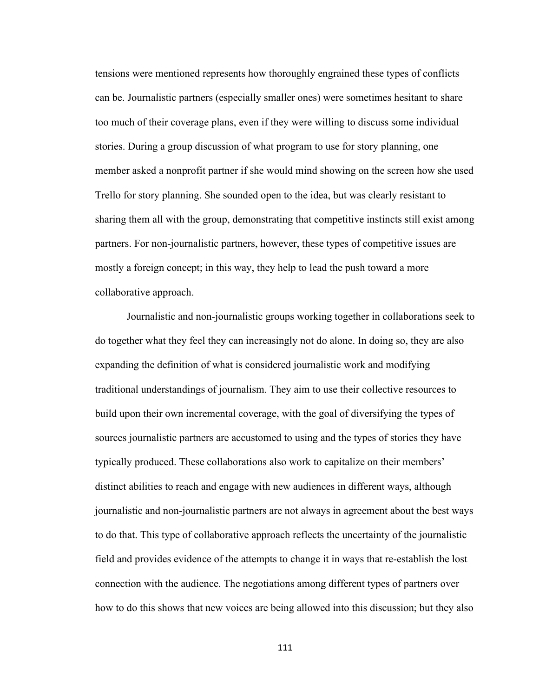tensions were mentioned represents how thoroughly engrained these types of conflicts can be. Journalistic partners (especially smaller ones) were sometimes hesitant to share too much of their coverage plans, even if they were willing to discuss some individual stories. During a group discussion of what program to use for story planning, one member asked a nonprofit partner if she would mind showing on the screen how she used Trello for story planning. She sounded open to the idea, but was clearly resistant to sharing them all with the group, demonstrating that competitive instincts still exist among partners. For non-journalistic partners, however, these types of competitive issues are mostly a foreign concept; in this way, they help to lead the push toward a more collaborative approach.

Journalistic and non-journalistic groups working together in collaborations seek to do together what they feel they can increasingly not do alone. In doing so, they are also expanding the definition of what is considered journalistic work and modifying traditional understandings of journalism. They aim to use their collective resources to build upon their own incremental coverage, with the goal of diversifying the types of sources journalistic partners are accustomed to using and the types of stories they have typically produced. These collaborations also work to capitalize on their members' distinct abilities to reach and engage with new audiences in different ways, although journalistic and non-journalistic partners are not always in agreement about the best ways to do that. This type of collaborative approach reflects the uncertainty of the journalistic field and provides evidence of the attempts to change it in ways that re-establish the lost connection with the audience. The negotiations among different types of partners over how to do this shows that new voices are being allowed into this discussion; but they also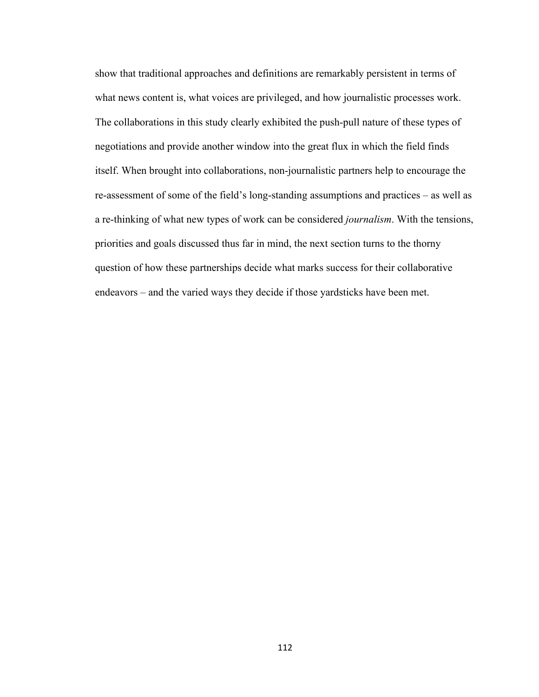show that traditional approaches and definitions are remarkably persistent in terms of what news content is, what voices are privileged, and how journalistic processes work. The collaborations in this study clearly exhibited the push-pull nature of these types of negotiations and provide another window into the great flux in which the field finds itself. When brought into collaborations, non-journalistic partners help to encourage the re-assessment of some of the field's long-standing assumptions and practices – as well as a re-thinking of what new types of work can be considered *journalism*. With the tensions, priorities and goals discussed thus far in mind, the next section turns to the thorny question of how these partnerships decide what marks success for their collaborative endeavors – and the varied ways they decide if those yardsticks have been met.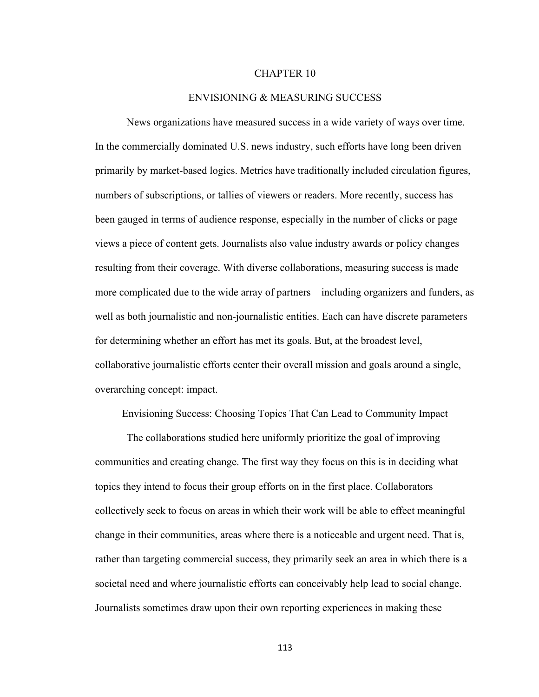### CHAPTER 10

## ENVISIONING & MEASURING SUCCESS

News organizations have measured success in a wide variety of ways over time. In the commercially dominated U.S. news industry, such efforts have long been driven primarily by market-based logics. Metrics have traditionally included circulation figures, numbers of subscriptions, or tallies of viewers or readers. More recently, success has been gauged in terms of audience response, especially in the number of clicks or page views a piece of content gets. Journalists also value industry awards or policy changes resulting from their coverage. With diverse collaborations, measuring success is made more complicated due to the wide array of partners – including organizers and funders, as well as both journalistic and non-journalistic entities. Each can have discrete parameters for determining whether an effort has met its goals. But, at the broadest level, collaborative journalistic efforts center their overall mission and goals around a single, overarching concept: impact.

Envisioning Success: Choosing Topics That Can Lead to Community Impact

The collaborations studied here uniformly prioritize the goal of improving communities and creating change. The first way they focus on this is in deciding what topics they intend to focus their group efforts on in the first place. Collaborators collectively seek to focus on areas in which their work will be able to effect meaningful change in their communities, areas where there is a noticeable and urgent need. That is, rather than targeting commercial success, they primarily seek an area in which there is a societal need and where journalistic efforts can conceivably help lead to social change. Journalists sometimes draw upon their own reporting experiences in making these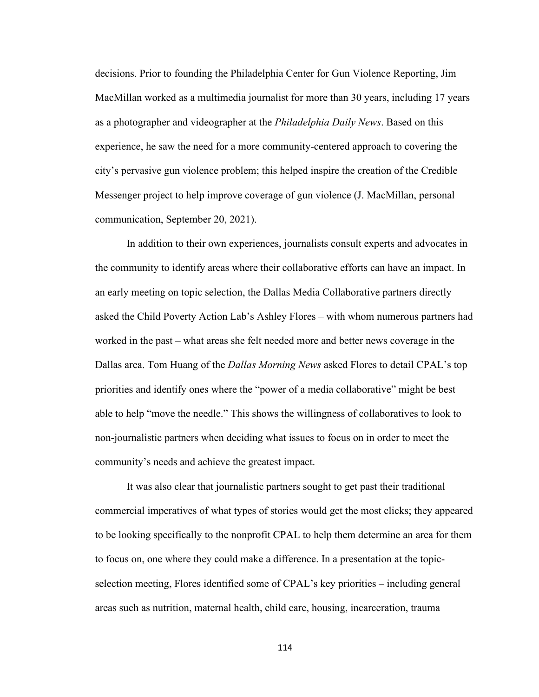decisions. Prior to founding the Philadelphia Center for Gun Violence Reporting, Jim MacMillan worked as a multimedia journalist for more than 30 years, including 17 years as a photographer and videographer at the *Philadelphia Daily News*. Based on this experience, he saw the need for a more community-centered approach to covering the city's pervasive gun violence problem; this helped inspire the creation of the Credible Messenger project to help improve coverage of gun violence (J. MacMillan, personal communication, September 20, 2021).

In addition to their own experiences, journalists consult experts and advocates in the community to identify areas where their collaborative efforts can have an impact. In an early meeting on topic selection, the Dallas Media Collaborative partners directly asked the Child Poverty Action Lab's Ashley Flores – with whom numerous partners had worked in the past – what areas she felt needed more and better news coverage in the Dallas area. Tom Huang of the *Dallas Morning News* asked Flores to detail CPAL's top priorities and identify ones where the "power of a media collaborative" might be best able to help "move the needle." This shows the willingness of collaboratives to look to non-journalistic partners when deciding what issues to focus on in order to meet the community's needs and achieve the greatest impact.

It was also clear that journalistic partners sought to get past their traditional commercial imperatives of what types of stories would get the most clicks; they appeared to be looking specifically to the nonprofit CPAL to help them determine an area for them to focus on, one where they could make a difference. In a presentation at the topicselection meeting, Flores identified some of CPAL's key priorities – including general areas such as nutrition, maternal health, child care, housing, incarceration, trauma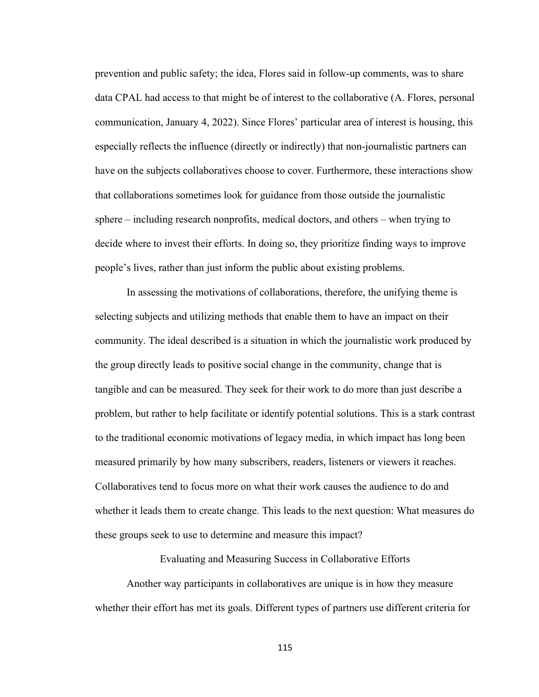prevention and public safety; the idea, Flores said in follow-up comments, was to share data CPAL had access to that might be of interest to the collaborative (A. Flores, personal communication, January 4, 2022). Since Flores' particular area of interest is housing, this especially reflects the influence (directly or indirectly) that non-journalistic partners can have on the subjects collaboratives choose to cover. Furthermore, these interactions show that collaborations sometimes look for guidance from those outside the journalistic sphere – including research nonprofits, medical doctors, and others – when trying to decide where to invest their efforts. In doing so, they prioritize finding ways to improve people's lives, rather than just inform the public about existing problems.

In assessing the motivations of collaborations, therefore, the unifying theme is selecting subjects and utilizing methods that enable them to have an impact on their community. The ideal described is a situation in which the journalistic work produced by the group directly leads to positive social change in the community, change that is tangible and can be measured. They seek for their work to do more than just describe a problem, but rather to help facilitate or identify potential solutions. This is a stark contrast to the traditional economic motivations of legacy media, in which impact has long been measured primarily by how many subscribers, readers, listeners or viewers it reaches. Collaboratives tend to focus more on what their work causes the audience to do and whether it leads them to create change. This leads to the next question: What measures do these groups seek to use to determine and measure this impact?

Evaluating and Measuring Success in Collaborative Efforts

Another way participants in collaboratives are unique is in how they measure whether their effort has met its goals. Different types of partners use different criteria for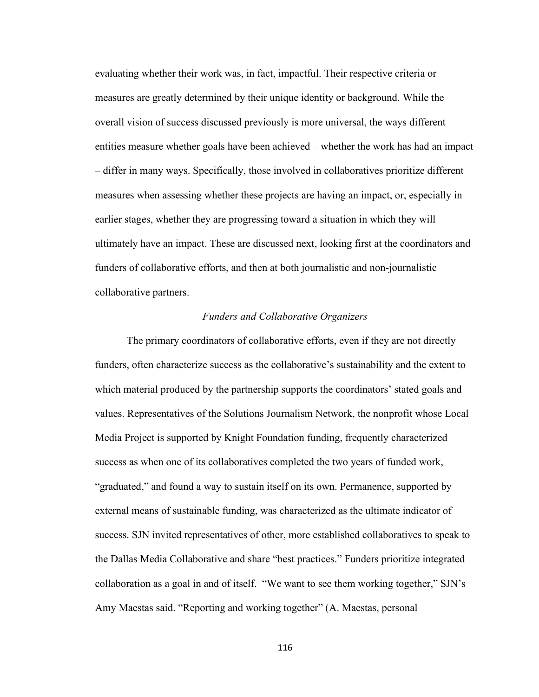evaluating whether their work was, in fact, impactful. Their respective criteria or measures are greatly determined by their unique identity or background. While the overall vision of success discussed previously is more universal, the ways different entities measure whether goals have been achieved – whether the work has had an impact – differ in many ways. Specifically, those involved in collaboratives prioritize different measures when assessing whether these projects are having an impact, or, especially in earlier stages, whether they are progressing toward a situation in which they will ultimately have an impact. These are discussed next, looking first at the coordinators and funders of collaborative efforts, and then at both journalistic and non-journalistic collaborative partners.

# *Funders and Collaborative Organizers*

The primary coordinators of collaborative efforts, even if they are not directly funders, often characterize success as the collaborative's sustainability and the extent to which material produced by the partnership supports the coordinators' stated goals and values. Representatives of the Solutions Journalism Network, the nonprofit whose Local Media Project is supported by Knight Foundation funding, frequently characterized success as when one of its collaboratives completed the two years of funded work, "graduated," and found a way to sustain itself on its own. Permanence, supported by external means of sustainable funding, was characterized as the ultimate indicator of success. SJN invited representatives of other, more established collaboratives to speak to the Dallas Media Collaborative and share "best practices." Funders prioritize integrated collaboration as a goal in and of itself. "We want to see them working together," SJN's Amy Maestas said. "Reporting and working together" (A. Maestas, personal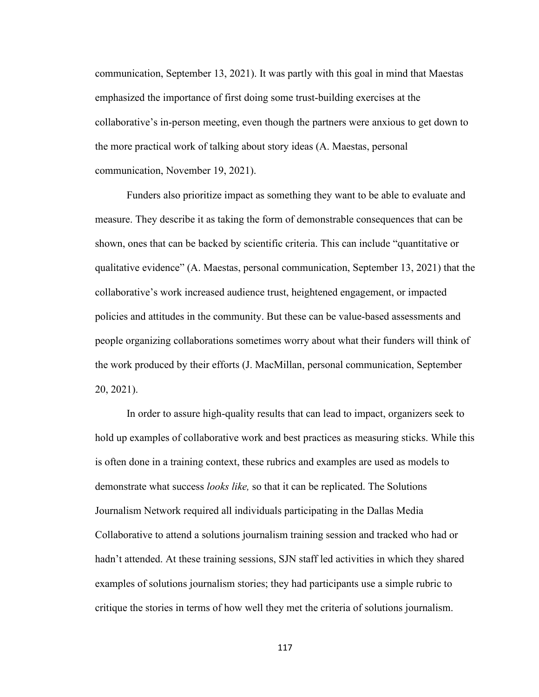communication, September 13, 2021). It was partly with this goal in mind that Maestas emphasized the importance of first doing some trust-building exercises at the collaborative's in-person meeting, even though the partners were anxious to get down to the more practical work of talking about story ideas (A. Maestas, personal communication, November 19, 2021).

Funders also prioritize impact as something they want to be able to evaluate and measure. They describe it as taking the form of demonstrable consequences that can be shown, ones that can be backed by scientific criteria. This can include "quantitative or qualitative evidence" (A. Maestas, personal communication, September 13, 2021) that the collaborative's work increased audience trust, heightened engagement, or impacted policies and attitudes in the community. But these can be value-based assessments and people organizing collaborations sometimes worry about what their funders will think of the work produced by their efforts (J. MacMillan, personal communication, September 20, 2021).

In order to assure high-quality results that can lead to impact, organizers seek to hold up examples of collaborative work and best practices as measuring sticks. While this is often done in a training context, these rubrics and examples are used as models to demonstrate what success *looks like,* so that it can be replicated. The Solutions Journalism Network required all individuals participating in the Dallas Media Collaborative to attend a solutions journalism training session and tracked who had or hadn't attended. At these training sessions, SJN staff led activities in which they shared examples of solutions journalism stories; they had participants use a simple rubric to critique the stories in terms of how well they met the criteria of solutions journalism.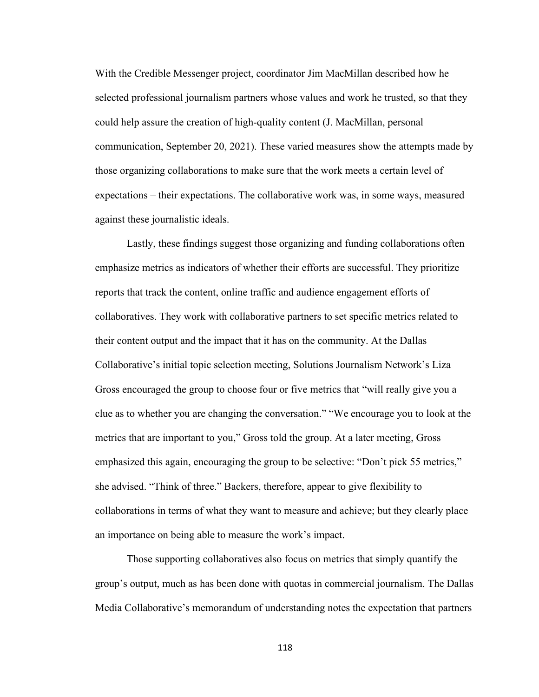With the Credible Messenger project, coordinator Jim MacMillan described how he selected professional journalism partners whose values and work he trusted, so that they could help assure the creation of high-quality content (J. MacMillan, personal communication, September 20, 2021). These varied measures show the attempts made by those organizing collaborations to make sure that the work meets a certain level of expectations – their expectations. The collaborative work was, in some ways, measured against these journalistic ideals.

Lastly, these findings suggest those organizing and funding collaborations often emphasize metrics as indicators of whether their efforts are successful. They prioritize reports that track the content, online traffic and audience engagement efforts of collaboratives. They work with collaborative partners to set specific metrics related to their content output and the impact that it has on the community. At the Dallas Collaborative's initial topic selection meeting, Solutions Journalism Network's Liza Gross encouraged the group to choose four or five metrics that "will really give you a clue as to whether you are changing the conversation." "We encourage you to look at the metrics that are important to you," Gross told the group. At a later meeting, Gross emphasized this again, encouraging the group to be selective: "Don't pick 55 metrics," she advised. "Think of three." Backers, therefore, appear to give flexibility to collaborations in terms of what they want to measure and achieve; but they clearly place an importance on being able to measure the work's impact.

Those supporting collaboratives also focus on metrics that simply quantify the group's output, much as has been done with quotas in commercial journalism. The Dallas Media Collaborative's memorandum of understanding notes the expectation that partners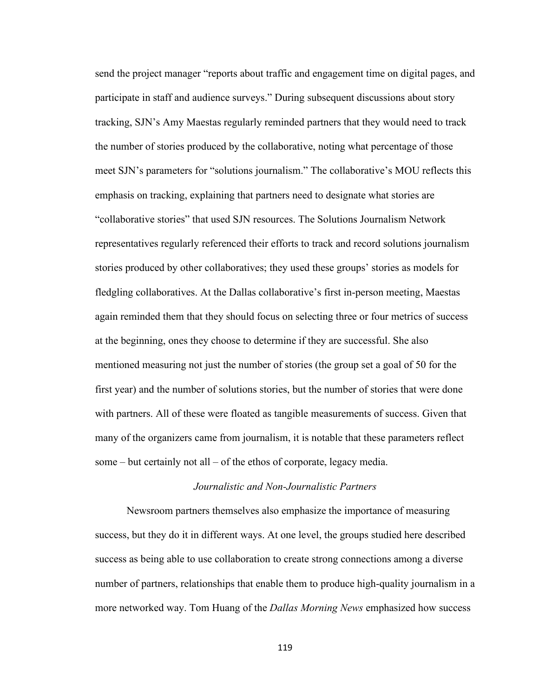send the project manager "reports about traffic and engagement time on digital pages, and participate in staff and audience surveys." During subsequent discussions about story tracking, SJN's Amy Maestas regularly reminded partners that they would need to track the number of stories produced by the collaborative, noting what percentage of those meet SJN's parameters for "solutions journalism." The collaborative's MOU reflects this emphasis on tracking, explaining that partners need to designate what stories are "collaborative stories" that used SJN resources. The Solutions Journalism Network representatives regularly referenced their efforts to track and record solutions journalism stories produced by other collaboratives; they used these groups' stories as models for fledgling collaboratives. At the Dallas collaborative's first in-person meeting, Maestas again reminded them that they should focus on selecting three or four metrics of success at the beginning, ones they choose to determine if they are successful. She also mentioned measuring not just the number of stories (the group set a goal of 50 for the first year) and the number of solutions stories, but the number of stories that were done with partners. All of these were floated as tangible measurements of success. Given that many of the organizers came from journalism, it is notable that these parameters reflect some – but certainly not all – of the ethos of corporate, legacy media.

## *Journalistic and Non-Journalistic Partners*

Newsroom partners themselves also emphasize the importance of measuring success, but they do it in different ways. At one level, the groups studied here described success as being able to use collaboration to create strong connections among a diverse number of partners, relationships that enable them to produce high-quality journalism in a more networked way. Tom Huang of the *Dallas Morning News* emphasized how success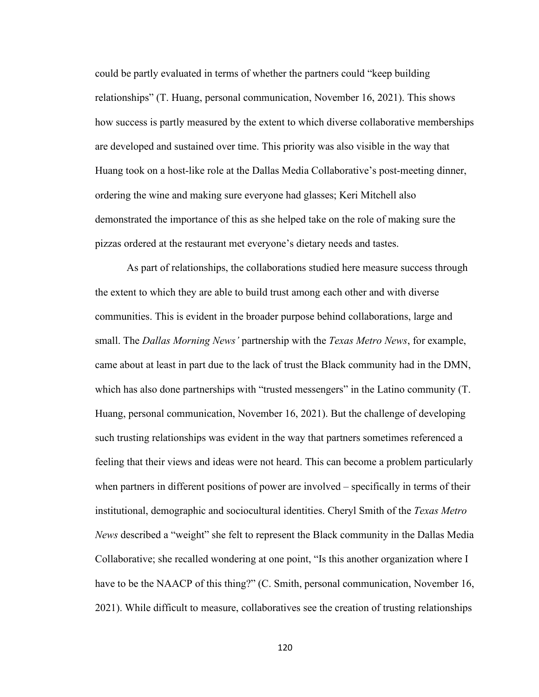could be partly evaluated in terms of whether the partners could "keep building relationships" (T. Huang, personal communication, November 16, 2021). This shows how success is partly measured by the extent to which diverse collaborative memberships are developed and sustained over time. This priority was also visible in the way that Huang took on a host-like role at the Dallas Media Collaborative's post-meeting dinner, ordering the wine and making sure everyone had glasses; Keri Mitchell also demonstrated the importance of this as she helped take on the role of making sure the pizzas ordered at the restaurant met everyone's dietary needs and tastes.

As part of relationships, the collaborations studied here measure success through the extent to which they are able to build trust among each other and with diverse communities. This is evident in the broader purpose behind collaborations, large and small. The *Dallas Morning News'* partnership with the *Texas Metro News*, for example, came about at least in part due to the lack of trust the Black community had in the DMN, which has also done partnerships with "trusted messengers" in the Latino community (T. Huang, personal communication, November 16, 2021). But the challenge of developing such trusting relationships was evident in the way that partners sometimes referenced a feeling that their views and ideas were not heard. This can become a problem particularly when partners in different positions of power are involved – specifically in terms of their institutional, demographic and sociocultural identities. Cheryl Smith of the *Texas Metro News* described a "weight" she felt to represent the Black community in the Dallas Media Collaborative; she recalled wondering at one point, "Is this another organization where I have to be the NAACP of this thing?" (C. Smith, personal communication, November 16, 2021). While difficult to measure, collaboratives see the creation of trusting relationships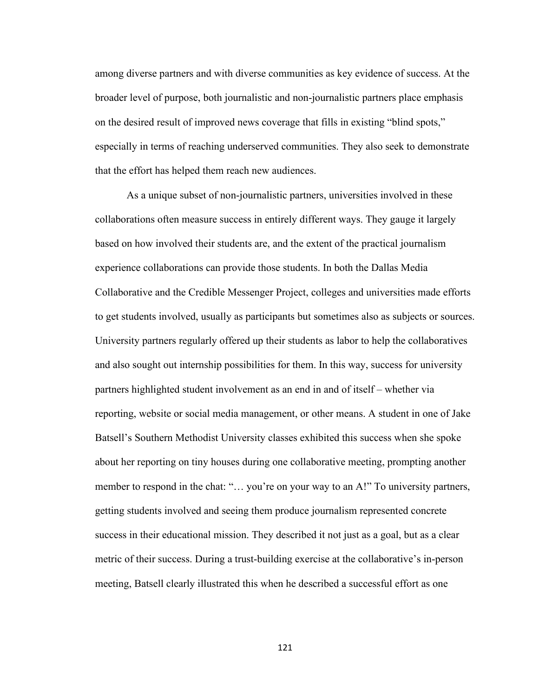among diverse partners and with diverse communities as key evidence of success. At the broader level of purpose, both journalistic and non-journalistic partners place emphasis on the desired result of improved news coverage that fills in existing "blind spots," especially in terms of reaching underserved communities. They also seek to demonstrate that the effort has helped them reach new audiences.

As a unique subset of non-journalistic partners, universities involved in these collaborations often measure success in entirely different ways. They gauge it largely based on how involved their students are, and the extent of the practical journalism experience collaborations can provide those students. In both the Dallas Media Collaborative and the Credible Messenger Project, colleges and universities made efforts to get students involved, usually as participants but sometimes also as subjects or sources. University partners regularly offered up their students as labor to help the collaboratives and also sought out internship possibilities for them. In this way, success for university partners highlighted student involvement as an end in and of itself – whether via reporting, website or social media management, or other means. A student in one of Jake Batsell's Southern Methodist University classes exhibited this success when she spoke about her reporting on tiny houses during one collaborative meeting, prompting another member to respond in the chat: "... you're on your way to an A!" To university partners, getting students involved and seeing them produce journalism represented concrete success in their educational mission. They described it not just as a goal, but as a clear metric of their success. During a trust-building exercise at the collaborative's in-person meeting, Batsell clearly illustrated this when he described a successful effort as one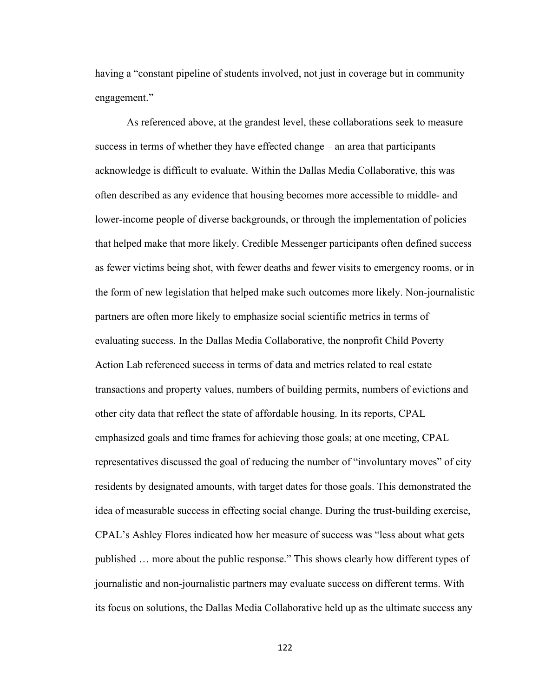having a "constant pipeline of students involved, not just in coverage but in community engagement."

As referenced above, at the grandest level, these collaborations seek to measure success in terms of whether they have effected change – an area that participants acknowledge is difficult to evaluate. Within the Dallas Media Collaborative, this was often described as any evidence that housing becomes more accessible to middle- and lower-income people of diverse backgrounds, or through the implementation of policies that helped make that more likely. Credible Messenger participants often defined success as fewer victims being shot, with fewer deaths and fewer visits to emergency rooms, or in the form of new legislation that helped make such outcomes more likely. Non-journalistic partners are often more likely to emphasize social scientific metrics in terms of evaluating success. In the Dallas Media Collaborative, the nonprofit Child Poverty Action Lab referenced success in terms of data and metrics related to real estate transactions and property values, numbers of building permits, numbers of evictions and other city data that reflect the state of affordable housing. In its reports, CPAL emphasized goals and time frames for achieving those goals; at one meeting, CPAL representatives discussed the goal of reducing the number of "involuntary moves" of city residents by designated amounts, with target dates for those goals. This demonstrated the idea of measurable success in effecting social change. During the trust-building exercise, CPAL's Ashley Flores indicated how her measure of success was "less about what gets published … more about the public response." This shows clearly how different types of journalistic and non-journalistic partners may evaluate success on different terms. With its focus on solutions, the Dallas Media Collaborative held up as the ultimate success any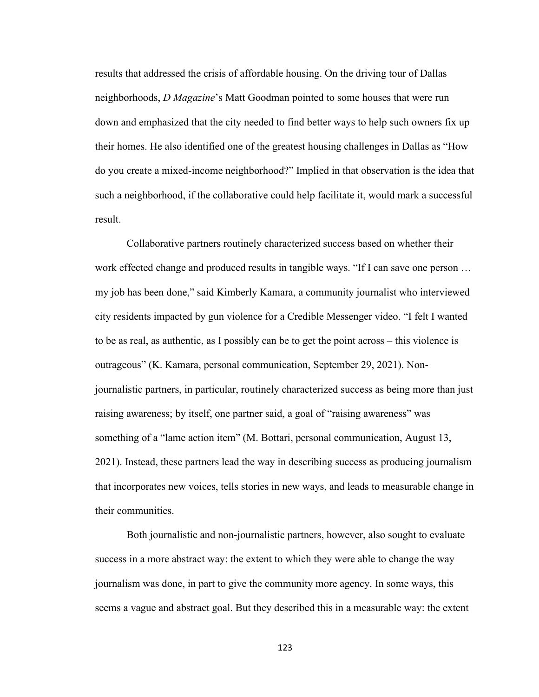results that addressed the crisis of affordable housing. On the driving tour of Dallas neighborhoods, *D Magazine*'s Matt Goodman pointed to some houses that were run down and emphasized that the city needed to find better ways to help such owners fix up their homes. He also identified one of the greatest housing challenges in Dallas as "How do you create a mixed-income neighborhood?" Implied in that observation is the idea that such a neighborhood, if the collaborative could help facilitate it, would mark a successful result.

Collaborative partners routinely characterized success based on whether their work effected change and produced results in tangible ways. "If I can save one person … my job has been done," said Kimberly Kamara, a community journalist who interviewed city residents impacted by gun violence for a Credible Messenger video. "I felt I wanted to be as real, as authentic, as I possibly can be to get the point across – this violence is outrageous" (K. Kamara, personal communication, September 29, 2021). Nonjournalistic partners, in particular, routinely characterized success as being more than just raising awareness; by itself, one partner said, a goal of "raising awareness" was something of a "lame action item" (M. Bottari, personal communication, August 13, 2021). Instead, these partners lead the way in describing success as producing journalism that incorporates new voices, tells stories in new ways, and leads to measurable change in their communities.

Both journalistic and non-journalistic partners, however, also sought to evaluate success in a more abstract way: the extent to which they were able to change the way journalism was done, in part to give the community more agency. In some ways, this seems a vague and abstract goal. But they described this in a measurable way: the extent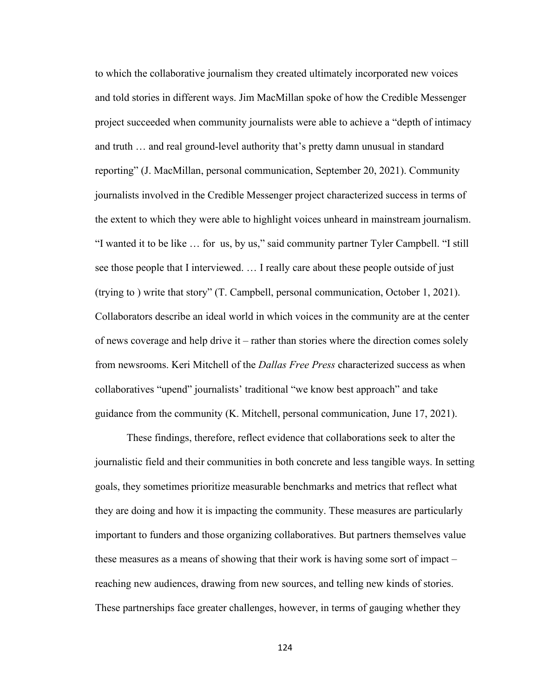to which the collaborative journalism they created ultimately incorporated new voices and told stories in different ways. Jim MacMillan spoke of how the Credible Messenger project succeeded when community journalists were able to achieve a "depth of intimacy and truth … and real ground-level authority that's pretty damn unusual in standard reporting" (J. MacMillan, personal communication, September 20, 2021). Community journalists involved in the Credible Messenger project characterized success in terms of the extent to which they were able to highlight voices unheard in mainstream journalism. "I wanted it to be like … for us, by us," said community partner Tyler Campbell. "I still see those people that I interviewed. … I really care about these people outside of just (trying to ) write that story" (T. Campbell, personal communication, October 1, 2021). Collaborators describe an ideal world in which voices in the community are at the center of news coverage and help drive it – rather than stories where the direction comes solely from newsrooms. Keri Mitchell of the *Dallas Free Press* characterized success as when collaboratives "upend" journalists' traditional "we know best approach" and take guidance from the community (K. Mitchell, personal communication, June 17, 2021).

These findings, therefore, reflect evidence that collaborations seek to alter the journalistic field and their communities in both concrete and less tangible ways. In setting goals, they sometimes prioritize measurable benchmarks and metrics that reflect what they are doing and how it is impacting the community. These measures are particularly important to funders and those organizing collaboratives. But partners themselves value these measures as a means of showing that their work is having some sort of impact – reaching new audiences, drawing from new sources, and telling new kinds of stories. These partnerships face greater challenges, however, in terms of gauging whether they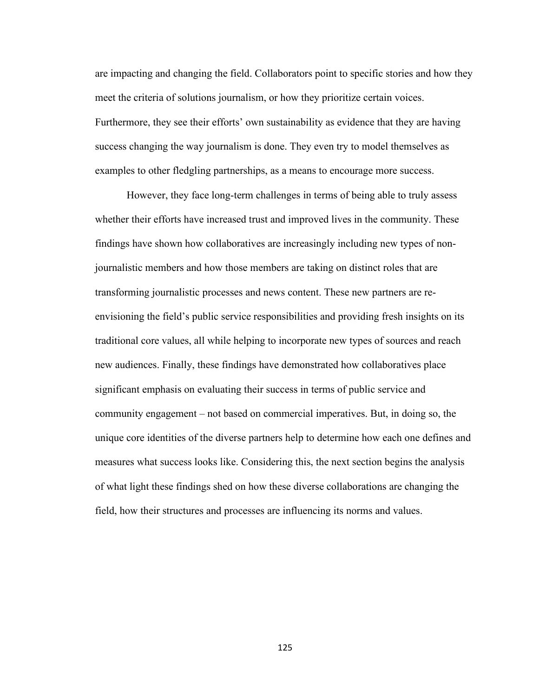are impacting and changing the field. Collaborators point to specific stories and how they meet the criteria of solutions journalism, or how they prioritize certain voices. Furthermore, they see their efforts' own sustainability as evidence that they are having success changing the way journalism is done. They even try to model themselves as examples to other fledgling partnerships, as a means to encourage more success.

However, they face long-term challenges in terms of being able to truly assess whether their efforts have increased trust and improved lives in the community. These findings have shown how collaboratives are increasingly including new types of nonjournalistic members and how those members are taking on distinct roles that are transforming journalistic processes and news content. These new partners are reenvisioning the field's public service responsibilities and providing fresh insights on its traditional core values, all while helping to incorporate new types of sources and reach new audiences. Finally, these findings have demonstrated how collaboratives place significant emphasis on evaluating their success in terms of public service and community engagement – not based on commercial imperatives. But, in doing so, the unique core identities of the diverse partners help to determine how each one defines and measures what success looks like. Considering this, the next section begins the analysis of what light these findings shed on how these diverse collaborations are changing the field, how their structures and processes are influencing its norms and values.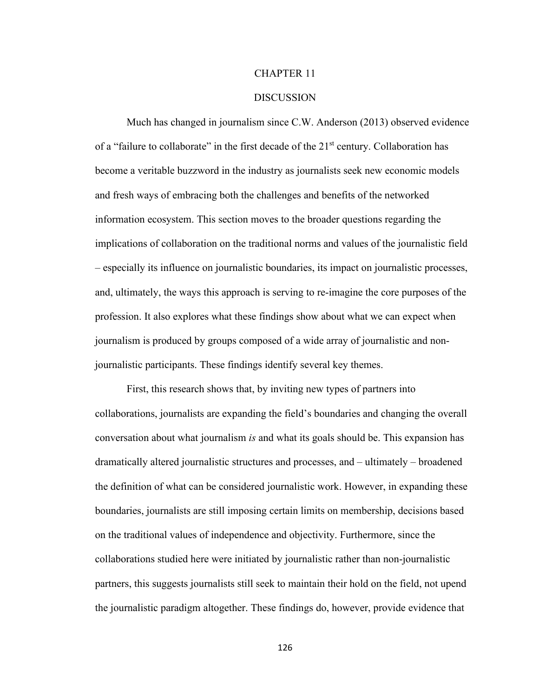## CHAPTER 11

#### **DISCUSSION**

Much has changed in journalism since C.W. Anderson (2013) observed evidence of a "failure to collaborate" in the first decade of the 21<sup>st</sup> century. Collaboration has become a veritable buzzword in the industry as journalists seek new economic models and fresh ways of embracing both the challenges and benefits of the networked information ecosystem. This section moves to the broader questions regarding the implications of collaboration on the traditional norms and values of the journalistic field – especially its influence on journalistic boundaries, its impact on journalistic processes, and, ultimately, the ways this approach is serving to re-imagine the core purposes of the profession. It also explores what these findings show about what we can expect when journalism is produced by groups composed of a wide array of journalistic and nonjournalistic participants. These findings identify several key themes.

First, this research shows that, by inviting new types of partners into collaborations, journalists are expanding the field's boundaries and changing the overall conversation about what journalism *is* and what its goals should be. This expansion has dramatically altered journalistic structures and processes, and – ultimately – broadened the definition of what can be considered journalistic work. However, in expanding these boundaries, journalists are still imposing certain limits on membership, decisions based on the traditional values of independence and objectivity. Furthermore, since the collaborations studied here were initiated by journalistic rather than non-journalistic partners, this suggests journalists still seek to maintain their hold on the field, not upend the journalistic paradigm altogether. These findings do, however, provide evidence that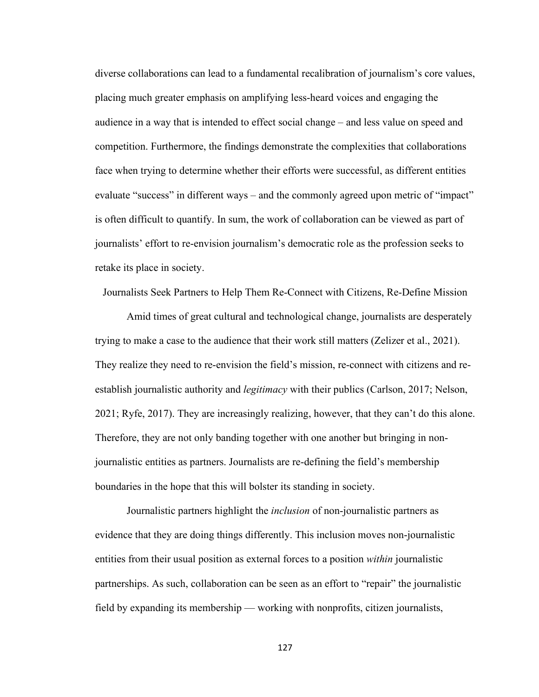diverse collaborations can lead to a fundamental recalibration of journalism's core values, placing much greater emphasis on amplifying less-heard voices and engaging the audience in a way that is intended to effect social change – and less value on speed and competition. Furthermore, the findings demonstrate the complexities that collaborations face when trying to determine whether their efforts were successful, as different entities evaluate "success" in different ways – and the commonly agreed upon metric of "impact" is often difficult to quantify. In sum, the work of collaboration can be viewed as part of journalists' effort to re-envision journalism's democratic role as the profession seeks to retake its place in society.

Journalists Seek Partners to Help Them Re-Connect with Citizens, Re-Define Mission

Amid times of great cultural and technological change, journalists are desperately trying to make a case to the audience that their work still matters (Zelizer et al., 2021). They realize they need to re-envision the field's mission, re-connect with citizens and reestablish journalistic authority and *legitimacy* with their publics (Carlson, 2017; Nelson, 2021; Ryfe, 2017). They are increasingly realizing, however, that they can't do this alone. Therefore, they are not only banding together with one another but bringing in nonjournalistic entities as partners. Journalists are re-defining the field's membership boundaries in the hope that this will bolster its standing in society.

Journalistic partners highlight the *inclusion* of non-journalistic partners as evidence that they are doing things differently. This inclusion moves non-journalistic entities from their usual position as external forces to a position *within* journalistic partnerships. As such, collaboration can be seen as an effort to "repair" the journalistic field by expanding its membership — working with nonprofits, citizen journalists,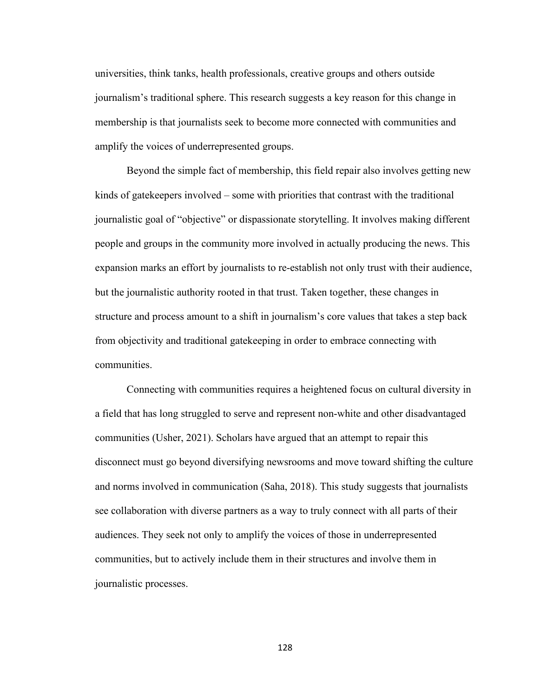universities, think tanks, health professionals, creative groups and others outside journalism's traditional sphere. This research suggests a key reason for this change in membership is that journalists seek to become more connected with communities and amplify the voices of underrepresented groups.

Beyond the simple fact of membership, this field repair also involves getting new kinds of gatekeepers involved – some with priorities that contrast with the traditional journalistic goal of "objective" or dispassionate storytelling. It involves making different people and groups in the community more involved in actually producing the news. This expansion marks an effort by journalists to re-establish not only trust with their audience, but the journalistic authority rooted in that trust. Taken together, these changes in structure and process amount to a shift in journalism's core values that takes a step back from objectivity and traditional gatekeeping in order to embrace connecting with communities.

Connecting with communities requires a heightened focus on cultural diversity in a field that has long struggled to serve and represent non-white and other disadvantaged communities (Usher, 2021). Scholars have argued that an attempt to repair this disconnect must go beyond diversifying newsrooms and move toward shifting the culture and norms involved in communication (Saha, 2018). This study suggests that journalists see collaboration with diverse partners as a way to truly connect with all parts of their audiences. They seek not only to amplify the voices of those in underrepresented communities, but to actively include them in their structures and involve them in journalistic processes.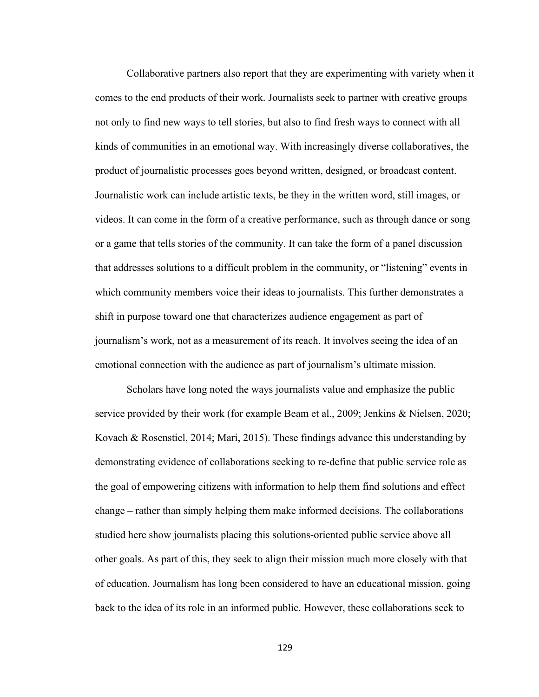Collaborative partners also report that they are experimenting with variety when it comes to the end products of their work. Journalists seek to partner with creative groups not only to find new ways to tell stories, but also to find fresh ways to connect with all kinds of communities in an emotional way. With increasingly diverse collaboratives, the product of journalistic processes goes beyond written, designed, or broadcast content. Journalistic work can include artistic texts, be they in the written word, still images, or videos. It can come in the form of a creative performance, such as through dance or song or a game that tells stories of the community. It can take the form of a panel discussion that addresses solutions to a difficult problem in the community, or "listening" events in which community members voice their ideas to journalists. This further demonstrates a shift in purpose toward one that characterizes audience engagement as part of journalism's work, not as a measurement of its reach. It involves seeing the idea of an emotional connection with the audience as part of journalism's ultimate mission.

Scholars have long noted the ways journalists value and emphasize the public service provided by their work (for example Beam et al., 2009; Jenkins & Nielsen, 2020; Kovach & Rosenstiel, 2014; Mari, 2015). These findings advance this understanding by demonstrating evidence of collaborations seeking to re-define that public service role as the goal of empowering citizens with information to help them find solutions and effect change – rather than simply helping them make informed decisions. The collaborations studied here show journalists placing this solutions-oriented public service above all other goals. As part of this, they seek to align their mission much more closely with that of education. Journalism has long been considered to have an educational mission, going back to the idea of its role in an informed public. However, these collaborations seek to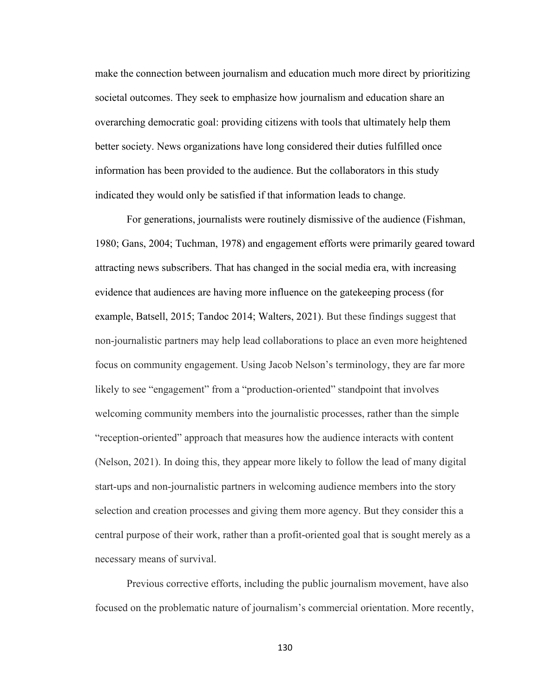make the connection between journalism and education much more direct by prioritizing societal outcomes. They seek to emphasize how journalism and education share an overarching democratic goal: providing citizens with tools that ultimately help them better society. News organizations have long considered their duties fulfilled once information has been provided to the audience. But the collaborators in this study indicated they would only be satisfied if that information leads to change.

For generations, journalists were routinely dismissive of the audience (Fishman, 1980; Gans, 2004; Tuchman, 1978) and engagement efforts were primarily geared toward attracting news subscribers. That has changed in the social media era, with increasing evidence that audiences are having more influence on the gatekeeping process (for example, Batsell, 2015; Tandoc 2014; Walters, 2021). But these findings suggest that non-journalistic partners may help lead collaborations to place an even more heightened focus on community engagement. Using Jacob Nelson's terminology, they are far more likely to see "engagement" from a "production-oriented" standpoint that involves welcoming community members into the journalistic processes, rather than the simple "reception-oriented" approach that measures how the audience interacts with content (Nelson, 2021). In doing this, they appear more likely to follow the lead of many digital start-ups and non-journalistic partners in welcoming audience members into the story selection and creation processes and giving them more agency. But they consider this a central purpose of their work, rather than a profit-oriented goal that is sought merely as a necessary means of survival.

Previous corrective efforts, including the public journalism movement, have also focused on the problematic nature of journalism's commercial orientation. More recently,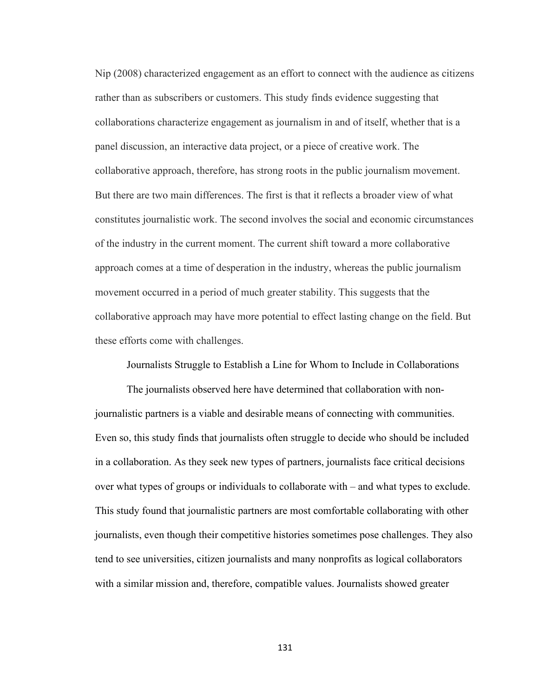Nip (2008) characterized engagement as an effort to connect with the audience as citizens rather than as subscribers or customers. This study finds evidence suggesting that collaborations characterize engagement as journalism in and of itself, whether that is a panel discussion, an interactive data project, or a piece of creative work. The collaborative approach, therefore, has strong roots in the public journalism movement. But there are two main differences. The first is that it reflects a broader view of what constitutes journalistic work. The second involves the social and economic circumstances of the industry in the current moment. The current shift toward a more collaborative approach comes at a time of desperation in the industry, whereas the public journalism movement occurred in a period of much greater stability. This suggests that the collaborative approach may have more potential to effect lasting change on the field. But these efforts come with challenges.

Journalists Struggle to Establish a Line for Whom to Include in Collaborations

The journalists observed here have determined that collaboration with nonjournalistic partners is a viable and desirable means of connecting with communities. Even so, this study finds that journalists often struggle to decide who should be included in a collaboration. As they seek new types of partners, journalists face critical decisions over what types of groups or individuals to collaborate with – and what types to exclude. This study found that journalistic partners are most comfortable collaborating with other journalists, even though their competitive histories sometimes pose challenges. They also tend to see universities, citizen journalists and many nonprofits as logical collaborators with a similar mission and, therefore, compatible values. Journalists showed greater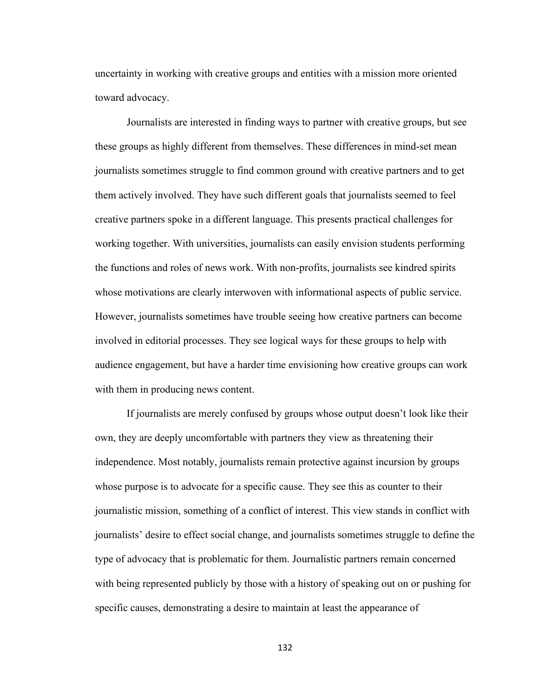uncertainty in working with creative groups and entities with a mission more oriented toward advocacy.

Journalists are interested in finding ways to partner with creative groups, but see these groups as highly different from themselves. These differences in mind-set mean journalists sometimes struggle to find common ground with creative partners and to get them actively involved. They have such different goals that journalists seemed to feel creative partners spoke in a different language. This presents practical challenges for working together. With universities, journalists can easily envision students performing the functions and roles of news work. With non-profits, journalists see kindred spirits whose motivations are clearly interwoven with informational aspects of public service. However, journalists sometimes have trouble seeing how creative partners can become involved in editorial processes. They see logical ways for these groups to help with audience engagement, but have a harder time envisioning how creative groups can work with them in producing news content.

If journalists are merely confused by groups whose output doesn't look like their own, they are deeply uncomfortable with partners they view as threatening their independence. Most notably, journalists remain protective against incursion by groups whose purpose is to advocate for a specific cause. They see this as counter to their journalistic mission, something of a conflict of interest. This view stands in conflict with journalists' desire to effect social change, and journalists sometimes struggle to define the type of advocacy that is problematic for them. Journalistic partners remain concerned with being represented publicly by those with a history of speaking out on or pushing for specific causes, demonstrating a desire to maintain at least the appearance of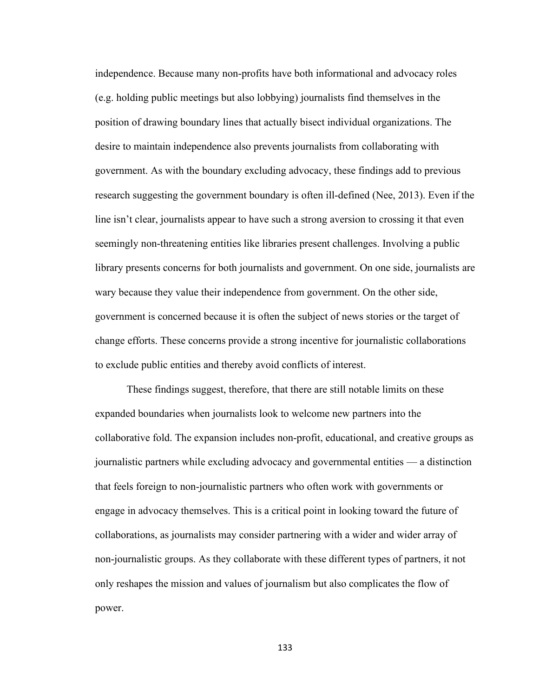independence. Because many non-profits have both informational and advocacy roles (e.g. holding public meetings but also lobbying) journalists find themselves in the position of drawing boundary lines that actually bisect individual organizations. The desire to maintain independence also prevents journalists from collaborating with government. As with the boundary excluding advocacy, these findings add to previous research suggesting the government boundary is often ill-defined (Nee, 2013). Even if the line isn't clear, journalists appear to have such a strong aversion to crossing it that even seemingly non-threatening entities like libraries present challenges. Involving a public library presents concerns for both journalists and government. On one side, journalists are wary because they value their independence from government. On the other side, government is concerned because it is often the subject of news stories or the target of change efforts. These concerns provide a strong incentive for journalistic collaborations to exclude public entities and thereby avoid conflicts of interest.

These findings suggest, therefore, that there are still notable limits on these expanded boundaries when journalists look to welcome new partners into the collaborative fold. The expansion includes non-profit, educational, and creative groups as journalistic partners while excluding advocacy and governmental entities — a distinction that feels foreign to non-journalistic partners who often work with governments or engage in advocacy themselves. This is a critical point in looking toward the future of collaborations, as journalists may consider partnering with a wider and wider array of non-journalistic groups. As they collaborate with these different types of partners, it not only reshapes the mission and values of journalism but also complicates the flow of power.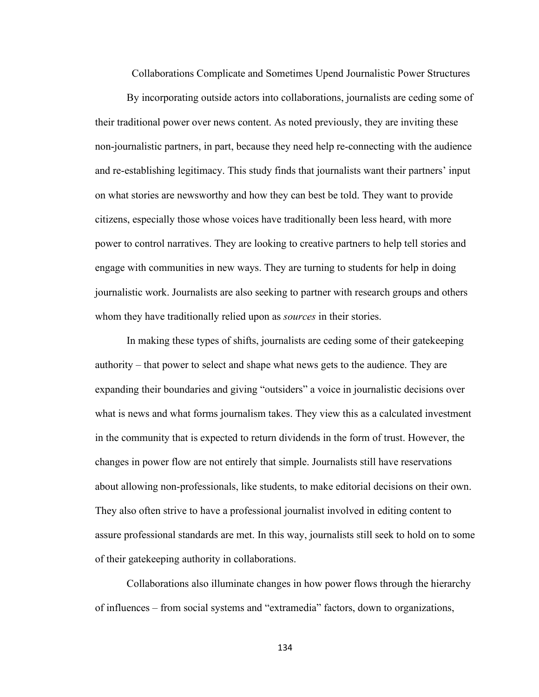Collaborations Complicate and Sometimes Upend Journalistic Power Structures

By incorporating outside actors into collaborations, journalists are ceding some of their traditional power over news content. As noted previously, they are inviting these non-journalistic partners, in part, because they need help re-connecting with the audience and re-establishing legitimacy. This study finds that journalists want their partners' input on what stories are newsworthy and how they can best be told. They want to provide citizens, especially those whose voices have traditionally been less heard, with more power to control narratives. They are looking to creative partners to help tell stories and engage with communities in new ways. They are turning to students for help in doing journalistic work. Journalists are also seeking to partner with research groups and others whom they have traditionally relied upon as *sources* in their stories.

In making these types of shifts, journalists are ceding some of their gatekeeping authority – that power to select and shape what news gets to the audience. They are expanding their boundaries and giving "outsiders" a voice in journalistic decisions over what is news and what forms journalism takes. They view this as a calculated investment in the community that is expected to return dividends in the form of trust. However, the changes in power flow are not entirely that simple. Journalists still have reservations about allowing non-professionals, like students, to make editorial decisions on their own. They also often strive to have a professional journalist involved in editing content to assure professional standards are met. In this way, journalists still seek to hold on to some of their gatekeeping authority in collaborations.

Collaborations also illuminate changes in how power flows through the hierarchy of influences – from social systems and "extramedia" factors, down to organizations,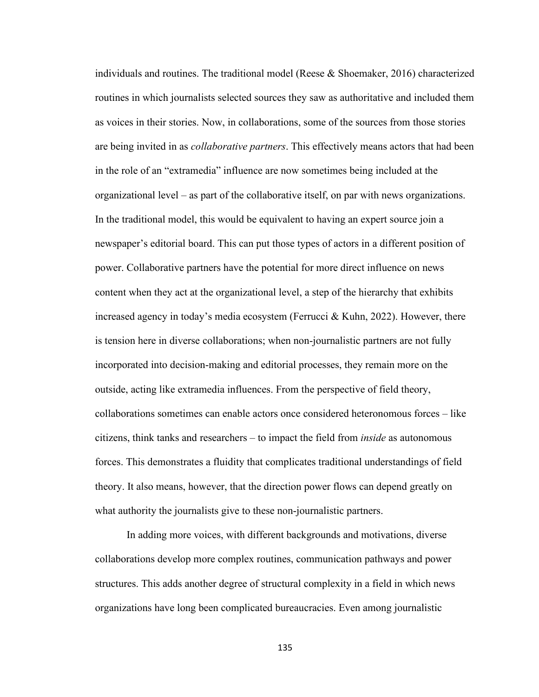individuals and routines. The traditional model (Reese  $\&$  Shoemaker, 2016) characterized routines in which journalists selected sources they saw as authoritative and included them as voices in their stories. Now, in collaborations, some of the sources from those stories are being invited in as *collaborative partners*. This effectively means actors that had been in the role of an "extramedia" influence are now sometimes being included at the organizational level – as part of the collaborative itself, on par with news organizations. In the traditional model, this would be equivalent to having an expert source join a newspaper's editorial board. This can put those types of actors in a different position of power. Collaborative partners have the potential for more direct influence on news content when they act at the organizational level, a step of the hierarchy that exhibits increased agency in today's media ecosystem (Ferrucci & Kuhn, 2022). However, there is tension here in diverse collaborations; when non-journalistic partners are not fully incorporated into decision-making and editorial processes, they remain more on the outside, acting like extramedia influences. From the perspective of field theory, collaborations sometimes can enable actors once considered heteronomous forces – like citizens, think tanks and researchers – to impact the field from *inside* as autonomous forces. This demonstrates a fluidity that complicates traditional understandings of field theory. It also means, however, that the direction power flows can depend greatly on what authority the journalists give to these non-journalistic partners.

In adding more voices, with different backgrounds and motivations, diverse collaborations develop more complex routines, communication pathways and power structures. This adds another degree of structural complexity in a field in which news organizations have long been complicated bureaucracies. Even among journalistic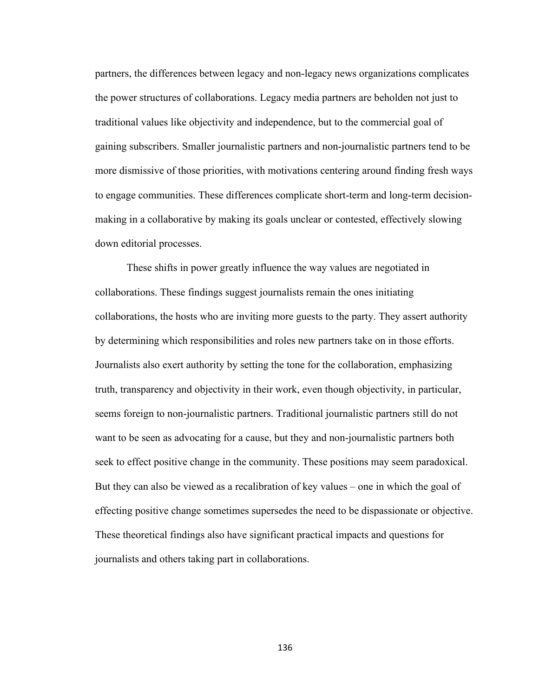partners, the differences between legacy and non-legacy news organizations complicates the power structures of collaborations. Legacy media partners are beholden not just to traditional values like objectivity and independence, but to the commercial goal of gaining subscribers. Smaller journalistic partners and non-journalistic partners tend to be more dismissive of those priorities, with motivations centering around finding fresh ways to engage communities. These differences complicate short-term and long-term decisionmaking in a collaborative by making its goals unclear or contested, effectively slowing down editorial processes.

These shifts in power greatly influence the way values are negotiated in collaborations. These findings suggest journalists remain the ones initiating collaborations, the hosts who are inviting more guests to the party. They assert authority by determining which responsibilities and roles new partners take on in those efforts. Journalists also exert authority by setting the tone for the collaboration, emphasizing truth, transparency and objectivity in their work, even though objectivity, in particular, seems foreign to non-journalistic partners. Traditional journalistic partners still do not want to be seen as advocating for a cause, but they and non-journalistic partners both seek to effect positive change in the community. These positions may seem paradoxical. But they can also be viewed as a recalibration of key values – one in which the goal of effecting positive change sometimes supersedes the need to be dispassionate or objective. These theoretical findings also have significant practical impacts and questions for journalists and others taking part in collaborations.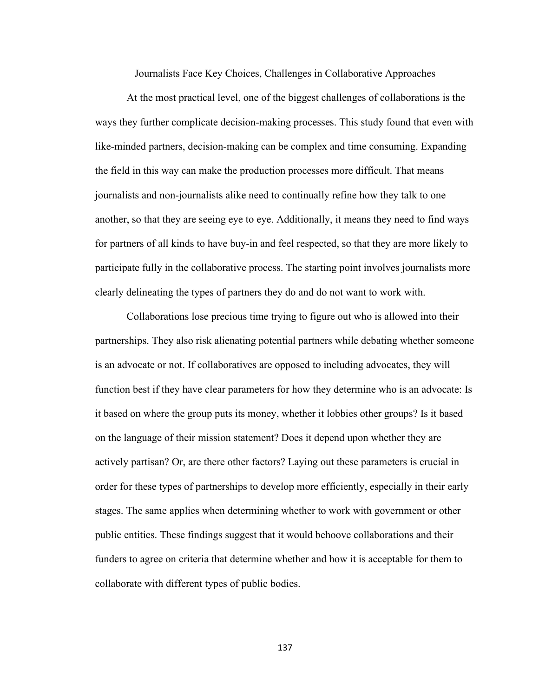Journalists Face Key Choices, Challenges in Collaborative Approaches

At the most practical level, one of the biggest challenges of collaborations is the ways they further complicate decision-making processes. This study found that even with like-minded partners, decision-making can be complex and time consuming. Expanding the field in this way can make the production processes more difficult. That means journalists and non-journalists alike need to continually refine how they talk to one another, so that they are seeing eye to eye. Additionally, it means they need to find ways for partners of all kinds to have buy-in and feel respected, so that they are more likely to participate fully in the collaborative process. The starting point involves journalists more clearly delineating the types of partners they do and do not want to work with.

Collaborations lose precious time trying to figure out who is allowed into their partnerships. They also risk alienating potential partners while debating whether someone is an advocate or not. If collaboratives are opposed to including advocates, they will function best if they have clear parameters for how they determine who is an advocate: Is it based on where the group puts its money, whether it lobbies other groups? Is it based on the language of their mission statement? Does it depend upon whether they are actively partisan? Or, are there other factors? Laying out these parameters is crucial in order for these types of partnerships to develop more efficiently, especially in their early stages. The same applies when determining whether to work with government or other public entities. These findings suggest that it would behoove collaborations and their funders to agree on criteria that determine whether and how it is acceptable for them to collaborate with different types of public bodies.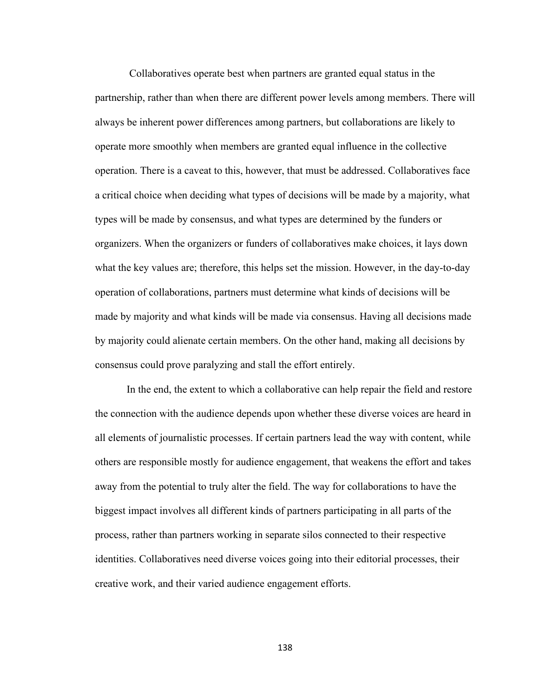Collaboratives operate best when partners are granted equal status in the partnership, rather than when there are different power levels among members. There will always be inherent power differences among partners, but collaborations are likely to operate more smoothly when members are granted equal influence in the collective operation. There is a caveat to this, however, that must be addressed. Collaboratives face a critical choice when deciding what types of decisions will be made by a majority, what types will be made by consensus, and what types are determined by the funders or organizers. When the organizers or funders of collaboratives make choices, it lays down what the key values are; therefore, this helps set the mission. However, in the day-to-day operation of collaborations, partners must determine what kinds of decisions will be made by majority and what kinds will be made via consensus. Having all decisions made by majority could alienate certain members. On the other hand, making all decisions by consensus could prove paralyzing and stall the effort entirely.

In the end, the extent to which a collaborative can help repair the field and restore the connection with the audience depends upon whether these diverse voices are heard in all elements of journalistic processes. If certain partners lead the way with content, while others are responsible mostly for audience engagement, that weakens the effort and takes away from the potential to truly alter the field. The way for collaborations to have the biggest impact involves all different kinds of partners participating in all parts of the process, rather than partners working in separate silos connected to their respective identities. Collaboratives need diverse voices going into their editorial processes, their creative work, and their varied audience engagement efforts.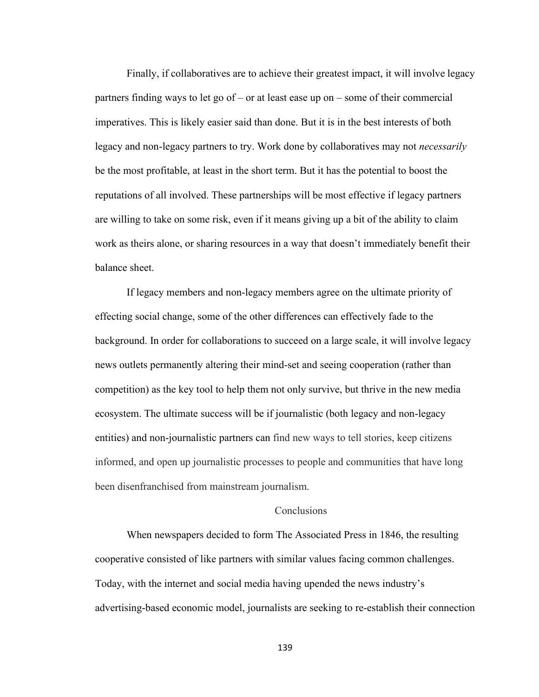Finally, if collaboratives are to achieve their greatest impact, it will involve legacy partners finding ways to let go of – or at least ease up on – some of their commercial imperatives. This is likely easier said than done. But it is in the best interests of both legacy and non-legacy partners to try. Work done by collaboratives may not *necessarily*  be the most profitable, at least in the short term. But it has the potential to boost the reputations of all involved. These partnerships will be most effective if legacy partners are willing to take on some risk, even if it means giving up a bit of the ability to claim work as theirs alone, or sharing resources in a way that doesn't immediately benefit their balance sheet.

If legacy members and non-legacy members agree on the ultimate priority of effecting social change, some of the other differences can effectively fade to the background. In order for collaborations to succeed on a large scale, it will involve legacy news outlets permanently altering their mind-set and seeing cooperation (rather than competition) as the key tool to help them not only survive, but thrive in the new media ecosystem. The ultimate success will be if journalistic (both legacy and non-legacy entities) and non-journalistic partners can find new ways to tell stories, keep citizens informed, and open up journalistic processes to people and communities that have long been disenfranchised from mainstream journalism.

#### **Conclusions**

When newspapers decided to form The Associated Press in 1846, the resulting cooperative consisted of like partners with similar values facing common challenges. Today, with the internet and social media having upended the news industry's advertising-based economic model, journalists are seeking to re-establish their connection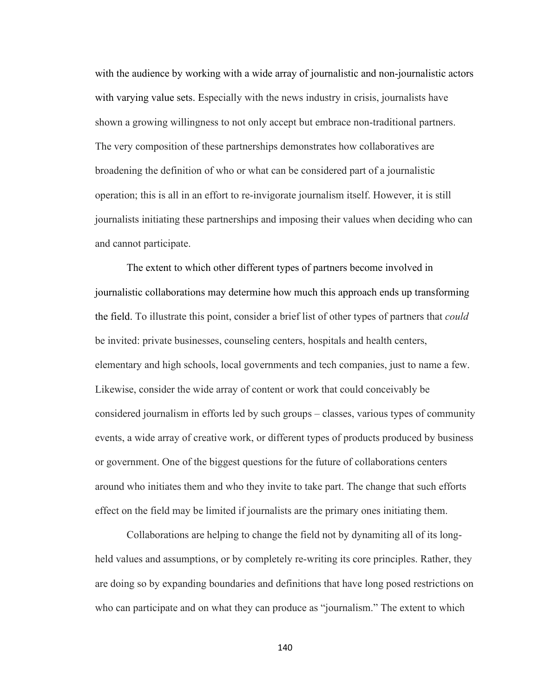with the audience by working with a wide array of journalistic and non-journalistic actors with varying value sets. Especially with the news industry in crisis, journalists have shown a growing willingness to not only accept but embrace non-traditional partners. The very composition of these partnerships demonstrates how collaboratives are broadening the definition of who or what can be considered part of a journalistic operation; this is all in an effort to re-invigorate journalism itself. However, it is still journalists initiating these partnerships and imposing their values when deciding who can and cannot participate.

The extent to which other different types of partners become involved in journalistic collaborations may determine how much this approach ends up transforming the field. To illustrate this point, consider a brief list of other types of partners that *could*  be invited: private businesses, counseling centers, hospitals and health centers, elementary and high schools, local governments and tech companies, just to name a few. Likewise, consider the wide array of content or work that could conceivably be considered journalism in efforts led by such groups – classes, various types of community events, a wide array of creative work, or different types of products produced by business or government. One of the biggest questions for the future of collaborations centers around who initiates them and who they invite to take part. The change that such efforts effect on the field may be limited if journalists are the primary ones initiating them.

Collaborations are helping to change the field not by dynamiting all of its longheld values and assumptions, or by completely re-writing its core principles. Rather, they are doing so by expanding boundaries and definitions that have long posed restrictions on who can participate and on what they can produce as "journalism." The extent to which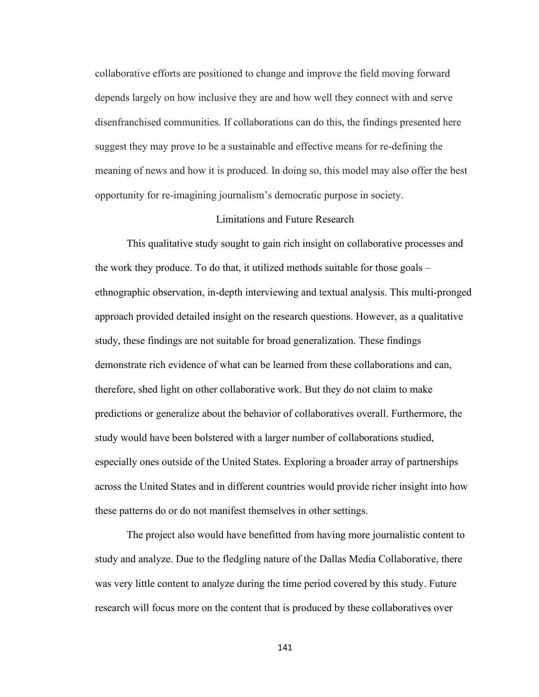collaborative efforts are positioned to change and improve the field moving forward depends largely on how inclusive they are and how well they connect with and serve disenfranchised communities. If collaborations can do this, the findings presented here suggest they may prove to be a sustainable and effective means for re-defining the meaning of news and how it is produced. In doing so, this model may also offer the best opportunity for re-imagining journalism's democratic purpose in society.

#### Limitations and Future Research

This qualitative study sought to gain rich insight on collaborative processes and the work they produce. To do that, it utilized methods suitable for those goals – ethnographic observation, in-depth interviewing and textual analysis. This multi-pronged approach provided detailed insight on the research questions. However, as a qualitative study, these findings are not suitable for broad generalization. These findings demonstrate rich evidence of what can be learned from these collaborations and can, therefore, shed light on other collaborative work. But they do not claim to make predictions or generalize about the behavior of collaboratives overall. Furthermore, the study would have been bolstered with a larger number of collaborations studied, especially ones outside of the United States. Exploring a broader array of partnerships across the United States and in different countries would provide richer insight into how these patterns do or do not manifest themselves in other settings.

The project also would have benefitted from having more journalistic content to study and analyze. Due to the fledgling nature of the Dallas Media Collaborative, there was very little content to analyze during the time period covered by this study. Future research will focus more on the content that is produced by these collaboratives over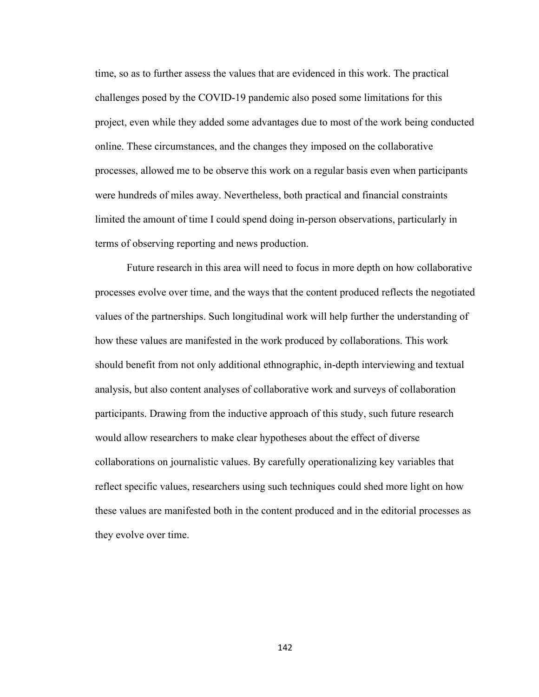time, so as to further assess the values that are evidenced in this work. The practical challenges posed by the COVID-19 pandemic also posed some limitations for this project, even while they added some advantages due to most of the work being conducted online. These circumstances, and the changes they imposed on the collaborative processes, allowed me to be observe this work on a regular basis even when participants were hundreds of miles away. Nevertheless, both practical and financial constraints limited the amount of time I could spend doing in-person observations, particularly in terms of observing reporting and news production.

Future research in this area will need to focus in more depth on how collaborative processes evolve over time, and the ways that the content produced reflects the negotiated values of the partnerships. Such longitudinal work will help further the understanding of how these values are manifested in the work produced by collaborations. This work should benefit from not only additional ethnographic, in-depth interviewing and textual analysis, but also content analyses of collaborative work and surveys of collaboration participants. Drawing from the inductive approach of this study, such future research would allow researchers to make clear hypotheses about the effect of diverse collaborations on journalistic values. By carefully operationalizing key variables that reflect specific values, researchers using such techniques could shed more light on how these values are manifested both in the content produced and in the editorial processes as they evolve over time.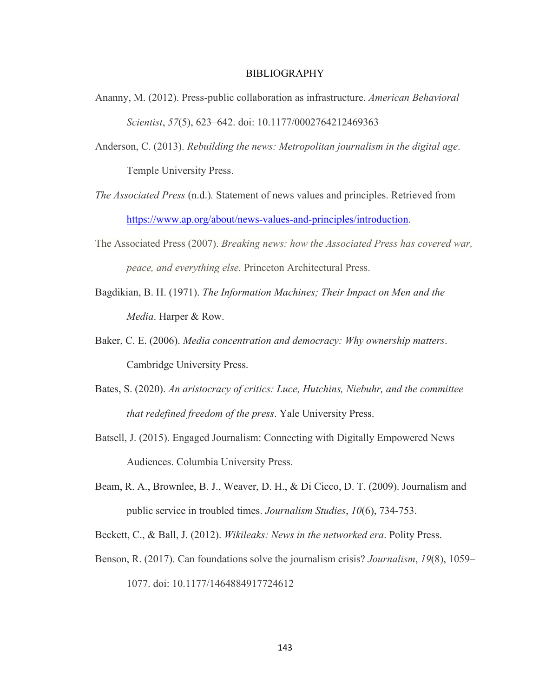#### BIBLIOGRAPHY

- Ananny, M. (2012). Press-public collaboration as infrastructure. *American Behavioral Scientist*, *57*(5), 623–642. doi: 10.1177/0002764212469363
- Anderson, C. (2013). *Rebuilding the news: Metropolitan journalism in the digital age*. Temple University Press.
- *The Associated Press* (n.d.)*.* Statement of news values and principles. Retrieved from [https://www.ap.org/about/news-values-and-principles/introduction.](https://www.ap.org/about/news-values-and-principles/introduction)
- The Associated Press (2007). *Breaking news: how the Associated Press has covered war, peace, and everything else.* Princeton Architectural Press.
- Bagdikian, B. H. (1971). *The Information Machines; Their Impact on Men and the Media*. Harper & Row.
- Baker, C. E. (2006). *Media concentration and democracy: Why ownership matters*. Cambridge University Press.
- Bates, S. (2020). *An aristocracy of critics: Luce, Hutchins, Niebuhr, and the committee that redefined freedom of the press*. Yale University Press.
- Batsell, J. (2015). Engaged Journalism: Connecting with Digitally Empowered News Audiences. Columbia University Press.
- Beam, R. A., Brownlee, B. J., Weaver, D. H., & Di Cicco, D. T. (2009). Journalism and public service in troubled times. *Journalism Studies*, *10*(6), 734-753.
- Beckett, C., & Ball, J. (2012). *Wikileaks: News in the networked era*. Polity Press.
- Benson, R. (2017). Can foundations solve the journalism crisis? *Journalism*, *19*(8), 1059– 1077. doi: 10.1177/1464884917724612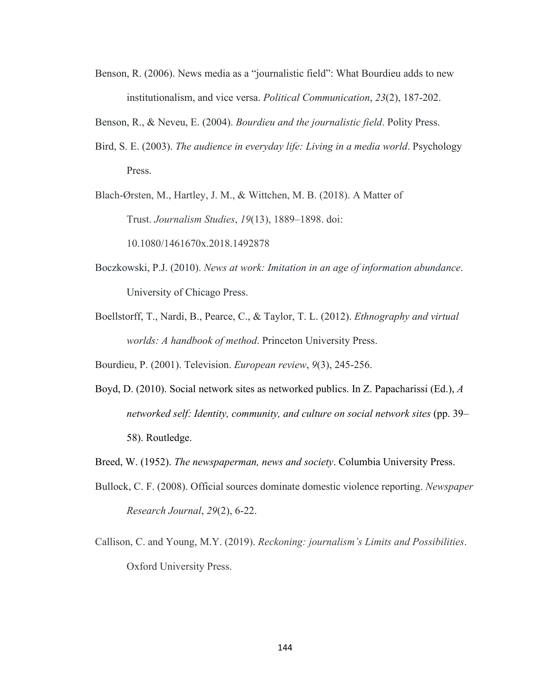- Benson, R. (2006). News media as a "journalistic field": What Bourdieu adds to new institutionalism, and vice versa. *Political Communication*, *23*(2), 187-202.
- Benson, R., & Neveu, E. (2004). *Bourdieu and the journalistic field*. Polity Press.
- Bird, S. E. (2003). *The audience in everyday life: Living in a media world*. Psychology Press.

Blach-Ørsten, M., Hartley, J. M., & Wittchen, M. B. (2018). A Matter of Trust. *Journalism Studies*, *19*(13), 1889–1898. doi: 10.1080/1461670x.2018.1492878

- Boczkowski, P.J. (2010). *News at work: Imitation in an age of information abundance*. University of Chicago Press.
- Boellstorff, T., Nardi, B., Pearce, C., & Taylor, T. L. (2012). *Ethnography and virtual worlds: A handbook of method*. Princeton University Press.

Bourdieu, P. (2001). Television. *European review*, *9*(3), 245-256.

- Boyd, D. (2010). Social network sites as networked publics. In Z. Papacharissi (Ed.), *A networked self: Identity, community, and culture on social network sites* (pp. 39– 58). Routledge.
- Breed, W. (1952). *The newspaperman, news and society*. Columbia University Press.
- Bullock, C. F. (2008). Official sources dominate domestic violence reporting. *Newspaper Research Journal*, *29*(2), 6-22.
- Callison, C. and Young, M.Y. (2019). *Reckoning: journalism's Limits and Possibilities*. Oxford University Press.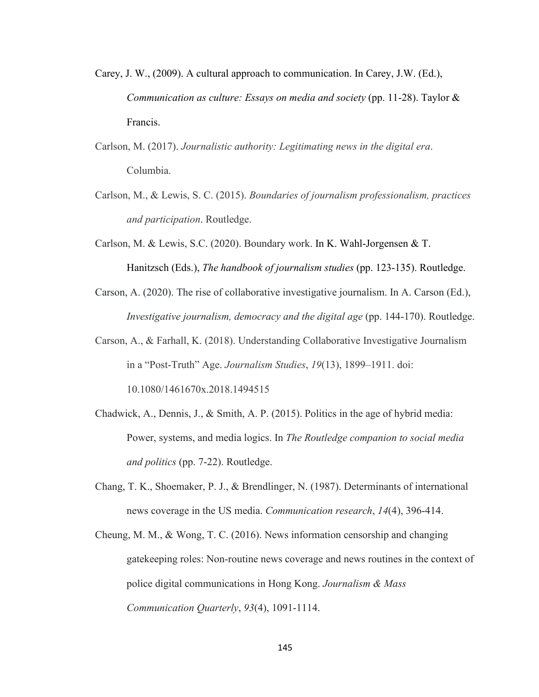- Carey, J. W., (2009). A cultural approach to communication. In Carey, J.W. (Ed.), *Communication as culture: Essays on media and society* (pp. 11-28). Taylor & Francis.
- Carlson, M. (2017). *Journalistic authority: Legitimating news in the digital era*. Columbia.
- Carlson, M., & Lewis, S. C. (2015). *Boundaries of journalism professionalism, practices and participation*. Routledge.
- Carlson, M. & Lewis, S.C. (2020). Boundary work. In K. Wahl-Jorgensen & T. Hanitzsch (Eds.), *The handbook of journalism studies* (pp. 123-135). Routledge.
- Carson, A. (2020). The rise of collaborative investigative journalism. In A. Carson (Ed.), *Investigative journalism, democracy and the digital age (pp. 144-170). Routledge.*
- Carson, A., & Farhall, K. (2018). Understanding Collaborative Investigative Journalism in a "Post-Truth" Age. *Journalism Studies*, *19*(13), 1899–1911. doi: 10.1080/1461670x.2018.1494515
- Chadwick, A., Dennis, J., & Smith, A. P. (2015). Politics in the age of hybrid media: Power, systems, and media logics. In *The Routledge companion to social media and politics* (pp. 7-22). Routledge.
- Chang, T. K., Shoemaker, P. J., & Brendlinger, N. (1987). Determinants of international news coverage in the US media. *Communication research*, *14*(4), 396-414.
- Cheung, M. M., & Wong, T. C. (2016). News information censorship and changing gatekeeping roles: Non-routine news coverage and news routines in the context of police digital communications in Hong Kong. *Journalism & Mass Communication Quarterly*, *93*(4), 1091-1114.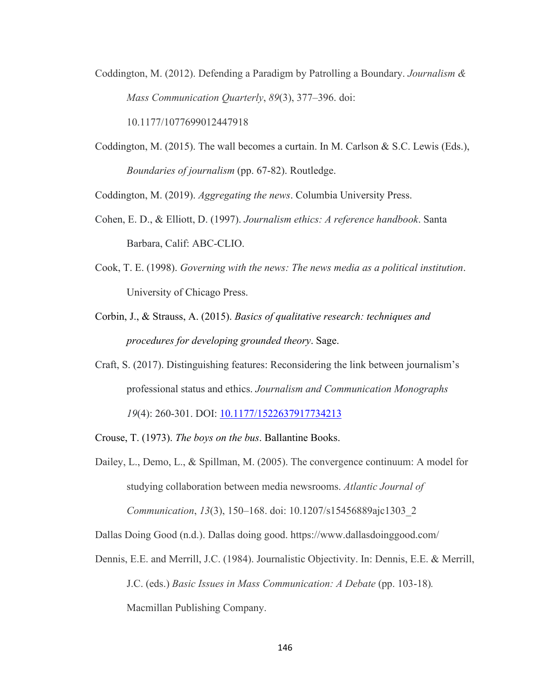Coddington, M. (2012). Defending a Paradigm by Patrolling a Boundary. *Journalism & Mass Communication Quarterly*, *89*(3), 377–396. doi:

10.1177/1077699012447918

Coddington, M. (2015). The wall becomes a curtain. In M. Carlson & S.C. Lewis (Eds.), *Boundaries of journalism* (pp. 67-82). Routledge.

Coddington, M. (2019). *Aggregating the news*. Columbia University Press.

- Cohen, E. D., & Elliott, D. (1997). *Journalism ethics: A reference handbook*. Santa Barbara, Calif: ABC-CLIO.
- Cook, T. E. (1998). *Governing with the news: The news media as a political institution*. University of Chicago Press.
- Corbin, J., & Strauss, A. (2015). *Basics of qualitative research: techniques and procedures for developing grounded theory*. Sage.
- Craft, S. (2017). Distinguishing features: Reconsidering the link between journalism's professional status and ethics. *Journalism and Communication Monographs 19*(4): 260-301. DOI: [10.1177/1522637917734213](https://doi.org/10.1177%2F1522637917734213)
- Crouse, T. (1973). *The boys on the bus*. Ballantine Books.
- Dailey, L., Demo, L., & Spillman, M. (2005). The convergence continuum: A model for studying collaboration between media newsrooms. *Atlantic Journal of Communication*, *13*(3), 150–168. doi: 10.1207/s15456889ajc1303\_2

Dallas Doing Good (n.d.). Dallas doing good. https://www.dallasdoinggood.com/

Dennis, E.E. and Merrill, J.C. (1984). Journalistic Objectivity. In: Dennis, E.E. & Merrill, J.C. (eds.) *Basic Issues in Mass Communication: A Debate* (pp. 103-18)*.*  Macmillan Publishing Company.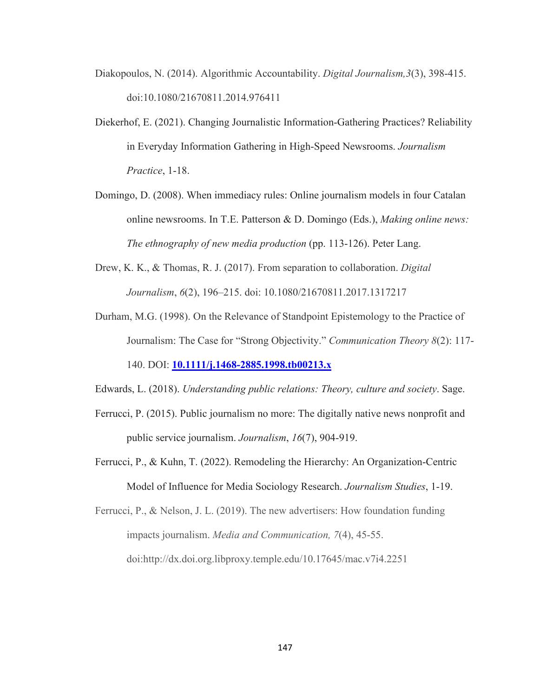- Diakopoulos, N. (2014). Algorithmic Accountability. *Digital Journalism,3*(3), 398-415. doi:10.1080/21670811.2014.976411
- Diekerhof, E. (2021). Changing Journalistic Information-Gathering Practices? Reliability in Everyday Information Gathering in High-Speed Newsrooms. *Journalism Practice*, 1-18.
- Domingo, D. (2008). When immediacy rules: Online journalism models in four Catalan online newsrooms. In T.E. Patterson & D. Domingo (Eds.), *Making online news: The ethnography of new media production* (pp. 113-126). Peter Lang.
- Drew, K. K., & Thomas, R. J. (2017). From separation to collaboration. *Digital Journalism*, *6*(2), 196–215. doi: 10.1080/21670811.2017.1317217
- Durham, M.G. (1998). On the Relevance of Standpoint Epistemology to the Practice of Journalism: The Case for "Strong Objectivity." *Communication Theory 8*(2): 117-

140. DOI: **[10.1111/j.1468-2885.1998.tb00213.x](https://doi.org/10.1111/j.1468-2885.1998.tb00213.x)**

Edwards, L. (2018). *Understanding public relations: Theory, culture and society*. Sage.

- Ferrucci, P. (2015). Public journalism no more: The digitally native news nonprofit and public service journalism. *Journalism*, *16*(7), 904-919.
- Ferrucci, P., & Kuhn, T. (2022). Remodeling the Hierarchy: An Organization-Centric Model of Influence for Media Sociology Research. *Journalism Studies*, 1-19.

Ferrucci, P., & Nelson, J. L. (2019). The new advertisers: How foundation funding impacts journalism. *Media and Communication, 7*(4), 45-55. doi:http://dx.doi.org.libproxy.temple.edu/10.17645/mac.v7i4.2251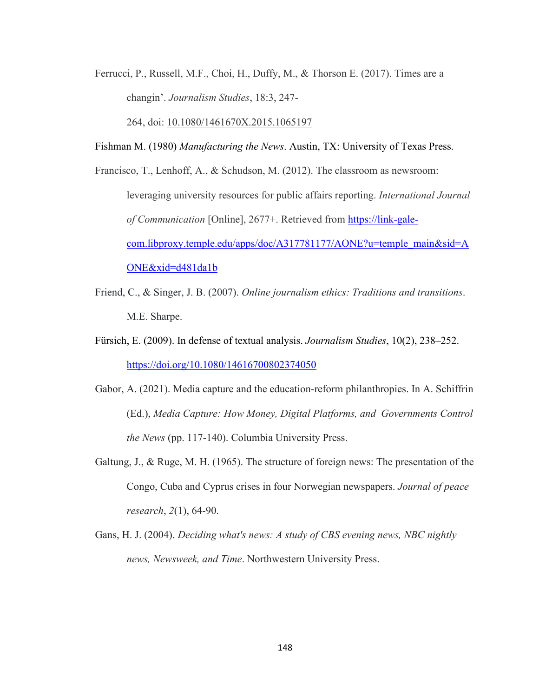Ferrucci, P., Russell, M.F., Choi, H., Duffy, M., & Thorson E. (2017). Times are a changin'. *Journalism Studies*, 18:3, 247-

264, doi: [10.1080/1461670X.2015.1065197](https://doi.org/10.1080/1461670X.2015.1065197)

- Fishman M. (1980) *Manufacturing the News*. Austin, TX: University of Texas Press.
- Francisco, T., Lenhoff, A., & Schudson, M. (2012). The classroom as newsroom: leveraging university resources for public affairs reporting. *International Journal of Communication* [Online], 2677+. Retrieved from [https://link-gale](https://link-gale-com.libproxy.temple.edu/apps/doc/A317781177/AONE?u=temple_main&sid=AONE&xid=d481da1b)[com.libproxy.temple.edu/apps/doc/A317781177/AONE?u=temple\\_main&sid=A](https://link-gale-com.libproxy.temple.edu/apps/doc/A317781177/AONE?u=temple_main&sid=AONE&xid=d481da1b) [ONE&xid=d481da1b](https://link-gale-com.libproxy.temple.edu/apps/doc/A317781177/AONE?u=temple_main&sid=AONE&xid=d481da1b)
- Friend, C., & Singer, J. B. (2007). *Online journalism ethics: Traditions and transitions*. M.E. Sharpe.
- Fürsich, E. (2009). In defense of textual analysis. *Journalism Studies*, 10(2), 238–252. <https://doi.org/10.1080/14616700802374050>
- Gabor, A. (2021). Media capture and the education-reform philanthropies. In A. Schiffrin (Ed.), *Media Capture: How Money, Digital Platforms, and Governments Control the News* (pp. 117-140). Columbia University Press.
- Galtung, J., & Ruge, M. H. (1965). The structure of foreign news: The presentation of the Congo, Cuba and Cyprus crises in four Norwegian newspapers. *Journal of peace research*, *2*(1), 64-90.
- Gans, H. J. (2004). *Deciding what's news: A study of CBS evening news, NBC nightly news, Newsweek, and Time*. Northwestern University Press.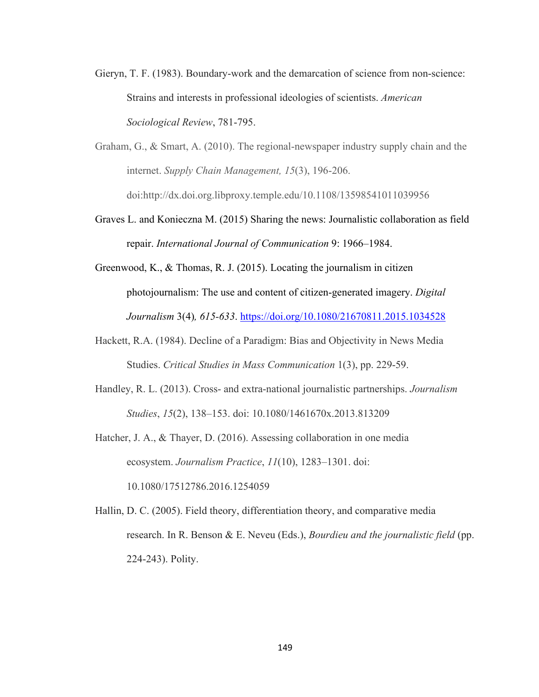- Gieryn, T. F. (1983). Boundary-work and the demarcation of science from non-science: Strains and interests in professional ideologies of scientists. *American Sociological Review*, 781-795.
- Graham, G., & Smart, A. (2010). The regional-newspaper industry supply chain and the internet. *Supply Chain Management, 15*(3), 196-206. doi:http://dx.doi.org.libproxy.temple.edu/10.1108/13598541011039956
- Graves L. and Konieczna M. (2015) Sharing the news: Journalistic collaboration as field repair. *International Journal of Communication* 9: 1966–1984.
- Greenwood, K., & Thomas, R. J. (2015). Locating the journalism in citizen photojournalism: The use and content of citizen-generated imagery. *Digital Journalism* 3(4)*, 615-633*.<https://doi.org/10.1080/21670811.2015.1034528>
- Hackett, R.A. (1984). Decline of a Paradigm: Bias and Objectivity in News Media Studies. *Critical Studies in Mass Communication* 1(3), pp. 229-59.
- Handley, R. L. (2013). Cross- and extra-national journalistic partnerships. *Journalism Studies*, *15*(2), 138–153. doi: 10.1080/1461670x.2013.813209
- Hatcher, J. A., & Thayer, D. (2016). Assessing collaboration in one media ecosystem. *Journalism Practice*, *11*(10), 1283–1301. doi: 10.1080/17512786.2016.1254059
- Hallin, D. C. (2005). Field theory, differentiation theory, and comparative media research. In R. Benson & E. Neveu (Eds.), *Bourdieu and the journalistic field* (pp. 224-243). Polity.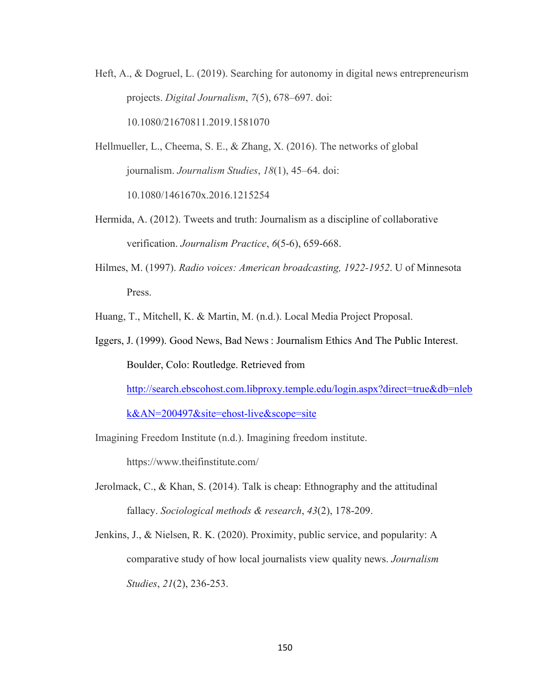Heft, A., & Dogruel, L. (2019). Searching for autonomy in digital news entrepreneurism projects. *Digital Journalism*, *7*(5), 678–697. doi: 10.1080/21670811.2019.1581070

Hellmueller, L., Cheema, S. E., & Zhang, X. (2016). The networks of global journalism. *Journalism Studies*, *18*(1), 45–64. doi:

10.1080/1461670x.2016.1215254

- Hermida, A. (2012). Tweets and truth: Journalism as a discipline of collaborative verification. *Journalism Practice*, *6*(5-6), 659-668.
- Hilmes, M. (1997). *Radio voices: American broadcasting, 1922-1952*. U of Minnesota Press.
- Huang, T., Mitchell, K. & Martin, M. (n.d.). Local Media Project Proposal.
- Iggers, J. (1999). Good News, Bad News : Journalism Ethics And The Public Interest. Boulder, Colo: Routledge. Retrieved from [http://search.ebscohost.com.libproxy.temple.edu/login.aspx?direct=true&db=nleb](http://search.ebscohost.com.libproxy.temple.edu/login.aspx?direct=true&db=nlebk&AN=200497&site=ehost-live&scope=site) [k&AN=200497&site=ehost-live&scope=site](http://search.ebscohost.com.libproxy.temple.edu/login.aspx?direct=true&db=nlebk&AN=200497&site=ehost-live&scope=site)
- Imagining Freedom Institute (n.d.). Imagining freedom institute.

https://www.theifinstitute.com/

- Jerolmack, C., & Khan, S. (2014). Talk is cheap: Ethnography and the attitudinal fallacy. *Sociological methods & research*, *43*(2), 178-209.
- Jenkins, J., & Nielsen, R. K. (2020). Proximity, public service, and popularity: A comparative study of how local journalists view quality news. *Journalism Studies*, *21*(2), 236-253.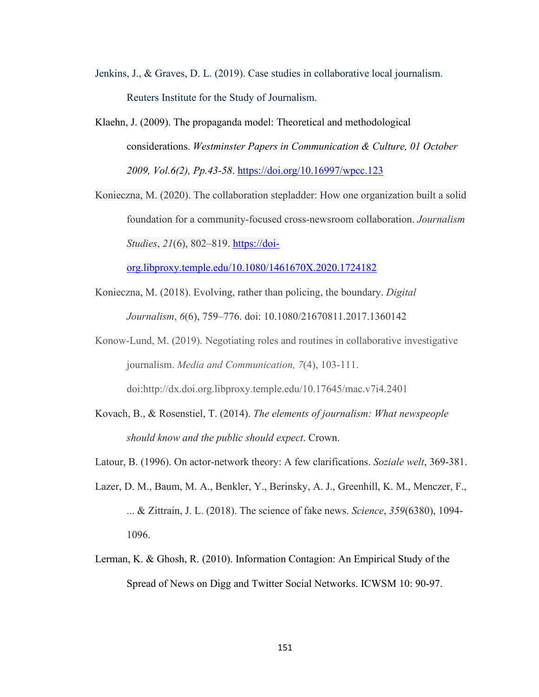- Jenkins, J., & Graves, D. L. (2019). Case studies in collaborative local journalism. Reuters Institute for the Study of Journalism.
- Klaehn, J. (2009). The propaganda model: Theoretical and methodological considerations. *Westminster Papers in Communication & Culture, 01 October 2009, Vol.6(2), Pp.43-58*.<https://doi.org/10.16997/wpcc.123>

Konieczna, M. (2020). The collaboration stepladder: How one organization built a solid foundation for a community-focused cross-newsroom collaboration. *Journalism Studies*, *21*(6), 802–819. [https://doi-](https://doi-org.libproxy.temple.edu/10.1080/1461670X.2020.1724182)

[org.libproxy.temple.edu/10.1080/1461670X.2020.1724182](https://doi-org.libproxy.temple.edu/10.1080/1461670X.2020.1724182)

- Konieczna, M. (2018). Evolving, rather than policing, the boundary. *Digital Journalism*, *6*(6), 759–776. doi: 10.1080/21670811.2017.1360142
- Konow-Lund, M. (2019). Negotiating roles and routines in collaborative investigative journalism. *Media and Communication, 7*(4), 103-111. doi:http://dx.doi.org.libproxy.temple.edu/10.17645/mac.v7i4.2401
- Kovach, B., & Rosenstiel, T. (2014). *The elements of journalism: What newspeople should know and the public should expect*. Crown.
- Latour, B. (1996). On actor-network theory: A few clarifications. *Soziale welt*, 369-381.
- Lazer, D. M., Baum, M. A., Benkler, Y., Berinsky, A. J., Greenhill, K. M., Menczer, F., ... & Zittrain, J. L. (2018). The science of fake news. *Science*, *359*(6380), 1094- 1096.
- Lerman, K. & Ghosh, R. (2010). Information Contagion: An Empirical Study of the Spread of News on Digg and Twitter Social Networks. ICWSM 10: 90-97.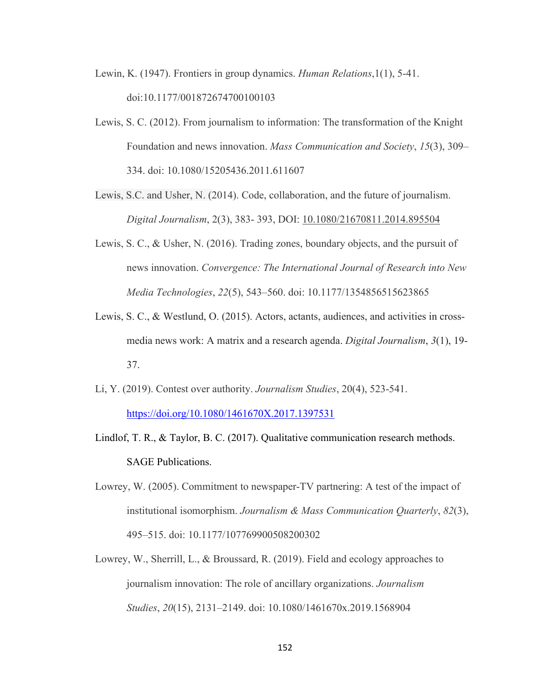Lewin, K. (1947). Frontiers in group dynamics. *Human Relations*,1(1), 5-41. doi:10.1177/001872674700100103

- Lewis, S. C. (2012). From journalism to information: The transformation of the Knight Foundation and news innovation. *Mass Communication and Society*, *15*(3), 309– 334. doi: 10.1080/15205436.2011.611607
- Lewis, S.C. and Usher, N. (2014). Code, collaboration, and the future of journalism. *Digital Journalism*, 2(3), 383- 393, DOI: [10.1080/21670811.2014.895504](https://doi-org.libproxy.temple.edu/10.1080/21670811.2014.895504)
- Lewis, S. C., & Usher, N. (2016). Trading zones, boundary objects, and the pursuit of news innovation. *Convergence: The International Journal of Research into New Media Technologies*, *22*(5), 543–560. doi: 10.1177/1354856515623865
- Lewis, S. C., & Westlund, O. (2015). Actors, actants, audiences, and activities in crossmedia news work: A matrix and a research agenda. *Digital Journalism*, *3*(1), 19- 37.
- Li, Y. (2019). Contest over authority. *Journalism Studies*, 20(4), 523-541. <https://doi.org/10.1080/1461670X.2017.1397531>
- Lindlof, T. R., & Taylor, B. C. (2017). Qualitative communication research methods. SAGE Publications.
- Lowrey, W. (2005). Commitment to newspaper-TV partnering: A test of the impact of institutional isomorphism. *Journalism & Mass Communication Quarterly*, *82*(3), 495–515. doi: 10.1177/107769900508200302
- Lowrey, W., Sherrill, L., & Broussard, R. (2019). Field and ecology approaches to journalism innovation: The role of ancillary organizations. *Journalism Studies*, *20*(15), 2131–2149. doi: 10.1080/1461670x.2019.1568904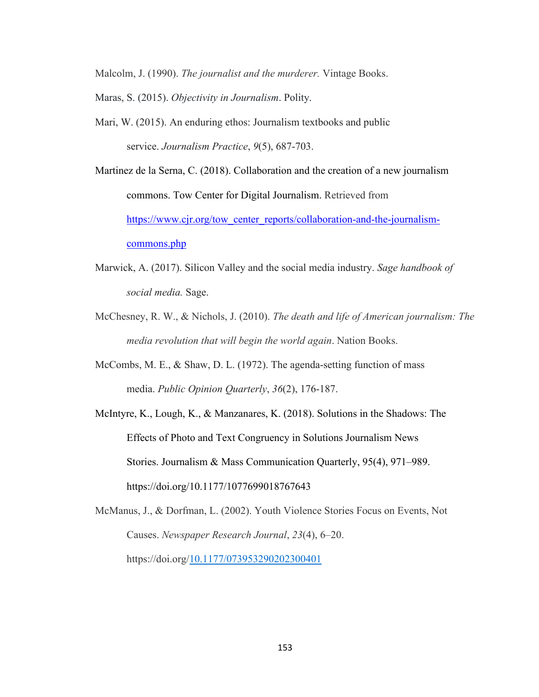Malcolm, J. (1990). *The journalist and the murderer.* Vintage Books.

- Maras, S. (2015). *Objectivity in Journalism*. Polity.
- Mari, W. (2015). An enduring ethos: Journalism textbooks and public service. *Journalism Practice*, *9*(5), 687-703.

Martinez de la Serna, C. (2018). Collaboration and the creation of a new journalism commons. Tow Center for Digital Journalism. Retrieved from [https://www.cjr.org/tow\\_center\\_reports/collaboration-and-the-journalism](https://www.cjr.org/tow_center_reports/collaboration-and-the-journalism-commons.php)[commons.php](https://www.cjr.org/tow_center_reports/collaboration-and-the-journalism-commons.php)

- Marwick, A. (2017). Silicon Valley and the social media industry. *Sage handbook of social media.* Sage.
- McChesney, R. W., & Nichols, J. (2010). *The death and life of American journalism: The media revolution that will begin the world again*. Nation Books.
- McCombs, M. E., & Shaw, D. L. (1972). The agenda-setting function of mass media. *Public Opinion Quarterly*, *36*(2), 176-187.

McIntyre, K., Lough, K., & Manzanares, K. (2018). Solutions in the Shadows: The Effects of Photo and Text Congruency in Solutions Journalism News Stories. Journalism & Mass Communication Quarterly, 95(4), 971–989. https://doi.org/10.1177/1077699018767643

McManus, J., & Dorfman, L. (2002). Youth Violence Stories Focus on Events, Not Causes. *Newspaper Research Journal*, *23*(4), 6–20. https://doi.org[/10.1177/073953290202300401](https://doi-org.libproxy.temple.edu/10.1177/073953290202300401)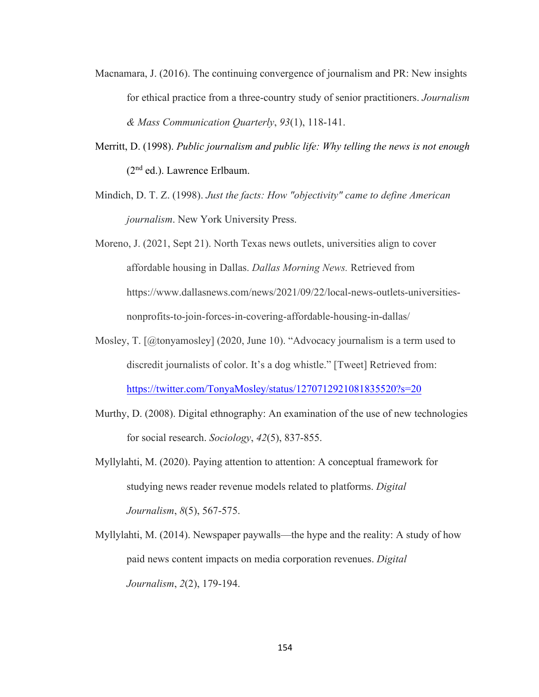- Macnamara, J. (2016). The continuing convergence of journalism and PR: New insights for ethical practice from a three-country study of senior practitioners. *Journalism & Mass Communication Quarterly*, *93*(1), 118-141.
- Merritt, D. (1998). *Public journalism and public life: Why telling the news is not enough*  (2nd ed.). Lawrence Erlbaum.
- Mindich, D. T. Z. (1998). *Just the facts: How "objectivity" came to define American journalism*. New York University Press.
- Moreno, J. (2021, Sept 21). North Texas news outlets, universities align to cover affordable housing in Dallas. *Dallas Morning News.* Retrieved from https://www.dallasnews.com/news/2021/09/22/local-news-outlets-universitiesnonprofits-to-join-forces-in-covering-affordable-housing-in-dallas/
- Mosley, T. [@tonyamosley] (2020, June 10). "Advocacy journalism is a term used to discredit journalists of color. It's a dog whistle." [Tweet] Retrieved from: <https://twitter.com/TonyaMosley/status/1270712921081835520?s=20>
- Murthy, D. (2008). Digital ethnography: An examination of the use of new technologies for social research. *Sociology*, *42*(5), 837-855.
- Myllylahti, M. (2020). Paying attention to attention: A conceptual framework for studying news reader revenue models related to platforms. *Digital Journalism*, *8*(5), 567-575.
- Myllylahti, M. (2014). Newspaper paywalls—the hype and the reality: A study of how paid news content impacts on media corporation revenues. *Digital Journalism*, *2*(2), 179-194.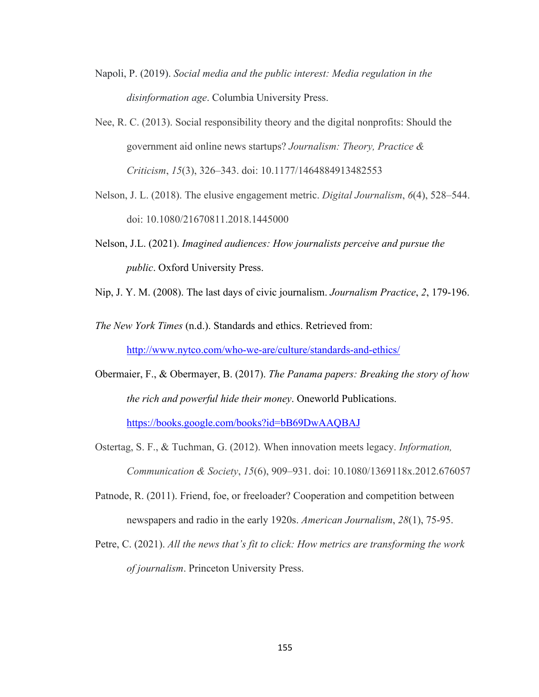Napoli, P. (2019). *Social media and the public interest: Media regulation in the disinformation age*. Columbia University Press.

Nee, R. C. (2013). Social responsibility theory and the digital nonprofits: Should the government aid online news startups? *Journalism: Theory, Practice & Criticism*, *15*(3), 326–343. doi: 10.1177/1464884913482553

- Nelson, J. L. (2018). The elusive engagement metric. *Digital Journalism*, *6*(4), 528–544. doi: 10.1080/21670811.2018.1445000
- Nelson, J.L. (2021). *Imagined audiences: How journalists perceive and pursue the public*. Oxford University Press.
- Nip, J. Y. M. (2008). The last days of civic journalism. *Journalism Practice*, *2*, 179-196.

*The New York Times* (n.d.). Standards and ethics. Retrieved from: <http://www.nytco.com/who-we-are/culture/standards-and-ethics/>

- Obermaier, F., & Obermayer, B. (2017). *The Panama papers: Breaking the story of how the rich and powerful hide their money*. Oneworld Publications. <https://books.google.com/books?id=bB69DwAAQBAJ>
- Ostertag, S. F., & Tuchman, G. (2012). When innovation meets legacy. *Information, Communication & Society*, *15*(6), 909–931. doi: 10.1080/1369118x.2012.676057
- Patnode, R. (2011). Friend, foe, or freeloader? Cooperation and competition between newspapers and radio in the early 1920s. *American Journalism*, *28*(1), 75-95.
- Petre, C. (2021). *All the news that's fit to click: How metrics are transforming the work of journalism*. Princeton University Press.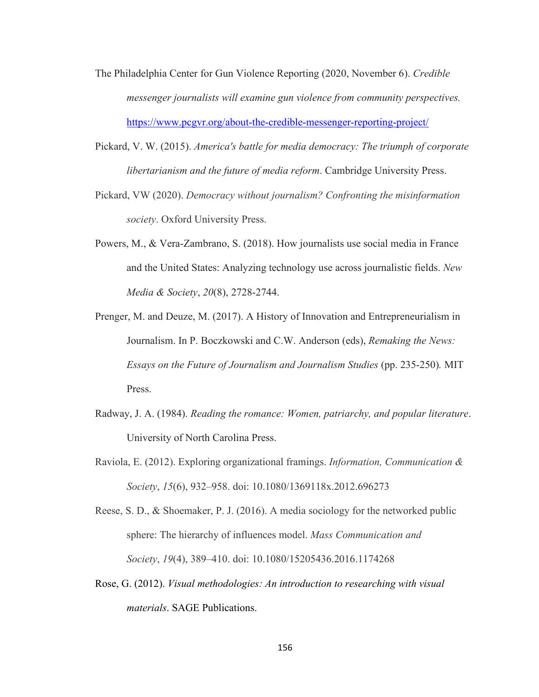- The Philadelphia Center for Gun Violence Reporting (2020, November 6). *Credible messenger journalists will examine gun violence from community perspectives.*  <https://www.pcgvr.org/about-the-credible-messenger-reporting-project/>
- Pickard, V. W. (2015). *America's battle for media democracy: The triumph of corporate libertarianism and the future of media reform*. Cambridge University Press.
- Pickard, VW (2020). *Democracy without journalism? Confronting the misinformation society*. Oxford University Press.
- Powers, M., & Vera-Zambrano, S. (2018). How journalists use social media in France and the United States: Analyzing technology use across journalistic fields. *New Media & Society*, *20*(8), 2728-2744.
- Prenger, M. and Deuze, M. (2017). A History of Innovation and Entrepreneurialism in Journalism. In P. Boczkowski and C.W. Anderson (eds), *Remaking the News: Essays on the Future of Journalism and Journalism Studies* (pp. 235-250)*.* MIT Press.
- Radway, J. A. (1984). *Reading the romance: Women, patriarchy, and popular literature*. University of North Carolina Press.
- Raviola, E. (2012). Exploring organizational framings. *Information, Communication & Society*, *15*(6), 932–958. doi: 10.1080/1369118x.2012.696273
- Reese, S. D., & Shoemaker, P. J. (2016). A media sociology for the networked public sphere: The hierarchy of influences model. *Mass Communication and Society*, *19*(4), 389–410. doi: 10.1080/15205436.2016.1174268
- Rose, G. (2012). *Visual methodologies: An introduction to researching with visual materials*. SAGE Publications.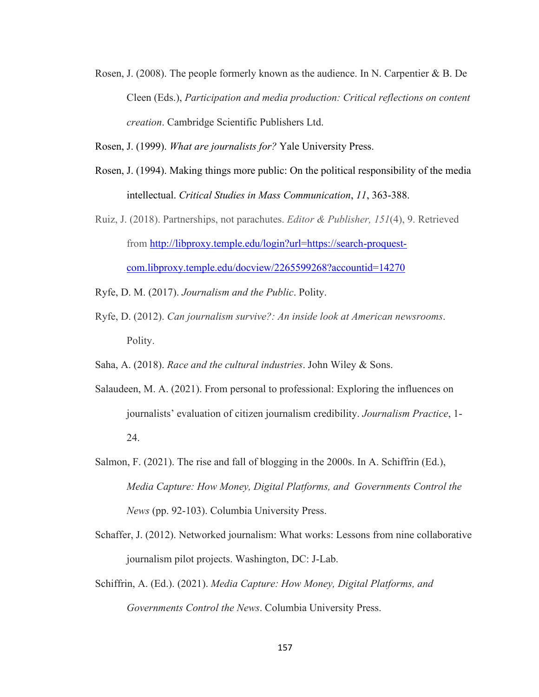- Rosen, J. (2008). The people formerly known as the audience. In N. Carpentier & B. De Cleen (Eds.), *Participation and media production: Critical reflections on content creation*. Cambridge Scientific Publishers Ltd.
- Rosen, J. (1999). *What are journalists for?* Yale University Press.
- Rosen, J. (1994). Making things more public: On the political responsibility of the media intellectual. *Critical Studies in Mass Communication*, *11*, 363-388.
- Ruiz, J. (2018). Partnerships, not parachutes. *Editor & Publisher, 151*(4), 9. Retrieved from [http://libproxy.temple.edu/login?url=https://search-proquest](http://libproxy.temple.edu/login?url=https://search-proquest-com.libproxy.temple.edu/docview/2265599268?accountid=14270)[com.libproxy.temple.edu/docview/2265599268?accountid=14270](http://libproxy.temple.edu/login?url=https://search-proquest-com.libproxy.temple.edu/docview/2265599268?accountid=14270)
- Ryfe, D. M. (2017). *Journalism and the Public*. Polity.
- Ryfe, D. (2012). *Can journalism survive?: An inside look at American newsrooms*. Polity.
- Saha, A. (2018). *Race and the cultural industries*. John Wiley & Sons.
- Salaudeen, M. A. (2021). From personal to professional: Exploring the influences on journalists' evaluation of citizen journalism credibility. *Journalism Practice*, 1- 24.
- Salmon, F. (2021). The rise and fall of blogging in the 2000s. In A. Schiffrin (Ed.), *Media Capture: How Money, Digital Platforms, and Governments Control the News* (pp. 92-103). Columbia University Press.
- Schaffer, J. (2012). Networked journalism: What works: Lessons from nine collaborative journalism pilot projects. Washington, DC: J-Lab.
- Schiffrin, A. (Ed.). (2021). *Media Capture: How Money, Digital Platforms, and Governments Control the News*. Columbia University Press.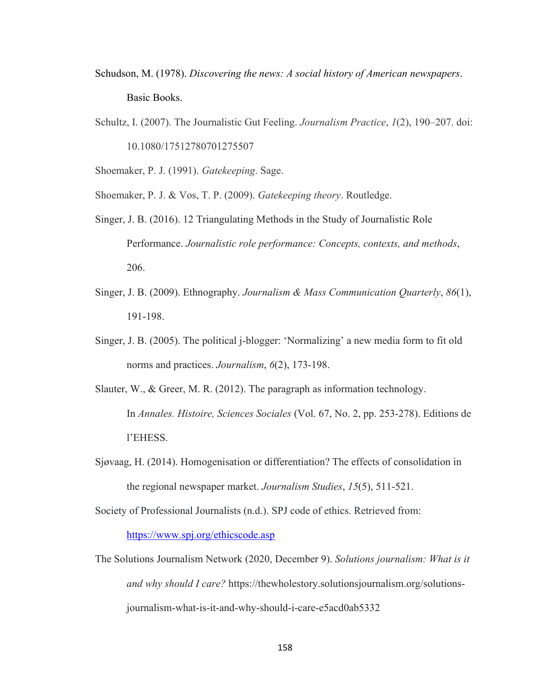- Schudson, M. (1978). *Discovering the news: A social history of American newspapers*. Basic Books.
- Schultz, I. (2007). The Journalistic Gut Feeling. *Journalism Practice*, *1*(2), 190–207. doi: 10.1080/17512780701275507

Shoemaker, P. J. (1991). *Gatekeeping*. Sage.

Shoemaker, P. J. & Vos, T. P. (2009). *Gatekeeping theory*. Routledge.

- Singer, J. B. (2016). 12 Triangulating Methods in the Study of Journalistic Role Performance. *Journalistic role performance: Concepts, contexts, and methods*, 206.
- Singer, J. B. (2009). Ethnography. *Journalism & Mass Communication Quarterly*, *86*(1), 191-198.
- Singer, J. B. (2005). The political j-blogger: 'Normalizing' a new media form to fit old norms and practices. *Journalism*, *6*(2), 173-198.
- Slauter, W., & Greer, M. R. (2012). The paragraph as information technology. In *Annales. Histoire, Sciences Sociales* (Vol. 67, No. 2, pp. 253-278). Editions de l'EHESS.
- Sjøvaag, H. (2014). Homogenisation or differentiation? The effects of consolidation in the regional newspaper market. *Journalism Studies*, *15*(5), 511-521.

Society of Professional Journalists (n.d.). SPJ code of ethics. Retrieved from:

<https://www.spj.org/ethicscode.asp>

The Solutions Journalism Network (2020, December 9). *Solutions journalism: What is it and why should I care?* https://thewholestory.solutionsjournalism.org/solutionsjournalism-what-is-it-and-why-should-i-care-e5acd0ab5332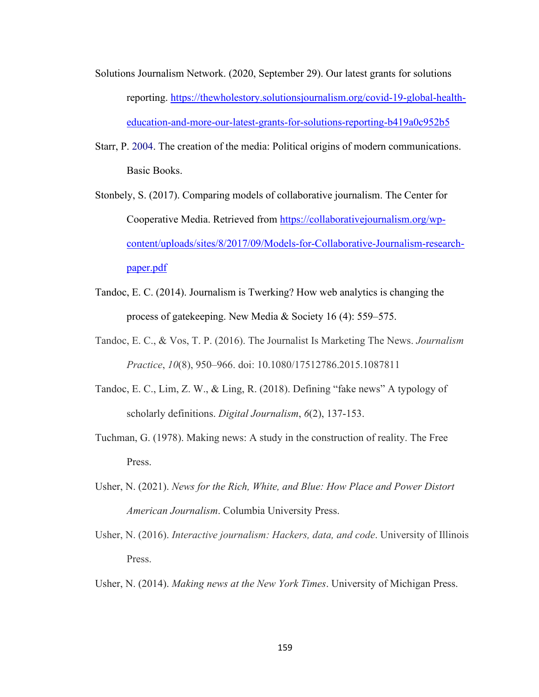- Solutions Journalism Network. (2020, September 29). Our latest grants for solutions reporting. [https://thewholestory.solutionsjournalism.org/covid-19-global-health](https://thewholestory.solutionsjournalism.org/covid-19-global-health-education-and-more-our-latest-grants-for-solutions-reporting-b419a0c952b5)[education-and-more-our-latest-grants-for-solutions-reporting-b419a0c952b5](https://thewholestory.solutionsjournalism.org/covid-19-global-health-education-and-more-our-latest-grants-for-solutions-reporting-b419a0c952b5)
- Starr, P. 2004. The creation of the media: Political origins of modern communications. Basic Books.
- Stonbely, S. (2017). Comparing models of collaborative journalism. The Center for Cooperative Media. Retrieved from [https://collaborativejournalism.org/wp](https://collaborativejournalism.org/wp-content/uploads/sites/8/2017/09/Models-for-Collaborative-Journalism-research-paper.pdf)[content/uploads/sites/8/2017/09/Models-for-Collaborative-Journalism-research](https://collaborativejournalism.org/wp-content/uploads/sites/8/2017/09/Models-for-Collaborative-Journalism-research-paper.pdf)[paper.pdf](https://collaborativejournalism.org/wp-content/uploads/sites/8/2017/09/Models-for-Collaborative-Journalism-research-paper.pdf)
- Tandoc, E. C. (2014). Journalism is Twerking? How web analytics is changing the process of gatekeeping. New Media & Society 16 (4): 559–575.
- Tandoc, E. C., & Vos, T. P. (2016). The Journalist Is Marketing The News. *Journalism Practice*, *10*(8), 950–966. doi: 10.1080/17512786.2015.1087811
- Tandoc, E. C., Lim, Z. W., & Ling, R. (2018). Defining "fake news" A typology of scholarly definitions. *Digital Journalism*, *6*(2), 137-153.
- Tuchman, G. (1978). Making news: A study in the construction of reality. The Free Press.
- Usher, N. (2021). *News for the Rich, White, and Blue: How Place and Power Distort American Journalism*. Columbia University Press.
- Usher, N. (2016). *Interactive journalism: Hackers, data, and code*. University of Illinois Press.
- Usher, N. (2014). *Making news at the New York Times*. University of Michigan Press.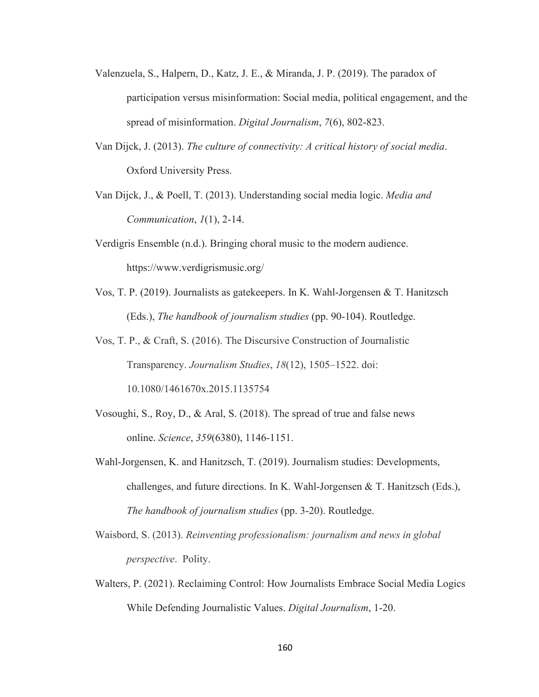- Valenzuela, S., Halpern, D., Katz, J. E., & Miranda, J. P. (2019). The paradox of participation versus misinformation: Social media, political engagement, and the spread of misinformation. *Digital Journalism*, *7*(6), 802-823.
- Van Dijck, J. (2013). *The culture of connectivity: A critical history of social media*. Oxford University Press.
- Van Dijck, J., & Poell, T. (2013). Understanding social media logic. *Media and Communication*, *1*(1), 2-14.
- Verdigris Ensemble (n.d.). Bringing choral music to the modern audience. https://www.verdigrismusic.org/
- Vos, T. P. (2019). Journalists as gatekeepers. In K. Wahl-Jorgensen & T. Hanitzsch (Eds.), *The handbook of journalism studies* (pp. 90-104). Routledge.
- Vos, T. P., & Craft, S. (2016). The Discursive Construction of Journalistic Transparency. *Journalism Studies*, *18*(12), 1505–1522. doi: 10.1080/1461670x.2015.1135754
- Vosoughi, S., Roy, D., & Aral, S. (2018). The spread of true and false news online. *Science*, *359*(6380), 1146-1151.
- Wahl-Jorgensen, K. and Hanitzsch, T. (2019). Journalism studies: Developments, challenges, and future directions. In K. Wahl-Jorgensen & T. Hanitzsch (Eds.), *The handbook of journalism studies* (pp. 3-20). Routledge.
- Waisbord, S. (2013). *Reinventing professionalism: journalism and news in global perspective*. Polity.
- Walters, P. (2021). Reclaiming Control: How Journalists Embrace Social Media Logics While Defending Journalistic Values. *Digital Journalism*, 1-20.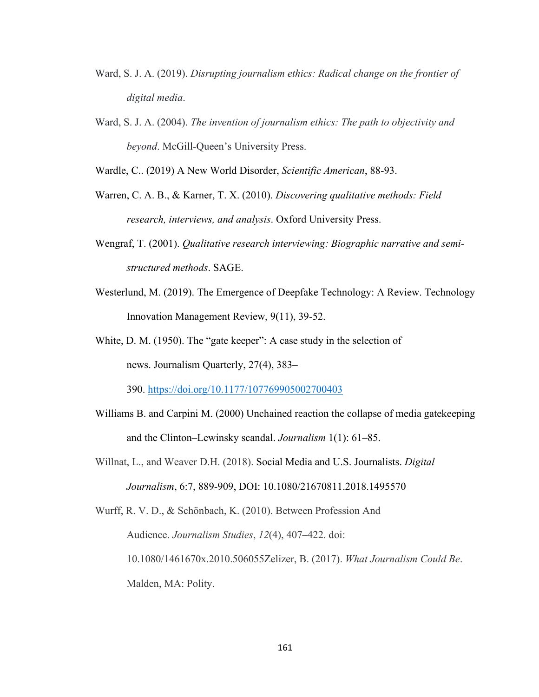- Ward, S. J. A. (2019). *Disrupting journalism ethics: Radical change on the frontier of digital media*.
- Ward, S. J. A. (2004). *The invention of journalism ethics: The path to objectivity and beyond*. McGill-Queen's University Press.

Wardle, C.. (2019) A New World Disorder, *Scientific American*, 88-93.

- Warren, C. A. B., & Karner, T. X. (2010). *Discovering qualitative methods: Field research, interviews, and analysis*. Oxford University Press.
- Wengraf, T. (2001). *Qualitative research interviewing: Biographic narrative and semistructured methods*. SAGE.
- Westerlund, M. (2019). The Emergence of Deepfake Technology: A Review. Technology Innovation Management Review, 9(11), 39-52.
- White, D. M. (1950). The "gate keeper": A case study in the selection of news. Journalism Quarterly, 27(4), 383–

390.<https://doi.org/10.1177/107769905002700403>

- Williams B. and Carpini M. (2000) Unchained reaction the collapse of media gatekeeping and the Clinton–Lewinsky scandal. *Journalism* 1(1): 61–85.
- Willnat, L., and Weaver D.H. (2018). Social Media and U.S. Journalists. *Digital Journalism*, 6:7, 889-909, DOI: 10.1080/21670811.2018.1495570

Wurff, R. V. D., & Schönbach, K. (2010). Between Profession And Audience. *Journalism Studies*, *12*(4), 407–422. doi: 10.1080/1461670x.2010.506055Zelizer, B. (2017). *What Journalism Could Be*. Malden, MA: Polity.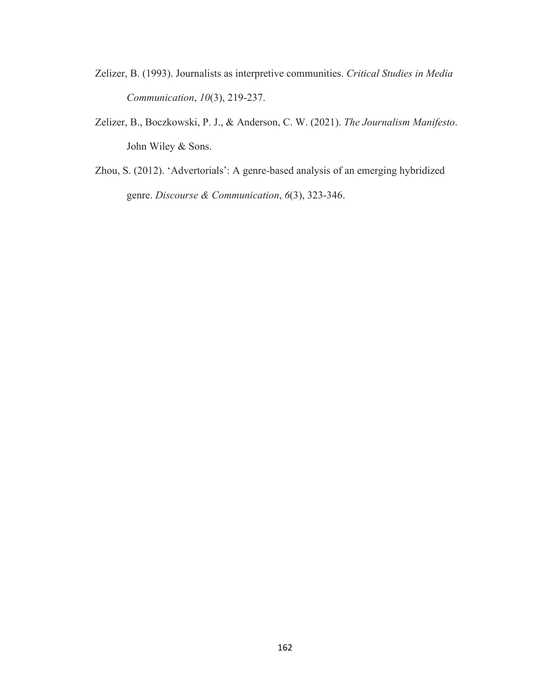- Zelizer, B. (1993). Journalists as interpretive communities. *Critical Studies in Media Communication*, *10*(3), 219-237.
- Zelizer, B., Boczkowski, P. J., & Anderson, C. W. (2021). *The Journalism Manifesto*. John Wiley & Sons.
- Zhou, S. (2012). 'Advertorials': A genre-based analysis of an emerging hybridized genre. *Discourse & Communication*, *6*(3), 323-346.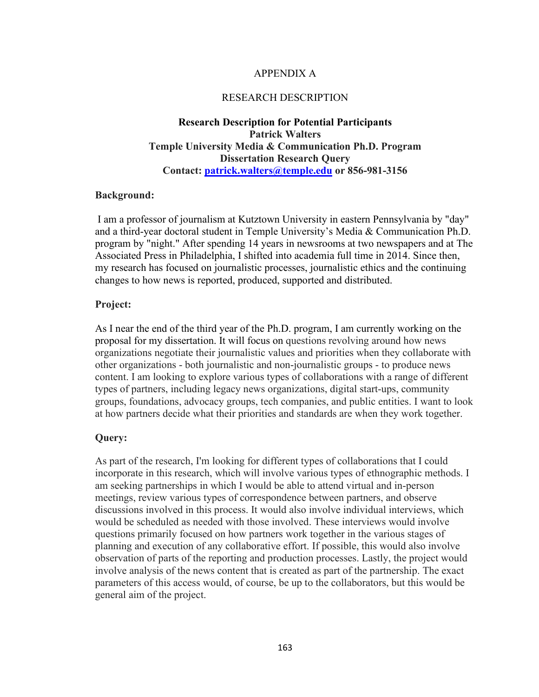#### APPENDIX A

#### RESEARCH DESCRIPTION

### **Research Description for Potential Participants Patrick Walters Temple University Media & Communication Ph.D. Program Dissertation Research Query Contact: [patrick.walters@temple.edu](mailto:patrick.walters@temple.edu) or 856-981-3156**

#### **Background:**

 I am a professor of journalism at Kutztown University in eastern Pennsylvania by "day" and a third-year doctoral student in Temple University's Media & Communication Ph.D. program by "night." After spending 14 years in newsrooms at two newspapers and at The Associated Press in Philadelphia, I shifted into academia full time in 2014. Since then, my research has focused on journalistic processes, journalistic ethics and the continuing changes to how news is reported, produced, supported and distributed.

#### **Project:**

As I near the end of the third year of the Ph.D. program, I am currently working on the proposal for my dissertation. It will focus on questions revolving around how news organizations negotiate their journalistic values and priorities when they collaborate with other organizations - both journalistic and non-journalistic groups - to produce news content. I am looking to explore various types of collaborations with a range of different types of partners, including legacy news organizations, digital start-ups, community groups, foundations, advocacy groups, tech companies, and public entities. I want to look at how partners decide what their priorities and standards are when they work together.

#### **Query:**

As part of the research, I'm looking for different types of collaborations that I could incorporate in this research, which will involve various types of ethnographic methods. I am seeking partnerships in which I would be able to attend virtual and in-person meetings, review various types of correspondence between partners, and observe discussions involved in this process. It would also involve individual interviews, which would be scheduled as needed with those involved. These interviews would involve questions primarily focused on how partners work together in the various stages of planning and execution of any collaborative effort. If possible, this would also involve observation of parts of the reporting and production processes. Lastly, the project would involve analysis of the news content that is created as part of the partnership. The exact parameters of this access would, of course, be up to the collaborators, but this would be general aim of the project.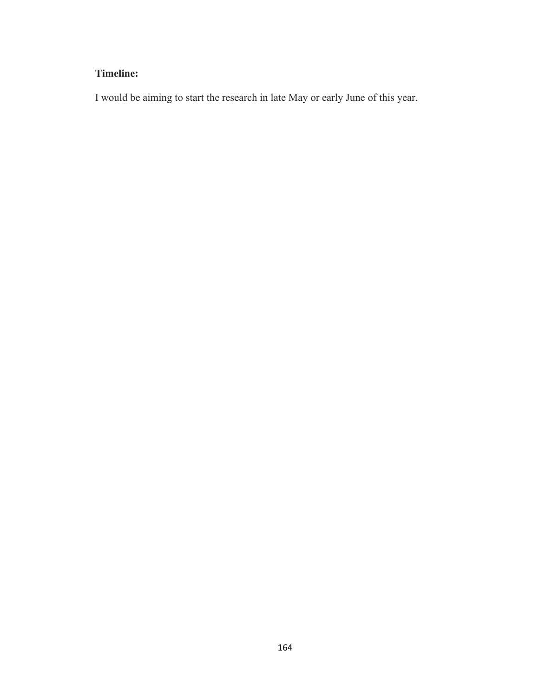# **Timeline:**

I would be aiming to start the research in late May or early June of this year.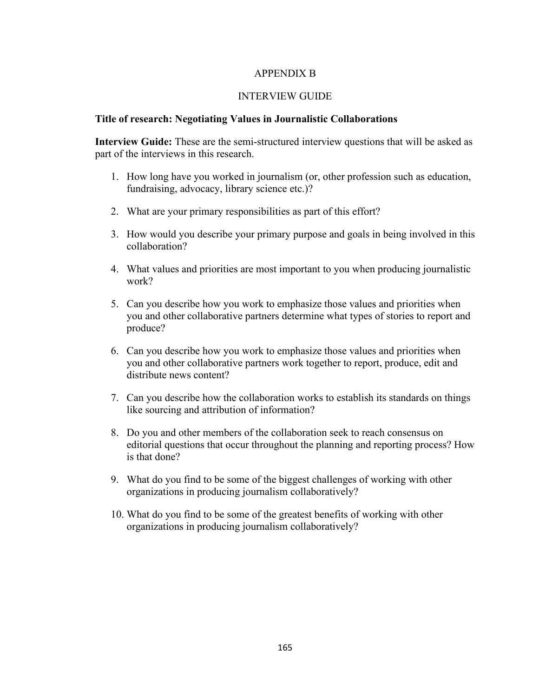#### APPENDIX B

#### INTERVIEW GUIDE

#### **Title of research: Negotiating Values in Journalistic Collaborations**

**Interview Guide:** These are the semi-structured interview questions that will be asked as part of the interviews in this research.

- 1. How long have you worked in journalism (or, other profession such as education, fundraising, advocacy, library science etc.)?
- 2. What are your primary responsibilities as part of this effort?
- 3. How would you describe your primary purpose and goals in being involved in this collaboration?
- 4. What values and priorities are most important to you when producing journalistic work?
- 5. Can you describe how you work to emphasize those values and priorities when you and other collaborative partners determine what types of stories to report and produce?
- 6. Can you describe how you work to emphasize those values and priorities when you and other collaborative partners work together to report, produce, edit and distribute news content?
- 7. Can you describe how the collaboration works to establish its standards on things like sourcing and attribution of information?
- 8. Do you and other members of the collaboration seek to reach consensus on editorial questions that occur throughout the planning and reporting process? How is that done?
- 9. What do you find to be some of the biggest challenges of working with other organizations in producing journalism collaboratively?
- 10. What do you find to be some of the greatest benefits of working with other organizations in producing journalism collaboratively?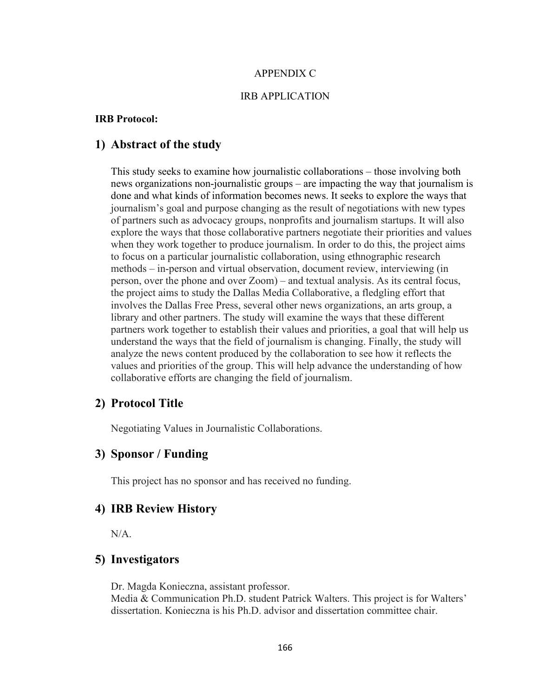#### APPENDIX C

### IRB APPLICATION

#### **IRB Protocol:**

## **1) Abstract of the study**

This study seeks to examine how journalistic collaborations – those involving both news organizations non-journalistic groups – are impacting the way that journalism is done and what kinds of information becomes news. It seeks to explore the ways that journalism's goal and purpose changing as the result of negotiations with new types of partners such as advocacy groups, nonprofits and journalism startups. It will also explore the ways that those collaborative partners negotiate their priorities and values when they work together to produce journalism. In order to do this, the project aims to focus on a particular journalistic collaboration, using ethnographic research methods – in-person and virtual observation, document review, interviewing (in person, over the phone and over Zoom) – and textual analysis. As its central focus, the project aims to study the Dallas Media Collaborative, a fledgling effort that involves the Dallas Free Press, several other news organizations, an arts group, a library and other partners. The study will examine the ways that these different partners work together to establish their values and priorities, a goal that will help us understand the ways that the field of journalism is changing. Finally, the study will analyze the news content produced by the collaboration to see how it reflects the values and priorities of the group. This will help advance the understanding of how collaborative efforts are changing the field of journalism.

### **2) Protocol Title**

Negotiating Values in Journalistic Collaborations.

# **3) Sponsor / Funding**

This project has no sponsor and has received no funding.

### **4) IRB Review History**

N/A.

# **5) Investigators**

Dr. Magda Konieczna, assistant professor. Media & Communication Ph.D. student Patrick Walters. This project is for Walters' dissertation. Konieczna is his Ph.D. advisor and dissertation committee chair.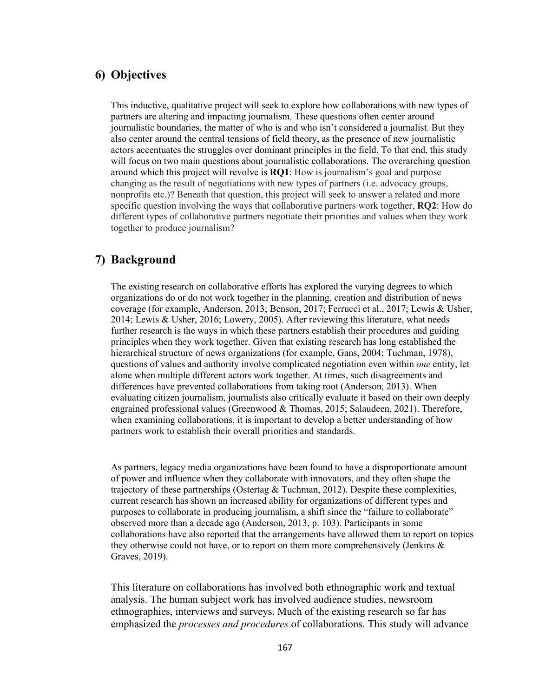# **6) Objectives**

This inductive, qualitative project will seek to explore how collaborations with new types of partners are altering and impacting journalism. These questions often center around journalistic boundaries, the matter of who is and who isn't considered a journalist. But they also center around the central tensions of field theory, as the presence of new journalistic actors accentuates the struggles over dominant principles in the field. To that end, this study will focus on two main questions about journalistic collaborations. The overarching question around which this project will revolve is **RQ1**: How is journalism's goal and purpose changing as the result of negotiations with new types of partners (i.e. advocacy groups, nonprofits etc.)? Beneath that question, this project will seek to answer a related and more specific question involving the ways that collaborative partners work together, **RQ2**: How do different types of collaborative partners negotiate their priorities and values when they work together to produce journalism?

# **7) Background**

The existing research on collaborative efforts has explored the varying degrees to which organizations do or do not work together in the planning, creation and distribution of news coverage (for example, Anderson, 2013; Benson, 2017; Ferrucci et al., 2017; Lewis & Usher, 2014; Lewis & Usher, 2016; Lowery, 2005). After reviewing this literature, what needs further research is the ways in which these partners establish their procedures and guiding principles when they work together. Given that existing research has long established the hierarchical structure of news organizations (for example, Gans, 2004; Tuchman, 1978), questions of values and authority involve complicated negotiation even within *one* entity, let alone when multiple different actors work together. At times, such disagreements and differences have prevented collaborations from taking root (Anderson, 2013). When evaluating citizen journalism, journalists also critically evaluate it based on their own deeply engrained professional values (Greenwood & Thomas, 2015; Salaudeen, 2021). Therefore, when examining collaborations, it is important to develop a better understanding of how partners work to establish their overall priorities and standards.

As partners, legacy media organizations have been found to have a disproportionate amount of power and influence when they collaborate with innovators, and they often shape the trajectory of these partnerships (Ostertag & Tuchman, 2012). Despite these complexities, current research has shown an increased ability for organizations of different types and purposes to collaborate in producing journalism, a shift since the "failure to collaborate" observed more than a decade ago (Anderson, 2013, p. 103). Participants in some collaborations have also reported that the arrangements have allowed them to report on topics they otherwise could not have, or to report on them more comprehensively (Jenkins & Graves, 2019).

This literature on collaborations has involved both ethnographic work and textual analysis. The human subject work has involved audience studies, newsroom ethnographies, interviews and surveys. Much of the existing research so far has emphasized the *processes and procedures* of collaborations. This study will advance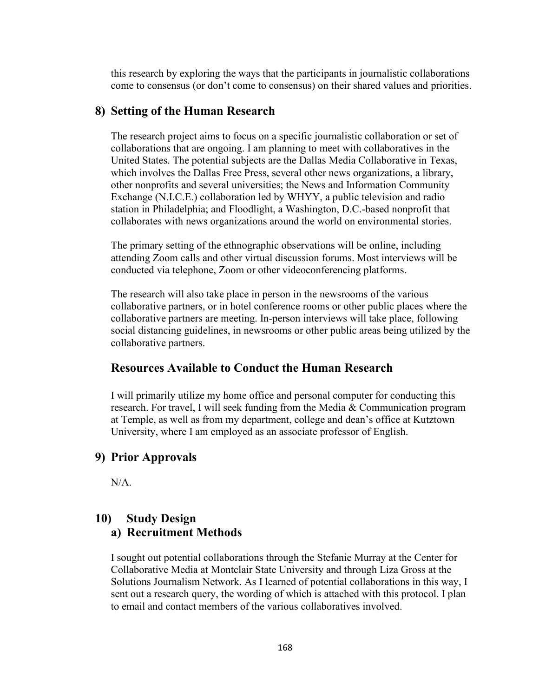this research by exploring the ways that the participants in journalistic collaborations come to consensus (or don't come to consensus) on their shared values and priorities.

# **8) Setting of the Human Research**

The research project aims to focus on a specific journalistic collaboration or set of collaborations that are ongoing. I am planning to meet with collaboratives in the United States. The potential subjects are the Dallas Media Collaborative in Texas, which involves the Dallas Free Press, several other news organizations, a library, other nonprofits and several universities; the News and Information Community Exchange (N.I.C.E.) collaboration led by WHYY, a public television and radio station in Philadelphia; and Floodlight, a Washington, D.C.-based nonprofit that collaborates with news organizations around the world on environmental stories.

The primary setting of the ethnographic observations will be online, including attending Zoom calls and other virtual discussion forums. Most interviews will be conducted via telephone, Zoom or other videoconferencing platforms.

The research will also take place in person in the newsrooms of the various collaborative partners, or in hotel conference rooms or other public places where the collaborative partners are meeting. In-person interviews will take place, following social distancing guidelines, in newsrooms or other public areas being utilized by the collaborative partners.

# **Resources Available to Conduct the Human Research**

I will primarily utilize my home office and personal computer for conducting this research. For travel, I will seek funding from the Media & Communication program at Temple, as well as from my department, college and dean's office at Kutztown University, where I am employed as an associate professor of English.

# **9) Prior Approvals**

N/A.

# **10) Study Design a) Recruitment Methods**

I sought out potential collaborations through the Stefanie Murray at the Center for Collaborative Media at Montclair State University and through Liza Gross at the Solutions Journalism Network. As I learned of potential collaborations in this way, I sent out a research query, the wording of which is attached with this protocol. I plan to email and contact members of the various collaboratives involved.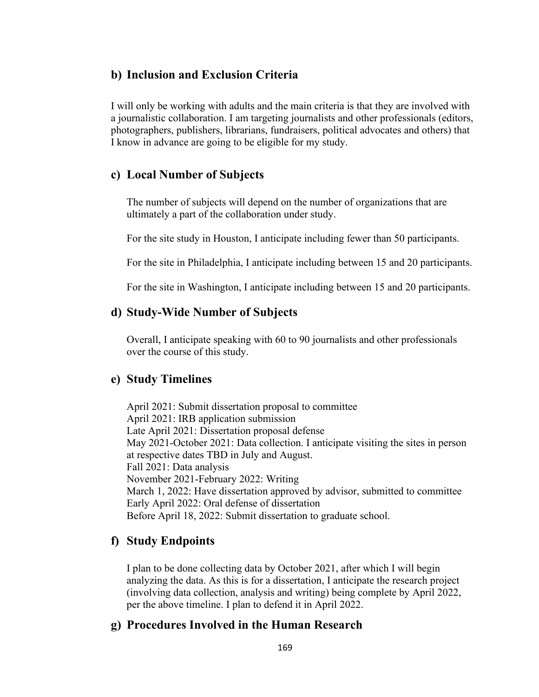# **b) Inclusion and Exclusion Criteria**

I will only be working with adults and the main criteria is that they are involved with a journalistic collaboration. I am targeting journalists and other professionals (editors, photographers, publishers, librarians, fundraisers, political advocates and others) that I know in advance are going to be eligible for my study.

# **c) Local Number of Subjects**

The number of subjects will depend on the number of organizations that are ultimately a part of the collaboration under study.

For the site study in Houston, I anticipate including fewer than 50 participants.

For the site in Philadelphia, I anticipate including between 15 and 20 participants.

For the site in Washington, I anticipate including between 15 and 20 participants.

# **d) Study-Wide Number of Subjects**

Overall, I anticipate speaking with 60 to 90 journalists and other professionals over the course of this study.

# **e) Study Timelines**

April 2021: Submit dissertation proposal to committee April 2021: IRB application submission Late April 2021: Dissertation proposal defense May 2021-October 2021: Data collection. I anticipate visiting the sites in person at respective dates TBD in July and August. Fall 2021: Data analysis November 2021-February 2022: Writing March 1, 2022: Have dissertation approved by advisor, submitted to committee Early April 2022: Oral defense of dissertation Before April 18, 2022: Submit dissertation to graduate school.

# **f) Study Endpoints**

I plan to be done collecting data by October 2021, after which I will begin analyzing the data. As this is for a dissertation, I anticipate the research project (involving data collection, analysis and writing) being complete by April 2022, per the above timeline. I plan to defend it in April 2022.

# **g) Procedures Involved in the Human Research**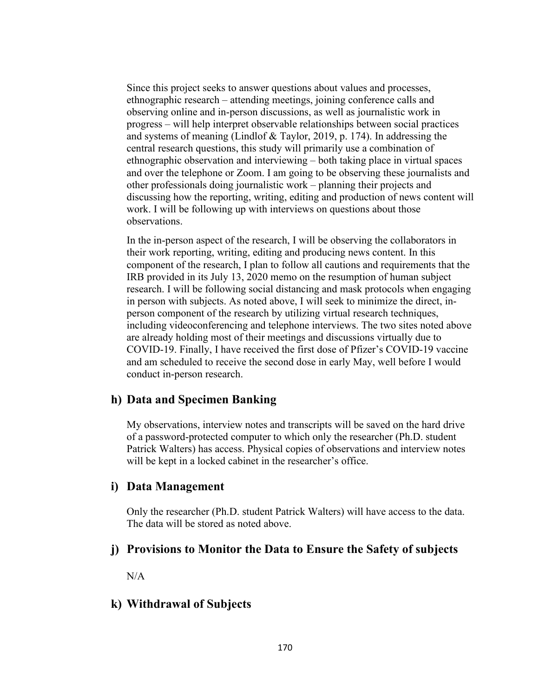Since this project seeks to answer questions about values and processes, ethnographic research – attending meetings, joining conference calls and observing online and in-person discussions, as well as journalistic work in progress – will help interpret observable relationships between social practices and systems of meaning (Lindlof  $\&$  Taylor, 2019, p. 174). In addressing the central research questions, this study will primarily use a combination of ethnographic observation and interviewing – both taking place in virtual spaces and over the telephone or Zoom. I am going to be observing these journalists and other professionals doing journalistic work – planning their projects and discussing how the reporting, writing, editing and production of news content will work. I will be following up with interviews on questions about those observations.

In the in-person aspect of the research, I will be observing the collaborators in their work reporting, writing, editing and producing news content. In this component of the research, I plan to follow all cautions and requirements that the IRB provided in its July 13, 2020 memo on the resumption of human subject research. I will be following social distancing and mask protocols when engaging in person with subjects. As noted above, I will seek to minimize the direct, inperson component of the research by utilizing virtual research techniques, including videoconferencing and telephone interviews. The two sites noted above are already holding most of their meetings and discussions virtually due to COVID-19. Finally, I have received the first dose of Pfizer's COVID-19 vaccine and am scheduled to receive the second dose in early May, well before I would conduct in-person research.

# **h) Data and Specimen Banking**

My observations, interview notes and transcripts will be saved on the hard drive of a password-protected computer to which only the researcher (Ph.D. student Patrick Walters) has access. Physical copies of observations and interview notes will be kept in a locked cabinet in the researcher's office.

# **i) Data Management**

Only the researcher (Ph.D. student Patrick Walters) will have access to the data. The data will be stored as noted above.

# **j) Provisions to Monitor the Data to Ensure the Safety of subjects**

N/A

# **k) Withdrawal of Subjects**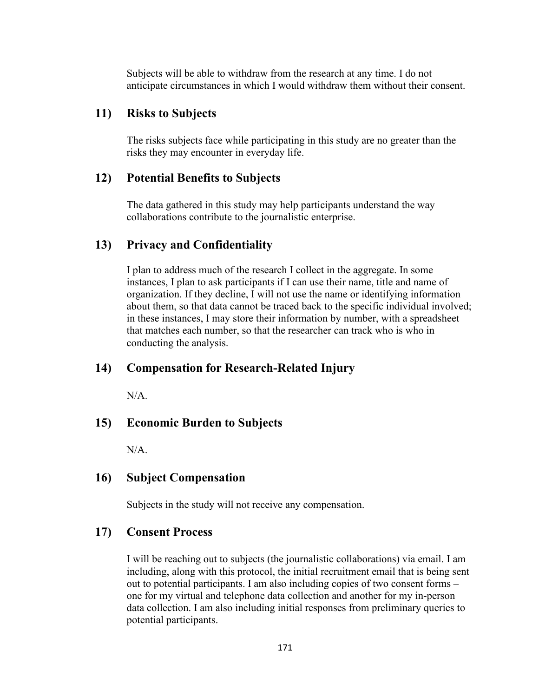Subjects will be able to withdraw from the research at any time. I do not anticipate circumstances in which I would withdraw them without their consent.

# **11) Risks to Subjects**

The risks subjects face while participating in this study are no greater than the risks they may encounter in everyday life.

# **12) Potential Benefits to Subjects**

The data gathered in this study may help participants understand the way collaborations contribute to the journalistic enterprise.

# **13) Privacy and Confidentiality**

I plan to address much of the research I collect in the aggregate. In some instances, I plan to ask participants if I can use their name, title and name of organization. If they decline, I will not use the name or identifying information about them, so that data cannot be traced back to the specific individual involved; in these instances, I may store their information by number, with a spreadsheet that matches each number, so that the researcher can track who is who in conducting the analysis.

# **14) Compensation for Research-Related Injury**

N/A.

# **15) Economic Burden to Subjects**

N/A.

# **16) Subject Compensation**

Subjects in the study will not receive any compensation.

# **17) Consent Process**

I will be reaching out to subjects (the journalistic collaborations) via email. I am including, along with this protocol, the initial recruitment email that is being sent out to potential participants. I am also including copies of two consent forms – one for my virtual and telephone data collection and another for my in-person data collection. I am also including initial responses from preliminary queries to potential participants.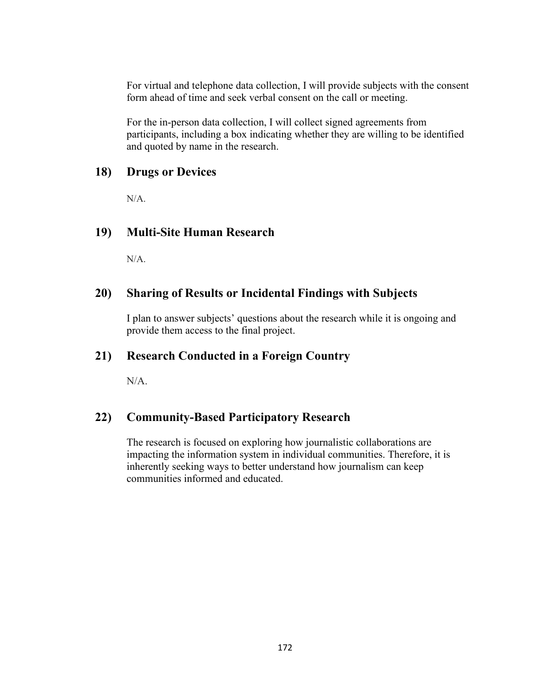For virtual and telephone data collection, I will provide subjects with the consent form ahead of time and seek verbal consent on the call or meeting.

For the in-person data collection, I will collect signed agreements from participants, including a box indicating whether they are willing to be identified and quoted by name in the research.

# **18) Drugs or Devices**

N/A.

# **19) Multi-Site Human Research**

 $N/A$ .

# **20) Sharing of Results or Incidental Findings with Subjects**

I plan to answer subjects' questions about the research while it is ongoing and provide them access to the final project.

### **21) Research Conducted in a Foreign Country**

N/A.

# **22) Community-Based Participatory Research**

The research is focused on exploring how journalistic collaborations are impacting the information system in individual communities. Therefore, it is inherently seeking ways to better understand how journalism can keep communities informed and educated.